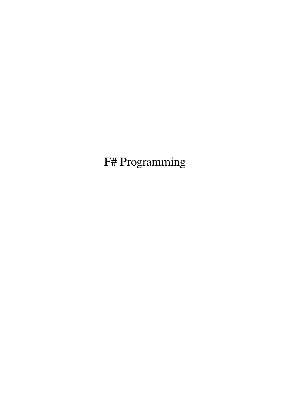F# Programming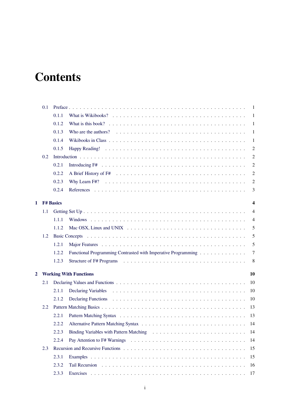# **Contents**

|   | 0.1     |                                     |                                                                                                                 | -1                      |  |  |  |
|---|---------|-------------------------------------|-----------------------------------------------------------------------------------------------------------------|-------------------------|--|--|--|
|   |         | 0.1.1                               |                                                                                                                 | -1                      |  |  |  |
|   |         | 0.1.2                               | What is this book? $\ldots \ldots \ldots \ldots \ldots \ldots \ldots \ldots \ldots \ldots \ldots \ldots \ldots$ | -1                      |  |  |  |
|   |         | 0.1.3                               |                                                                                                                 | 1                       |  |  |  |
|   |         | 0.1.4                               |                                                                                                                 | -1                      |  |  |  |
|   |         | 0.1.5                               |                                                                                                                 | $\overline{2}$          |  |  |  |
|   | 0.2     |                                     |                                                                                                                 | $\overline{2}$          |  |  |  |
|   |         | 0.2.1                               |                                                                                                                 | 2                       |  |  |  |
|   |         | 0.2.2                               |                                                                                                                 | $\overline{2}$          |  |  |  |
|   |         | 0.2.3                               |                                                                                                                 | $\overline{2}$          |  |  |  |
|   |         | 0.2.4                               |                                                                                                                 | 3                       |  |  |  |
| 1 |         | <b>F# Basics</b>                    |                                                                                                                 | $\overline{\mathbf{4}}$ |  |  |  |
|   | $1.1\,$ |                                     |                                                                                                                 | $\overline{4}$          |  |  |  |
|   |         | 1.1.1                               |                                                                                                                 | $\overline{4}$          |  |  |  |
|   |         | 1.1.2                               |                                                                                                                 | 5                       |  |  |  |
|   | 1.2     |                                     |                                                                                                                 | 5                       |  |  |  |
|   |         | 1.2.1                               |                                                                                                                 | 5                       |  |  |  |
|   |         | 1.2.2                               | Functional Programming Contrasted with Imperative Programming                                                   | 7                       |  |  |  |
|   |         | 1.2.3                               |                                                                                                                 | 8                       |  |  |  |
| 2 |         | <b>Working With Functions</b><br>10 |                                                                                                                 |                         |  |  |  |
|   | 2.1     |                                     |                                                                                                                 | 10                      |  |  |  |
|   |         | 2.1.1                               |                                                                                                                 | 10                      |  |  |  |
|   |         | 2.1.2                               |                                                                                                                 | 10                      |  |  |  |
|   | 2.2     |                                     |                                                                                                                 | 13                      |  |  |  |
|   |         | 2.2.1                               |                                                                                                                 | 13                      |  |  |  |
|   |         | 2.2.2                               |                                                                                                                 | 14                      |  |  |  |
|   |         | 2.2.3                               |                                                                                                                 | 14                      |  |  |  |
|   |         | 2.2.4                               |                                                                                                                 | 14                      |  |  |  |
|   | 2.3     |                                     |                                                                                                                 | 15                      |  |  |  |
|   |         | 2.3.1                               |                                                                                                                 | 15                      |  |  |  |
|   |         | 2.3.2                               |                                                                                                                 | 16                      |  |  |  |
|   |         | 2.3.3                               | Exercises                                                                                                       | 17                      |  |  |  |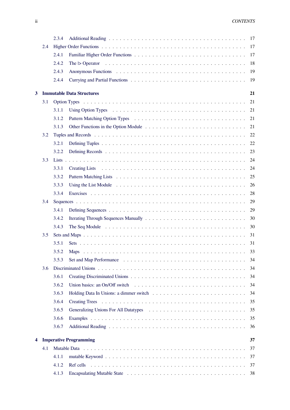|   |     | 2.3.4 |                                                                                                                                 | 17 |
|---|-----|-------|---------------------------------------------------------------------------------------------------------------------------------|----|
|   | 2.4 |       |                                                                                                                                 | 17 |
|   |     | 2.4.1 |                                                                                                                                 | 17 |
|   |     | 2.4.2 | The $\triangleright$ Operator $\dots \dots \dots \dots \dots \dots \dots \dots \dots \dots \dots \dots \dots \dots \dots \dots$ | 18 |
|   |     | 2.4.3 |                                                                                                                                 | 19 |
|   |     | 2.4.4 |                                                                                                                                 | 19 |
| 3 |     |       | <b>Immutable Data Structures</b>                                                                                                | 21 |
|   | 3.1 |       |                                                                                                                                 | 21 |
|   |     | 3.1.1 |                                                                                                                                 | 21 |
|   |     | 3.1.2 |                                                                                                                                 | 21 |
|   |     | 3.1.3 |                                                                                                                                 | 21 |
|   | 3.2 |       |                                                                                                                                 | 22 |
|   |     | 3.2.1 |                                                                                                                                 | 22 |
|   |     | 3.2.2 |                                                                                                                                 | 23 |
|   | 3.3 |       |                                                                                                                                 | 24 |
|   |     | 3.3.1 |                                                                                                                                 | 24 |
|   |     | 3.3.2 |                                                                                                                                 | 25 |
|   |     | 3.3.3 |                                                                                                                                 | 26 |
|   |     | 3.3.4 |                                                                                                                                 | 28 |
|   | 3.4 |       |                                                                                                                                 | 29 |
|   |     | 3.4.1 |                                                                                                                                 | 29 |
|   |     | 3.4.2 |                                                                                                                                 | 30 |
|   |     | 3.4.3 |                                                                                                                                 | 30 |
|   | 3.5 |       |                                                                                                                                 | 31 |
|   |     | 3.5.1 |                                                                                                                                 | 31 |
|   |     | 3.5.2 |                                                                                                                                 | 33 |
|   |     | 3.5.3 |                                                                                                                                 | 34 |
|   | 3.6 |       |                                                                                                                                 | 34 |
|   |     | 3.6.1 |                                                                                                                                 | 34 |
|   |     | 3.6.2 | Union basics: an On/Off switch $\ldots \ldots \ldots \ldots \ldots \ldots \ldots \ldots \ldots \ldots \ldots$                   | 34 |
|   |     | 3.6.3 |                                                                                                                                 | 34 |
|   |     | 3.6.4 |                                                                                                                                 | 35 |
|   |     | 3.6.5 | Generalizing Unions For All Datatypes (and all contracts of the Union Contracts of the Union Contracts of the U                 | 35 |
|   |     | 3.6.6 |                                                                                                                                 | 35 |
|   |     | 3.6.7 |                                                                                                                                 | 36 |
| 4 |     |       | <b>Imperative Programming</b>                                                                                                   | 37 |
|   | 4.1 |       |                                                                                                                                 | 37 |
|   |     | 4.1.1 |                                                                                                                                 | 37 |
|   |     | 4.1.2 |                                                                                                                                 | 37 |
|   |     | 4.1.3 |                                                                                                                                 | 38 |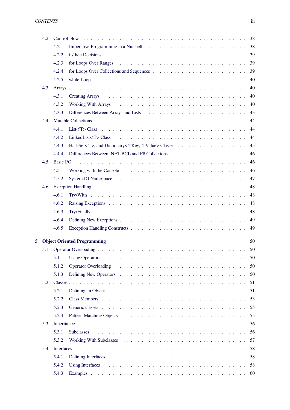|   | 4.2 | 38                                                                                                                                                                                                                                            |
|---|-----|-----------------------------------------------------------------------------------------------------------------------------------------------------------------------------------------------------------------------------------------------|
|   |     | 38<br>4.2.1                                                                                                                                                                                                                                   |
|   |     | 39<br>4.2.2                                                                                                                                                                                                                                   |
|   |     | 39<br>4.2.3<br>for Loops Over Ranges $\dots \dots \dots \dots \dots \dots \dots \dots \dots \dots \dots \dots \dots \dots \dots$                                                                                                              |
|   |     | 39<br>4.2.4                                                                                                                                                                                                                                   |
|   |     | 40<br>4.2.5                                                                                                                                                                                                                                   |
|   | 4.3 | 40                                                                                                                                                                                                                                            |
|   |     | Creating Arrays enterprise to the set of the set of the set of the set of the set of the set of the set of the set of the set of the set of the set of the set of the set of the set of the set of the set of the set of the s<br>4.3.1<br>40 |
|   |     | 40<br>4.3.2                                                                                                                                                                                                                                   |
|   |     | 43<br>4.3.3                                                                                                                                                                                                                                   |
|   | 4.4 | 44                                                                                                                                                                                                                                            |
|   |     | 44<br>4.4.1                                                                                                                                                                                                                                   |
|   |     | 4.4.2<br>44                                                                                                                                                                                                                                   |
|   |     | 45<br>4.4.3                                                                                                                                                                                                                                   |
|   |     | 46<br>4.4.4                                                                                                                                                                                                                                   |
|   | 4.5 | 46<br>Basic I/O                                                                                                                                                                                                                               |
|   |     | 46<br>4.5.1                                                                                                                                                                                                                                   |
|   |     | 47<br>4.5.2                                                                                                                                                                                                                                   |
|   | 4.6 | 48                                                                                                                                                                                                                                            |
|   |     | 48<br>4.6.1                                                                                                                                                                                                                                   |
|   |     | 4.6.2<br>48                                                                                                                                                                                                                                   |
|   |     | 48<br>4.6.3                                                                                                                                                                                                                                   |
|   |     | 49<br>4.6.4                                                                                                                                                                                                                                   |
|   |     | 49<br>4.6.5                                                                                                                                                                                                                                   |
| 5 |     | <b>Object Oriented Programming</b><br>50                                                                                                                                                                                                      |
|   | 5.1 | 50                                                                                                                                                                                                                                            |
|   |     | 5.1.1<br>50                                                                                                                                                                                                                                   |
|   |     | 5.1.2<br>50                                                                                                                                                                                                                                   |
|   |     | 5.1.3<br>50                                                                                                                                                                                                                                   |
|   | 5.2 | 51                                                                                                                                                                                                                                            |
|   |     | 51<br>5.2.1                                                                                                                                                                                                                                   |
|   |     | 5.2.2<br>53                                                                                                                                                                                                                                   |
|   |     | 5.2.3<br>55                                                                                                                                                                                                                                   |
|   |     | 55<br>5.2.4                                                                                                                                                                                                                                   |
|   | 5.3 | 56                                                                                                                                                                                                                                            |
|   |     | 5.3.1<br>56<br>Subclasses                                                                                                                                                                                                                     |
|   |     | 57<br>5.3.2                                                                                                                                                                                                                                   |
|   | 5.4 | 58                                                                                                                                                                                                                                            |
|   |     | 5.4.1<br>58                                                                                                                                                                                                                                   |
|   |     | 5.4.2<br>58                                                                                                                                                                                                                                   |
|   |     | 5.4.3<br>60                                                                                                                                                                                                                                   |
|   |     |                                                                                                                                                                                                                                               |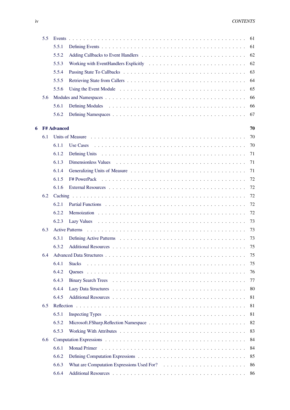|   | 5.5 |                    |                                                                                                                                                                                                                               | 61 |
|---|-----|--------------------|-------------------------------------------------------------------------------------------------------------------------------------------------------------------------------------------------------------------------------|----|
|   |     | 5.5.1              |                                                                                                                                                                                                                               | 61 |
|   |     | 5.5.2              |                                                                                                                                                                                                                               | 62 |
|   |     | 5.5.3              |                                                                                                                                                                                                                               | 62 |
|   |     | 5.5.4              |                                                                                                                                                                                                                               | 63 |
|   |     | 5.5.5              |                                                                                                                                                                                                                               | 64 |
|   |     | 5.5.6              |                                                                                                                                                                                                                               | 65 |
|   | 5.6 |                    |                                                                                                                                                                                                                               | 66 |
|   |     | 5.6.1              |                                                                                                                                                                                                                               | 66 |
|   |     | 5.6.2              |                                                                                                                                                                                                                               | 67 |
| 6 |     | <b>F# Advanced</b> |                                                                                                                                                                                                                               | 70 |
|   | 6.1 |                    |                                                                                                                                                                                                                               | 70 |
|   |     | 6.1.1              |                                                                                                                                                                                                                               | 70 |
|   |     | 6.1.2              |                                                                                                                                                                                                                               | 71 |
|   |     | 6.1.3              | Dimensionless Values (a) respectively and the set of the set of the set of the set of the set of the set of the set of the set of the set of the set of the set of the set of the set of the set of the set of the set of the | 71 |
|   |     | 6.1.4              |                                                                                                                                                                                                                               | 71 |
|   |     | 6.1.5              |                                                                                                                                                                                                                               | 72 |
|   |     | 6.1.6              |                                                                                                                                                                                                                               | 72 |
|   | 6.2 |                    |                                                                                                                                                                                                                               | 72 |
|   |     | 6.2.1              |                                                                                                                                                                                                                               | 72 |
|   |     | 6.2.2              |                                                                                                                                                                                                                               | 72 |
|   |     | 6.2.3              |                                                                                                                                                                                                                               | 73 |
|   | 6.3 |                    | <b>Active Patterns</b>                                                                                                                                                                                                        | 73 |
|   |     | 6.3.1              |                                                                                                                                                                                                                               | 73 |
|   |     | 6.3.2              |                                                                                                                                                                                                                               | 75 |
|   | 6.4 |                    |                                                                                                                                                                                                                               | 75 |
|   |     | 6.4.1              | <b>Stacks</b>                                                                                                                                                                                                                 | 75 |
|   |     | 6.4.2              |                                                                                                                                                                                                                               | 76 |
|   |     | 6.4.3              |                                                                                                                                                                                                                               | 77 |
|   |     | 6.4.4              |                                                                                                                                                                                                                               | 80 |
|   |     | 6.4.5              |                                                                                                                                                                                                                               | 81 |
|   | 6.5 |                    |                                                                                                                                                                                                                               | 81 |
|   |     | 6.5.1              |                                                                                                                                                                                                                               | 81 |
|   |     | 6.5.2              |                                                                                                                                                                                                                               | 82 |
|   |     | 6.5.3              |                                                                                                                                                                                                                               | 83 |
|   | 6.6 |                    |                                                                                                                                                                                                                               | 84 |
|   |     | 6.6.1              |                                                                                                                                                                                                                               | 84 |
|   |     | 6.6.2              |                                                                                                                                                                                                                               | 85 |
|   |     | 6.6.3              |                                                                                                                                                                                                                               | 86 |
|   |     | 6.6.4              |                                                                                                                                                                                                                               | 86 |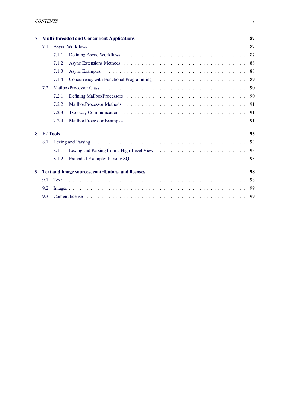| 7   |                                                    |       | <b>Multi-threaded and Concurrent Applications</b> | 87   |  |
|-----|----------------------------------------------------|-------|---------------------------------------------------|------|--|
|     | 7.1                                                |       |                                                   |      |  |
|     |                                                    | 7.1.1 |                                                   |      |  |
|     |                                                    | 7.1.2 |                                                   | 88   |  |
|     |                                                    | 7.1.3 |                                                   | 88   |  |
|     |                                                    | 7.1.4 |                                                   | 89   |  |
| 7.2 |                                                    |       |                                                   | 90   |  |
|     |                                                    | 7.2.1 |                                                   | -90  |  |
|     |                                                    | 7.2.2 |                                                   | 91   |  |
|     |                                                    | 7.2.3 |                                                   | -91  |  |
|     |                                                    | 7.2.4 |                                                   | - 91 |  |
| 8   | <b>F# Tools</b>                                    |       |                                                   |      |  |
|     | 8.1                                                |       |                                                   | 93   |  |
|     |                                                    | 8.1.1 |                                                   | 93   |  |
|     |                                                    | 8.1.2 |                                                   |      |  |
| 9   | Text and image sources, contributors, and licenses |       |                                                   |      |  |
|     | 9.1                                                |       |                                                   | 98   |  |
|     | 9.2                                                |       |                                                   | -99  |  |
|     | 9.3                                                |       |                                                   | - 99 |  |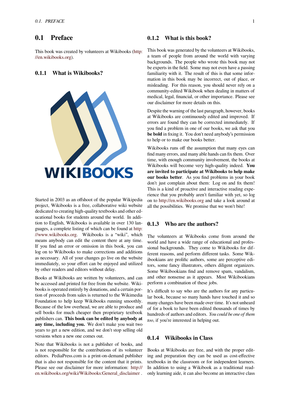# **0.1 Preface**

<span id="page-6-0"></span>This book was created by volunteers at Wikibooks (http: //en.wikibooks.org).

# **0.1.1 What is Wikibooks?**

<span id="page-6-1"></span>

Started in 2003 as an offshoot of the popular Wikipedia project, Wikibooks is a free, collaborative wiki website dedicated to creating high-quality textbooks and other educational books for students around the world. In addition to English, Wikibooks is available in over 130 languages, a complete listing of which can be found at http: //www.wikibooks.org. Wikibooks is a "wiki", which means anybody can edit the content there at any time. If you find an error or omission in this book, you can log on to Wikibooks to make corrections and addi[tions](http://www.wikibooks.org/) [as necessary. All of y](http://www.wikibooks.org/)our changes go live on the website immediately, so your effort can be enjoyed and utilized by other readers and editors without delay.

Books at Wikibooks are written by volunteers, and can be accessed and printed for free from the website. Wikibooks is operated entirely by donations, and a certain portion of proceeds from sales is returned to the Wikimedia Foundation to help keep Wikibooks running smoothly. Because of the low overhead, we are able to produce and sell books for much cheaper then proprietary textbook publishers can. **This book can be edited by anybody at any time, including you.** We don't make you wait two years to get a new edition, and we don't stop selling old versions when a new one comes out.

Note that Wikibooks is not a publisher of books, and is not responsible for the contributions of its volunteer editors. PediaPress.com is a print-on-demand publisher that is also not responsible for the content that it prints. Please see our disclaimer for more information: http:// en.wikibooks.org/wiki/Wikibooks:General\_disclaimer .

# **0.1.2 What is this book?**

<span id="page-6-2"></span>This book was generated by the volunteers at Wikibooks, a team of people from around the world with varying backgrounds. The people who wrote this book may not be experts in the field. Some may not even have a passing familiarity with it. The result of this is that some information in this book may be incorrect, out of place, or misleading. For this reason, you should never rely on a community-edited Wikibook when dealing in matters of medical, legal, financial, or other importance. Please see our disclaimer for more details on this.

Despite the warning of the last paragraph, however, books at Wikibooks are continuously edited and improved. If errors are found they can be corrected immediately. If you find a problem in one of our books, we ask that you **be bold** in fixing it. You don't need anybody's permission to help or to make our books better.

Wikibooks runs off the assumption that many eyes can find many errors, and many able hands can fix them. Over time, with enough community involvement, the books at Wikibooks will become very high-quality indeed. **You are invited to participate at Wikibooks to help make our books better**. As you find problems in your book don't just complain about them: Log on and fix them! This is a kind of proactive and interactive reading experience that you probably aren't familiar with yet, so log on to http://en.wikibooks.org and take a look around at all the possibilities. We promise that we won't bite!

# **0.1.[3 Who are the aut](http://en.wikibooks.org/)hors?**

<span id="page-6-3"></span>The volunteers at Wikibooks come from around the world and have a wide range of educational and professional backgrounds. They come to Wikibooks for different reasons, and perform different tasks. Some Wikibookians are prolific authors, some are perceptive editors, some fancy illustrators, others diligent organizers. Some Wikibookians find and remove spam, vandalism, and other nonsense as it appears. Most Wikibookians perform a combination of these jobs.

It's difficult to say who are the authors for any particular book, because so many hands have touched it and so many changes have been made over time. It's not unheard of for a book to have been edited thousands of times by hundreds of authors and editors. *You could be one of them too*, if you're interested in helping out.

# **0.1.4 Wikibooks in Class**

<span id="page-6-4"></span>Books at Wikibooks are free, and with the proper editing and preparation they can be used as cost-effective textbooks in the classroom or for independent learners. In addition to using a Wikibook as a traditional readonly learning aide, it can also become an interactive class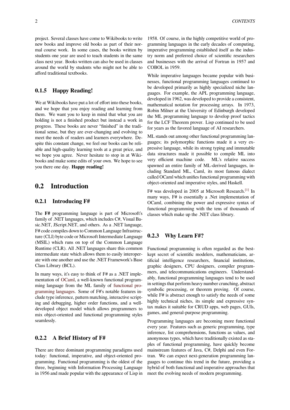project. Several classes have come to Wikibooks to write new books and improve old books as part of their normal course work. In some cases, the books written by students one year are used to teach students in the same class next year. Books written can also be used in classes around the world by students who might not be able to afford traditional textbooks.

# **0.1.5 Happy Reading!**

<span id="page-7-0"></span>We at Wikibooks have put a lot of effort into these books, and we hope that you enjoy reading and learning from them. We want you to keep in mind that what you are holding is not a finished product but instead a work in progress. These books are never "finished" in the traditional sense, but they are ever-changing and evolving to meet the needs of readers and learners everywhere. Despite this constant change, we feel our books can be reliable and high-quality learning tools at a great price, and we hope you agree. Never hesitate to stop in at Wikibooks and make some edits of your own. We hope to see you there one day. **Happy reading!**

# **0.2 Introduction**

# <span id="page-7-1"></span>**0.2.1 Introducing F#**

<span id="page-7-2"></span>The **F#** programming language is part of Microsoft's family of .NET languages, which includes C#, Visual Basic.NET, JScript.NET, and others. As a .NET language, F# code compiles down to Common Language Infrastructure (CLI) byte code or Microsoft Intermediate Language (MSIL) which runs on top of the Common Language Runtime (CLR). All .NET languages share this common intermediate state which allows them to easily interoperate with one another and use the .NET Framework's Base Class Library (BCL).

In many ways, it's easy to think of F# as a .NET implementation of OCaml, a well-known functional programming language from the ML family of functional programming languages. Some of F#'s notable features include type inference, pattern matching, interactive scripting and debu[gging, h](https://en.wikibooks.org/wiki/Objective_Caml)igher order functions, and a welldeveloped object model which allows [programmers to](https://en.wikibooks.org/wiki/Computer_programming/Functional_programming) [mix object-oriented](https://en.wikibooks.org/wiki/Computer_programming/Functional_programming) and functional programming styles seamlessly.

# **0.2.2 A Brief History of F#**

There are three dominant programming paradigms used today: functional, imperative, and object-oriented programming. Functional programming is the oldest of the three, beginning with Information Processing Language in 1956 and made popular with the appearance of Lisp in

1958. Of course, in the highly competitive world of programming languages in the early decades of computing, imperative programming established itself as the industry norm and preferred choice of scientific researchers and businesses with the arrival of Fortran in 1957 and COBOL in 1959.

While imperative languages became popular with businesses, functional programming languages continued to be developed primarily as highly specialized niche languages. For example, the APL programming language, developed in 1962, was developed to provide a consistent, mathematical notation for processing arrays. In 1973, Robin Milner at the University of Edinburgh developed the ML programming language to develop proof tactics for the LCF Theorem prover. Lisp continued to be used for years as the favored language of AI researchers.

ML stands out among other functional programming languages; its polymorphic functions made it a very expressive language, while its strong typing and immutable data structures made it possible to compile ML into very efficient machine code. ML's relative success spawned an entire family of ML-derived languages, including Standard ML, Caml, its most famous dialect called OCaml which unifies functional programming with object-oriented and imperative styles, and Haskell.

F# was developed in 2005 at Microsoft Research.<sup>[1]</sup> In many ways, F# is essentially a .Net implementation of OCaml, combining the power and expressive syntax of functional programming with the tens of thousands of classes which make up the .NET class library.

# **0.2.3 Why Learn F#?**

<span id="page-7-3"></span>Functional programming is often regarded as the bestkept secret of scientific modelers, mathematicians, artificial intelligence researchers, financial institutions, graphic designers, CPU designers, compiler programmers, and telecommunications engineers. Understandably, functional programming languages tend to be used in settings that perform heavy number crunching, abstract symbolic processing, or theorem proving. Of course, while F# is abstract enough to satisfy the needs of some highly technical niches, its simple and expressive syntax makes it suitable for CRUD apps, web pages, GUIs, games, and general-purpose programming.

Programming languages are becoming more functional every year. Features such as generic programming, type inference, list comprehensions, functions as values, and anonymous types, which have traditionally existed as staples of functional programming, have quickly become mainstream features of Java, C#, Delphi and even Fortran. We can expect next-generation programming languages to continue this trend in the future, providing a hybrid of both functional and imperative approaches that meet the evolving needs of modern programming.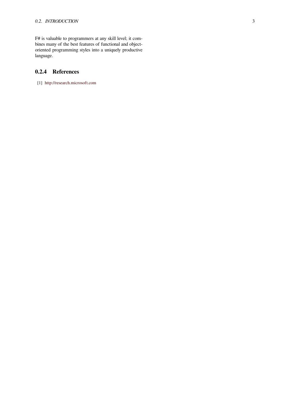F# is valuable to programmers at any skill level; it combines many of the best features of functional and objectoriented programming styles into a uniquely productive language.

# **0.2.4 References**

<span id="page-8-0"></span>[1] http://research.microsoft.com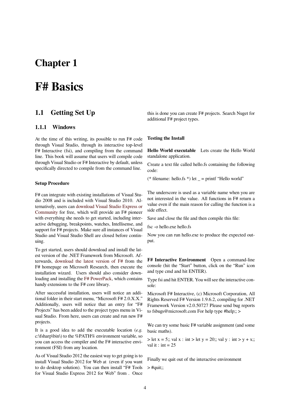# **Chapter 1**

# **F# Basics**

# **1.1 Getting Set Up**

# **1.1.1 Windows**

<span id="page-9-1"></span><span id="page-9-0"></span>At the time of this writing, its possible to run F# code through Visual Studio, through its interactive top-level F# Interactive (fsi), and compiling from the command line. This book will assume that users will compile code through Visual Studio or F# Interactive by default, unless specifically directed to compile from the command line.

### **Setup Procedure**

F# can integrate with existing installations of Visual Studio 2008 and is included with Visual Studio 2010. Alternatively, users can download Visual Studio Express or Community for free, which will provide an F# pioneer with everything she needs to get started, including interactive debugging, breakpoints, watches, Intellisense, and support for F# projec[ts. Make sure all instances of Visual](https://www.visualstudio.com/en-us/products/visual-studio-express-vs.aspx) [Studio and V](https://www.visualstudio.com/en-us/products/visual-studio-express-vs.aspx)isual Studio Shell are closed before continuing.

To get started, users should download and install the latest version of the .NET Framework from Microsoft. Afterwards, download the latest version of F# from the F# homepage on Microsoft Research, then execute the installation wizard. Users should also consider downloading and installing the F# PowerPack, which contains handy ext[ensions to the F# core library.](http://fsharp.org/)

After successful installation, users will notice an additional folder in their start menu, "Microsoft F# 2.0.X.X." Additionally, users will [notice that an](http://fsharppowerpack.codeplex.com/) entry for "F# Projects" has been added to the project types menu in Visual Studio. From here, users can create and run new F# projects.

It is a good idea to add the executable location (*e.g.* c:\fsharp\bin\) to the %PATH% environment variable, so you can access the compiler and the F# interactive environment (FSI) from any location.

As of Visual Studio 2012 the easiest way to get going is to install Visual Studio 2012 for Web at (even if you want to do desktop solution). You can then install "F# Tools for Visual Studio Express 2012 for Web" from . Once this is done you can create F# projects. Search Nuget for additional F# project types.

# **Testing the Install**

**Hello World executable** Lets create the Hello World standalone application.

Create a text file called hello.fs containing the following code:

(\* filename: hello.fs \*) let  $=$  printf "Hello world"

The underscore is used as a variable name when you are not interested in the value. All functions in F# return a value even if the main reason for calling the function is a side effect.

Save and close the file and then compile this file:

fsc -o hello.exe hello.fs

Now you can run hello.exe to produce the expected output.

**F# Interactive Environment** Open a command-line console (hit the "Start" button, click on the "Run" icon and type cmd and hit ENTER).

Type fsi and hit ENTER. You will see the interactive console:

Microsoft F# Interactive, (c) Microsoft Corporation, All Rights Reserved F# Version 1.9.6.2, compiling for .NET Framework Version v2.0.50727 Please send bug reports to fsbugs@microsoft.com For help type #help;; >

We can try some basic F# variable assignment (and some basic maths).

 $>$  let x = 5;; val x : int > let y = 20;; val y : int > y + x;; val it : int  $= 25$ 

Finally we quit out of the interactive environment

 $>$ #quit;;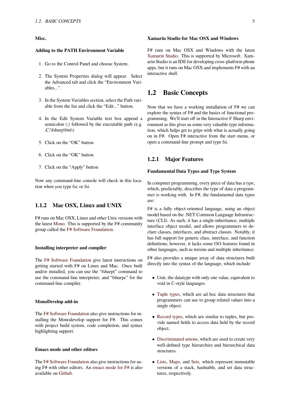#### **Xamarin Studio for Mac OSX and Windows**

# **Misc.**

# **Adding to the PATH Environment Variable**

- 1. Go to the Control Panel and choose System.
- 2. The System Properties dialog will appear. Select the Advanced tab and click the "Environment Variables...".
- 3. In the System Variables section, select the Path variable from the list and click the "Edit..." button.
- 4. In the Edit System Variable text box append a semicolon (;) followed by the executable path (e.g. ;C:\fsharp\bin\)
- 5. Click on the "OK" button
- 6. Click on the "OK" button
- 7. Click on the "Apply" button

Now any command-line console will check in this location when you type fsc or fsi.

# **1.1.2 Mac OSX, Linux and UNIX**

<span id="page-10-0"></span>F# runs on Mac OSX, Linux and other Unix versions with the latest Mono. This is supported by the F# community group called the F# Software Foundation.

# **Installin[g inter](http://www.mono-project.com/)preter and compiler**

The F# Software Foundation give latest instructions on getting started with F# on Linux and Mac. Once built and/or installed, you can use the "fsharpi" command to use the command-line interpreter, and "fsharpc" for the com[mand-line compiler.](http://fsharp.org/)

# **MonoDevelop add-in**

The F# Software Foundation also give instructions for installing the Monodevelop support for F#. This comes with project build system, code completion, and syntax highlighting support.

# **Emacs mode and other editors**

The F# Software Foundation also give instructions for using F# with other editors. An emacs mode for F# is also available on Github.

F# runs on Mac OSX and Windows with the latest Xamarin Studio. This is supported by Microsoft. Xamarin Studio is an IDE for developing cross-platform phone apps, but it runs on Mac OSX and implements F# with an interactive shell.

# **1.2 Basic Concepts**

<span id="page-10-1"></span>Now that we have a working installation of F# we can explore the syntax of F# and the basics of functional programming. We'll start off in the Interactive F Sharp environment as this gives us some very valuable type information, which helps get to grips with what is actually going on in F#. Open F# interactive from the start menu, or open a command-line prompt and type fsi.

# **1.2.1 Major Features**

# **Fundamental Data Types and Type System**

In computer programming, every piece of data has a *type*, which, predictably, describes the type of data a programmer is working with. In F#, the fundamental data types are:

F# is a fully object-oriented language, using an object model based on the .NET Common Language Infrastructure (CLI). As such, it has a single-inheritance, multiple interface object model, and allows programmers to declare classes, interfaces, and abstract classes. Notably, it has full support for generic class, interface, and function definitions; however, it lacks some OO features found in other languages, such as mixins and multiple inheritance.

F# also provides a unique array of data structures built directly into the syntax of the language, which include:

- *•* Unit, the datatype with only one value, equivalent to void in C-style languages.
- *•* Tuple types, which are ad hoc data structures that programmers can use to group related values into a single object.
- *•* [Record type](https://en.wikibooks.org/wiki/F_Sharp_Programming/Tuples_and_Records)s, which are similar to tuples, but provide named fields to access data held by the record object.
- [Discriminated](https://en.wikibooks.org/wiki/F_Sharp_Programming/Tuples_and_Records#Defining_Records) unions, which are used to create very well-defined type hierarchies and hierarchical data structures.
- *•* Lists, [Maps, and](https://en.wikibooks.org/wiki/F_Sharp_Programming/Discriminated_Unions) Sets, which represent immutable versions of a stack, hashtable, and set data structures, respectively.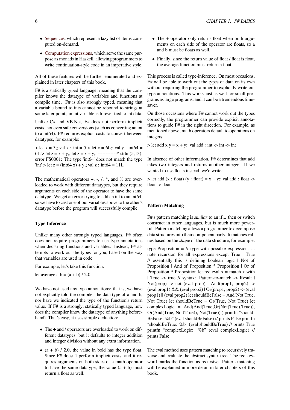- Sequences, which represent a lazy list of items computed on-demand.
- *•* Computation expressions, which serve the same purpose as monads in Haskell, allowing programmers to [write conti](https://en.wikibooks.org/wiki/F_Sharp_Programming/Sequences)nuation-style code in an imperative style.

All [of these features will be fu](https://en.wikibooks.org/wiki/F_Sharp_Programming/Computation_Expressions)rther enumerated and explained in later chapters of this book.

F# is a statically typed language, meaning that the compiler knows the datatype of variables and functions at compile time. F# is also strongly typed, meaning that a variable bound to ints cannot be rebound to strings at some later point; an int variable is forever tied to int data.

Unlike C# and VB.Net, F# does not perform implicit casts, not even safe conversions (such as converting an int to a int64). F# requires explicit casts to convert between datatypes, for example:

 $>$  let x = 5;; val x : int = 5  $>$  let y = 6L;; val y : int64 =  $6L > let z = x + y$ ;; let  $z = x + y$ ;; ------------^ stdin(5,13): error FS0001: The type 'int64' does not match the type  $\text{int}$  > let z = (int64 x) + y;; val z : int64 = 11L

The mathematical operators  $+$ ,  $-$ ,  $/$ ,  $*$ , and  $%$  are overloaded to work with different datatypes, but they require arguments on each side of the operator to have the same datatype. We get an error trying to add an int to an int64, so we have to cast one of our variables above to the other's datatype before the program will successfully compile.

#### **Type Inference**

Unlike many other strongly typed languages, F# often does not require programmers to use type annotations when declaring functions and variables. Instead, F# attempts to work out the types for you, based on the way that variables are used in code.

For example, let's take this function:

let average a  $b = (a + b) / 2.0$ 

We have not used any type annotations: that is, we have not explicitly told the compiler the data type of a and b, nor have we indicated the type of the function's return value. If F# is a strongly, statically typed language, how does the compiler know the datatype of anything beforehand? That's easy, it uses simple deduction:

- The + and / operators are overloaded to work on different datatypes, but it defaults to integer addition and integer division without any extra information.
- *•* (a + b) / **2.0**, the value in bold has the type float. Since F# doesn't perform implicit casts, and it requires arguments on both sides of a math operator to have the same data type, the value  $(a + b)$  must return a float as well.
- The + operator only returns float when both arguments on each side of the operator are floats, so a and b must be floats as well.
- Finally, since the return value of float / float is float, the average function must return a float.

This process is called type-inference. On most occasions, F# will be able to work out the types of data on its own without requiring the programmer to explicitly write out type annotations. This works just as well for small programs as large programs, and it can be a tremendous timesaver.

On those occasions where F# cannot work out the types correctly, the programmer can provide explicit annotations to guide F# in the right direction. For example, as mentioned above, math operators default to operations on integers:

 $>$  let add x y = x + y;; val add : int  $\rightarrow$  int  $\rightarrow$  int

In absence of other information, F# determines that add takes two integers and returns another integer. If we wanted to use floats instead, we'd write:

 $>$  let add (x : float) (y : float) = x + y;; val add : float - $>$ float -> float

## **Pattern Matching**

F#'s pattern matching is *similar* to an if... then or switch construct in other languages, but is much more powerful. Pattern matching allows a programmer to decompose data structures into their component parts. It matches values based on the *shape* of the data structure, for example:

type Proposition  $=$  // type with possible expressions ... note recursion for all expressions except True | True // essentially this is defining boolean logic | Not of Proposition | And of Proposition \* Proposition | Or of Proposition  $*$  Proposition let rec eval  $x =$  match x with | True -> true // syntax: Pattern-to-match -> Result | Not(prop) -> not (eval prop)  $\vert$  And(prop1, prop2) -> (eval prop1)  $&&$  (eval prop2)  $\cup$  Or(prop1, prop2)  $\rightarrow$  (eval prop1) || (eval prop2) let shouldBeFalse = And(Not True, Not True) let shouldBeTrue = Or(True, Not True) let complexLogic = And(And(True,Or(Not(True),True)), Or(And(True, Not(True)), Not(True)) ) printfn "should-BeFalse: %b" (eval shouldBeFalse) // prints False printfn "shouldBeTrue: %b" (eval shouldBeTrue) // prints True printfn "complexLogic: %b" (eval complexLogic) // prints False

The eval method uses pattern matching to recursively traverse and evaluate the abstract syntax tree. The rec keyword marks the function as recursive. Pattern matching will be explained in more detail in later chapters of this book.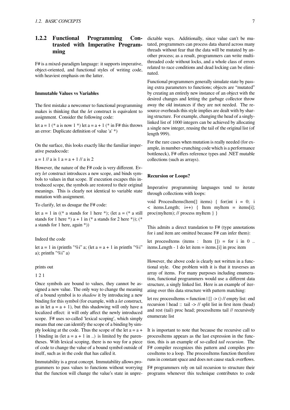# <span id="page-12-0"></span>**1.2.2 Functional Programming Contrasted with Imperative Programming**

F# is a mixed-paradigm language: it supports imperative, object-oriented, and functional styles of writing code, with heaviest emphasis on the latter.

# **Immutable Values vs Variables**

The first mistake a newcomer to functional programming makes is thinking that the *let* construct is equivalent to assignment. Consider the following code:

let  $a = 1$  (\* a is now  $1$  \*) let  $a = a + 1$  (\* in F# this throws an error: Duplicate definition of value 'a' \*)

On the surface, this looks exactly like the familiar imperative pseudocode:

 $a = 1 / a$  is  $1 a = a + 1 / a$  is 2

However, the nature of the F# code is very different. Every *let* construct introduces a new scope, and binds symbols to values in that scope. If execution escapes this introduced scope, the symbols are restored to their original meanings. This is clearly not identical to variable state mutation with assignment.

To clarify, let us desugar the F# code:

let  $a = 1$  in  $($  \* a stands for 1 here \*); (let  $a =$  (\* a still stands for 1 here \*) a + 1 in (\* a stands for 2 here \*)); (\* a stands for 1 here, again \*))

Indeed the code

let  $a = 1$  in (printfn "%i" a; (let  $a = a + 1$  in printfn "%i" a); printfn "%i" a)

#### prints out

#### 1 2 1

Once symbols are bound to values, they cannot be assigned a new value. The only way to change the meaning of a bound symbol is to *shadow* it by introducing a new binding for this symbol (for example, with a *let* construct, as in let  $a = a + 1$ , but this shadowing will only have a localized effect: it will only affect the newly introduced scope. F# uses so-called 'lexical scoping', which simply means that one can identify the scope of a binding by simply looking at the code. Thus the scope of the let  $a = a +$ 1 binding in (let  $a = a + 1$  in ..) is limited by the parentheses. With lexical scoping, there is no way for a piece of code to change the value of a bound symbol outside of itself, such as in the code that has called it.

Immutability is a great concept. Immutability allows programmers to pass values to functions without worrying that the function will change the value's state in unpredictable ways. Additionally, since value can't be mutated, programmers can process data shared across many threads without fear that the data will be mutated by another process; as a result, programmers can write multithreaded code without locks, and a whole class of errors related to race conditions and dead locking can be eliminated.

Functional programmers generally simulate state by passing extra parameters to functions; objects are "mutated" by creating an entirely new instance of an object with the desired changes and letting the garbage collector throw away the old instances if they are not needed. The resource overheads this style implies are dealt with by sharing structure. For example, changing the head of a singlylinked list of 1000 integers can be achieved by allocating a single new integer, reusing the tail of the original list (of length 999).

For the rare cases when mutation is really needed (for example, in number-crunching code which is a performance bottleneck), F# offers reference types and .NET mutable collections (such as arrays).

#### **Recursion or Loops?**

Imperative programming languages tend to iterate through collections with loops:

void ProcessItems(Item[] items) { for(int i = 0; i  $\leq$  items. Length; i++) { Item myItem = items[i]; proc(myItem); // process myItem } }

This admits a direct translation to F# (type annotations for i and item are omitted because F# can infer them):

let processItems (items : Item  $| \cdot |$ ) = for i in 0 .. items.Length - 1 do let item = items.[i] in proc item

However, the above code is clearly not written in a functional style. One problem with it is that it traverses an array of items. For many purposes including enumeration, functional programmers would use a different data structure, a singly linked list. Here is an example of iterating over this data structure with pattern matching:

let rec processItems = function  $| \cdot | \cdot | > ($  // empty list: end recursion | head :: tail -> // split list in first item (head) and rest (tail) proc head; processItems tail // recursively enumerate list

It is important to note that because the recursive call to processItems appears as the last expression in the function, this is an example of so-called *tail recursion*. The F# compiler recognizes this pattern and compiles processItems to a loop. The processItems function therefore runs in constant space and does not cause stack overflows.

F# programmers rely on tail recursion to structure their programs whenever this technique contributes to code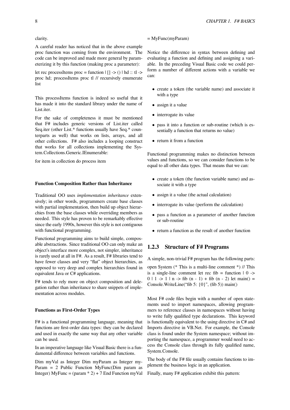clarity.

A careful reader has noticed that in the above example proc function was coming from the environment. The code can be improved and made more general by parameterizing it by this function (making proc a parameter):

let rec processItems proc = function  $| \nvert$  -> () | hd :: tl -> proc hd; processItems proc tl // recursively enumerate list

This processItems function is indeed so useful that it has made it into the standard library under the name of List.iter.

For the sake of completeness it must be mentioned that F# includes generic versions of List.iter called Seq.iter (other List.\* functions usually have Seq.\* counterparts as well) that works on lists, arrays, and all other collections. F# also includes a looping construct that works for all collections implementing the System.Collections.Generic.IEnumerable:

for item in collection do process item

# **Function Composition Rather than Inheritance**

Traditional OO uses *implementation inheritance* extensively; in other words, programmers create base classes with partial implementation, then build up object hierarchies from the base classes while overriding members as needed. This style has proven to be remarkably effective since the early 1990s, however this style is not contiguous with functional programming.

Functional programming aims to build simple, composable abstractions. Since traditional OO can only make an object's interface more complex, not simpler, inheritance is rarely used at all in F#. As a result, F# libraries tend to have fewer classes and very "flat" object hierarchies, as opposed to very deep and complex hierarchies found in equivalent Java or C# applications.

F# tends to rely more on object composition and delegation rather than inheritance to share snippets of implementation across modules.

#### **Functions as First-Order Types**

F# is a functional programming language, meaning that functions are first-order data types: they can be declared and used in exactly the same way that any other variable can be used.

In an imperative language like Visual Basic there is a fundamental difference between variables and functions.

Dim myVal as Integer Dim myParam as Integer my-Param  $= 2$  Public Function MyFunc(Dim param as Integer) MyFunc =  $(param * 2) + 7$  End Function myVal

#### $=$  MyFunc(myParam)

Notice the difference in syntax between defining and evaluating a function and defining and assigning a variable. In the preceding Visual Basic code we could perform a number of different actions with a variable we can:

- *•* create a token (the variable name) and associate it with a type
- *•* assign it a value
- interrogate its value
- *•* pass it into a function or sub-routine (which is essentially a function that returns no value)
- *•* return it from a function

Functional programming makes no distinction between values and functions, so we can consider functions to be equal to all other data types. That means that we can:

- create a token (the function variable name) and associate it with a type
- *•* assign it a value (the actual calculation)
- interrogate its value (perform the calculation)
- *•* pass a function as a parameter of another function or sub-routine
- return a function as the result of another function

# <span id="page-13-0"></span>**1.2.3 Structure of F# Programs**

A simple, non-trivial F# program has the following parts:

open System (\* This is a multi-line comment \*) // This is a single-line comment let rec fib = function  $|0\rangle$  -> 0 | 1 -> 1 | n -> fib  $(n - 1)$  + fib  $(n - 2)$  let main $() =$ Console.WriteLine("fib 5: {0}", (fib 5)) main()

Most F# code files begin with a number of open statements used to import namespaces, allowing programmers to reference classes in namespaces without having to write fully qualified type declarations. This keyword is functionally equivalent to the using directive in C# and Imports directive in VB.Net. For example, the Console class is found under the System namespace; without importing the namespace, a programmer would need to access the Console class through its fully qualified name, System.Console.

The body of the F# file usually contains functions to implement the business logic in an application.

Finally, many F# application exhibit this pattern: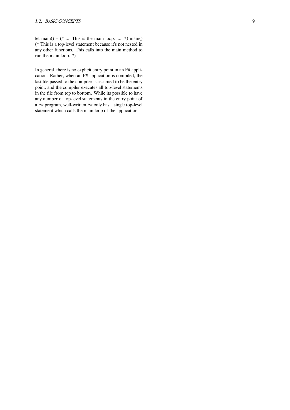let main() =  $(* \dots$  This is the main loop.  $\dots$  \*) main() (\* This is a top-level statement because it's not nested in any other functions. This calls into the main method to run the main loop. \*)

In general, there is no explicit entry point in an F# application. Rather, when an F# application is compiled, the last file passed to the compiler is assumed to be the entry point, and the compiler executes all top-level statements in the file from top to bottom. While its possible to have any number of top-level statements in the entry point of a F# program, well-written F# only has a single top-level statement which calls the main loop of the application.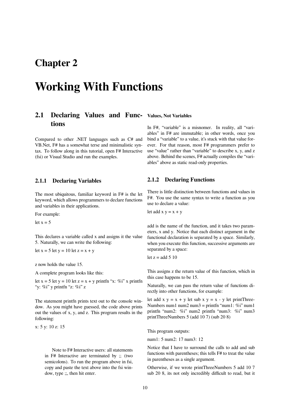# **Chapter 2**

# **Working With Functions**

# <span id="page-15-0"></span>**2.1 Declaring Values and Func-Values, Not Variables tions**

Compared to other .NET languages such as C# and VB.Net, F# has a somewhat terse and minimalistic syntax. To follow along in this tutorial, open F# Interactive (fsi) or Visual Studio and run the examples.

# <span id="page-15-1"></span>**2.1.1 Declaring Variables**

The most ubiquitous, familiar keyword in F# is the let keyword, which allows programmers to declare functions and variables in their applications.

For example:

let  $x = 5$ 

This declares a variable called x and assigns it the value 5. Naturally, we can write the following:

let  $x = 5$  let  $y = 10$  let  $z = x + y$ 

z now holds the value 15.

A complete program looks like this:

let  $x = 5$  let  $y = 10$  let  $z = x + y$  printfn "x: %i" x printfn "v:  $\%$ i" y printfn "z:  $\%$ i" z

The statement printfn prints text out to the console window. As you might have guessed, the code above prints out the values of x, y, and z. This program results in the following:

x: 5 y: 10 z: 15

Note to F# Interactive users: all statements in F# Interactive are terminated by ;; (two semicolons). To run the program above in fsi, copy and paste the text above into the fsi window, type ;;, then hit enter.

In F#, "variable" is a misnomer. In reality, all "variables" in F# are immutable; in other words, once you bind a "variable" to a value, it's stuck with that value forever. For that reason, most F# programmers prefer to use "value" rather than "variable" to describe x, y, and z above. Behind the scenes, F# actually compiles the "variables" above as static read-only properties.

# <span id="page-15-2"></span>**2.1.2 Declaring Functions**

There is little distinction between functions and values in F#. You use the same syntax to write a function as you use to declare a value:

let add  $x y = x + y$ 

add is the name of the function, and it takes two parameters, x and y. Notice that each distinct argument in the functional declaration is separated by a space. Similarly, when you execute this function, successive arguments are separated by a space:

let  $z =$ add 5 10

This assigns z the return value of this function, which in this case happens to be 15.

Naturally, we can pass the return value of functions directly into other functions, for example:

let add  $x y = x + y$  let sub  $x y = x - y$  let printThree-Numbers num1 num2 num3 = printfn "num1: %i" num1 printfn "num2: %i" num2 printfn "num3: %i" num3 printThreeNumbers 5 (add 10 7) (sub 20 8)

This program outputs:

num1: 5 num2: 17 num3: 12

Notice that I have to surround the calls to add and sub functions with parentheses; this tells F# to treat the value in parentheses as a single argument.

Otherwise, if we wrote printThreeNumbers 5 add 10 7 sub 20 8, its not only incredibly difficult to read, but it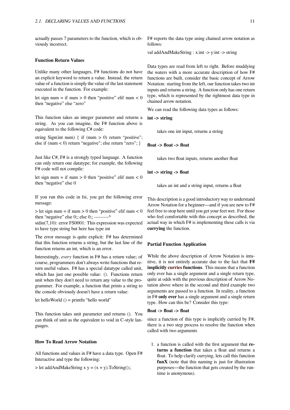actually passes 7 parameters to the function, which is obviously incorrect.

# **Function Return Values**

Unlike many other languages, F# functions do not have an explicit keyword to return a value. Instead, the return value of a function is simply the value of the last statement executed in the function. For example:

let sign num = if num > 0 then "positive" elif num < 0 then "negative" else "zero"

This function takes an integer parameter and returns a string. As you can imagine, the F# function above is equivalent to the following C# code:

string Sign(int num) { if (num > 0) return "positive"; else if (num < 0) return "negative"; else return "zero"; }

Just like C#, F# is a strongly typed language. A function can only return one datatype; for example, the following F# code will not compile:

let sign num = if num > 0 then "positive" elif num < 0 then "negative" else 0

If you run this code in fsi, you get the following error message:

 $>$  let sign num = if num  $>$  0 then "positive" elif num < 0 then "negative" else  $0$ ;; else  $0$ ;; ---------^

stdin(7,10): error FS0001: This expression was expected to have type string but here has type int

The error message is quite explicit: F# has determined that this function returns a string, but the last line of the function returns an int, which is an error.

Interestingly, *every* function in F# has a return value; of course, programmers don't always write functions that return useful values. F# has a special datatype called unit, which has just one possible value: (). Functions return unit when they don't need to return any value to the programmer. For example, a function that prints a string to the console obviously doesn't have a return value:

let helloWorld () = printfn "hello world"

This function takes unit parameter and returns (). You can think of unit as the equivalent to void in C-style languages.

#### **How To Read Arrow Notation**

All functions and values in F# have a data type. Open F# Interactive and type the following:

 $>$  let addAndMakeString x y = (x + y).ToString();;

F# reports the data type using chained arrow notation as follows:

val addAndMakeString : x:int -> y:int -> string

Data types are read from left to right. Before muddying the waters with a more accurate description of how F# functions are built, consider the basic concept of Arrow Notation: starting from the left, our function takes two int inputs and returns a string. A function only has one return type, which is represented by the rightmost data type in chained arrow notation.

We can read the following data types as follows:

**int -> string**

takes one int input, returns a string

**float -> float -> float**

takes two float inputs, returns another float

**int -> string -> float**

takes an int and a string input, returns a float

This description is a good introductory way to understand Arrow Notation for a beginner—and if you are new to F# feel free to stop here until you get your feet wet. For those who feel comfortable with this concept as described, the actual way in which F# is implementing these calls is via **currying** the function.

# **Partial Function Application**

While the above description of Arrow Notation is intuitive, it is not entirely accurate due to the fact that **F# implicitly curries functions**. This means that a function only ever has a single argument and a single return type, quite at odds with the previous description of Arrow Notation above where in the second and third example two arguments [are pass](http://en.wikipedia.org/wiki/Currying)ed to a function. In reality, a function in F# **only ever** has a single argument and a single return type. How can this be? Consider this type:

# **float -> float -> float**

since a function of this type is implicitly curried by F#, there is a two step process to resolve the function when called with two arguments

1. a function is called with the first argument that **returns a function** that takes a float and returns a float. To help clarify currying, lets call this function **funX** (note that this naming is just for illustration purposes—the function that gets created by the runtime is anonymous).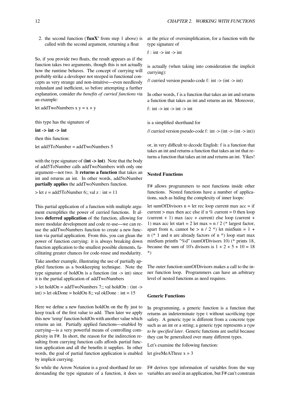2. the second function ('**funX'** from step 1 above) is called with the second argument, returning a float

So, if you provide two floats, the result appears as if the function takes two arguments, though this is not actually how the runtime behaves. The concept of currying will probably strike a developer not steeped in functional concepts as very strange and non-intuitive—even needlessly redundant and inefficient, so before attempting a further explanation, consider *the benefits of curried functions* via an example:

let addTwoNumbers  $x y = x + y$ 

this type has the signature of

 $\text{int}$  ->  $\text{int}$  ->  $\text{int}$ 

then this function:

let add5ToNumber = addTwoNumbers 5

with the type signature of **(int -> int)**. Note that the body of add5ToNumber calls addTwoNumbers with only one argument—not two. It **returns a function** that takes an int and returns an int. In other words, add5toNumber **partially applies** the addTwoNumbers function.

 $>$  let z = add5ToNumber 6;; val z : int = 11

This partial application of a function with multiple argument exemplifies the power of curried functions. It allows **deferred application** of the function, allowing for more modular development and code re-use—we can reuse the addTwoNumbers function to create a new function via partial application. From this, you can glean the power of function currying: it is always breaking down function application to the smallest possible elements, facilitating greater chances for code-reuse and modularity.

Take another example, illustrating the use of partially applied functions as a bookkeeping technique. Note the type signature of holdOn is a function (int  $\rightarrow$  int) since it is the partial application of addTwoNumbers

 $>$  let holdOn = addTwoNumbers 7:: val holdOn : (int - $>$ ) int) > let okDone = holdOn 8;; val okDone : int =  $15$ 

Here we define a new function holdOn on the fly just to keep track of the first value to add. Then later we apply this new 'temp' function holdOn with another value which returns an int. Partially applied functions—enabled by currying—is a very powerful means of controlling complexity in F#. In short, the reason for the indirection resulting from currying function calls affords partial function application and all the benefits it supplies. In other words, the goal of partial function application is enabled by implicit currying.

So while the Arrow Notation is a good shorthand for understanding the type signature of a function, it does so at the price of oversimplification, for a function with the type signature of

```
f : int \rightarrow int \rightarrow int
```
is actually (when taking into consideration the implicit currying):

// curried version pseudo-code f: int  $\rightarrow$  (int  $\rightarrow$  int)

In other words, f is a function that takes an int and returns a function that takes an int and returns an int. Moreover,

f: int  $\rightarrow$  int  $\rightarrow$  int  $\rightarrow$  int

is a simplified shorthand for

// curried version pseudo-code f: int  $\rightarrow$  (int  $\rightarrow$  int))

or, in very difficult to decode English: f is a function that takes an int and returns a function that takes an int that returns a function that takes an int and returns an int. Yikes!

# **Nested Functions**

F# allows programmers to nest functions inside other functions. Nested functions have a number of applications, such as hiding the complexity of inner loops:

let sumOfDivisors  $n = let$  rec loop current max  $acc = if$ current  $>$  max then acc else if n % current = 0 then loop (current  $+ 1$ ) max (acc  $+$  current) else loop (current  $+$ 1) max acc let start = 2 let max =  $n / 2$  (\* largest factor, apart from n, cannot be  $> n / 2$  \*) let minSum = 1 + n (\* 1 and n are already factors of n \*) loop start max minSum printfn "%d" (sumOfDivisors 10) (\* prints 18, because the sum of 10's divisors is  $1 + 2 + 5 + 10 = 18$ \*)

The outer function sumOfDivisors makes a call to the inner function loop. Programmers can have an arbitrary level of nested functions as need requires.

# **Generic Functions**

In programming, a generic function is a function that returns an indeterminate type t without sacrificing type safety. A generic type is different from a concrete type such as an int or a string; a generic type represents a *type to be specified later*. Generic functions are useful because they can be generalized over many different types.

Let's examine the following function:

let giveMeAThree  $x = 3$ 

F# derives type information of variables from the way variables are used in an application, but F# can't constrain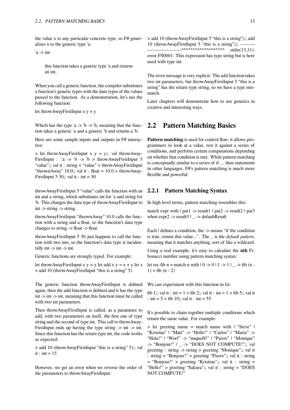the value x to any particular concrete type, so F# generalizes x to the generic type 'a:

 $a \rightarrow int$ 

this function takes a generic type 'a and returns an int.

When you call a generic function, the compiler substitutes a function's generic types with the data types of the values passed to the function. As a demonstration, let's use the following function:

let throwAwayFirstInput  $x y = y$ 

Which has the type 'a  $\rightarrow$  'b  $\rightarrow$  'b, meaning that the function takes a generic 'a and a generic 'b and returns a 'b.

Here are some sample inputs and outputs in F# interactive:

 $>$  let throwAwayFirstInput x y = y;; val throwAway-FirstInput :  $a \rightarrow b \rightarrow b$  h throwAwayFirstInput 5 "value";; val it : string = "value" > throwAwayFirstInput "thrownAway" 10.0;; val it: float =  $10.0$  > throwAway-FirstInput 5 30;; val it : int =  $30$ 

throwAwayFirstInput 5 "value" calls the function with an int and a string, which substitutes int for 'a and string for 'b. This changes the data type of throwAwayFirstInput to int -> string -> string.

throwAwayFirstInput "thrownAway" 10.0 calls the function with a string and a float, so the function's data type changes to string -> float -> float.

throwAwayFirstInput 5 30 just happens to call the function with two ints, so the function's data type is incidentally int  $\rightarrow$  int  $\rightarrow$  int.

Generic functions are strongly typed. For example:

let throwAwayFirstInput x y = y let add x y = x + y let z  $=$  add 10 (throwAwayFirstInput "this is a string" 5)

The generic function throwAwayFirstInput is defined again, then the add function is defined and it has the type int -> int -> int, meaning that this function must be called with two int parameters.

Then throwAwayFirstInput is called, as a parameter to add, with two parameters on itself, the first one of type string and the second of type int. This call to throwAway-FirstInput ends up having the type string  $\rightarrow$  int  $\rightarrow$  int. Since this function has the return type int, the code works as expected:

> add 10 (throwAwayFirstInput "this is a string" 5);; val it : int =  $15$ 

However, we get an error when we reverse the order of the parameters to throwAwayFirstInput:

> add 10 (throwAwayFirstInput 5 "this is a string");; add 10 (throwAwayFirstInput 5 "this is a string");; ---------  $\frac{1}{\sqrt{1-\frac{1}{\sqrt{1-\frac{1}{\sqrt{1-\frac{1}{\sqrt{1-\frac{1}{\sqrt{1-\frac{1}{\sqrt{1-\frac{1}{\sqrt{1-\frac{1}{\sqrt{1-\frac{1}{\sqrt{1-\frac{1}{\sqrt{1-\frac{1}{\sqrt{1-\frac{1}{\sqrt{1-\frac{1}{\sqrt{1-\frac{1}{\sqrt{1-\frac{1}{\sqrt{1-\frac{1}{\sqrt{1-\frac{1}{\sqrt{1-\frac{1}{\sqrt{1-\frac{1}{\sqrt{1-\frac{1}{\sqrt{1-\frac{1}{\sqrt{1-\frac{1}{\sqrt{1-\frac{1}{\sqrt{1-\frac{1}{\sqrt{1-\frac{1$ error FS0001: This expression has type string but is here used with type int.

The error message is very explicit: The add function takes two int parameters, but throwAwayFirstInput 5 "this is a string" has the return type string, so we have a type mismatch.

Later chapters will demonstrate how to use generics in creative and interesting ways.

# <span id="page-18-0"></span>**2.2 Pattern Matching Basics**

**Pattern matching** is used for control flow; it allows programmers to look at a value, test it against a series of conditions, and perform certain computations depending on whether that condition is met. While pattern matching is conceptually similar to a series of if ... then statements in other languages, F#'s pattern matching is much more flexible and powerful.

# <span id="page-18-1"></span>**2.2.1 Pattern Matching Syntax**

In high level terms, pattern matching resembles this:

match expr with  $|$  pat1 -> result1  $|$  pat2 -> result2  $|$  pat3 when expr2 -> result3 | \_ -> defaultResult

Each | defines a condition, the -> means "if the condition is true, return this value...". The \_ is the *default pattern*, meaning that it matches anything, sort of like a wildcard.

Using a real example, it's easy to calculate the **nth** Fibonacci number using pattern matching syntax:

let rec fib n = match n with  $|0 \rightarrow 0 | 1 \rightarrow 1 |$  -> fib (n - $1) + fib (n - 2)$ 

We can experiment with this function in fsi:

fib 1;; val it : int = 1 > fib 2;; val it : int = 1 > fib 5;; val it : int =  $5 >$  fib 10;; val it : int =  $55$ 

It's possible to chain together multiple conditions which return the same value. For example:

> let greeting name = match name with | "Steve" | "Kristina" | "Matt" -> "Hello!" | "Carlos" | "Maria" -> "Hola!" | "Worf" -> "nuqneH!" | "Pierre" | "Monique" -> "Bonjour!" | \_ -> "DOES NOT COMPUTE!";; val greeting : string -> string > greeting "Monique";; val it : string = "Bonjour!" > greeting "Pierre";; val it : string = "Bonjour!" > greeting "Kristina";; val it : string = "Hello!" > greeting "Sakura";; val it : string = "DOES NOT COMPUTE!"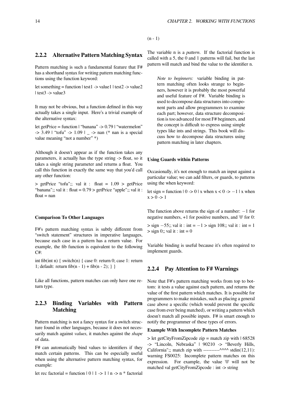# <span id="page-19-0"></span>**2.2.2 Alternative Pattern Matching Syntax**

Pattern matching is such a fundamental feature that F# has a shorthand syntax for writing pattern matching functions using the function keyword:

let something = function  $|\text{ test1} \rightarrow \text{value1}|$   $|\text{ test2} \rightarrow \text{value2}|$ | test3 -> value3

It may not be obvious, but a function defined in this way actually takes a single input. Here's a trivial example of the alternative syntax:

let getPrice = function | "banana"  $\geq 0.79$  | "watermelon"  $-$  > 3.49 | "tofu"  $\rightarrow$  1.09 |  $\rightarrow$  nan (\* nan is a special value meaning "not a number" \*)

Although it doesn't appear as if the function takes any parameters, it actually has the type string -> float, so it takes a single string parameter and returns a float. You call this function in exactly the same way that you'd call any other function:

 $>$  getPrice "tofu";; val it : float = 1.09  $>$  getPrice "banana";; val it : float =  $0.79$  > getPrice "apple";; val it :  $float = nan$ 

#### **Comparison To Other Languages**

F#'s pattern matching syntax is subtly different from "switch statement" structures in imperative languages, because each case in a pattern has a return value. For example, the fib function is equivalent to the following C#:

int fib(int n) { switch(n) { case 0: return 0; case 1: return 1; default: return fib $(n - 1) +$  fib $(n - 2)$ ; } }

Like all functions, pattern matches can only have one return type.

# <span id="page-19-1"></span>**2.2.3 Binding Variables with Pattern Matching**

Pattern matching is not a fancy syntax for a switch structure found in other languages, because it does not necessarily match against *values*, it matches against the *shape* of data.

F# can automatically bind values to identifiers if they match certain patterns. This can be especially useful when using the alternative pattern matching syntax, for example:

let rec factorial = function  $|0|1 \rightarrow 1|n \rightarrow n^*$  factorial

The variable n is a *pattern*. If the factorial function is called with a 5, the 0 and 1 patterns will fail, but the last pattern will match and bind the value to the identifier n.

*Note to beginners:* variable binding in pattern matching often looks strange to beginners, however it is probably the most powerful and useful feature of F#. Variable binding is used to decompose data structures into component parts and allow programmers to examine each part; however, data structure decomposition is too advanced for most F# beginners, and the concept is difficult to express using simple types like ints and strings. This book will discuss how to decompose data structures using pattern matching in later chapters.

#### **Using Guards within Patterns**

Occasionally, it's not enough to match an input against a particular value; we can add filters, or guards, to patterns using the when keyword:

let sign = function  $| 0 \rightarrow 0 |$  x when  $x < 0 \rightarrow -1 |$  x when  $x > 0 \rightarrow 1$ 

The function above returns the sign of a number: *−*1 for negative numbers, +1 for positive numbers, and '0' for 0:

> sign *−*55;; val it : int = *−*1 > sign 108;; val it : int = 1  $>$  sign 0;; val it : int = 0

Variable binding is useful because it's often required to implement guards.

# <span id="page-19-2"></span>**2.2.4 Pay Attention to F# Warnings**

Note that F#'s pattern matching works from top to bottom: it tests a value against each pattern, and returns the value of the first pattern which matches. It is possible for programmers to make mistakes, such as placing a general case above a specific (which would prevent the specific case from ever being matched), or writing a pattern which doesn't match all possible inputs. F# is smart enough to notify the programmer of these types of errors.

#### **Example With Incomplete Pattern Matches**

 $>$  let getCityFromZipcode zip = match zip with  $\frac{168528}{ }$ -> "Lincoln, Nebraska" | 90210 -> "Beverly Hills, California";; match zip with ----------^^^^ stdin(12,11): warning FS0025: Incomplete pattern matches on this expression. For example, the value '0' will not be matched val getCityFromZipcode : int -> string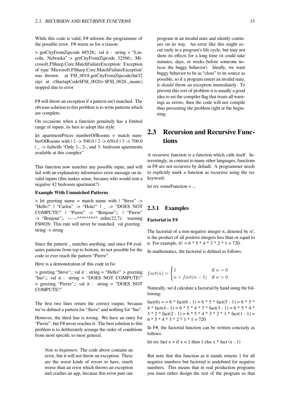While this code is valid,  $F#$  informs the programmer of the possible error. F# warns us for a reason:

> getCityFromZipcode 68528;; val it : string = "Lincoln, Nebraska" > getCityFromZipcode 32566;; Microsoft.FSharp.Core.MatchFailureException: Exception of type 'Microsoft.FSharp.Core.MatchFailureException' was thrown. at FSI\_0018.getCityFromZipcode(Int32 zip) at <StartupCode\$FSI\_0020>.\$FSI\_0020.\_main() stopped due to error

F# will throw an exception if a pattern isn't matched. The obvious solution to this problem is to write patterns which are complete.

On occasions when a function genuinely has a limited range of inputs, its best to adopt this style:

let apartmentPrices numberOfRooms = match numberOfRooms with | 1 -> 500.0 | 2 -> 650.0 | 3 -> 700.0 | \_ -> failwith "Only 1-, 2-, and 3- bedroom apartments available at this complex"

This function now matches any possible input, and will fail with an explanatory informative error message on invalid inputs (this makes sense, because who would rent a negative 42 bedroom apartment?).

#### **Example With Unmatched Patterns**

> let greeting name = match name with | "Steve" -> "Hello!" | "Carlos" -> "Hola!" | \_ -> "DOES NOT COMPUTE!" | "Pierre" -> "Bonjour";; | "Pierre"  $\rightarrow$  "Bonjour";; ------^^^^^^^^^^ stdin(22,7): warning FS0026: This rule will never be matched. val greeting : string -> string

Since the pattern \_ matches anything, and since F# evaluates patterns from top to bottom, its not possible for the code to ever reach the pattern "Pierre".

Here is a demonstration of this code in fsi:

> greeting "Steve";; val it : string = "Hello!" > greeting "Ino";; val it : string = "DOES NOT COMPUTE!" > greeting "Pierre";; val it : string = "DOES NOT COMPUTE!"

The first two lines return the correct output, because we've defined a pattern for "Steve" and nothing for "Ino".

However, the third line is wrong. We have an entry for "Pierre", but F# never reaches it. The best solution to this problem is to deliberately arrange the order of conditions from most specific to most general.

*Note to beginners:* The code above contains an error, but it will not throw an exception. These are the worst kinds of errors to have, much worse than an error which throws an exception and crashes an app, because this error puts our program in an invalid state and silently continues on its way. An error like this might occur early in a program's life cycle, but may not show its effects for a long time (it could take minutes, days, or weeks before someone notices the buggy behavior). Ideally, we want buggy behavior to be as "close" to its source as possible, so if a program enters an invalid state, it *should* throw an exception immediately. To prevent this sort of problem it is usually a good idea to set the compiler flag that treats all warnings as errors; then the code will not compile thus preventing the problem right at the beginning.

# <span id="page-20-0"></span>**2.3 Recursion and Recursive Functions**

A recursive function is a function which calls itself. Interestingly, in contrast to many other languages, functions in F# are not recursive by default. A programmer needs to explicitly mark a function as recursive using the rec keyword:

let rec someFunction = ...

# **2.3.1 Examples**

## **Factorial in F#**

The factorial of a non-negative integer n, denoted by n!, is the product of all positive integers less than or equal to n. For example,  $6! = 6 * 5 * 4 * 3 * 2 * 1 = 720$ .

In mathematics, the factorial is defined as follows:

$$
fact(n) = \begin{cases} 1 & \text{if } n = 0 \\ n \times fact(n - 1) & \text{if } n > 0 \end{cases}
$$

Naturally, we'd calculate a factorial by hand using the following:

fact(6) = =  $6 *$  fact(6 - 1) =  $6 *$  5  $*$  fact(5 - 1) =  $6 *$  5  $*$ 4 \* fact(4 - 1) = 6 \* 5 \* 4 \* 3 \* fact(3 - 1) = 6 \* 5 \* 4 \*  $3 * 2 *$  fact(2 - 1) = 6  $* 5 * 4 * 3 * 2 * 1 *$  fact(1 - 1) =  $6 * 5 * 4 * 3 * 2 * 1 * 1 = 720$ 

In F#, the factorial function can be written concisely as follows:

let rec fact  $x =$  if  $x < 1$  then 1 else  $x *$  fact  $(x - 1)$ 

But note that this function as it stands returns 1 for all negative numbers but factorial is undefined for negative numbers. This means that in real production programs you must either design the rest of the program so that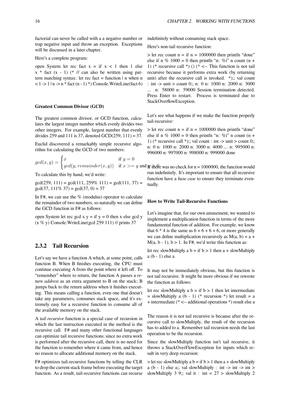factorial can never be called with a a negative number or trap negative input and throw an exception. Exceptions will be discussed in a later chapter.

#### Here's a complete program:

open System let rec fact  $x = if x < 1$  then 1 else  $x *$  fact  $(x - 1)$  (\* // can also be written using pattern matching syntax: let rec fact = function  $|n$  when n  $<$  1 -> 1 | n -> n  $*$  fact (n - 1)  $*$ ) Console. Write Line (fact 6)

#### **Greatest Common Divisor (GCD)**

The greatest common divisor, or GCD function, calculates the largest integer number which evenly divides two other integers. For example, largest number that evenly divides 259 and 111 is 37, denoted  $GCD(259, 111) = 37$ .

Euclid discovered a remarkably simple recursive algorithm for calculating the GCD of two numbers:

$$
gcd(x, y) = \begin{cases} x & \text{if } y = 0\\ gcd(y, remainder(x, y)) & \text{if } x > = y \text{ and } y \end{cases}
$$

To calculate this by hand, we'd write:

 $gcd(259, 111) = gcd(111, 259\% 111) = gcd(111, 37) =$  $gcd(37, 111\% 37) = gcd(37, 0) = 37$ 

In F#, we can use the % (modulus) operator to calculate the remainder of two numbers, so naturally we can define the GCD function in F# as follows:

open System let rec gcd x  $y = if y = 0$  then x else gcd y  $(x \% y)$  Console. WriteLine(gcd 259 111) // prints 37

# **2.3.2 Tail Recursion**

Let's say we have a function A which, at some point, calls function B. When B finishes executing, the CPU must continue executing A from the point where it left off. To "remember" where to return, the function A passes a *return address* as an extra argument to B on the stack; B jumps back to the return address when it finishes executing. This means calling a function, even one that doesn't take any parameters, consumes stack space, and it's extremely easy for a recursive function to consume all of the available memory on the stack.

A *tail recursive* function is a special case of recursion in which the last instruction executed in the method is the recursive call. F# and many other functional languages can optimize tail recursive functions; since no extra work is performed after the recursive call, there is no need for the function to remember where it came from, and hence no reason to allocate additional memory on the stack.

F# optimizes tail-recursive functions by telling the CLR to drop the current stack frame before executing the target function. As a result, tail-recursive functions can recurse indefinitely without consuming stack space.

Here's non-tail recursive function:

 $>$  let rec count n = if n = 1000000 then printfn "done" else if n %  $1000 = 0$  then printfn "n: %i" n count (n + 1) (\* recursive call \*) () (\* <-- This function is not tail recursive because it performs extra work (by returning unit) after the recursive call is invoked.  $*$ ): val count : int -> unit > count 0;; n: 0 n: 1000 n: 2000 n: 3000 ... n: 58000 n: 59000 Session termination detected. Press Enter to restart. Process is terminated due to StackOverflowException.

Let's see what happens if we make the function properly tail-recursive:

 $>$  let rec count n = if n = 1000000 then printfn "done" else if n %  $1000 = 0$  then printfn "n: %i" n count (n + 1) (\* recursive call \*);; val count : int -> unit > count 0;; n: 0 n: 1000 n: 2000 n: 3000 n: 4000 ... n: 995000 n: 996000 n: 997000 n: 998000 n: 999000 done

 $gcd(y, remainder(x, y))$  if  $x \ge y$  and *y* there was no check for n = 1000000, the function would run indefinitely. It's important to ensure that all recursive function have a *base case* to ensure they terminate eventually.

# **How to Write Tail-Recursive Functions**

Let's imagine that, for our own amusement, we wanted to implement a multiplication function in terms of the more fundamental function of addition. For example, we know that  $6 * 4$  is the same as  $6 + 6 + 6 + 6$ , or more generally we can define multiplication recursively as  $M(a, b) = a +$ M(a, b - 1), b > 1. In F#, we'd write this function as:

let rec slowMultiply a  $b =$  if  $b > 1$  then a + slowMultiply a (b - 1) else a

It may not be immediately obvious, but this function is not tail recursive. It might be more obvious if we rewrote the function as follows:

let rec slowMultiply a  $b =$  if  $b > 1$  then let intermediate  $=$  slowMultiply a (b - 1) (\* recursion \*) let result  $=$  a + intermediate (\* <-- additional operations \*) result else a

The reason it is not tail recursive is because after the recursive call to slowMultiply, the result of the recursion has to added to a. Remember tail recursion needs the last operation to be the recursion.

Since the slowMultiply function isn't tail recursive, it throws a StackOverFlowException for inputs which result in very deep recursion:

 $>$  let rec slowMultiply a b = if b > 1 then a + slowMultiply a (b - 1) else a;; val slowMultiply : int  $\rightarrow$  int  $\rightarrow$  int  $\rightarrow$ slowMultiply 3 9;; val it : int =  $27 >$  slowMultiply 2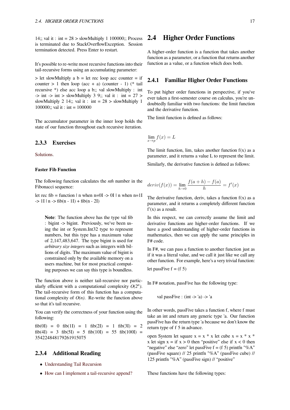14;; val it : int =  $28 >$  slowMultiply 1 100000;; Process is terminated due to StackOverflowException. Session termination detected. Press Enter to restart.

It's possible to re-write most recursive functions into their tail-recursive forms using an accumulating parameter:

 $>$  let slowMultiply a b = let rec loop acc counter = if counter  $> 1$  then loop (acc + a) (counter - 1) (\* tail recursive \*) else acc loop a b;; val slowMultiply : int  $\Rightarrow$  int  $\Rightarrow$  int  $\Rightarrow$  slowMultiply 3 9;; val it : int = 27  $\Rightarrow$ slowMultiply 2 14;; val it : int =  $28 >$  slowMultiply 1 100000;; val it : int = 100000

The accumulator parameter in the inner loop holds the state of our function throughout each recursive iteration.

# **2.3.3 Exercises**

Solutions.

#### **Faster Fib Function**

[The follo](https://en.wikibooks.org/wiki/F_Sharp_Programming/Solutions/Recursion)wing function calculates the *nth* number in the Fibonacci sequence:

let rec fib = function  $|n|$  when n=0I -> 0I  $|n|$  when n=1I  $-$  1I | n  $\rightarrow$  fib(n  $-$  1I) + fib(n  $-$  2I)

**Note**: The function above has the type val fib : bigint -> bigint. Previously, we've been using the int or System.Int32 type to represent numbers, but this type has a maximum value of 2,147,483,647. The type bigint is used for *arbitrary size integers* such as integers with billions of digits. The maximum value of bigint is constrained only by the available memory on a users machine, but for most practical computing purposes we can say this type is boundless.

The function above is neither tail-recursive nor particularly efficient with a computational complexity  $O(2^n)$ . The tail-recursive form of this function has a computational complexity of  $O(n)$ . Re-write the function above so that it's tail recursive.

You can verify the correctness of your function using the following:

 $fib(0I) = 0$   $fib(1I) = 1$   $fib(2I) = 1$   $fib(3I) = 2$  $fib(4I) = 3 fib(5I) = 5 fib(10I) = 55 fib(100I) =$ 354224848179261915075

# **2.3.4 Additional Reading**

- *•* Understanding Tail Recursion
- <span id="page-22-0"></span>*•* How can I implement a tail-recursive append?

# **2.4 Higher Order Functions**

<span id="page-22-1"></span>A higher-order function is a function that takes another function as a parameter, or a function that returns another function as a value, or a function which does both.

# **2.4.1 Familiar Higher Order Functions**

<span id="page-22-2"></span>To put higher order functions in perspective, if you've ever taken a first-semester course on calculus, you're undoubtedly familiar with two functions: the limit function and the derivative function.

The limit function is defined as follows:

$$
\lim_{x \to p} f(x) = L
$$

The limit function, lim, takes another function  $f(x)$  as a parameter, and it returns a value L to represent the limit.

Similarly, the derivative function is defined as follows:

$$
deriv(f(x)) = \lim_{h \to 0} \frac{f(a+h) - f(a)}{h} = f'(x)
$$

The derivative function, deriv, takes a function  $f(x)$  as a parameter, and it returns a completely different function  $f'(x)$  as a result.

In this respect, we can correctly assume the limit and derivative functions are higher-order functions. If we have a good understanding of higher-order functions in mathematics, then we can apply the same principles in F# code.

In F#, we can pass a function to another function just as if it was a literal value, and we call it just like we call any other function. For example, here's a very trivial function:

let passFive  $f = (f 5)$ 

In F# notation, passFive has the following type:

val passFive :  $(int - > 'a) - > 'a$ 

In other words, passFive takes a function f, where f must take an int and return any generic type 'a. Our function passFive has the return type 'a because we don't know the return type of f 5 in advance.

open System let square  $x = x * x$  let cube  $x = x * x * x$ x let sign  $x =$  if  $x > 0$  then "positive" else if  $x < 0$  then "negative" else "zero" let passFive  $f = (f 5)$  printfn "%A" (passFive square) // 25 printfn "%A" (passFive cube) // 125 printfn "%A" (passFive sign) // "positive"

These functions have the following types: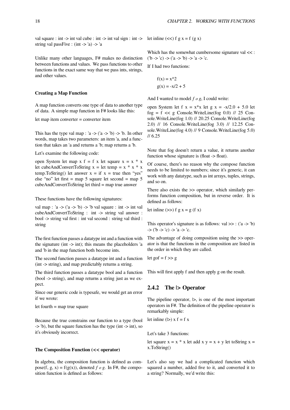val square : int -> int val cube : int -> int val sign : int -> let inline  $(\ll)$  f g x = f (g x) string val passFive :  $(int -> 'a) -> 'a$ 

Unlike many other languages, F# makes no distinction between functions and values. We pass functions to other functions in the exact same way that we pass ints, strings, and other values.

# **Creating a Map Function**

A map function converts one type of data to another type of data. A simple map function in F# looks like this:

let map item converter = converter item

This has the type val map : 'a  $\rightarrow$  ('a  $\rightarrow$  'b)  $\rightarrow$  'b. In other words, map takes two parameters: an item 'a, and a function that takes an 'a and returns a 'b; map returns a 'b.

Let's examine the following code:

open System let map  $x f = f x$  let square  $x = x * x$ let cubeAndConvertToString  $x =$  let temp =  $x * x * x$ temp.ToString() let answer  $x = if x = true$  then "yes" else "no" let first = map 5 square let second = map 5 cubeAndConvertToString let third = map true answer

These functions have the following signatures:

val map :  $a \rightarrow (a \rightarrow b)$  ->  $\bar{b}$  val square : int -> int val cubeAndConvertToString : int -> string val answer : bool -> string val first : int val second : string val third : string

The first function passes a datatype int and a function with the signature (int -> int); this means the placeholders 'a and 'b in the map function both become ints.

The second function passes a datatype int and a function (int -> string), and map predictably returns a string.

The third function passes a datatype bool and a function (bool -> string), and map returns a string just as we expect.

Since our generic code is typesafe, we would get an error if we wrote:

let fourth = map true square

Because the true constrains our function to a type (bool -> 'b), but the square function has the type (int -> int), so it's obviously incorrect.

# **The Composition Function (<< operator)**

In algebra, the composition function is defined as compose(f, g, x) =  $f(g(x))$ , denoted *f o g*. In F#, the composition function is defined as follows:

Which has the somewhat cumbersome signature val << :  $('b > 'c)$  ->  $('a -> 'b)$  ->  $'a -> 'c$ .

If I had two functions:

$$
f(x) = x^2
$$

$$
g(x) = -x/2 + 5
$$

And I wanted to model *f o g*, I could write:

open System let f  $x = x*x$  let  $g x = -x/2.0 + 5.0$  let fog =  $f \ll g$  Console. WriteLine(fog 0.0) // 25 Console.WriteLine(fog 1.0) // 20.25 Console.WriteLine(fog 2.0) // 16 Console.WriteLine(fog 3.0) // 12.25 Console.WriteLine(fog 4.0) // 9 Console.WriteLine(fog 5.0) // 6.25

Note that fog doesn't return a value, it returns another function whose signature is (float -> float).

Of course, there's no reason why the compose function needs to be limited to numbers; since it's generic, it can work with any datatype, such as int arrays, tuples, strings, and so on.

There also exists the >> operator, which similarly performs function composition, but in reverse order. It is defined as follows:

let inline  $(\gg)$  f g x = g (f x)

This operator's signature is as follows: val  $\gg$ : ('a -> 'b)  $-$  >  $('b -> 'c) -> 'a -> 'c.$ 

The advantage of doing composition using the >> operator is that the functions in the composition are listed in the order in which they are called.

let gof =  $f \gg g$ 

This will first apply f and then apply g on the result.

# **2.4.2 The |> Operator**

The pipeline operator,  $|>$ , is one of the most important operators in F#. The definition of the pipeline operator is remarkably simple:

let inline  $(|$ >) x f = f x

Let's take 3 functions:

let square  $x = x * x$  let add  $x y = x + y$  let toString  $x =$ x.ToString()

Let's also say we had a complicated function which squared a number, added five to it, and converted it to a string? Normally, we'd write this: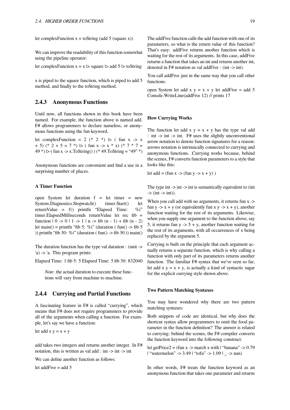let complexFunction  $x =$  toString (add 5 (square x))

We can improve the readability of this function somewhat using the pipeline operator:

let complexFunction 
$$
x = x
$$
 > square > add 5 > toString

x is piped to the square function, which is piped to add 5 method, and finally to the toString method.

# <span id="page-24-0"></span>**2.4.3 Anonymous Functions**

Until now, all functions shown in this book have been named. For example, the function above is named add. F# allows programmers to declare nameless, or anonymous functions using the fun keyword.

let complexFunction = 2 (\* 2 \*)  $\vert$  > (fun x -> x  $+ 5$ ) (\* 2 + 5 = 7 \*)  $>$  ( fun x -> x \* x) (\* 7 \* 7 = 49 \*)  $|>(\text{fun } x -> x.\text{ToString}))$  (\* 49. To String = "49" \*)

Anonymous functions are convenient and find a use in a surprising number of places.

# **A Timer Function**

open System let duration f = let timer = new System.Diagnostics.Stopwatch() timer.Start() let returnValue = f() printfn "Elapsed Time: %i" timer.ElapsedMilliseconds returnValue let rec fib = function  $| 0 \rightarrow 0 | 1 \rightarrow 1 | n \rightarrow$  fib  $(n - 1) +$  fib  $(n - 2)$ let main() = printfn "fib 5: %i" (duration ( fun() -> fib 5 )) printfn "fib 30: %i" (duration ( $fun$ ) -> fib 30)) main()

The duration function has the type val duration : (unit -> 'a) -> 'a. This program prints:

Elapsed Time: 1 fib 5: 5 Elapsed Time: 5 fib 30: 832040

*Note*: the actual duration to execute these functions will vary from machine to machine.

# <span id="page-24-1"></span>**2.4.4 Currying and Partial Functions**

A fascinating feature in F# is called "currying", which means that F# does not require programmers to provide all of the arguments when calling a function. For example, let's say we have a function:

let add  $x y = x + y$ 

add takes two integers and returns another integer. In F# notation, this is written as val add : int -> int -> int

We can define another function as follows:

let addFive  $=$  add  $5$ 

The addFive function calls the add function with one of its parameters, so what is the return value of this function? That's easy: addFive returns another function which is waiting for the rest of its arguments. In this case, addFive returns a function that takes an int and returns another int, denoted in  $F#$  notation as val addFive : (int  $\rightarrow$  int).

You call addFive just in the same way that you call other functions:

open System let add x  $y = x + y$  let addFive = add 5 Console.WriteLine(addFive 12) // prints 17

#### **How Currying Works**

The function let add  $x y = x + y$  has the type val add : int -> int -> int. F# uses the slightly unconventional arrow notation to denote function signatures for a reason: arrows notation is intrinsically connected to currying and anonymous functions. Currying works because, behind the scenes, F# converts function parameters to a style that looks like this:

let  $add = (fun x \rightarrow (fun y \rightarrow x + y))$ 

The type int -> int -> int is semantically equivalent to (int  $\Rightarrow$  (int  $\Rightarrow$  int)).

When you call add with no arguments, it returns fun x -> fun y -> x + y (or equivalently fun x y -> x + y), another function waiting for the rest of its arguments. Likewise, when you supply one argument to the function above, say 5, it returns fun  $y \rightarrow 5 + y$ , another function waiting for the rest of its arguments, with all occurrences of x being replaced by the argument 5.

Currying is built on the principle that each argument actually returns a separate function, which is why calling a function with only part of its parameters returns another function. The familiar F# syntax that we've seen so far, let add  $x y = x + y$ , is actually a kind of syntactic sugar for the explicit currying style shown above.

### **Two Pattern Matching Syntaxes**

You may have wondered why there are two pattern matching syntaxes:

Both snippets of code are identical, but why does the shortcut syntax allow programmers to omit the food parameter in the function definition? The answer is related to currying: behind the scenes, the F# compiler converts the function keyword into the following construct:

let getPrice2 = (fun x -> match x with  $\ell$  "banana" -> 0.79 | "watermelon" -> 3.49 | "tofu" -> 1.09 | \_ -> nan)

In other words, F# treats the function keyword as an anonymous function that takes one parameter and returns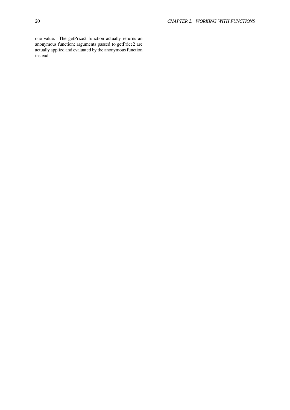one value. The getPrice2 function actually returns an anonymous function; arguments passed to getPrice2 are actually applied and evaluated by the anonymous function instead.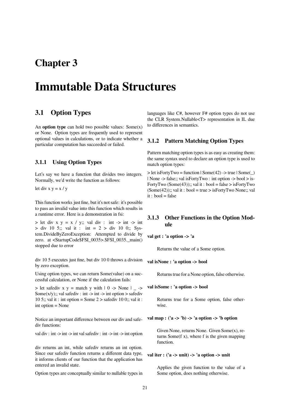# **Chapter 3**

# **Immutable Data Structures**

# <span id="page-26-0"></span>**3.1 Option Types**

An **option type** can hold two possible values: Some(x) or None. Option types are frequently used to represent optional values in calculations, or to indicate whether a particular computation has succeeded or failed.

# <span id="page-26-1"></span>**3.1.1 Using Option Types**

Let's say we have a function that divides two integers. Normally, we'd write the function as follows:

let div  $x y = x / y$ 

This function works just fine, but it's not safe: it's possible to pass an invalid value into this function which results in a runtime error. Here is a demonstration in fsi:

 $>$  let div x y = x / y;; val div : int  $\rightarrow$  int  $\rightarrow$  int  $>$  div 10 5;; val it : int = 2  $>$  div 10 0;; System.DivideByZeroException: Attempted to divide by zero. at <StartupCode\$FSI\_0035>.\$FSI\_0035.\_main() stopped due to error

div 10 5 executes just fine, but div 10 0 throws a division by zero exception.

Using option types, we can return Some(value) on a successful calculation, or None if the calculation fails:

 $>$  let safediv x y = match y with  $\vert 0 \rangle$  -> None  $\vert - \rangle$ Some $(x/y)$ ;; val safediv : int -> int -> int option > safediv 10 5;; val it : int option = Some  $2 >$  safediv 10 0;; val it : int option = None

Notice an important difference between our div and safediv functions:

val div : int  $\rightarrow$  int  $\rightarrow$  int val safediv : int  $\rightarrow$  int  $\rightarrow$  int option

div returns an int, while safediv returns an int option. Since our safediv function returns a different data type, it informs clients of our function that the application has entered an invalid state.

Option types are conceptually similar to nullable types in

languages like C#, however F# option types do not use the CLR System.Nullable<T> representation in IL due to differences in semantics.

# <span id="page-26-2"></span>**3.1.2 Pattern Matching Option Types**

Pattern matching option types is as easy as creating them: the same syntax used to declare an option type is used to match option types:

 $>$  let isFortyTwo = function  $|$  Some $(42)$  - $>$  true  $|$  Some $()$ | None -> false;; val isFortyTwo : int option -> bool > is-FortyTwo  $(Some(43))$ ;; val it : bool = false > isFortyTwo  $(Some(42))$ ;; val it : bool = true > isFortyTwo None;; val  $it \cdot$  bool = false

# <span id="page-26-3"></span>**3.1.3 Other Functions in the Option Module**

**val get : 'a option -> 'a**

Returns the value of a Some option.

**val isNone : 'a option -> bool**

Returns true for a None option, false otherwise.

**val isSome : 'a option -> bool**

Returns true for a Some option, false otherwise.

# **val map : ('a -> 'b) -> 'a option -> 'b option**

Given None, returns None. Given Some(x), returns Some(f x), where f is the given mapping function.

# **val iter : ('a -> unit) -> 'a option -> unit**

Applies the given function to the value of a Some option, does nothing otherwise.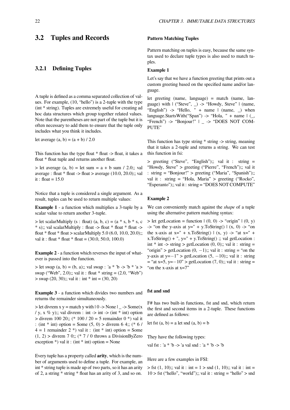# <span id="page-27-0"></span>**3.2 Tuples and Records**

# <span id="page-27-1"></span>**3.2.1 Defining Tuples**

A tuple is defined as a comma separated collection of values. For example, (10, "hello") is a 2-tuple with the type (int \* string). Tuples are extremely useful for creating ad hoc data structures which group together related values. Note that the parentheses are not part of the tuple but it is often necessary to add them to ensure that the tuple only includes what you think it includes.

let average  $(a, b) = (a + b) / 2.0$ 

This function has the type float  $*$  float -> float, it takes a float \* float tuple and returns another float.

 $>$  let average  $(a, b) =$  let sum = a + b sum / 2.0;; val average : float  $*$  float  $>$  float  $>$  average (10.0, 20.0);; val it : float =  $15.0$ 

Notice that a tuple is considered a single argument. As a result, tuples can be used to return multiple values:

**Example 1** - a function which multiplies a 3-tuple by a scalar value to return another 3-tuple.

 $>$  let scalarMultiply (s : float) (a, b, c) = (a  $*$  s, b  $*$  s, c) \* s);; val scalarMultiply : float -> float \* float \* float -> float \* float > scalarMultiply 5.0 (6.0, 10.0, 20.0);; val it : float \* float \* float =  $(30.0, 50.0, 100.0)$ 

**Example 2** - a function which reverses the input of whatever is passed into the function.

 $>$  let swap  $(a, b) = (b, a);$ ; val swap : 'a \* 'b -> 'b \* 'a > swap ("Web", 2.0);; val it : float \* string =  $(2.0, "Web")$  $>$  swap (20, 30);; val it : int  $*$  int = (30, 20)

**Example 3** - a function which divides two numbers and returns the remainder simultaneously.

 $>$  let divrem x y = match y with  $| 0 \rightarrow$  None  $| \_$  - $>$  Some(x / y, x  $\%$  y);; val divrem : int -> int -> (int \* int) option  $>$  divrem 100 20;; (\* 100 / 20 = 5 remainder 0 \*) val it : (int  $*$  int) option = Some (5, 0) > divrem 6 4;; ( $*$  6 /  $4 = 1$  remainder  $2 *$ ) val it : (int  $*$  int) option = Some  $(1, 2)$  > divrem 7 0;; (\* 7 / 0 throws a DivisionByZero exception  $\ast$ ) val it : (int  $\ast$  int) option = None

Every tuple has a property called **arity**, which is the number of arguments used to define a tuple. For example, an int \* string tuple is made up of two parts, so it has an arity of 2, a string \* string \* float has an arity of 3, and so on.

# **Pattern Matching Tuples**

Pattern matching on tuples is easy, because the same syntax used to declare tuple types is also used to match tuples.

#### **Example 1**

Let's say that we have a function greeting that prints out a custom greeting based on the specified name and/or language.

let greeting (name, language) = match (name, language) with | ("Steve", \_) -> "Howdy, Steve" | (name, "English")  $\rightarrow$  "Hello, " + name | (name,  $\rightarrow$  when language.StartsWith("Span") -> "Hola, " + name  $\vert$  (... "French") -> "Bonjour!" | \_ -> "DOES NOT COM-PUTE"

This function has type string \* string -> string, meaning that it takes a 2-tuple and returns a string. We can test this function in fsi:

> greeting ("Steve", "English");; val it : string = "Howdy, Steve" > greeting ("Pierre", "French");; val it : string = "Bonjour!" > greeting ("Maria", "Spanish");; val it : string = "Hola, Maria" > greeting ("Rocko", "Esperanto");; val it : string = "DOES NOT COMPUTE"

#### **Example 2**

We can conveniently match against the *shape* of a tuple using the alternative pattern matching syntax:

 $>$  let getLocation = function  $|(0, 0) \rightarrow$  "origin"  $|(0, y)$ -> "on the y-axis at  $y=$ " + y.ToString() | (x, 0) -> "on the x-axis at  $x = " + x.ToString() | (x, y) -> "at x = " +$  $x.ToString() +", y=' + y.ToString()$ ;; val getLocation : int  $*$  int -> string > getLocation  $(0, 0)$ ;; val it : string = "origin" > getLocation  $(0, -1)$ ;; val it : string = "on the y-axis at y=*−*1" > getLocation (5, *−*10);; val it : string = "at x=5, y=*−*10" > getLocation (7, 0);; val it : string = "on the x-axis at x=7"

# **fst and snd**

F# has two built-in functions, fst and snd, which return the first and second items in a 2-tuple. These functions are defined as follows:

let fst  $(a, b) = a$  let snd  $(a, b) = b$ 

They have the following types:

val fst : 'a \* 'b -> 'a val snd : 'a \* 'b -> 'b

Here are a few examples in FSI:

 $>$  fst (1, 10);; val it : int = 1  $>$  snd (1, 10);; val it : int =  $10 >$  fst ("hello", "world");; val it : string = "hello" > snd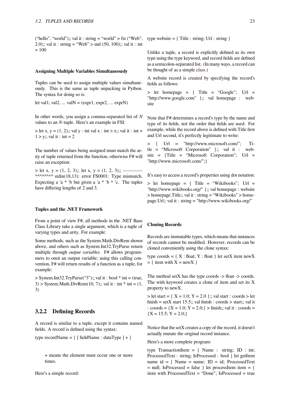("hello", "world");; val it : string = "world" > fst ("Web", 2.0);; val it : string = "Web" > snd  $(50, 100)$ ;; val it : int  $= 100$ 

#### **Assigning Multiple Variables Simultaneously**

Tuples can be used to assign multiple values simultaneously. This is the same as tuple unpacking in Python. The syntax for doing so is:

let val1, val2, ... val $N = (e^{i\pi 1}, e^{i\pi 2}, ... e^{i\pi N})$ 

In other words, you assign a comma-separated list of *N* values to an *N*-tuple. Here's an example in FSI:

 $>$  let x, y = (1, 2);; val y : int val x : int > x;; val it : int =  $1 > y$ ;; val it : int = 2

The number of values being assigned must match the arity of tuple returned from the function, otherwise F# will raise an exception:

 $>$  let x, y = (1, 2, 3);; let x, y = (1, 2, 3);; -------------^^^^^^^^^ stdin(18,13): error FS0001: Type mismatch. Expecting a 'a  $*$  'b but given a 'a  $*$  'b  $*$  'c. The tuples have differing lengths of 2 and 3.

#### **Tuples and the .NET Framework**

From a point of view F#, all methods in the .NET Base Class Library take a single argument, which is a tuple of varying types and arity. For example:

Some methods, such as the System.Math.DivRem shown above, and others such as System.Int32.TryParse return multiple through *output variables*. F# allows programmers to omit an output variable; using this calling convention, F# will return results of a function as a tuple, for example:

 $>$  System.Int32.TryParse("3");; val it : bool \* int = (true, 3) > System.Math.DivRem $(10, 7)$ ;; val it : int  $*$  int =  $(1, 1)$ 3)

# **3.2.2 Defining Records**

<span id="page-28-0"></span>A record is similar to a tuple, except it contains named fields. A record is defined using the syntax:

type recordName =  $\{$  [ fieldName : dataType ] +  $\}$ 

+ means the element must occur one or more times.

Here's a simple record:

type website  $= \{$  Title : string; Url : string  $\}$ 

Unlike a tuple, a record is explicitly defined as its own type using the type keyword, and record fields are defined as a semicolon-separated list. (In many ways, a record can be thought of as a simple class.)

A website record is created by specifying the record's fields as follows:

 $>$  let homepage = { [Titl](https://en.wikibooks.org/wiki/F_Sharp_Programming/Classes)e = "Google"; Url = "http://www.google.com" };; val homepage : website

Note that F# determines a record's type by the name and type of its fields, not the order that fields are used. For example, while the record above is defined with Title first and Url second, it's perfectly legitimate to write:

> { Url = "http://www.microsoft.com/"; Title = "Microsoft Corporation" };; val it : website = {Title = "Microsoft Corporation"; Url = "http://www.microsoft.com/";}

It's easy to access a record's properties using dot notation:

> let homepage = { Title = "Wikibooks"; Url = "http://www.wikibooks.org/" };; val homepage : website > homepage.Title;; val it : string = "Wikibooks" > homepage.Url;; val it : string = "http://www.wikibooks.org/"

#### **Cloning Records**

Records are immutable types, which means that instances of records cannot be modified. However, records can be cloned conveniently using the clone syntax:

type coords =  $\{ X : \text{float}; Y : \text{float} \}$  let setX item newX  $= \{$  item with  $X = newX \}$ 

The method set $X$  has the type coords  $\rightarrow$  float  $\rightarrow$  coords. The with keyword creates a clone of item and set its X property to newX.

 $>$  let start = { X = 1.0; Y = 2.0 };; val start : coords  $>$  let finish = setX start 15.5;; val finish : coords > start;; val it : coords =  ${X = 1.0; Y = 2.0;}$  > finish;; val it : coords =  ${X = 15.5; Y = 2.0;}$ 

Notice that the setX creates a copy of the record, it doesn't actually mutate the original record instance.

Here's a more complete program:

type TransactionItem = { Name : string; ID : int; ProcessedText : string; IsProcessed : bool } let getItem name  $id = \{ Name = name; ID = id; ProcessedText$  $=$  null; IsProcessed  $=$  false  $\}$  let processItem item  $=$  { item with ProcessedText = "Done"; IsProcessed = true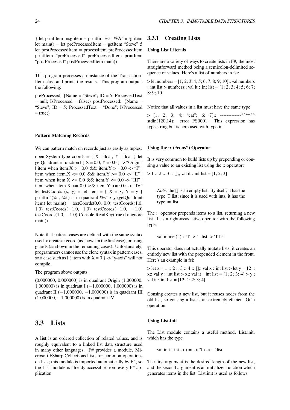} let printItem msg item = printfn "%s: %A" msg item let main() = let preProcessedItem = getItem "Steve"  $5$ let postProcessedItem = processItem preProcessedItem printItem "preProcessed" preProcessedItem printItem "postProcessed" postProcessedItem main()

This program processes an instance of the Transaction-Item class and prints the results. This program outputs the following:

preProcessed: {Name = "Steve"; ID = 5; ProcessedText = null; IsProcessed = false;} postProcessed: {Name = "Steve"; ID = 5; ProcessedText = "Done"; IsProcessed  $= true;$ 

# **Pattern Matching Records**

We can pattern match on records just as easily as tuples:

open System type coords =  $\{ X : float; Y : float \}$  let getQuadrant = function  $| { X = 0.0; Y = 0.0 }$   $\rightarrow$  "Origin" | item when item. $X > = 0.0$  & & item. $Y > = 0.0$  -> "I" | item when item. $X \le 0.0$  & & item. $Y \ge 0.0$  -> "II" | item when item. $X \le 0.0$  && item. $Y \le 0.0$  -> "III" | item when item. $X \ge 0.0$  & & item. $Y \le 0.0$  -> "IV" let testCoords  $(x, y) = let item = \{ X = x; Y = y \}$ printfn "(%f, %f) is in quadrant %s" x y (getQuadrant item) let main() = testCoords(0.0, 0.0) testCoords(1.0, 1.0) testCoords(*−*1.0, 1.0) testCoords(*−*1.0, *−*1.0) testCoords(1.0, *−*1.0) Console.ReadKey(true) |> ignore main()

Note that pattern cases are defined with the same syntax used to create a record (as shown in the first case), or using guards (as shown in the remaining cases). Unfortunately, programmers cannot use the clone syntax in pattern cases, so a case such as  $\left[ \text{ item with } X = 0 \right]$  -> "y-axis" will not compile.

The program above outputs:

(0.000000, 0.000000) is in quadrant Origin (1.000000, 1.000000) is in quadrant I (*−*1.000000, 1.000000) is in quadrant II (*−*1.000000, *−*1.000000) is in quadrant III (1.000000, *−*1.000000) is in quadrant IV

# <span id="page-29-0"></span>**3.3 Lists**

A **list** is an ordered collection of related values, and is roughly equivalent to a linked list data structure used in many other languages. F# provides a module, Microsoft.FSharp.Collections.List, for common operations on lists; this module is imported automatically by F#, so the List module is already accessible from every F# application.

# <span id="page-29-1"></span>**3.3.1 Creating Lists**

# **Using List Literals**

There are a variety of ways to create lists in F#, the most straightforward method being a semicolon-delimited sequence of values. Here's a list of numbers in fsi:

 $>$  let numbers = [1; 2; 3; 4; 5; 6; 7; 8; 9; 10];; val numbers : int list > numbers;; val it : int list =  $[1; 2; 3; 4; 5; 6; 7;$ 8; 9; 10]

Notice that all values in a list must have the same type:

 $>$  [1; 2; 3; 4; "cat"; 6; 7];; -------------^^^^^^^ stdin(120,14): error FS0001: This expression has type string but is here used with type int.

#### **Using the :: ("cons") Operator**

It is very common to build lists up by prepending or consing a value to an existing list using the :: operator:

 $> 1 :: 2 :: 3 :: []$ ;; val it : int list = [1; 2; 3]

*Note*: the [] is an empty list. By itself, it has the type 'T list; since it is used with ints, it has the type int list.

The :: operator prepends items to a list, returning a new list. It is a right-associative operator with the following type:

val inline  $(:): T \rightarrow T$  list  $\rightarrow T$  list

This operator does not actually mutate lists, it creates an entirely new list with the prepended element in the front. Here's an example in fsi:

 $>$  let x = 1 :: 2 :: 3 :: 4 :: [];; val x : int list  $>$  let y = 12 :: x;; val y : int list > x;; val it : int list =  $[1; 2; 3; 4]$  > y;; val it : int list =  $[12; 1; 2; 3; 4]$ 

Consing creates a new list, but it reuses nodes from the old list, so consing a list is an extremely efficient  $O(1)$ operation.

#### **Using List.init**

The List module contains a useful method, List.init, which has the type

val init : int  $\rightarrow$  (int  $\rightarrow$  'T)  $\rightarrow$  'T list

The first argument is the desired length of the new list, and the second argument is an initializer function which generates items in the list. List.init is used as follows: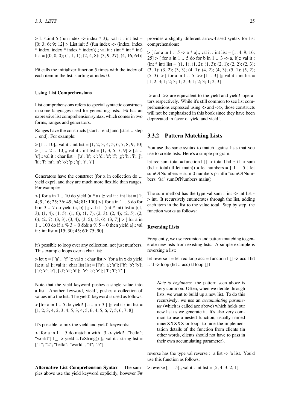$>$  List.init 5 (fun index  $\rightarrow$  index  $*$  3);; val it : int list = [0; 3; 6; 9; 12] > List.init 5 (fun index -> (index, index)  $*$  index, index  $*$  index  $*$  index));; val it : (int  $*$  int  $*$  int) list =  $[(0, 0, 0); (1, 1, 1); (2, 4, 8); (3, 9, 27); (4, 16, 64)]$ 

F# calls the initializer function 5 times with the index of each item in the list, starting at index 0.

#### **Using List Comprehensions**

List comprehensions refers to special syntactic constructs in some languages used for generating lists. F# has an expressive list comprehension syntax, which comes in two forms, ranges and generators.

Ranges have the constructs [start .. end] and [start .. step .. end]. For example:

 $> [1.. 10]$ ;; val it : int list = [1; 2; 3; 4; 5; 6; 7; 8; 9; 10]  $> [1.. 2.. 10]$ ;; val it : int list = [1; 3; 5; 7; 9]  $> [a]$ . 's'];; val it : char list = ['a'; 'b'; 'c'; 'd'; 'e'; 'f'; 'g'; 'h'; 'i'; 'j'; 'k'; 'l'; 'm'; 'n'; 'o'; 'p'; 'q'; 'r'; 's']

Generators have the construct [for x in collection do ... yield expr], and they are much more flexible than ranges. For example:

 $>$  [ for a in 1 .. 10 do yield (a  $*$  a) ];; val it : int list = [1; 4; 9; 16; 25; 36; 49; 64; 81; 100] > [ for a in 1 .. 3 do for b in 3 .. 7 do yield (a, b) ];; val it : (int  $*$  int) list = [(1, 3); (1, 4); (1, 5); (1, 6); (1, 7); (2, 3); (2, 4); (2, 5); (2, 6); (2, 7); (3, 3); (3, 4); (3, 5); (3, 6); (3, 7)] > [ for a in 1 .. 100 do if a %  $3 = 0$  & & a %  $5 = 0$  then yield a];; val it : int list =  $[15; 30; 45; 60; 75; 90]$ 

it's possible to loop over any collection, not just numbers. This example loops over a char list:

 $>$  let x =  $\lceil$  'a' .. 'f'  $\lceil$ ;; val x : char list >  $\lceil$  for a in x do yield [a; a; a] ];; val it : char list list =  $[[a'; a'; a']; [b'; b'; b'];$ ['c'; 'c'; 'c']; ['d'; 'd'; 'd']; ['e'; 'e'; 'e']; ['f'; 'f'; 'f']]

Note that the yield keyword pushes a single value into a list. Another keyword, yield!, pushes a collection of values into the list. The yield! keyword is used as follows:

 $>$  [for a in 1 .. 5 do yield! [ a .. a + 3 ] ];; val it : int list = [1; 2; 3; 4; 2; 3; 4; 5; 3; 4; 5; 6; 4; 5; 6; 7; 5; 6; 7; 8]

It's possible to mix the yield and yield! keywords:

 $>$  [for a in 1 .. 5 do match a with  $| 3 \rightarrow \text{yield}$ ! ["hello"; "world" $| \cdot \rangle$  -> yield a. To String ()  $| \cdot \rangle$ ; val it : string list = ["1"; "2"; "hello"; "world"; "4"; "5"]

**Alternative List Comprehension Syntax** The samples above use the yield keyword explicitly, however F#

provides a slightly different arrow-based syntax for list comprehensions:

 $>$  [ for a in 1 .. 5 -> a \* a];; val it : int list = [1; 4; 9; 16;  $25$  > [ for a in 1 .. 5 do for b in 1 .. 3 -> a, b];; val it :  $(int * int)$  list = [ $(1, 1)$ ;  $(1, 2)$ ;  $(1, 3)$ ;  $(2, 1)$ ;  $(2, 2)$ ;  $(2, 3)$ ; (3, 1); (3, 2); (3, 3); (4, 1); (4, 2); (4, 3); (5, 1); (5, 2);  $(5, 3)$  > [ for a in 1 .. 5 ->> [1 .. 3] ];; val it : int list = [1; 2; 3; 1; 2; 3; 1; 2; 3; 1; 2; 3; 1; 2; 3]

-> and ->> are equivalent to the yield and yield! operators respectively. While it's still common to see list comprehensions expressed using -> and ->>, those constructs will not be emphasized in this book since they have been deprecated in favor of yield and yield!.

# <span id="page-30-0"></span>**3.3.2 Pattern Matching Lists**

You use the same syntax to match against lists that you use to create lists. Here's a simple program:

let rec sum total = function  $|$  [] -> total  $|$  hd :: tl -> sum  $(hd + total)$  tl let main $()$  = let numbers =  $[1 \dots 5]$  let  $sumOfNumbers = sum 0 numbers printfn "sumOfNum$ bers: %i" sumOfNumbers main()

The sum method has the type val sum  $:$  int  $\rightarrow$  int list -> int. It recursively enumerates through the list, adding each item in the list to the value total. Step by step, the function works as follows:

# **Reversing Lists**

Frequently, we use recursion and pattern matching to generate new lists from existing lists. A simple example is reversing a list:

let reverse  $l =$  let rec loop acc = function  $| \lceil \rceil$  -> acc  $| \rceil$  hd  $::$  tl  $\rightarrow$  loop (hd  $::$  acc) tl loop [] l

*Note to beginners:* the pattern seen above is very common. Often, when we iterate through lists, we want to build up a new list. To do this recursively, we use an *accumulating parameter* (which is called acc above) which holds our new list as we generate it. It's also very common to use a nested function, usually named innerXXXXX or loop, to hide the implementation details of the function from clients (in other words, clients should not have to pass in their own accumulating parameter).

reverse has the type val reverse : 'a list -> 'a list. You'd use this function as follows:

 $>$  reverse  $[1 \dots 5]$ ;; val it : int list =  $[5; 4; 3; 2; 1]$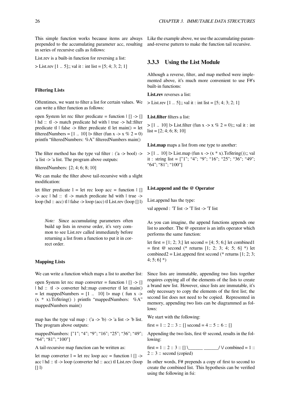This simple function works because items are always Like the example above, we use the accumulating-paramprepended to the accumulating parameter acc, resulting and-reverse pattern to make the function tail recursive. in series of recursive calls as follows:

List.rev is a built-in function for reversing a list:

 $>$  List.rev [1 .. 5];; val it : int list = [5; 4; 3; 2; 1]

### **Filtering Lists**

Oftentimes, we want to filter a list for certain values. We can write a filter function as follows:

open System let rec filter predicate = function | [] -> [] | hd :: tl -> match predicate hd with | true -> hd::filter predicate tl  $\vert$  false -> filter predicate tl let main() = let filteredNumbers =  $[1.. 10]$   $\triangleright$  filter (fun x -> x % 2 = 0) printfn "filteredNumbers: %A" filteredNumbers main()

The filter method has the type val filter : ('a -> bool) -> 'a list -> 'a list. The program above outputs:

filteredNumbers: [2; 4; 6; 8; 10]

We can make the filter above tail-recursive with a slight modification:

let filter predicate  $l =$  let rec loop acc = function  $\lfloor \cdot \rfloor$ -> acc | hd :: tl -> match predicate hd with | true -> loop (hd :: acc) tl | false -> loop (acc) tl List.rev (loop [] l)

*Note:* Since accumulating parameters often build up lists in reverse order, it's very common to see List.rev called immediately before returning a list from a function to put it in correct order.

# **Mapping Lists**

We can write a function which maps a list to another list:

open System let rec map converter = function  $| \nvert$  ->  $| \nvert$ | hd :: tl -> converter hd::map converter tl let main()  $=$  let mappedNumbers  $= [1 \dots 10]$   $\triangleright$  map (fun x ->  $(x * x)$ .ToString() ) printfn "mappedNumbers: %A" mappedNumbers main()

map has the type val map :  $(a \rightarrow b) \rightarrow a$  list ->  $\bar{b}$  list. The program above outputs:

mappedNumbers: ["1"; "4"; "9"; "16"; "25"; "36"; "49"; "64"; "81"; "100"]

A tail-recursive map function can be written as:

let map converter  $l =$  let rec loop acc = function  $| \rceil$  -> acc | hd :: tl -> loop (converter hd :: acc) tl List.rev (loop  $[1]$ 

# <span id="page-31-0"></span>**3.3.3 Using the List Module**

Although a reverse, filter, and map method were implemented above, it's much more convenient to use F#'s built-in functions:

**List.rev** reverses a list:

 $>$  List.rev [1 .. 5];; val it : int list = [5; 4; 3; 2; 1]

**List.filter** filters a list:

 $> [1.. 10]$   $\triangleright$  List.filter (fun x -> x % 2 = 0);; val it : int  $list = [2; 4; 6; 8; 10]$ 

**List.map** maps a list from one type to another:

 $> [1.. 10]$   $>$  List.map (fun x -> (x \* x). ToString());; val it : string list = ["1"; "4"; "9"; "16"; "25"; "36"; "49"; "64"; "81"; "100"]

#### **List.append and the @ Operator**

List.append has the type:

val append : 'T list -> 'T list -> 'T list

As you can imagine, the append functions appends one list to another. The @ operator is an infix operator which performs the same function:

let first =  $[1; 2; 3]$  let second =  $[4; 5; 6]$  let combined1  $=$  first @ second (\* returns [1; 2; 3; 4; 5; 6] \*) let combined2 = List.append first second (\* returns  $[1; 2; 3;$  $4; 5; 6]$ \*)

Since lists are immutable, appending two lists together requires copying all of the elements of the lists to create a brand new list. However, since lists are immutable, it's only necessary to copy the elements of the first list; the second list does not need to be copied. Represented in memory, appending two lists can be diagrammed as follows:

We start with the following:

first = 1 :: 2 :: 3 :: [] second = 4 :: 5 :: 6 :: []

Appending the two lists, first @ second, results in the following:

first = 1 :: 2 :: 3 :: [] \\_\_\_\_\_\_\_\_\_\_\_\_\_\_/  $\vee$  combined = 1 ::  $2:: 3:: second (copied)$ 

In other words, F# prepends a copy of first to second to create the combined list. This hypothesis can be verified using the following in fsi: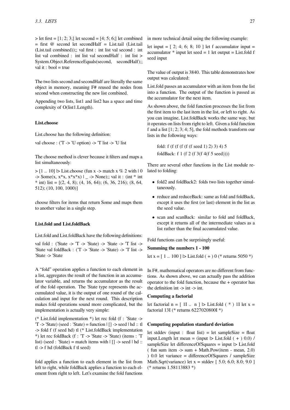$>$  let first = [1; 2; 3;] let second = [4; 5; 6;] let combined  $=$  first  $\omega$  second let second Half  $=$  List.tail (List.tail (List.tail combined));; val first : int list val second : int list val combined : int list val secondHalf : int list > System.Object.ReferenceEquals(second, secondHalf);; val it : bool  $=$  true

The two lists second and secondHalf are literally the same object in memory, meaning F# reused the nodes from second when constructing the new list combined.

Appending two lists, list1 and list2 has a space and time complexity of O(list1.Length).

# **List.choose**

List.choose has the following definition:

val choose :  $(T \rightarrow U \text{ option}) \rightarrow T$  list  $\rightarrow U$  list

The choose method is clever because it filters and maps a list simultaneously:

 $>$  [1 .. 10]  $>$  List.choose (fun x -> match x % 2 with | 0  $\Rightarrow$  Some(x, x\*x, x\*x\*x) | \_ -> None);; val it : (int \* int \* int) list =  $[(2, 4, 8); (4, 16, 64); (6, 36, 216); (8, 64, 64)]$ 512); (10, 100, 1000)]

choose filters for items that return Some and maps them to another value in a single step.

#### **List.fold and List.foldBack**

List.fold and List.foldBack have the following definitions:

val fold : ('State -> 'T -> 'State) -> 'State -> 'T list -> 'State val foldBack : ('T -> 'State -> 'State) -> 'T list -> 'State -> 'State

A "fold" operation applies a function to each element in a list, aggregates the result of the function in an accumulator variable, and returns the accumulator as the result of the fold operation. The 'State type represents the accumulated value, it is the output of one round of the calculation and input for the next round. This description makes fold operations sound more complicated, but the implementation is actually very simple:

(\* List.fold implementation \*) let rec fold (f : 'State -> 'T -> 'State) (seed : 'State) = function | [] -> seed | hd :: tl -> fold f (f seed hd) tl (\* List.foldBack implementation \*) let rec foldBack (f : 'T -> 'State -> 'State) (items : 'T list) (seed : 'State) = match items with  $| \cdot |$ ] -> seed  $| \cdot |$  hd :: tl -> f hd (foldBack f tl seed)

fold applies a function to each element in the list from left to right, while foldBack applies a function to each element from right to left. Let's examine the fold functions

in more technical detail using the following example:

let input  $= [2; 4; 6; 8; 10]$  let f accumulator input  $=$ accumulator  $*$  input let seed  $= 1$  let output  $=$  List.fold f seed input

The value of output is 3840. This table demonstrates how output was calculated:

List.fold passes an accumulator with an item from the list into a function. The output of the function is passed as the accumulator for the next item.

As shown above, the fold function processes the list from the first item to the last item in the list, or left to right. As you can imagine, List.foldBack works the same way, but it operates on lists from right to left. Given a fold function f and a list [1; 2; 3; 4; 5], the fold methods transform our lists in the following ways:

fold: f (f (f (f (f (f seed 1) 2) 3) 4) 5 foldBack: f 1 (f 2 (f 3(f 4(f 5 seed))))

There are several other functions in the List module related to folding:

- fold2 and foldBack2: folds two lists together simultaneously.
- reduce and reduceBack: same as fold and foldBack, except it uses the first (or last) element in the list as the seed value.
- scan and scanBack: similar to fold and foldBack, except it returns all of the intermediate values as a list rather than the final accumulated value.

Fold functions can be surprisingly useful:

# **Summing the numbers 1 - 100**

let x =  $[1.. 100]$   $\triangleright$  List.fold  $(+) 0$  (\* returns 5050 \*)

In F#, mathematical operators are no different from functions. As shown above, we can actually pass the addition operator to the fold function, because the + operator has the definition int  $\rightarrow$  int  $\rightarrow$  int.

### **Computing a factorial**

let factorial  $n = [11 \dots n]$   $\triangleright$  List.fold  $(*)$  1I let  $x =$ factorial 13I (\* returns 6227020800I \*)

# **Computing population standard deviation**

let stddev (input : float list) = let sampleSize = float input.Length let mean = (input  $|$  > List.fold (+ ) 0.0) / sampleSize let differenceOfSquares = input  $\triangleright$  List.fold  $($  fun sum item  $\rightarrow$  sum  $+$  Math.Pow(item  $\rightarrow$  mean, 2.0) ) 0.0 let variance = differenceOfSquares / sampleSize Math.Sqrt(variance) let  $x =$  stddev  $[5.0; 6.0; 8.0; 9.0]$ (\* returns 1.58113883 \*)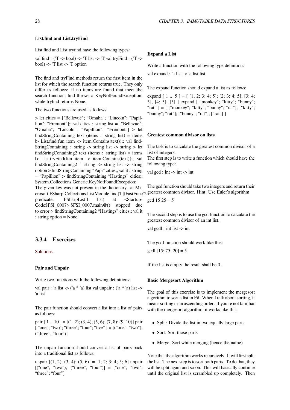List.find and List.tryfind have the following types:

val find : ('T -> bool) -> 'T list -> 'T val tryFind : ('T -> bool) -> 'T list -> 'T option

The find and tryFind methods return the first item in the list for which the search function returns true. They only differ as follows: if no items are found that meet the search function, find throws a KeyNotFoundException, while tryfind returns None.

The two functions are used as follows:

> let cities = ["Bellevue"; "Omaha"; "Lincoln"; "Papillion"; "Fremont"];; val cities : string list = ["Bellevue"; "Omaha"; "Lincoln"; "Papillion"; "Fremont"] > let findStringContaining text (items : string list) = items |> List.find(fun item -> item.Contains(text));; val find-StringContaining : string -> string list -> string > let findStringContaining2 text (items : string list) = items |> List.tryFind(fun item -> item.Contains(text));; val findStringContaining2 : string -> string list -> string option > findStringContaining "Papi" cities;; val it : string = "Papillion" > findStringContaining "Hastings" cities;; System.Collections.Generic.KeyNotFoundException:

The given key was not present in the dictionary. at Microsoft.FSharp.Collections.ListModule.find[T](FastFunc`2 greatest common divisor. Hint: Use Euler's algorithm predicate, FSharpList`1 list) at <Startup-Code\$FSI\_0007>.\$FSI\_0007.main@() stopped due to error > findStringContaining2 "Hastings" cities;; val it : string option = None

# **3.3.4 Exercises**

<span id="page-33-0"></span>Solutions.

# **Pair and Unpair**

[Write two](https://en.wikibooks.org/wiki/F_Sharp_Programming/Solutions/Lists) functions with the following definitions:

val pair : 'a list  $\rightarrow$  ('a \* 'a) list val unpair : ('a \* 'a) list  $\rightarrow$ 'a list

The pair function should convert a list into a list of pairs as follows:

pair  $[1.. 10] = [(1, 2); (3, 4); (5, 6); (7, 8); (9, 10)]$  pair [ "one"; "two"; "three"; "four"; "five" ] = [("one", "two"); ("three", "four")]

The unpair function should convert a list of pairs back into a traditional list as follows:

unpair  $[(1, 2); (3, 4); (5, 6)] = [1; 2; 3; 4; 5; 6]$  unpair  $[("one", "two"); "three", "four"] = ['one"; "two";$ "three"; "four"]

# **Expand a List**

Write a function with the following type definition:

val expand : 'a list -> 'a list list

The expand function should expand a list as follows:

expand  $[1 \dots 5] = [1; 2; 3; 4; 5]; [2; 3; 4; 5]; [3; 4;$ 5]; [4; 5]; [5] ] expand [ "monkey"; "kitty"; "bunny"; "rat"  $] = [$  ["monkey"; "kitty"; "bunny"; "rat"]; ["kitty"; "bunny"; "rat"]; ["bunny"; "rat"]; ["rat"] ]

# **Greatest common divisor on lists**

The task is to calculate the greatest common divisor of a list of integers.

The first step is to write a function which should have the following type:

val gcd : int  $\rightarrow$  int  $\rightarrow$  int

The gcd function should take two integers and return their

 $gcd 15 25 = 5$ 

The second step is to use the gcd function to calculate the greatest common divisor of an int list.

val gcdl : int list -> int

The gcdl function should work like this:

 $gcdl [15; 75; 20] = 5$ 

If the list is empty the result shall be 0.

# **Basic Mergesort Algorithm**

The goal of this exercise is to implement the mergesort algorithm to sort a list in F#. When I talk about sorting, it means sorting in an ascending order. If you're not familiar with the mergesort algorithm, it works like this:

- Split: Divide the list in two equally large parts
- *•* Sort: Sort those parts
- Merge: Sort while merging (hence the name)

Note that the algorithm works recursively. It will first split the list. The next step is to sort both parts. To do that, they will be split again and so on. This will basically continue until the original list is scrambled up completely. Then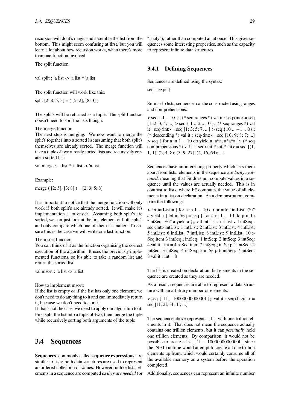recursion will do it's magic and assemble the list from the bottom. This might seem confusing at first, but you will learn a lot about how recursion works, when there's more than one function involved

The split function

val split : 'a list -> 'a list \* 'a list

The split function will work like this.

split  $[2; 8; 5; 3] = (5; 2], [8; 3]$ 

The split's will be returned as a tuple. The split function doesn't need to sort the lists though.

#### The merge function

The next step is merging. We now want to merge the split's together into a sorted list assuming that both split's themselves are already sorted. The merge function will take a tuple of two already sorted lists and recursively create a sorted list:

val merge : 'a list \* 'a list -> 'a list

Example:

merge (  $[2; 5]$ ,  $[3; 8]$  ) =  $[2; 3; 5; 8]$ 

It is important to notice that the merge function will only work if both split's are already sorted. It will make it's implementation a lot easier. Assuming both split's are sorted, we can just look at the first element of both split's and only compare which one of them is smaller. To ensure this is the case we will write one last function.

#### The msort function

You can think of it as the function organising the correct execution of the algorithm. It uses the previously implemented functions, so it's able to take a random list and return the sorted list.

val msort : 'a list -> 'a list

How to implement msort:

If the list is empty or if the list has only one element, we don't need to do anything to it and can immediately return it, because we don't need to sort it.

If that's not the case, we need to apply our algorithm to it. First split the list into a tuple of two, then merge the tuple while recursively sorting both arguments of the tuple

# <span id="page-34-0"></span>**3.4 Sequences**

**Sequences**, commonly called **sequence expressions**, are similar to lists: both data structures are used to represent an ordered collection of values. However, unlike lists, elements in a sequence are computed *as they are needed* (or "lazily"), rather than computed all at once. This gives sequences some interesting properties, such as the capacity to represent infinite data structures.

# <span id="page-34-1"></span>**3.4.1 Defining Sequences**

Sequences are defined using the syntax:

seq { expr }

Similar to lists, sequences can be constructed using ranges and comprehensions:

 $>$  seq { 1 .. 10 };; (\* seq ranges \*) val it : seq<int $>$  = seq  $[1; 2; 3; 4; \ldots] >$  seq { 1 .. 2 .. 10 };; (\* seq ranges \*) val it : seq<int> = seq  $[1; 3; 5; 7; ...] >$  seq  $\{10 ... -1 ... 0\}$ ;; (\* descending \*) val it : seq<int > = seq  $[10; 9; 8; 7; ...]$  $>$  seq { for a in 1 .. 10 do yield a,  $a^*a$ ,  $a^*a^*a$  };; (\* seq comprehensions \*) val it : seq<int \* int \* int > = seq  $[(1,$ 1, 1); (2, 4, 8); (3, 9, 27); (4, 16, 64); ...]

Sequences have an interesting property which sets them apart from lists: elements in the sequence are *lazily evaluated*, meaning that F# does not compute values in a sequence until the values are actually needed. This is in contrast to lists, where F# computes the value of all elements in a list on declaration. As a demonstration, compare the following:

 $>$  let intList =  $\int$  for a in 1 .. 10 do printfn "intList: %i" a yield a ] let intSeq = seq { for a in  $1 \dots 10$  do printfn "intSeq: %i" a yield a };; val intList : int list val intSeq : seq<int> intList: 1 intList: 2 intList: 3 intList: 4 intList: 5 intList: 6 intList: 7 intList: 8 intList: 9 intList: 10 > Seq.item 3 intSeq;; intSeq: 1 intSeq: 2 intSeq: 3 intSeq: 4 val it : int  $= 4$  > Seq.item 7 intSeq;; intSeq: 1 intSeq: 2 intSeq: 3 intSeq: 4 intSeq: 5 intSeq: 6 intSeq: 7 intSeq: 8 val it : int  $= 8$ 

The list is created on declaration, but elements in the sequence are created as they are needed.

As a result, sequences are able to represent a data structure with an arbitrary number of elements:

 $>$  seq { 1I .. 100000000000001 };; val it : seq <br/>stepsint > = seq [1I; 2I; 3I; 4I; ...]

The sequence above represents a list with one trillion elements in it. That does not mean the sequence actually contains one trillion elements, but it can *potentially* hold one trillion elements. By comparison, it would not be possible to create a list [ 1I .. 1000000000000I ] since the .NET runtime would attempt to create all one trillion elements up front, which would certainly consume all of the available memory on a system before the operation completed.

Additionally, sequences can represent an infinite number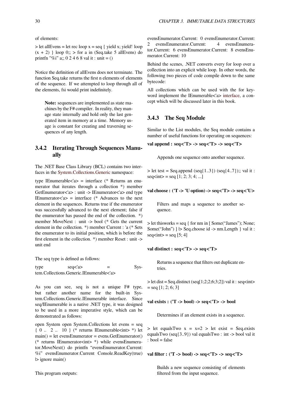of elements:

 $>$  let allEvens = let rec loop  $x =$  seq { yield x; yield! loop  $(x + 2)$  } loop  $0$ ;; > for a in (Seq.take 5 allEvens) do printfn "%i" a;; 0 2 4 6 8 val it : unit =  $()$ 

Notice the definition of allEvens does not terminate. The function Seq.take returns the first n elements of elements of the sequence. If we attempted to loop through all of the elements, fsi would print indefinitely.

**Note:** sequences are implemented as state machines by the F# compiler. In reality, they manage state internally and hold only the last generated item in memory at a time. Memory usage is constant for creating and traversing sequences of any length.

# **3.4.2 Iterating Through Sequences Manually**

<span id="page-35-0"></span>The .NET Base Class Library (BCL) contains two interfaces in the System.Collections.Generic namespace:

type IEnumerable $\langle a \rangle$  = interface (\* Returns an enumerator that iterates through a collection \*) member GetEnumerator<'a> : unit -> IEnumerator<'a> end type IEnumerator $\langle a \rangle$  = interface (\* Advances to the next element in the sequences. Returns true if the enumerator was successfully advanced to the next element; false if the enumerator has passed the end of the collection. \*) member MoveNext : unit -> bool (\* Gets the current element in the collection. \*) member Current : 'a (\* Sets the enumerator to its initial position, which is before the first element in the collection. \*) member Reset : unit -> unit end

The seq type is defined as follows:

 $type \qquad \qquad$  seq<'a>  $=$  System.Collections.Generic.IEnumerable<'a>

As you can see, seq is not a unique F# type, but rather another name for the built-in System.Collections.Generic.IEnumerable interface. Since seq/IEnumerable is a native .NET type, it was designed to be used in a more imperative style, which can be demonstrated as follows:

open System open System.Collections let evens = seq  $\{0.. 2.. 10\}$  (\* returns IEnumerable $\leq$ int $>$ \*) let  $main() = let evensEnumerator = evens.GetEnumerator()$ (\* returns IEnumerator<int> \*) while evensEnumerator.MoveNext() do printfn "evensEnumerator.Current: %i" evensEnumerator.Current Console.ReadKey(true) |> ignore main()

This program outputs:

evensEnumerator.Current: 0 evensEnumerator.Current: 2 evensEnumerator.Current: 4 evensEnumerator.Current: 6 evensEnumerator.Current: 8 evensEnumerator.Current: 10

Behind the scenes, .NET converts every for loop over a collection into an explicit while loop. In other words, the following two pieces of code compile down to the same bytecode:

All collections which can be used with the for keyword implement the IEnumerable<'a> interface, a concept which will be discussed later in this book.

# **3.4.3 The Seq Module**

Similar to the List modules, the Seq module contains a number of useful functions for operating on sequences:

# <span id="page-35-1"></span>**val append : seq<'T> -> seq<'T> -> seq<'T>**

Appends one sequence onto another sequence.

 $>$  let test = Seq.append (seq{1..3}) (seq{4..7});; val it :  $seq<sub>></sub> = seq [1; 2; 3; 4; ...]$ 

## **val choose : ('T -> 'U option) -> seq<'T> -> seq<'U>**

Filters and maps a sequence to another sequence.

> let thisworks = seq { for nm in [ Some("James"); None; Some("John") ]  $\triangleright$  Seq.choose id -> nm. Length } val it :  $\text{seq}\text{-}\text{int}\geq \text{seq}$  [5; 4]

# **val distinct : seq<'T> -> seq<'T>**

Returns a sequence that filters out duplicate entries.

 $>$  let dist = Seq.distinct (seq[1;2;2;6;3;2]) val it : seq<int>  $=$  seq [1; 2; 6; 3]

#### **val exists : ('T -> bool) -> seq<'T> -> bool**

Determines if an element exists in a sequence.

 $>$  let equalsTwo  $x = x=2$  > let exist = Seq.exists equalsTwo (seq $\{3..9\}$ ) val equalsTwo : int -> bool val it : bool = false

**val filter : ('T -> bool) -> seq<'T> -> seq<'T>**

Builds a new sequence consisting of elements filtered from the input sequence.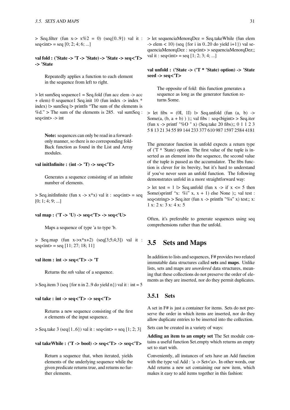$seq<sub>sup</sub> = seq [0; 2; 4; 6; ...]$ 

#### **val fold : ('State -> 'T -> 'State) -> 'State -> seq<'T> -> 'State**

Repeatedly applies a function to each element in the sequence from left to right.

> let sumSeq sequence1 = Seq.fold (fun acc elem -> acc + elem) 0 sequence1 Seq.init 10 (fun index -> index \*  $index$ )  $\geq$  sumSeq  $\geq$  printfn "The sum of the elements is %d." > The sum of the elements is 285. val sumSeq :  $seq<sub>1</sub> > -> int$ 

**Note:** sequences can only be read in a forwardonly manner, so there is no corresponding fold-Back function as found in the List and Array modules.

# **val initInfinite : (int -> 'T) -> seq<'T>**

Generates a sequence consisting of an infinite number of elements.

 $>$  Seq.initInfinite (fun x - $>$  x<sup>\*</sup>x) val it : seq<int $>$  = seq  $[0; 1; 4; 9; \ldots]$ 

#### **val map : ('T -> 'U) -> seq<'T> -> seq<'U>**

Maps a sequence of type 'a to type 'b.

 $>$  Seq.map (fun x- $>$ x<sup>\*</sup>x+2) (seq[3;5;4;3]) val it :  $seq<sub>></sub> = seq [11; 27; 18; 11]$ 

#### **val item : int -> seq<'T> -> 'T**

Returns the *nth* value of a sequence.

 $>$  Seq.item 3 (seq {for n in 2..9 do yield n}) val it : int = 5

#### **val take : int -> seq<'T> -> seq<'T>**

Returns a new sequence consisting of the first *n* elements of the input sequence.

 $>$  Seq.take 3 (seq{1..6}) val it : seq<int $>$  = seq [1; 2; 3]

**val takeWhile : ('T -> bool) -> seq<'T> -> seq<'T>**

Return a sequence that, when iterated, yields elements of the underlying sequence while the given predicate returns true, and returns no further elements.

 $>$  Seq.filter (fun x- $>$  x%2 = 0) (seq{0..9}) val it :  $>$  let sequenciaMenorqDez = Seq.takeWhile (fun elem  $\Rightarrow$  elem < 10) (seq {for i in 0..20 do yield i+1}) val sequenciaMenorqDez : seq<int> > sequenciaMenorqDez;; val it : seq<int> = seq  $[1; 2; 3; 4; ...]$ 

## **val unfold : ('State -> ('T \* 'State) option) -> 'State seed -> seq<'T>**

The opposite of fold: this function generates a sequence as long as the generator function returns Some.

 $>$  let fibs = (0I, 1I)  $>$  Seq.unfold (fun (a, b) - $>$ Some $(a, (b, a + b))$ ; val fibs : seq<br/>shight> > Seq.iter (fun x -> printf "%O " x) (Seq.take 20 fibs);; 0 1 1 2 3 5 8 13 21 34 55 89 144 233 377 610 987 1597 2584 4181

The generator function in unfold expects a return type of ( $T^*$  'State) option. The first value of the tuple is inserted as an element into the sequence, the second value of the tuple is passed as the accumulator. The fibs function is clever for its brevity, but it's hard to understand if you've never seen an unfold function. The following demonstrates unfold in a more straightforward way:

 $>$  let test = 1  $>$  Seq.unfold (fun x - $>$  if x  $\lt = 5$  then Some(sprintf "x: %i" x,  $x + 1$ ) else None );; val test : seq<string> > Seq.iter (fun x -> printfn "%s" x) test;; x: 1 x: 2 x: 3 x: 4 x: 5

Often, it's preferable to generate sequences using seq comprehensions rather than the unfold.

# **3.5 Sets and Maps**

In addition to lists and sequences, F# provides two related immutable data structures called **sets** and **maps**. Unlike lists, sets and maps are *unordered* data structures, meaning that these collections do not preserve the order of elements as they are inserted, nor do they permit duplicates.

# **3.5.1 Sets**

A set in F# is just a container for items. Sets do not preserve the order in which items are inserted, nor do they allow duplicate entries to be inserted into the collection.

Sets can be created in a variety of ways:

**Adding an item to an empty set** The Set module contains a useful function Set.empty which returns an empty set to start with.

Conveniently, all instances of sets have an Add function with the type val Add : 'a -> Set<'a>. In other words, our Add returns a new set containing our new item, which makes it easy to add items together in this fashion: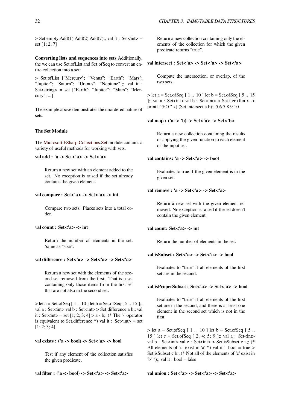$>$  Set.empty.Add(1).Add(2).Add(7);; val it : Set $\ltminus$ int $>$  = set [1; 2; 7]

**Converting lists and sequences into sets** Additionally, the we can use Set.ofList and Set.ofSeq to convert an entire collection into a set:

> Set.ofList ["Mercury"; "Venus"; "Earth"; "Mars"; "Jupiter"; "Saturn"; "Uranus"; "Neptune"];; val it : Set<string> = set ["Earth"; "Jupiter"; "Mars"; "Mercury"; ...]

The example above demonstrates the unordered nature of sets.

### **The Set Module**

The Microsoft.FSharp.Collections.Set module contains a variety of useful methods for working with sets.

#### **val add : 'a -> Set<'a> -> Set<'a>**

[Return a new set with an element](http://msdn.microsoft.com/en-us/library/ee340244.aspx) added to the set. No exception is raised if the set already contains the given element.

#### **val compare : Set<'a> -> Set<'a> -> int**

Compare two sets. Places sets into a total order.

#### **val count : Set<'a> -> int**

Return the number of elements in the set. Same as "size".

## **val difference : Set<'a> -> Set<'a> -> Set<'a>**

Return a new set with the elements of the second set removed from the first. That is a set containing only those items from the first set that are not also in the second set.

 $>$  let a = Set.ofSeq [ 1 .. 10 ] let b = Set.ofSeq [ 5 .. 15 ];; val a : Set<int> val b : Set<int> > Set.difference a b;; val it : Set<int> = set  $[1; 2; 3; 4] > a - b$ ;; (\* The '-' operator is equivalent to Set.difference \*) val it : Set $\langle$ int $\rangle$  = set [1; 2; 3; 4]

#### **val exists : ('a -> bool) -> Set<'a> -> bool**

Test if any element of the collection satisfies the given predicate.

**val filter : ('a -> bool) -> Set<'a> -> Set<'a>**

Return a new collection containing only the elements of the collection for which the given predicate returns "true".

#### **val intersect : Set<'a> -> Set<'a> -> Set<'a>**

Compute the intersection, or overlap, of the two sets.

 $>$  let a = Set.ofSeq [ 1 .. 10 ] let b = Set.ofSeq [ 5 .. 15 ];; val a : Set<int> val b : Set<int> > Set.iter (fun x -> printf "%O " x) (Set.intersect a b);; 5 6 7 8 9 10

**val map : ('a -> 'b) -> Set<'a> -> Set<'b>**

Return a new collection containing the results of applying the given function to each element of the input set.

**val contains: 'a -> Set<'a> -> bool**

Evaluates to true if the given element is in the given set.

# **val remove : 'a -> Set<'a> -> Set<'a>**

Return a new set with the given element removed. No exception is raised if the set doesn't contain the given element.

#### **val count: Set<'a> -> int**

Return the number of elements in the set.

### **val isSubset : Set<'a> -> Set<'a> -> bool**

Evaluates to "true" if all elements of the first set are in the second.

#### **val isProperSubset : Set<'a> -> Set<'a> -> bool**

Evaluates to "true" if all elements of the first set are in the second, and there is at least one element in the second set which is not in the first.

 $>$  let a = Set.ofSeq [ 1 .. 10 ] let b = Set.ofSeq [ 5 .. 15 ] let c = Set.ofSeq  $[2; 4; 5; 9]$ ;; val a : Set<int> val b : Set<int> val c : Set<int> > Set.isSubset c a;; (\* All elements of 'c' exist in 'a' \*) val it : bool = true > Set.isSubset c b;; (\* Not all of the elements of 'c' exist in 'b' \*);; val it : bool = false

#### **val union : Set<'a> -> Set<'a> -> Set<'a>**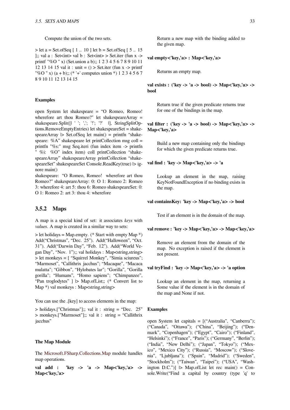$>$  let a = Set.of Seq [ 1 .. 10 ] let b = Set.of Seq [ 5 .. 15 ];; val a : Set<int> val b : Set<int> > Set.iter (fun x -> printf "%O " x) (Set.union a b);; 1 2 3 4 5 6 7 8 9 10 11 12 13 14 15 val it : unit =  $()$  > Set.iter (fun x -> printf "%O " x) (a + b);; (\* '+' computes union \*) 1 2 3 4 5 6 7 8 9 10 11 12 13 14 15

#### **Examples**

open System let shakespeare = "O Romeo, Romeo! wherefore art thou Romeo?" let shakespeareArray = shakespeare.Split([| ' '; ','; '!'; '?' |], StringSplitOptions.RemoveEmptyEntries) let shakespeareSet = shakespeareArray  $\triangleright$  Set.ofSeq let main() = printfn "shakespeare:  $%A"$  shakespeare let printCollection msg coll = printfn "%s:" msg Seq.iteri (fun index item -> printfn " %i: %O" index item) coll printCollection "shakespeareArray" shakespeareArray printCollection "shakespeareSet" shakespeareSet Console.ReadKey(true)  $\vert$ > ignore main()

shakespeare: "O Romeo, Romeo! wherefore art thou Romeo?" shakespeareArray: 0: O 1: Romeo 2: Romeo 3: wherefore 4: art 5: thou 6: Romeo shakespeareSet: 0: O 1: Romeo 2: art 3: thou 4: wherefore

# **3.5.2 Maps**

A map is a special kind of set: it associates *keys* with *values*. A map is created in a similar way to sets:

 $>$  let holidays = Map.empty. (\* Start with empty Map \*) Add("Christmas", "Dec. 25"). Add("Halloween", "Oct. 31"). Add("Darwin Day", "Feb. 12"). Add("World Vegan Day", "Nov. 1");; val holidays : Map<string,string> > let monkeys = [ "Squirrel Monkey", "Simia sciureus"; "Marmoset", "Callithrix jacchus"; "Macaque", "Macaca mulatta"; "Gibbon", "Hylobates lar"; "Gorilla", "Gorilla gorilla"; "Humans", "Homo sapiens"; "Chimpanzee", "Pan troglodytes" ] |> Map.ofList;; (\* Convert list to Map \*) val monkeys : Map<string,string>

You can use the .[key] to access elements in the map:

> holidays.["Christmas"];; val it : string = "Dec. 25" > monkeys.["Marmoset"];; val it : string = "Callithrix jacchus"

#### **The Map Module**

The Microsoft.FSharp.Collections.Map module handles map operations.

**val add : 'key -> 'a -> Map<'key,'a> -> Ma[p<](https://msdn.microsoft.com/en-us/visualfsharpdocs/conceptual/collections.map-module-%255bfsharp%255d)'[key,](https://msdn.microsoft.com/en-us/visualfsharpdocs/conceptual/collections.map-module-%255bfsharp%255d)'[a>](https://msdn.microsoft.com/en-us/visualfsharpdocs/conceptual/collections.map-module-%255bfsharp%255d)**

Return a new map with the binding added to the given map.

#### **val empty<'key,'a> : Map<'key,'a>**

Returns an empty map.

**val exists : ('key -> 'a -> bool) -> Map<'key,'a> -> bool**

Return true if the given predicate returns true for one of the bindings in the map.

# **val filter : ('key -> 'a -> bool) -> Map<'key,'a> -> Map<'key,'a>**

Build a new map containing only the bindings for which the given predicate returns true.

**val find : 'key -> Map<'key,'a> -> 'a**

Lookup an element in the map, raising KeyNotFoundException if no binding exists in the map.

#### **val containsKey: 'key -> Map<'key,'a> -> bool**

Test if an element is in the domain of the map.

#### **val remove : 'key -> Map<'key,'a> -> Map<'key,'a>**

Remove an element from the domain of the map. No exception is raised if the element is not present.

# **val tryFind : 'key -> Map<'key,'a> -> 'a option**

Lookup an element in the map, returning a Some value if the element is in the domain of the map and None if not.

#### **Examples**

open System let capitals = [("Australia", "Canberra"); ("Canada", "Ottawa"); ("China", "Beijing"); ("Denmark", "Copenhagen"); ("Egypt", "Cairo"); ("Finland", "Helsinki"); ("France", "Paris"); ("Germany", "Berlin"); ("India", "New Delhi"); ("Japan", "Tokyo"); ("Mexico", "Mexico City"); ("Russia", "Moscow"); ("Slovenia", "Ljubljana"); ("Spain", "Madrid"); ("Sweden", "Stockholm"); ("Taiwan", "Taipei"); ("USA", "Washington D.C.")]  $\triangleright$  Map.ofList let rec main() = Console.Write("Find a capital by country (type 'q' to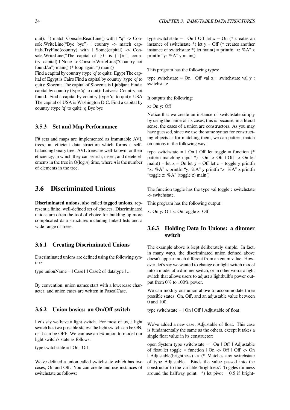quit): ") match Console.ReadLine() with | "q" -> Console.WriteLine("Bye bye") | country -> match capitals.TryFind(country) with | Some(capital) -> Console. Write Line ("The capital of  $\{0\}$  is  $\{1\}$ \n", country, capital) | None -> Console.WriteLine("Country not found. $\ln$ ") main() (\* loop again \*) main()

Find a capital by country (type 'q' to quit): Egypt The capital of Egypt is Cairo Find a capital by country (type 'q' to quit): Slovenia The capital of Slovenia is Ljubljana Find a capital by country (type 'q' to quit): Latveria Country not found. Find a capital by country (type 'q' to quit): USA The capital of USA is Washington D.C. Find a capital by country (type 'q' to quit): q Bye bye

# **3.5.3 Set and Map Performance**

F# sets and maps are implemented as immutable AVL trees, an efficient data structure which forms a selfbalancing binary tree. AVL trees are well-known for their efficiency, in which they can search, insert, and delete elements in the tree in O(log *n*) time, where *n* is the number of elements in the tree.

# **3.6 Discriminated Unions**

**Discriminated unions**, also called **tagged unions**, represent a finite, well-defined set of choices. Discriminated unions are often the tool of choice for building up more complicated data structures including linked lists and a wide range of trees.

# **3.6.1 Creating Discriminated Unions**

Discriminated unions are defined using the following syntax:

type unionName =  $|$  Case1  $|$  Case2 of datatype  $| \dots$ 

By convention, union names start with a lowercase character, and union cases are written in PascalCase.

# **3.6.2 Union basics: an On/Off switch**

Let's say we have a light switch. For most of us, a light switch has two possible states: the light switch can be ON, or it can be OFF. We can use an F# union to model our light switch's state as follows:

type switchstate  $= | On | Off$ 

We've defined a union called switchstate which has two cases, On and Off. You can create and use instances of switchstate as follows:

type switchstate =  $\vert$  On  $\vert$  Off let x = On (\* creates an instance of switchstate  $*$ ) let y = Off ( $*$  creates another instance of switchstate \*) let main() = printfn "x: %A" x printfn "y: %A" y main()

This program has the following types:

type switchstate =  $On \perp$  Off val x : switchstate val y : switchstate

It outputs the following:

x: On y: Off

Notice that we create an instance of switchstate simply by using the name of its cases; this is because, in a literal sense, the cases of a union are constructors. As you may have guessed, since we use the same syntax for constructing objects as for matching them, we can pattern match on unions in the following way:

type switchstate =  $\vert$  On  $\vert$  Off let toggle = function (\* pattern matching input  $*)$  | On -> Off | Off -> On let main() = let  $x =$  On let  $y =$  Off let  $z =$  toggle y printfn "x: %A" x printfn "y: %A" y printfn "z: %A" z printfn "toggle z: %A" (toggle z) main()

The function toggle has the type val toggle : switchstate -> switchstate.

This program has the following output:

x: On y: Off z: On toggle z: Off

# **3.6.3 Holding Data In Unions: a dimmer switch**

The example above is kept deliberately simple. In fact, in many ways, the discriminated union defined above doesn't appear much different from an enum value. However, let's say we wanted to change our light switch model into a model of a dimmer switch, or in other words a light switch that allows users to adjust a lightbulb's power output from 0% to 100% power.

We can modify our union above to accommodate three possible states: On, Off, and an adjustable value between 0 and 100:

type switchstate  $= | On | Off | Adjustable of float$ 

We've added a new case, Adjustable of float. This case is fundamentally the same as the others, except it takes a single float value in its constructor:

open System type switchstate  $= | On | Off | Adi$ of float let toggle = function  $|$  On -> Off  $|$  Off -> On | Adjustable(brightness) -> (\* Matches any switchstate of type Adjustable. Binds the value passed into the constructor to the variable 'brightness'. Toggles dimness around the halfway point. \*) let pivot  $= 0.5$  if bright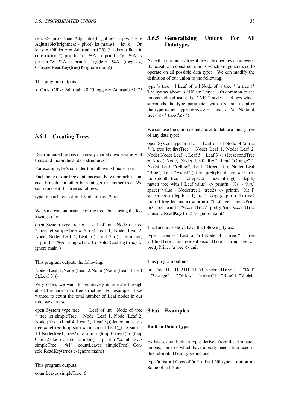ness <= pivot then Adjustable(brightness + pivot) else Adjustable(brightness - pivot) let main() = let  $x = On$ let y = Off let z = Adjustable(0.25) (\* takes a float in constructor \*) printfn "x: %A" x printfn "y: %A" y printfn "z: %A" z printfn "toggle z: %A" (toggle z) Console.ReadKey(true) |> ignore main()

This program outputs:

x: On y: Off z: Adjustable 0.25 toggle z: Adjustable 0.75

# **3.6.4 Creating Trees**

Discriminated unions can easily model a wide variety of trees and hierarchical data structures.

For example, let's consider the following binary tree:

Each node of our tree contains exactly two branches, and each branch can either be a integer or another tree. We can represent this tree as follows:

type tree  $=$  | Leaf of int | Node of tree  $*$  tree

We can create an instance of the tree above using the following code:

open System type tree  $=$   $\vert$  Leaf of int  $\vert$  Node of tree \* tree let simpleTree = Node( Leaf 1, Node( Leaf 2, Node( Node( Leaf 4, Leaf 5 ), Leaf 3 ) ) ) let main() = printfn "%A" simpleTree Console.ReadKey(true) |> ignore main()

This program outputs the following:

Node (Leaf 1,Node (Leaf 2,Node (Node (Leaf 4,Leaf 5),Leaf 3)))

Very often, we want to recursively enumerate through all of the nodes in a tree structure. For example, if we wanted to count the total number of Leaf nodes in our tree, we can use:

open System type tree  $=$   $\vert$  Leaf of int  $\vert$  Node of tree  $*$  tree let simpleTree = Node (Leaf 1, Node (Leaf 2, Node (Node (Leaf 4, Leaf 5), Leaf 3))) let countLeaves tree = let rec loop sum = function  $|$  Leaf() -> sum +  $1 \mid Node(tree1, tree2) \rightarrow sum + (loop 0 tree1) + (loop$ 0 tree2) loop 0 tree let main() = printfn "countLeaves simpleTree: %i" (countLeaves simpleTree) Con $sole. ReadKey(true)$   $\triangleright$  ignore main()

This program outputs:

countLeaves simpleTree: 5

# **3.6.5 Generalizing Unions For All Datatypes**

Note that our binary tree above only operates on integers. Its possible to construct unions which are generalized to operate on all possible data types. We can modify the definition of our union to the following:

type 'a tree  $=$  | Leaf of 'a | Node of 'a tree  $*$  'a tree ( $*$ The syntax above is "OCaml" style. It's common to see unions defined using the ".NET" style as follows which surrounds the type parameter with  $\langle s \rangle$  and  $\langle s \rangle$  after the type name: type tree $\langle a \rangle$  = | Leaf of 'a | Node of tree $\langle a \rangle$  \* tree $\langle a \rangle$  \*)

We can use the union define above to define a binary tree of any data type:

open System type 'a tree  $=$  | Leaf of 'a | Node of 'a tree \* 'a tree let firstTree = Node( Leaf 1, Node( Leaf 2, Node( Node( Leaf 4, Leaf 5 ), Leaf 3 ) ) ) let secondTree = Node( Node( Node( Leaf "Red", Leaf "Orange" ), Node( Leaf "Yellow", Leaf "Green" ) ), Node( Leaf "Blue", Leaf "Violet" ) ) let prettyPrint tree = let rec loop depth tree  $=$  let spacer  $=$  new String(', depth) match tree with  $|$  Leaf(value) -> printfn "%s  $|-\%$ A" spacer value | Node(tree1, tree2) -> printfn "%s |" spacer loop (depth  $+ 1$ ) tree1 loop (depth  $+ 1$ ) tree2 loop 0 tree let main() = printfn "firstTree:" prettyPrint firstTree printfn "secondTree:" prettyPrint secondTree Console.ReadKey(true) |> ignore main()

The functions above have the following types:

type 'a tree  $=$  | Leaf of 'a | Node of 'a tree  $*$  'a tree val firstTree : int tree val secondTree : string tree val prettyPrint : 'a tree -> unit

This program outputs:

firstTree: | |- 1 | |- 2 | | |- 4 |- 5 |- 3 secondTree: | | | |- "Red" |- "Orange" | |- "Yellow" |- "Green" | |- "Blue" |- "Violet"

# **3.6.6 Examples**

#### **Built-in Union Types**

F# has several built-in types derived from discriminated unions, some of which have already been introduced in this tutorial. These types include:

type 'a list =  $\vert$  Cons of 'a \* 'a list  $\vert$  Nil type 'a option =  $\vert$ Some of 'a | None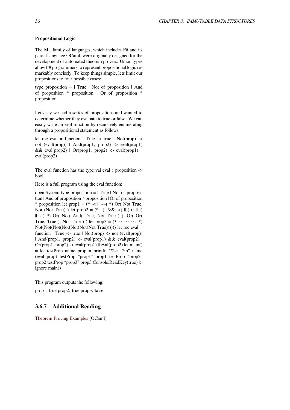# **Propositional Logic**

The ML family of languages, which includes F# and its parent language OCaml, were originally designed for the development of automated theorem provers. Union types allow F# programmers to represent propositional logic remarkably concisely. To keep things simple, lets limit our propositions to four possible cases:

type proposition  $=$  | True | Not of proposition | And of proposition \* proposition | Or of proposition \* proposition

Let's say we had a series of propositions and wanted to determine whether they evaluate to true or false. We can easily write an eval function by recursively enumerating through a propositional statement as follows:

let rec eval = function  $\vert$  True -> true  $\vert$  Not(prop) -> not (eval(prop)) | And(prop1, prop2)  $\rightarrow$  eval(prop1) && eval(prop2)  $\vert$  Or(prop1, prop2) -> eval(prop1)  $\Vert$ eval(prop2)

The eval function has the type val eval : proposition -> bool.

Here is a full program using the eval function:

open System type proposition  $=$  | True | Not of proposition | And of proposition \* proposition | Or of proposition \* proposition let prop1 = (\* ~t  $\parallel$  ~~t \*) Or( Not True, Not (Not True) ) let  $prop2 = (* -(t \&& -t) || (t || t)$  $|| -t||$  \*) Or( Not( And( True, Not True ) ), Or( Or( True, True), Not True) ) let  $prop3 = (* \sim \sim \sim \sim t*)$ Not(Not(Not(Not(Not(Not(Not True)))))) let rec eval = function  $\vert$  True -> true  $\vert$  Not(prop) -> not (eval(prop)) | And(prop1, prop2) -> eval(prop1)  $&&$  eval(prop2) |  $Or(prop1, prop2)$  -> eval(prop1) || eval(prop2) let main()  $=$  let testProp name prop  $=$  printfn "%s: %b" name (eval prop) testProp "prop1" prop1 testProp "prop2" prop2 testProp "prop3" prop3 Console.ReadKey(true) |> ignore main()

This program outputs the following: prop1: true prop2: true prop3: false

# **3.6.7 Additional Reading**

Theorem Proving Examples (OCaml)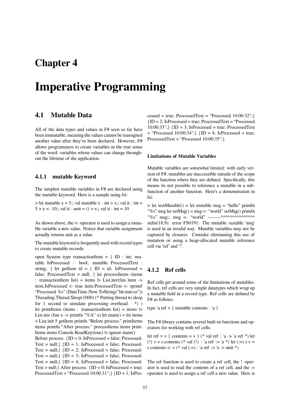# **Chapter 4**

# **Imperative Programming**

# **4.1 Mutable Data**

All of the data types and values in F# seen so far have been immutable, meaning the values cannot be reassigned another value after they've been declared. However, F# allows programmers to create variables in the true sense of the word: variables whose values can change throughout the lifetime of the application.

# **4.1.1 mutable Keyword**

The simplest mutable variables in F# are declared using the mutable keyword. Here is a sample using fsi:

 $>$  let mutable x = 5;; val mutable x : int > x;; val it : int =  $5 > x < -10$ ;; val it : unit = () > x;; val it : int = 10

As shown above, the <- operator is used to assign a mutable variable a new value. Notice that variable assignment actually returns unit as a value.

The mutable keyword is frequently used with record types to create mutable records:

open System type transactionItem  $= \{ ID : int; mu$ table IsProcessed : bool; mutable ProcessedText : string; } let getItem id = {  $ID = id$ ; IsProcessed = false; ProcessedText = null;  $\}$  let processItems (items : transactionItem list) = items  $\triangleright$  List.iter(fun item -> item.IsProcessed <- true item.ProcessedText <- sprintf "Processed %s" (DateTime.Now.ToString("hh:mm:ss")) Threading.Thread.Sleep(1000) (\* Putting thread to sleep for 1 second to simulate processing overhead.  $*)$ ) let printItems (items : transactionItem list) = items  $\triangleright$ List.iter (fun x -> printfn "%A" x) let main() = let items = List.init 5 getItem printfn "Before process:" printItems items printfn "After process:" processItems items print-Items items Console.ReadKey(true)  $\triangleright$  ignore main() Before process:  ${ID = 0; IsProceed = false; Processes$ Text = null;}  $\{ID = 1; IsProceed = false; Processes$ Text = null;}  $\{ID = 2; IsProceed = false; Processes$ Text = null;}  ${ID = 3; IsProceed = false; Processes$ Text = null;  $\{ID = 4; IsProceed = false; Processes$ Text = null;  $\text{After process: } \text{ID} = 0$ ; IsProcessed = true; ProcessedText = "Processed  $10:00:31"$ ; {ID = 1; IsProcessed = true; ProcessedText = "Processed  $10:00:32$ "; }  ${ID = 2; IsProceed = true; ProcessesdText = "Proceed.}$  $10:00:33$ "; {ID = 3; IsProcessed = true; ProcessedText  $=$  "Processed 10:00:34";} {ID = 4; IsProcessed = true; ProcessedText = "Processed 10:00:35";}

#### **Limitations of Mutable Variables**

Mutable variables are somewhat limited: with early version of F#, mutables are inaccessible outside of the scope of the function where they are defined. Specifically, this means its not possible to reference a mutable in a subfunction of another function. Here's a demonstration in fsi:

 $>$  let testMutable() = let mutable msg = "hello" printfn "%s" msg let setMsg() = msg <- "world" setMsg() printfn "%s" msg;; msg <- "world" --------^^^^^^^^^^^^^^^ stdin(18,9): error FS0191: The mutable variable 'msg' is used in an invalid way. Mutable variables may not be captured by closures. Consider eliminating this use of mutation or using a heap-allocated mutable reference cell via 'ref' and '!'.

# **4.1.2 Ref cells**

Ref cells get around some of the limitations of mutables. In fact, ref cells are very simple datatypes which wrap up a mutable field in a record type. Ref cells are defined by F# as follows:

type 'a ref = { mutable contents : 'a }

The F# library contains several built-in functions and operators for working with ref cells:

let ref  $v = \{$  contents = v  $\}$  (\* val ref : 'a -> 'a ref \*) let (!)  $r = r$ .contents (\* val (!) : 'a ref -> 'a \*) let (:=)  $r = r$ r.contents  $\lt\lt$  v (\* val (:=) : 'a ref  $\lt\gt$  'a  $\lt\gt$  unit \*)

The ref function is used to create a ref cell, the ! operator is used to read the contents of a ref cell, and the := operator is used to assign a ref cell a new value. Here is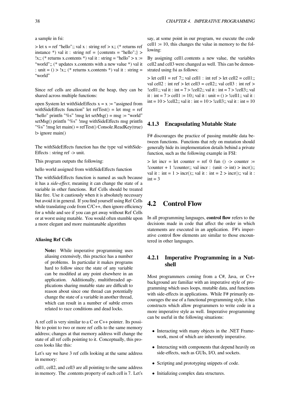a sample in fsi:

 $>$  let x = ref "hello";; val x : string ref  $>$  x;; (\* returns ref instance  $\ast$ ) val it : string ref = {contents = "hello";} > !x;; (\* returns x.contents \*) val it : string = "hello" > x := "world";; (\* updates x.contents with a new value \*) val it : unit =  $()$  > !x;; (\* returns x.contents \*) val it : string = "world"

Since ref cells are allocated on the heap, they can be shared across multiple functions:

open System let withSideEffects  $x = x :=$  "assigned from withSideEffects function" let refTest() = let msg = ref "hello" printfn "%s" !msg let setMsg $() = msg := "world"$ setMsg() printfn "%s" !msg withSideEffects msg printfn "%s" !msg let main() = refTest() Console.ReadKey(true) |> ignore main()

The withSideEffects function has the type val withSide-Effects : string ref -> unit.

This program outputs the following:

hello world assigned from withSideEffects function

The withSideEffects function is named as such because it has a *side-effect*, meaning it can change the state of a variable in other functions. Ref Cells should be treated like fire. Use it cautiously when it is absolutely necessary but avoid it in general. If you find yourself using Ref Cells while translating code from C/C++, then ignore efficiency for a while and see if you can get away without Ref Cells or at worst using mutable. You would often stumble upon a more elegant and more maintanable algorithm

#### **Aliasing Ref Cells**

**Note:** While imperative programming uses aliasing extensively, this practice has a number of problems. In particular it makes programs hard to follow since the state of any variable can be modified at any point elsewhere in an application. Additionally, multithreaded applications sharing mutable state are difficult to reason about since one thread can potentially change the state of a variable in another thread, which can result in a number of subtle errors related to race conditions and dead locks.

A ref cell is very similar to a C or C++ pointer. Its possible to point to two or more ref cells to the same memory address; changes at that memory address will change the state of all ref cells pointing to it. Conceptually, this process looks like this:

Let's say we have 3 ref cells looking at the same address in memory:

cell1, cell2, and cell3 are all pointing to the same address in memory. The .contents property of each cell is 7. Let's say, at some point in our program, we execute the code  $cell1 := 10$ , this changes the value in memory to the following:

By assigning cell1.contents a new value, the variables cell2 and cell3 were changed as well. This can be demonstrated using fsi as follows:

 $>$  let cell1 = ref 7;; val cell1 : int ref  $>$  let cell2 = cell1;; val cell2 : int ref > let cell3 = cell2;; val cell3 : int ref > !cell1;; val it : int =  $7 >$  !cell2;; val it : int =  $7 >$  !cell3;; val it : int =  $7 > \text{cell1} := 10$ ;; val it : unit =  $() > !\text{cell1}$ ;; val it : int =  $10$  > !cell2;; val it : int =  $10$  > !cell3;; val it : int =  $10$ 

# **4.1.3 Encapsulating Mutable State**

F# discourages the practice of passing mutable data between functions. Functions that rely on mutation should generally hide its implementation details behind a private function, such as the following example in FSI:

 $>$  let incr = let counter = ref 0 fun () - $>$  counter := ! counter + 1 ! counter;; val incr : (unit  $\rightarrow$  int)  $>$  incr();; val it : int =  $1 >$  incr();; val it : int =  $2 >$  incr();; val it :  $int = 3$ 

# **4.2 Control Flow**

In all programming languages, **control flow** refers to the decisions made in code that affect the order in which statements are executed in an application. F#'s imperative control flow elements are similar to those encountered in other languages.

# **4.2.1 Imperative Programming in a Nutshell**

Most programmers coming from a C#, Java, or C++ background are familiar with an imperative style of programming which uses loops, mutable data, and functions with side-effects in applications. While F# primarily encourages the use of a functional programming style, it has constructs which allow programmers to write code in a more imperative style as well. Imperative programming can be useful in the following situations:

- Interacting with many objects in the .NET Framework, most of which are inherently imperative.
- *•* Interacting with components that depend heavily on side-effects, such as GUIs, I/O, and sockets.
- Scripting and prototyping snippets of code.
- Initializing complex data structures.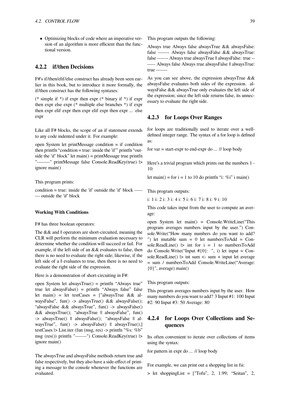• Optimizing blocks of code where an imperative version of an algorithm is more efficient than the functional version.

# **4.2.2 if/then Decisions**

F#'s if/then/elif/else construct has already been seen earlier in this book, but to introduce it more formally, the if/then construct has the following syntaxes:

(\* simple if \*) if expr then expr (\* binary if \*) if expr then expr else expr (\* multiple else branches \*) if expr then expr elif expr then expr elif expr then expr ... else expr

Like all F# blocks, the scope of an if statement extends to any code indented under it. For example:

open System let printMessage condition = if condition then printfn "condition = true: inside the 'if'" printfn "outside the 'if' block" let main() = printMessage true printfn "--------" printMessage false Console.ReadKey(true) |> ignore main()

This program prints:

condition = true: inside the 'if' outside the 'if' block ----- --- outside the 'if' block

#### **Working With Conditions**

F# has three boolean operators:

The  $& \&$  and  $\parallel$  operators are short-circuited, meaning the CLR will perform the minimum evaluation necessary to determine whether the condition will succeed or fail. For example, if the left side of an && evaluates to false, then there is no need to evaluate the right side; likewise, if the left side of a  $\parallel$  evaluates to true, then there is no need to evaluate the right side of the expression.

Here is a demonstration of short-circuiting in F#:

open System let alwaysTrue() = printfn "Always true" true let alwaysFalse() = printfn "Always false" false let main() = let testCases = ["alwaysTrue && alwaysFalse", fun() -> alwaysTrue() && alwaysFalse(); "alwaysFalse && alwaysTrue", fun() -> alwaysFalse()  $&\&$  alwaysTrue(); "alwaysTrue  $\parallel$  alwaysFalse", fun() -> alwaysTrue() || alwaysFalse(); "alwaysFalse || alwaysTrue", fun() -> alwaysFalse() || alwaysTrue();] testCases |> List.iter (fun (msg, res) -> printfn "%s: %b" msg (res()) printfn "-------") Console.ReadKey(true) |> ignore main()

The alwaysTrue and alwaysFalse methods return true and false respectively, but they also have a side-effect of printing a message to the console whenever the functions are evaluated.

This program outputs the following:

Always true Always false alwaysTrue && alwaysFalse: false ------- Always false alwaysFalse && alwaysTrue: false ------- Always true alwaysTrue || alwaysFalse: true ------- Always false Always true alwaysFalse || alwaysTrue: true -------

As you can see above, the expression alwaysTrue && alwaysFalse evaluates both sides of the expression. alwaysFalse && alwaysTrue only evaluates the left side of the expression; since the left side returns false, its unnecessary to evaluate the right side.

## **4.2.3 for Loops Over Ranges**

for loops are traditionally used to iterate over a welldefined integer range. The syntax of a for loop is defined as:

for var = start-expr to end-expr do ... // loop body

Here's a trivial program which prints out the numbers 1 - 10:

let main() = for i = 1 to 10 do printfn "i: %i" i main()

This program outputs:

i: 1 i: 2 i: 3 i: 4 i: 5 i: 6 i: 7 i: 8 i: 9 i: 10

This code takes input from the user to compute an average:

open System let main() = Console.WriteLine("This program averages numbers input by the user.") Console.Write("How many numbers do you want to add? ") let mutable sum  $= 0$  let numbersToAdd  $=$  Console.ReadLine()  $\vert \rangle$  int for  $i = 1$  to numbersToAdd do Console.Write("Input #{0}: ", i) let input = Console.ReadLine()  $\triangleright$  int sum <- sum + input let average = sum / numbersToAdd Console.WriteLine("Average: {0}", average) main()

This program outputs:

This program averages numbers input by the user. How many numbers do you want to add? 3 Input #1: 100 Input #2: 90 Input #3: 50 Average: 80

# **4.2.4 for Loops Over Collections and Sequences**

Its often convenient to iterate over collections of items using the syntax:

for pattern in expr do ... // loop body

For example, we can print out a shopping list in fsi:

 $>$  let shoppingList = ["Tofu", 2, 1.99; "Seitan", 2,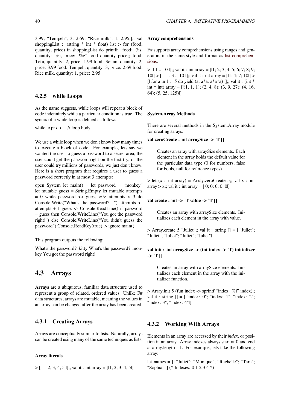3.99; "Tempeh", 3, 2.69; "Rice milk", 1, 2.95;];; val shoppingList : (string  $*$  int  $*$  float) list  $>$  for (food, quantity, price) in shoppingList do printfn "food: %s, quantity: %i, price: %g" food quantity price;; food: Tofu, quantity: 2, price: 1.99 food: Seitan, quantity: 2, price: 3.99 food: Tempeh, quantity: 3, price: 2.69 food: Rice milk, quantity: 1, price: 2.95

# **4.2.5 while Loops**

As the name suggests, while loops will repeat a block of code indefinitely while a particular condition is true. The syntax of a while loop is defined as follows:

while expr do ... // loop body

We use a while loop when we don't know how many times to execute a block of code. For example, lets say we wanted the user to guess a password to a secret area; the user could get the password right on the first try, or the user could try millions of passwords, we just don't know. Here is a short program that requires a user to guess a password correctly in at most 3 attempts:

open System let main() = let password = "monkey" let mutable guess = String.Empty let mutable attempts = 0 while password <> guess && attempts < 3 do Console.Write("What's the password? ") attempts < attempts + 1 guess <- Console.ReadLine() if password = guess then Console.WriteLine("You got the password right!") else Console.WriteLine("You didn't guess the password") Console.ReadKey(true) |> ignore main()

This program outputs the following:

What's the password? kitty What's the password? monkey You got the password right!

# **4.3 Arrays**

**Arrays** are a ubiquitous, familiar data structure used to represent a group of related, ordered values. Unlike F# data structures, arrays are mutable, meaning the values in an array can be changed after the array has been created.

# **4.3.1 Creating Arrays**

Arrays are conceptually similar to lists. Naturally, arrays can be created using many of the same techniques as lists:

#### **Array literals**

 $>$  [| 1; 2; 3; 4; 5 |];; val it : int array = [11; 2; 3; 4; 5|]

#### **Array comprehensions**

F# supports array comprehensions using ranges and generators in the same style and format as list comprehensions:

 $>$  [| 1 .. 10 |];; val it : int array = [11; 2; 3; 4; 5; 6; 7; 8; 9;  $10| > 11...3...10|$ ;; val it : int array = [11; 4; 7; 10] > [ $\vert$  for a in 1  $\ldots$  5 do yield (a, a\*a, a\*a\*a)  $\vert \vert$ ;; val it : (int \* int  $*$  int) array =  $[(1, 1, 1); (2, 4, 8); (3, 9, 27); (4, 16,$ 64); (5, 25, 125)|]

#### **System.Array Methods**

There are several methods in the System.Array module for creating arrays:

## **val zeroCreate : int arraySize -> 'T []**

Creates an array with arraySize elements. Each element in the array holds the default value for the particular data type (0 for numbers, false for bools, null for reference types).

 $>$  let (x : int array) = Array.zeroCreate 5;; val x : int  $arrav > x$ ;; val it : int  $arrav = [10; 0; 0; 0; 0]$ 

# **val create : int -> 'T value -> 'T []**

Creates an array with arraySize elements. Initializes each element in the array with value.

 $>$  Array.create 5 "Juliet"; val it : string  $[] = []$ "Juliet"; "Juliet"; "Juliet"; "Juliet"; "Juliet"|]

# **val init : int arraySize -> (int index -> 'T) initializer -> 'T []**

Creates an array with arraySize elements. Initializes each element in the array with the initializer function.

> Array.init 5 (fun index -> sprintf "index: %i" index);; val it : string  $[] = []$ "index: 0"; "index: 1"; "index: 2"; "index: 3"; "index: 4"|]

# **4.3.2 Working With Arrays**

Elements in an array are accessed by their *index*, or position in an array. Array indexes always start at 0 and end at array.length - 1. For example, lets take the following array:

let names = [| "Juliet"; "Monique"; "Rachelle"; "Tara"; "Sophia" |] (\* Indexes: 0 1 2 3 4 \*)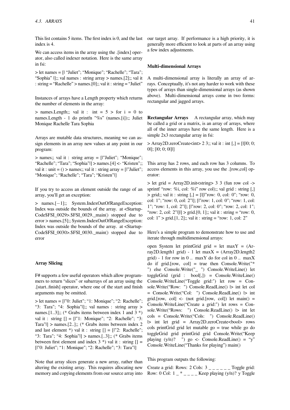This list contains 5 items. The first index is 0, and the last index is 4.

We can access items in the array using the .[index] operator, also called indexer notation. Here is the same array in fsi:

> let names = [| "Juliet"; "Monique"; "Rachelle"; "Tara"; "Sophia" |];; val names : string array > names.[2];; val it : string = "Rachelle" > names.[0];; val it : string = "Juliet"

Instances of arrays have a Length property which returns the number of elements in the array:

 $>$  names. Length;; val it : int = 5  $>$  for i = 0 to names.Length - 1 do printfn "%s" (names.[i]);; Juliet Monique Rachelle Tara Sophia

Arrays are mutable data structures, meaning we can assign elements in an array new values at any point in our program:

> names;; val it : string array = [|"Juliet"; "Monique"; "Rachelle"; "Tara"; "Sophia"|] > names.[4] <- "Kristen";; val it : unit  $= ()$  > names;; val it : string array  $=$  [ $"Juliet"$ ; "Monique"; "Rachelle"; "Tara"; "Kristen"|]

If you try to access an element outside the range of an array, you'll get an exception:

> names.[*−*1];; System.IndexOutOfRangeException: Index was outside the bounds of the array. at <Startup-Code\$FSI\_0029>.\$FSI\_0029.\_main() stopped due to error > names.[5];; System.IndexOutOfRangeException: Index was outside the bounds of the array. at <Startup-Code \$FSI 0030>. \$FSI 0030. main() stopped due to error

#### **Array Slicing**

F# supports a few useful operators which allow programmers to return "slices" or subarrays of an array using the .[start..finish] operator, where one of the start and finish arguments may be omitted.

> let names = [|"0: Juliet"; "1: Monique"; "2: Rachelle"; "3: Tara"; "4: Sophia"|];; val names : string array > names.[1..3];; (\* Grabs items between index 1 and 3 \*) val it : string  $[] = []$ "1: Monique"; "2: Rachelle"; "3: Tara" $|$  > names.[2..];; (\* Grabs items between index 2 and last element \*) val it : string  $[] = [I"2: Rachelle";$ "3: Tara"; "4: Sophia"|] > names.[..3];; (\* Grabs items between first element and index  $3$  \*) val it : string  $[] =$ [|"0: Juliet"; "1: Monique"; "2: Rachelle"; "3: Tara"|]

Note that array slices generate a new array, rather than altering the existing array. This requires allocating new memory and copying elements from our source array into our target array. If performance is a high priority, it is generally more efficient to look at parts of an array using a few index adjustments.

#### **Multi-dimensional Arrays**

A multi-dimensional array is literally an array of arrays. Conceptually, it's not any harder to work with these types of arrays than single-dimensional arrays (as shown above). Multi-dimensional arrays come in two forms: rectangular and jagged arrays.

**Rectangular Arrays** A rectangular array, which may be called a grid or a matrix, is an array of arrays, where all of the inner arrays have the same length. Here is a simple 2x3 rectangular array in fsi:

 $>$  Array2D.zeroCreate $\ltminus$ int $>$  2 3;; val it : int [,] = [|[|0; 0; 0|]; [|0; 0; 0|]|]

This array has 2 rows, and each row has 3 columns. To access elements in this array, you use the .[row,col] operator:

> let grid = Array2D.init<string> 3 3 (fun row col -> sprintf "row: %i, col: %i" row col);; val grid : string [,]  $>$  grid;; val it : string  $\lceil$ , $\rceil$  =  $\lceil$ | $\lceil$ | $\lceil$ "row: 0, col: 0"; "row: 0, col: 1"; "row: 0, col: 2"|]; [|"row: 1, col: 0"; "row: 1, col: 1"; "row: 1, col: 2"|]; [|"row: 2, col: 0"; "row: 2, col: 1"; "row: 2, col: 2"|||| > grid.[0, 1];; val it : string = "row: 0, col:  $1"$  > grid.[1, 2];; val it : string = "row: 1, col: 2"

Here's a simple program to demonstrate how to use and iterate through multidimensional arrays:

open System let printGrid grid = let maxY = (Array2D.length1 grid) - 1 let max $X = (Array2D.length2$ grid) - 1 for row in 0 .. maxY do for col in 0 .. maxX do if grid.[row, col] = true then Console.Write("\* ") else Console.Write("\_ ") Console.WriteLine() let toggleGrid (grid : bool[,]) = Console.WriteLine() Console.WriteLine("Toggle grid:") let row = Console.Write("Row: ") Console.ReadLine()  $\triangleright$  int let col = Console.Write("Col: ") Console.ReadLine() |> int grid.[row, col] <- (not grid.[row, col]) let  $\text{main}() =$ Console.WriteLine("Create a grid:") let rows = Console.Write("Rows: ") Console.ReadLine()  $\vert$  int let cols = Console.Write("Cols: ") Console.ReadLine() |> int let grid = Array2D.zeroCreate<bool> rows cols printGrid grid let mutable go = true while go do toggleGrid grid printGrid grid Console.Write("Keep playing  $(y/n)$ ? ") go <- Console.ReadLine() = "y" Console.WriteLine("Thanks for playing") main()

This program outputs the following:

Create a grid: Rows: 2 Cols:  $3 \_ \_ \_ \_ \_ \_$  Toggle grid: Row: 0 Col:  $1 - \times \_$  Keep playing  $(y/n)$ ? y Toggle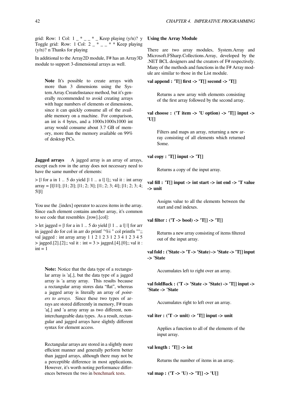grid: Row: 1 Col:  $1 - \times - \times -$  Keep playing  $(y/n)$ ? y Toggle grid: Row: 1 Col: 2  $_{-}$  \*  $_{-}$  \* \* Keep playing (y/n)? n Thanks for playing

In additional to the Array2D module, F# has an Array3D module to support 3-dimensional arrays as well.

Note It's possible to create arrays with more than 3 dimensions using the System.Array.CreateInstance method, but it's generally recommended to avoid creating arrays with huge numbers of elements or dimensions, since it can quickly consume all of the available memory on a machine. For comparison, an int is 4 bytes, and a  $1000x1000x1000$  int array would consume about 3.7 GB of memory, more than the memory available on 99% of desktop PCs.

**Jagged arrays** A jagged array is an array of arrays, except each row in the array does not necessary need to have the same number of elements:

 $>$  [| for a in 1 .. 5 do yield  $[1 \dots a]$ ]];; val it : int array  $array = [||[1][1]; [1; 2]; [1; 2; 3]; [1; 2; 3; 4]; [1; 2; 3; 4;$ 5|]|]

You use the .[index] operator to access items in the array. Since each element contains another array, it's common to see code that resembles .[row].[col]:

 $>$  let jagged = [ $\vert$  for a in 1  $\vert$  5 do yield  $\vert$   $\vert$  1  $\vert$  a  $\vert$   $\vert$   $\vert$  for arr in jagged do for col in arr do printf "%i" col printfn "";; val jagged : int array array 1 1 2 1 2 3 1 2 3 4 1 2 3 4 5  $>$  jagged.[2].[2];; val it : int = 3  $>$  jagged.[4].[0];; val it :  $int = 1$ 

**Note:** Notice that the data type of a rectangular array is 'a[,], but the data type of a jagged array is 'a array array. This results because a rectangular array stores data "flat", whereas a jagged array is literally an array of *pointers to arrays*. Since these two types of arrays are stored differently in memory, F# treats 'a[,] and 'a array array as two different, noninterchangeable data types. As a result, rectangular and jagged arrays have slightly different syntax for element access.

Rectangular arrays are stored in a slightly more efficient manner and generally perform better than jagged arrays, although there may not be a perceptible difference in most applications. However, it's worth noting performance differences between the two in benchmark tests.

#### **Using the Array Module**

There are two array modules, System.Array and Microsoft.FSharp.Collections.Array, developed by the .NET BCL designers and the creators of F# respectively. Many of the methods and functions in the F# Array module are similar to those in the List module.

**val append : 'T[] first -> 'T[] second -> 'T[]**

Returns a new array with elements consisting of the first array followed by the second array.

**val choose : ('T item -> 'U option) -> 'T[] input -> 'U[]**

Filters and maps an array, returning a new array consisting of all elements which returned Some.

**val copy : 'T[] input -> 'T[]**

Returns a copy of the input array.

# **val fill : 'T[] input -> int start -> int end -> 'T value -> unit**

Assigns value to all the elements between the start and end indexes.

**val filter : ('T -> bool) -> 'T[] -> 'T[]**

Returns a new array consisting of items filtered out of the input array.

**val fold : ('State -> 'T -> 'State) -> 'State -> 'T[] input -> 'State**

Accumulates left to right over an array.

**val foldBack : ('T -> 'State -> 'State) -> 'T[] input -> 'State -> 'State**

Accumulates right to left over an array.

**val iter : ('T -> unit) -> 'T[] input -> unit**

Applies a function to all of the elements of the input array.

**val length : 'T[] -> int**

Returns the number of items in an array.

**val map : ('T -> 'U) -> 'T[] -> 'U[]**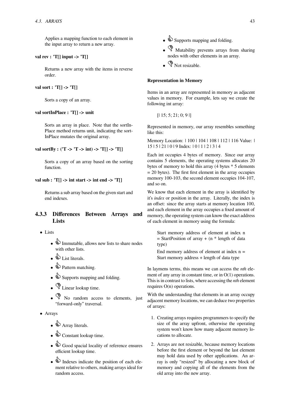Applies a mapping function to each element in the input array to return a new array.

# **val rev : 'T[] input -> 'T[]**

Returns a new array with the items in reverse order.

# **val sort : 'T[] -> 'T[]**

Sorts a copy of an array.

#### **val sortInPlace : 'T[] -> unit**

Sorts an array in place. Note that the sortIn-Place method returns unit, indicating the sort-InPlace mutates the original array.

# **val sortBy : ('T -> 'T -> int) -> 'T[] -> 'T[]**

Sorts a copy of an array based on the sorting function.

## **val sub : 'T[] -> int start -> int end -> 'T[]**

Returns a sub array based on the given start and end indexes.

# **4.3.3 Differences Between Arrays and Lists**

- *•* Lists
	- $\bullet$  Immutable, allows new lists to share nodes with other lists.
	- *•* List literals.
	- **•** Pattern matching.
	- $\triangle$  Supports mapping and folding.
	- **V** Linear lookup time.
	- $\sqrt{\frac{6}{5}}$  No random access to elements, just "forward-only" traversal.
- *•* Arrays
	- **•** Array literals.
	- $\mathbf{\hat{\Phi}}$  Constant lookup time.
	- $\bullet$  Good spacial locality of reference ensures efficient lookup time.
	- $\bullet$  Indexes indicate the position of each element relative to others, making arrays ideal for random access.
- $\bullet$  Supports mapping and folding.
- **••** Mutability prevents arrays from sharing nodes with other elements in an array.
- **V** Not resizable.

### **Representation in Memory**

Items in an array are represented in memory as adjacent values in memory. For example, lets say we create the following int array:

```
[1\,15; 5; 21; 0; 9]
```
Represented in memory, our array resembles something like this:

Memory Location: | 100 | 104 | 108 | 112 | 116 Value: | 15 | 5 | 21 | 0 | 9 Index: | 0 | 1 | 2 | 3 | 4

Each int occupies 4 bytes of memory. Since our array contains 5 elements, the operating systems allocates 20 bytes of memory to hold this array (4 bytes \* 5 elements  $= 20$  bytes). The first first element in the array occupies memory 100-103, the second element occupies 104-107, and so on.

We know that each element in the array is identified by it's *index* or position in the array. Literally, the index is an offset: since the array starts at memory location 100, and each element in the array occupies a fixed amount of memory, the operating system can know the exact address of each element in memory using the formula:

Start memory address of element at index n  $=$  StartPosition of array  $+$  (n  $*$  length of data type)

End memory address of element at index  $n =$ Start memory address + length of data type

In laymens terms, this means we can access the *nth* element of any array in constant time, or in O(1) operations. This is in contrast to lists, where accessing the *nth* element requires O(n) operations.

With the understanding that elements in an array occupy adjacent memory locations, we can deduce two properties of arrays:

- 1. Creating arrays requires programmers to specify the size of the array upfront, otherwise the operating system won't know how many adjacent memory locations to allocate.
- 2. Arrays are not resizable, because memory locations before the first element or beyond the last element may hold data used by other applications. An array is only "resized" by allocating a new block of memory and copying all of the elements from the old array into the new array.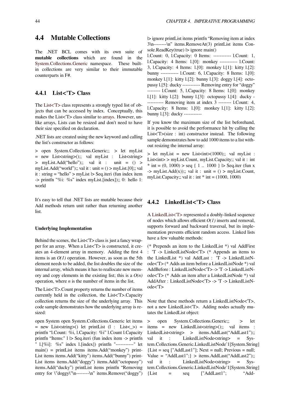# **4.4 Mutable Collections**

The .NET BCL comes with its own suite of **mutable collections** which are found in the System.Collections.Generic namespace. These builtin collections are very similar to their immutable counterparts in F#.

# **[4.4.1 List<](http://msdn.microsoft.com/en-us/library/system.collections.generic.aspx)'[T> Clas](http://msdn.microsoft.com/en-us/library/system.collections.generic.aspx)s**

The List<'T> class represents a strongly typed list of objects that can be accessed by index. Conceptually, this makes the List<'T> class similar to arrays. However, unlike arrays, Lists can be resized and don't need to have thei[r size spec](http://msdn.microsoft.com/en-us/library/6sh2ey19.aspx)ified on declaration.

.NET lists are created using the ne[w keyw](https://en.wikibooks.org/wiki/F_Sharp_Programming/Arrays)ord and calling the list's constructor as follows:

> open System.Collections.Generic;; > let myList  $=$  new List < string > ();; val myList : List < string > > myList.Add("hello");; val it : unit = () > myList.Add("world");; val it : unit =  $()$  > myList.[0];; val it : string = "hello" > myList  $\triangleright$  Seq.iteri (fun index item -> printfn "%i: %s" index myList.[index]);; 0: hello 1: world

It's easy to tell that .NET lists are mutable because their Add methods return unit rather than returning another list.

#### **Underlying Implementation**

Behind the scenes, the List<'T> class is just a fancy wrapper for an array. When a List<'T> is constructed, it creates an 4-element array in memory. Adding the first 4 items is an  $O(1)$  operation. However, as soon as the 5th element needs to be added, the list doubles the size of the internal array, which means it has to reallocate new memory and copy elements in the existing list; this is a *O(n)* operation, where *n* is the number of items in the list.

The List<'T>.Count property returns the number of items currently held in the collection, the List<'T>.Capacity collection returns the size of the underlying array. This code sample demonstrates how the underlying array is resized:

open System open System.Collections.Generic let items  $=$  new List  $\langle$ string  $\rangle$  () let print List  $(1 : List < ) =$ printfn "l.Count: %i, l.Capacity: %i" l.Count l.Capacity printfn "Items:" l |> Seq.iteri (fun index item -> printfn " l.[%i]: %s" index l.[index]) printfn "-----------" let main() = printList items items.Add("monkey") print-List items items.Add("kitty") items.Add("bunny") print-List items items.Add("doggy") items.Add("octopussy") items.Add("ducky") printList items printfn "Removing entry for \"doggy\"\n--------\n" items.Remove("doggy") |> ignore printList items printfn "Removing item at index 3\n--------\n" items.RemoveAt(3) printList items Console.ReadKey(true)  $\triangleright$  ignore main()

l.Count: 0, l.Capacity: 0 Items: ----------- l.Count: 1, l.Capacity: 4 Items: l.[0]: monkey ----------- l.Count: 3, l.Capacity: 4 Items: l.[0]: monkey l.[1]: kitty l.[2]: bunny ----------- l.Count: 6, l.Capacity: 8 Items: l.[0]: monkey l.[1]: kitty l.[2]: bunny l.[3]: doggy l.[4]: octopussy l.[5]: ducky ----------- Removing entry for "doggy" -------- l.Count: 5, l.Capacity: 8 Items: l.[0]: monkey l.[1]: kitty l.[2]: bunny l.[3]: octopussy l.[4]: ducky - ---------- Removing item at index 3 -------- l.Count: 4, l.Capacity: 8 Items: l.[0]: monkey l.[1]: kitty l.[2]: bunny l.[3]: ducky -----------

If you know the maximum size of the list beforehand, it is possible to avoid the performance hit by calling the List<T>(size : int) constructor instead. The following sample demonstrates how to add 1000 items to a list without resizing the internal array:

 $>$  let myList = new List  $\langle 1000 \rangle$ ;; val myList : List<int> > myList.Count, myList.Capacity;; val it : int  $*$  int = (0, 1000) > seq { 1 .. 1000 }  $\triangleright$  Seq.iter (fun x  $\Rightarrow$  myList.Add(x));; val it : unit = () > myList.Count, myList.Capacity;; val it : int  $*$  int = (1000, 1000)

# **4.4.2 LinkedList<'T> Class**

A LinkedList<'T> represented a doubly-linked sequence of nodes which allows efficient *O(1)* inserts and removal, supports forward and backward traversal, but its implementation prevents efficient random access. Linked lists ha[ve a few valuabl](http://msdn.microsoft.com/en-us/library/he2s3bh7.aspx)e methods:

(\* Prepends an item to the LinkedList \*) val AddFirst : 'T -> LinkedListNode<'T> (\* Appends an items to the LinkedList \*) val AddLast : 'T -> LinkedListNode<'T> (\* Adds an item before a LinkedListNode \*) val AddBefore : LinkedListNode<'T> -> 'T -> LinkedListNode<'T> (\* Adds an item after a LinkedListNode \*) val AddAfter : LinkedListNode<'T> -> 'T -> LinkedListNode<'T>

Note that these methods return a LinkedListNode<'T>, not a new LinkedList<'T>. Adding nodes actually mutates the LinkedList object:

> open System.Collections.Generic;; > let items = new LinkedList<string>();; val items : LinkedList<string> > items.AddLast("AddLast1");; val it : LinkedListNode<string> = System.Collections.Generic.LinkedListNode`1[System.String]  ${List = seq ["AddLast1"]}; Next = null; Previous = null;$ Value = "AddLast1";} > items.AddLast("AddLast2");; val it : LinkedListNode<string> = System.Collections.Generic.LinkedListNode`1[System.String]  ${List}$  = seq  $["AddLast1";$  "Add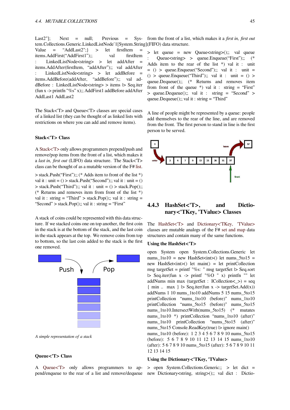Last2"]; Next = null; Previous =  $Sys$ tem.Collections.Generic.LinkedListNode`1[System.String]; (FIFO) data structure. from the front of a list, which makes it a *first in, first out*

Value = "AddLast2";} > let firstItem = items.AddFirst("AddFirst1");; val firstItem : LinkedListNode<string> > let addAfter = items.AddAfter(firstItem, "addAfter");; val addAfter : LinkedListNode<string> > let addBefore = items.AddBefore(addAfter, "addBefore");; val addBefore : LinkedListNode<string> > items |> Seq.iter (fun x -> printfn "%s" x);; AddFirst1 addBefore addAfter AddLast1 AddLast2

The Stack<'T> and Queue<'T> classes are special cases of a linked list (they can be thought of as linked lists with restrictions on where you can add and remove items).

#### **Stack<'T> Class**

A Stack<'T> only allows programmers prepend/push and remove/pop items from the front of a list, which makes it a *last in, first out* (LIFO) data structure. The Stack<'T> class can be thought of as a mutable version of the F# list.

> [stack.Push\(](http://msdn.microsoft.com/en-us/library/3278tedw.aspx)"First");; (\* Adds item to front of the list \*) val it : unit =  $()$  > stack.Push("Second");; val it : unit =  $()$  $>$  stack.Push("Third");; val it : unit = ()  $>$  stack.Pop();; (\* Returns and removes item from front of the lis[t \\*\)](https://en.wikibooks.org/wiki/F_Sharp_Programming/Lists) val it : string = "Third" > stack.Pop();; val it : string = "Second" > stack.Pop $($ );; val it : string = "First"

A stack of coins could be represented with this data structure. If we stacked coins one on top another, the first coin in the stack is at the bottom of the stack, and the last coin in the stack appears at the top. We remove coins from top to bottom, so the last coin added to the stack is the first one removed.



*A simple representation of a stack*

#### **Queue<'T> Class**

A Queue<'T> only allows programmers to ap-

> let queue = new Queue<string>();; val queue : Queue<string> > queue.Enqueue("First");; (\* Adds item to the rear of the list  $*)$  val it : unit  $= () >$  queue. Enqueue ("Second");; val it : unit = () > queue.Enqueue("Third");; val it : unit =  $()$  > queue.Dequeue();; (\* Returns and removes item from front of the queue  $*$ ) val it : string = "First" > queue.Dequeue();; val it : string = "Second" > queue.Dequeue $(i)$ ;; val it : string = "Third"

A line of people might be represented by a queue: people add themselves to the rear of the line, and are removed from the front. The first person to stand in line is the first person to be served.



# **4.4.3 HashSet<'T>, and Dictionary<'TKey, 'TValue> Classes**

The HashSet<'T> and Dictionary<'TKey, 'TValue> classes are mutable analogs of the F# set and map data structures and contain many of the same functions.

#### **Using the HashSet<'T>**

open [System op](http://msdn.microsoft.com/en-us/library/bb359438.aspx)en S[ystem.Collect](http://msdn.microsoft.com/en-us/library/xfhwa508.aspx)[ions.Generic](https://en.wikibooks.org/wiki/F_Sharp_Programming/Sets_and_Maps) [let](http://msdn.microsoft.com/en-us/library/xfhwa508.aspx) nums  $1\text{to}10 = \text{new}$  HashSet $\text{<}$ int $\text{>}$ () let nums  $5\text{to}15 =$ new HashSet $\langle int \rangle$  let main() = let printCollection msg targetSet = printf "%s: " msg targetSet |> Seq.sort |> Seq.iter(fun x -> printf "%O " x) printfn "" let addNums min max (targetSet : ICollection<\_>) = seq  $\{ \min \dots \max \}$   $\triangleright$  Seq.iter(fun x -> targetSet.Add(x)) addNums 1 10 nums\_1to10 addNums 5 15 nums\_5to15 printCollection "nums\_1to10 (before)" nums\_1to10 printCollection "nums\_5to15 (before)" nums\_5to15 nums\_1to10.IntersectWith(nums\_5to15) (\* mutates nums 1to10 \*) printCollection "nums 1to10 (after)" nums\_1to10 printCollection "nums\_5to15 (after)" nums  $5t015$  Console.ReadKey(true)  $|>$  ignore main() nums\_1to10 (before): 1 2 3 4 5 6 7 8 9 10 nums\_5to15 (before): 5 6 7 8 9 10 11 12 13 14 15 nums\_1to10 (after): 5 6 7 8 9 10 nums\_5to15 (after): 5 6 7 8 9 10 11 12 13 14 15

# **Using the Dictionary<'TKey, 'TValue>**

pend/enqueue to the rear of a list and remove/dequeue new Dictionary<string, string>();; val dict : Dictio-> open System.Collections.Generic;; > let dict =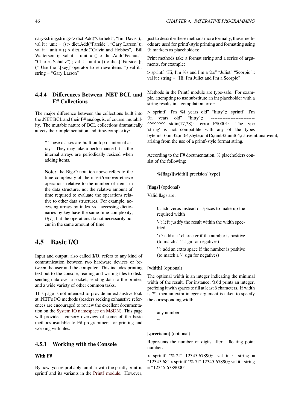nary<string,string>>dict.Add("Garfield", "Jim Davis");; val it : unit  $= () >$  dict.Add("Farside", "Gary Larson");; val it : unit  $= () >$  dict. Add("Calvin and Hobbes", "Bill Watterson");; val it : unit =  $()$  > dict.Add("Peanuts", "Charles Schultz");; val it : unit =  $()$  > dict.["Farside"];; (\* Use the '.[key]' operator to retrieve items \*) val it : string = "Gary Larson"

# **4.4.4 Differences Between .NET BCL and F# Collections**

The major difference between the collections built into the .NET BCL and their F# analogs is, of course, mutability. The mutable nature of BCL collections dramatically affects their implementation and time-complexity:

\* These classes are built on top of internal arrays. They may take a performance hit as the internal arrays are periodically resized when adding items.

**Note:** the Big-O notation above refers to the time-complexity of the insert/remove/retrieve operations relative to the number of items in the data structure, not the relative amount of time required to evaluate the operations relative to other data structures. For example, accessing arrays by index vs. accessing dictionaries by key have the same time complexity, *O(1)*, but the operations do not necessarily occur in the same amount of time.

# **4.5 Basic I/O**

Input and output, also called **I/O**, refers to any kind of communication between two hardware devices or between the user and the computer. This includes printing text out to the console, reading and writing files to disk, sending data over a socket, sending data to the printer, and a wide variety of other common tasks.

This page is not intended to provide an exhaustive look at .NET's I/O methods (readers seeking exhaustive references are encouraged to review the excellent documentation on the System.IO namespace on MSDN). This page will provide a cursory overview of some of the basic methods available to F# programmers for printing and working with files.

## **4.5.1 Working with the Console**

## **With F#**

By now, you're probably familiar with the printf, printfn, sprintf and its variants in the Printf module. However,

just to describe these methods more formally, these methods are used for printf-style printing and formatting using % markers as placeholders:

Print methods take a format string and a series of arguments, for example:

> sprintf "Hi, I'm %s and I'm a %s" "Juliet" "Scorpio";; val it : string = "Hi, I'm Juliet and I'm a Scorpio"

Methods in the Printf module are type-safe. For example, attempting to use substitute an int placeholder with a string results in a compilation error:

> sprintf "I'm %i years old" "kitty";; sprintf "I'm  $\%$ i years old" "kitty";;  $\lambda$ <sup> $\lambda$  $\lambda$  $\lambda$  $\lambda$  $\lambda$  stdin(17,28): error FS0001: The type</sup> 'string' is not compatible with any of the types byte,int16,int32,int64,sbyte,uint16,uint32,uint64,nativeint,unativeint, arising from the use of a printf-style format string.

According to the F# documentation, % placeholders consist of the following:

%[flags][width][.precision][type]

#### **[flags]** (optional)

Valid flags are:

0: add zeros instead of spaces to make up the required width

'-': left justify the result within the width specified

'+': add a '+' character if the number is positive (to match a '-' sign for negatives)

' ': add an extra space if the number is positive (to match a '-' sign for negatives)

#### **[width]** (optional)

The optional width is an integer indicating the minimal width of the result. For instance, %6d prints an integer, prefixing it with spaces to fill at least 6 characters. If width is '\*', then an extra integer argument is taken to specify the corresponding width.

any number '\*':

#### **[.precision]** (optional)

Represents the number of digits after a floating point number.

> sprintf "%.2f" 12345.67890;; val it : string = "12345.68" > sprintf "%.7f" 12345.67890;; val it : string  $=$  "12345.6789000"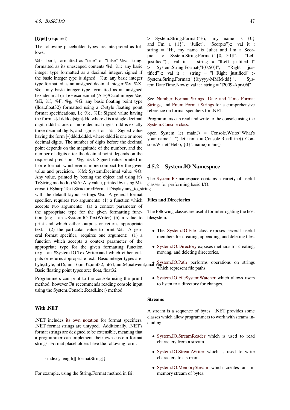#### **[type]** (required)

The following placeholder types are interpreted as follows:

%b: bool, formatted as "true" or "false" %s: string, formatted as its unescaped contents %d, %i: any basic integer type formatted as a decimal integer, signed if the basic integer type is signed. %u: any basic integer type formatted as an unsigned decimal integer %x, %X, %o: any basic integer type formatted as an unsigned hexadecimal (a-f)/Hexadecimal (A-F)/Octal integer %e, %E, %f, %F, %g, %G: any basic floating point type (float,float32) formatted using a C-style floating point format specifications, i.e %e, %E: Signed value having the form [-]d.dddde[sign]ddd where d is a single decimal digit, dddd is one or more decimal digits, ddd is exactly three decimal digits, and sign is  $+$  or  $-$  %f: Signed value having the form [-]dddd.dddd, where dddd is one or more decimal digits. The number of digits before the decimal point depends on the magnitude of the number, and the number of digits after the decimal point depends on the requested precision. %g, %G: Signed value printed in f or e format, whichever is more compact for the given value and precision. %M: System.Decimal value %O: Any value, printed by boxing the object and using it's ToString method(s) %A: Any value, printed by using Microsoft.FSharp.Text.StructuredFormat.Display.any\_to\_string with the default layout settings %a: A general format specifier, requires two arguments: (1) a function which accepts two arguments: (a) a context parameter of the appropriate type for the given formatting function (e.g. an #System.IO.TextWriter) (b) a value to print and which either outputs or returns appropriate text. (2) the particular value to print %t: A general format specifier, requires one argument: (1) a function which accepts a context parameter of the appropriate type for the given formatting function (e.g. an #System.IO.TextWriter)and which either outputs or returns appropriate text. Basic integer types are: byte,sbyte,int16,uint16,int32,uint32,int64,uint64,nativeint,unativem.IO.Path performs operations on strings Basic floating point types are: float, float32

Programmers can print to the console using the printf method, however F# recommends reading console input using the System.Console.ReadLine() method.

#### **With .NET**

.NET includes its own notation for format specifiers. .NET format strings are untyped. Additionally, .NET's format strings are designed to be extensible, meaning that a programmer can implement their own custom format strings. Format [placeholders have](http://msdn.microsoft.com/en-us/library/26etazsy.aspx) the following form:

{index[, length][:formatString]}

For example, using the String.Format method in fsi:

> System.String.Format("Hi, my name is {0} and I'm a {1}", "Juliet", "Scorpio");; val it : string = "Hi, my name is Juliet and I'm a Scorpio" > System.String.Format("|{0,*−*50}|", "Left justified");; val it : string = "|Left justified |" > System.String.Format("|{0,50}|", "Right justified");; val it : string = "| Right justified|"  $>$ System.String.Format("|{0:yyyy-MMM-dd}|", System.DateTime.Now);; val it : string = "|2009-Apr-06|"

See Number Format Strings, Date and Time Format Strings, and Enum Format Strings for a comprehensive reference on format specifiers for .NET.

Programmers can read and writ[e to the console using the](http://msdn.microsoft.com/en-us/library/97x6twsz.aspx) Syst[em.Console class:](http://msdn.microsoft.com/en-us/library/427bttx3.aspx)

[open S](http://msdn.microsoft.com/en-us/library/97x6twsz.aspx)yste[m let main\(\) = C](http://msdn.microsoft.com/en-us/library/c3s1ez6e.aspx)onsole.Write("What's your name? ") let name = Console.ReadLine() Con[sole.Write\("Hello, {0](http://msdn.microsoft.com/en-us/library/system.console.aspx)}", name) main()

## **4.5.2 System.IO Namespace**

The System.IO namespace contains a variety of useful classes for performing basic I/O.

## **File[s and Direc](http://msdn.microsoft.com/en-us/library/system.io.aspx)tories**

The following classes are useful for interrogating the host filesystem:

- *•* The System.IO.File class exposes several useful members for creating, appending, and deleting files.
- *•* System.IO.Directory exposes methods for creating, movi[ng, and deleting](http://msdn.microsoft.com/en-us/library/system.io.file.aspx) directories.

[which represent file p](http://msdn.microsoft.com/en-us/library/system.io.directory.aspx)aths.

*•* System.IO.FileSystemWatcher which allows users [to listen to a dir](http://msdn.microsoft.com/en-us/library/system.io.path.aspx)ectory for changes.

#### **Stre[ams](http://msdn.microsoft.com/en-us/library/system.io.filesystemwatcher.aspx)**

A stream is a sequence of bytes. .NET provides some classes which allow programmers to work with steams including:

- *•* System.IO.StreamReader which is used to read characters from a stream.
- System.IO.StreamWriter which is used to write [characters to a stream.](http://msdn.microsoft.com/en-us/library/system.io.streamreader.aspx)
- *•* System.IO.MemoryStream which creates an in[memory stream of bytes.](http://msdn.microsoft.com/en-us/library/system.io.streamwriter.aspx)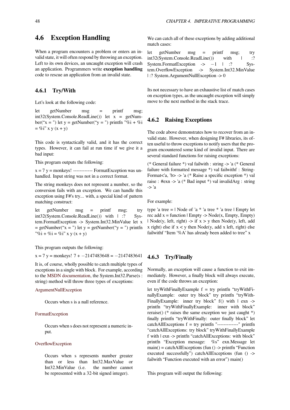# **4.6 Exception Handling**

When a program encounters a problem or enters an invalid state, it will often respond by throwing an exception. Left to its own devices, an uncaught exception will crash an application. Programmers write **exception handling** code to rescue an application from an invalid state.

# **4.6.1 Try/With**

Let's look at the following code:

let getNumber msg = printf msg;  $int32(System.Console, ReadLine())$  let  $x = getNum$ ber("x = ") let y = getNumber("y = ") printfn "%i + %i  $= \%i"$  x y (x + y)

This code is syntactically valid, and it has the correct types. However, it can fail at run time if we give it a bad input:

This program outputs the following:

 $x = 7$  y = monkeys! ------------ FormatException was unhandled. Input string was not in a correct format.

The string monkeys does not represent a number, so the conversion fails with an exception. We can handle this exception using F#'s try... with, a special kind of pattern matching construct:

let getNumber msg = printf msg; try int32(System.Console.ReadLine()) with | :? System.FormatException -> System.Int32.MinValue let x  $=$  getNumber("x = ") let y = getNumber("y = ") printfn "%i + %i = %i" x y (x + y)

This program outputs the following:

x = 7 y = monkeys! 7 + *−*2147483648 = *−*2147483641

It is, of course, wholly possible to catch multiple types of exceptions in a single with block. For example, according to the MSDN documentation, the System.Int32.Parse(s : string) method will throw three types of exceptions:

#### ArgumentNullException

[Occurs when s is a null r](http://msdn.microsoft.com/en-us/library/b3h1hf19.aspx)eference.

#### [FormatException](http://msdn.microsoft.com/en-us/library/system.argumentnullexception.aspx)

Occurs when s does not represent a numeric input.

#### **OverflowException**

Occurs when s represents number greater than or less than Int32.MaxValue or [Int32.MinValu](http://msdn.microsoft.com/en-us/library/system.overflowexception.aspx)e (i.e. the number cannot be represented with a 32-bit signed integer).

We can catch all of these exceptions by adding additional match cases:

let getNumber msg = printf msg; try int32(System.Console.ReadLine()) with | :? System.FormatException -> −1 | :? System.OverflowException -> System.Int32.MinValue System.Int32.MinValue | :? System.ArgumentNullException -> 0

Its not necessary to have an exhaustive list of match cases on exception types, as the uncaught exception will simply move to the next method in the stack trace.

# **4.6.2 Raising Exceptions**

The code above demonstrates how to recover from an invalid state. However, when designing F# libraries, its often useful to throw exceptions to notify users that the program encountered some kind of invalid input. There are several standard functions for raising exceptions:

(\* General failure \*) val failwith : string -> 'a (\* General failure with formatted message \*) val failwithf : String-Format<'a, 'b> -> 'a (\* Raise a specific exception \*) val raise : #exn -> 'a (\* Bad input \*) val invalidArg : string -> 'a

For example:

type 'a tree  $=$  | Node of 'a  $*$  'a tree  $*$  'a tree | Empty let rec add  $x =$  function  $|$  Empty -> Node(x, Empty, Empty) | Node(y, left, right)  $\rightarrow$  if  $x > y$  then Node(y, left, add x right) else if  $x < y$  then Node(y, add x left, right) else failwithf "Item '%A' has already been added to tree" x

# **4.6.3 Try/Finally**

Normally, an exception will cause a function to exit immediately. However, a finally block will always execute, even if the code throws an exception:

let tryWithFinallyExample  $f = try$  printfn "tryWithFinallyExample: outer try block" try printfn "tryWith-FinallyExample: inner try block" f() with  $\mid$  exn -> printfn "tryWithFinallyExample: inner with block" reraise() (\* raises the same exception we just caught \*) finally printfn "tryWithFinally: outer finally block" let  $catchAllExceptions f = try printfn "-----" printfn$ "catchAllExceptions: try block" tryWithFinallyExample f with  $|\text{exn} \rangle$  printfn "catchAllExceptions: with block" printfn "Exception message: %s" exn.Message let  $main() = catch All Exceptions (fun () \rightarrow printfn "Function$ executed successfully") catchAllExceptions (fun () -> failwith "Function executed with an error") main()

This program will output the following: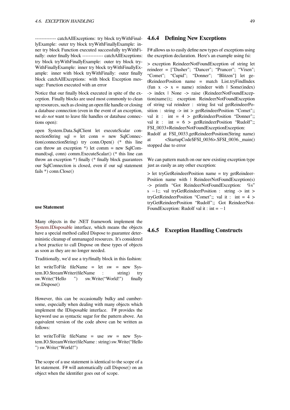------------- catchAllExceptions: try block tryWithFinallyExample: outer try block tryWithFinallyExample: inner try block Function executed successfully tryWithFinally: outer finally block ------------- catchAllExceptions: try block tryWithFinallyExample: outer try block try-WithFinallyExample: inner try block tryWithFinallyExample: inner with block tryWithFinally: outer finally block catchAllExceptions: with block Exception message: Function executed with an error

Notice that our finally block executed in spite of the exception. Finally blocks are used most commonly to clean up resources, such as closing an open file handle or closing a database connection (even in the event of an exception, we *do not* want to leave file handles or database connections open):

open System.Data.SqlClient let executeScalar connectionString sql = let conn = new SqlConnection(connectionString) try conn.Open() (\* this line can throw an exception  $*)$  let comm = new SqlCommand(sql, conn) comm.ExecuteScalar() (\* this line can throw an exception \*) finally (\* finally block guarantees our SqlConnection is closed, even if our sql statement fails \*) conn.Close()

#### **use Statement**

Many objects in the .NET framework implement the System.IDisposable interface, which means the objects have a special method called Dispose to guarantee deterministic cleanup of unmanaged resources. It's considered a best practice to call Dispose on these types of objects [as soon as they are n](http://msdn.microsoft.com/en-us/library/system.idisposable.aspx)o longer needed.

Traditionally, we'd use a try/finally block in this fashion:

let writeToFile fileName = let sw = new System.IO.StreamWriter(fileName : string) try sw.Write("Hello ") sw.Write("World!") finally sw.Dispose()

However, this can be occasionally bulky and cumbersome, especially when dealing with many objects which implement the IDisposable interface. F# provides the keyword use as syntactic sugar for the pattern above. An equivalent version of the code above can be written as follows:

let writeToFile fileName = use sw = new System.IO.StreamWriter(fileName : string) sw.Write("Hello ") sw.Write("World!")

The scope of a use statement is identical to the scope of a let statement. F# will automatically call Dispose() on an object when the identifier goes out of scope.

#### **4.6.4 Defining New Exceptions**

F# allows us to easily define new types of exceptions using the exception declaration. Here's an example using fsi:

> exception ReindeerNotFoundException of string let reindeer = ["Dasher"; "Dancer"; "Prancer"; "Vixen"; "Comet"; "Cupid"; "Donner"; "Blitzen"] let getReindeerPosition name = match List.tryFindIndex (fun  $x \rightarrow x =$  name) reindeer with  $\mid$  Some(index) -> index | None -> raise (ReindeerNotFoundException(name));; exception ReindeerNotFoundException of string val reindeer : string list val getReindeerPosition : string -> int > getReindeerPosition "Comet";; val it : int =  $4 > getReindeerPosition$  "Donner";; val it : int = 6 > getReindeerPosition "Rudolf";; FSI\_0033+ReindeerNotFoundExceptionException:

Rudolf at FSI\_0033.getReindeerPosition(String name) at <StartupCode\$FSI\_0036>.\$FSI\_0036.\_main() stopped due to error

We can pattern match on our new existing exception type just as easily as any other exception:

> let tryGetReindeerPosition name = try getReindeer-Position name with | ReindeerNotFoundException(s) -> printfn "Got ReindeerNotFoundException: %s" s −1;; val tryGetReindeerPosition : string -> int > tryGetReindeerPosition "Comet";; val it : int = 4 > tryGetReindeerPosition "Rudolf";; Got ReindeerNot-FoundException: Rudolf val it : int = *−*1

# **4.6.5 Exception Handling Constructs**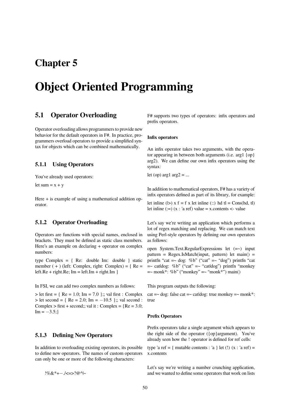# **Chapter 5**

# **Object Oriented Programming**

# **5.1 Operator Overloading**

Operator overloading allows programmers to provide new behavior for the default operators in F#. In practice, programmers overload operators to provide a simplified syntax for objects which can be combined mathematically.

# **5.1.1 Using Operators**

You've already used operators:

let sum  $= x + y$ 

Here + is example of using a mathematical addition operator.

# **5.1.2 Operator Overloading**

Operators are functions with special names, enclosed in brackets. They must be defined as static class members. Here's an example on declaring + operator on complex numbers:

type Complex  $= \{$  Re: double Im: double  $\}$  static member  $( + )$  (left: Complex, right: Complex) = { $Re =$ left.Re + right.Re;  $Im = leftIm + rightIm$  }

In FSI, we can add two complex numbers as follows:

 $>$  let first = { Re = 1.0; Im = 7.0 };; val first : Complex > let second = { Re = 2.0; Im = *−*10.5 };; val second : Complex  $>$  first + second;; val it : Complex = {Re = 3.0; Im = *−*3.5;}

# **5.1.3 Defining New Operators**

In addition to overloading existing operators, its possible to define new operators. The names of custom operators can only be one or more of the following characters:

!%&\*+*−*./<=>?@^|~

F# supports two types of operators: infix operators and prefix operators.

#### **Infix operators**

An infix operator takes two arguments, with the operator appearing in between both arguments (i.e. arg1 {op} arg2). We can define our own infix operators using the syntax:

let (op) arg $1$  arg $2 = ...$ 

In addition to mathematical operators, F# has a variety of infix operators defined as part of its library, for example:

let inline  $(|> x f = f x$  let inline  $(:.)$  hd tl = Cons(hd, tl) let inline  $(:=)$   $(x : 'a \text{ ref})$  value = x.contents <- value

Let's say we're writing an application which performs a lot of regex matching and replacing. We can match text using Perl-style operators by defining our own operators as follows:

open System.Text.RegularExpressions let (=~) input pattern =  $Regex.IsMatch(input, pattern) let main() =$ printfn "cat =  $\sim$  dog: %b" ("cat" =  $\sim$  "dog") printfn "cat  $=$  catldog: %b" ("cat"  $=$  "catldog") printfn "monkey  $=$  monk\*: %b" ("monkey"  $=$  "monk\*") main()

This program outputs the following:

cat =~ dog: false cat =~ cat dog: true monkey =~ monk\*: true

#### **Prefix Operators**

Prefix operators take a single argument which appears to the right side of the operator ({op}argument). You've already seen how the ! operator is defined for ref cells:

type 'a ref = { mutable contents : 'a } let (!)  $(x : 'a \text{ ref}) =$ x.contents

Let's say we're writing a number crunching application, and we wanted to define some operators that work on lists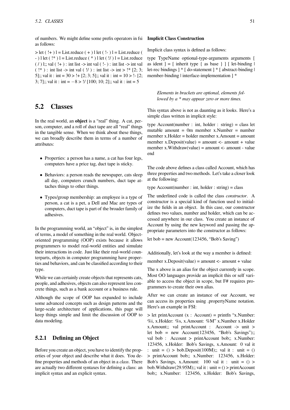of numbers. We might define some prefix operators in fsi **Implicit Class Construction** as follows:

 $>$  let ( $!+$ ) l = List.reduce ( $+$ ) l let ( $!-$ ) l = List.reduce ( -  $)$  l let  $(!*)$  l = List.reduce  $(*)$  l let  $(!')$  l = List.reduce ( / ) l;; val  $($ ! +  $)$  : int list  $\rightarrow$  int val  $($  ! -  $)$  : int list  $\rightarrow$  int val ( $!^*$ ) : int list -> int val ( $!/$ ) : int list -> int >  $!^*$  [2; 3; 5];; val it : int =  $30 > 1 + [2; 3; 5]$ ;; val it : int =  $10 > 1 - [2;$ 3; 7];; val it : int = *−*8 > !/ [100; 10; 2];; val it : int = 5

# **5.2 Classes**

In the real world, an **object** is a "real" thing. A cat, person, computer, and a roll of duct tape are all "real" things in the tangible sense. When we think about these things, we can broadly describe them in terms of a number of attributes:

- *•* Properties: a person has a name, a cat has four legs, computers have a price tag, duct tape is sticky.
- Behaviors: a person reads the newspaper, cats sleep all day, computers crunch numbers, duct tape attaches things to other things.
- *•* Types/group membership: an employee is a type of person, a cat is a pet, a Dell and Mac are types of computers, duct tape is part of the broader family of adhesives.

In the programming world, an "object" is, in the simplest of terms, a model of something in the real world. Objectoriented programming (OOP) exists because it allows programmers to model real-world entities and simulate their interactions in code. Just like their real-world counterparts, objects in computer programming have properties and behaviors, and can be classified according to their type.

While we can certainly create objects that represents cats, people, and adhesives, objects can also represent less concrete things, such as a bank account or a business rule.

Although the scope of OOP has expanded to include some advanced concepts such as design patterns and the large-scale architecture of applications, this page will keep things simple and limit the discussion of OOP to data modeling.

# **5.2.1 Defining an Object**

Before you create an object, you have to identify the properties of your object and describe what it does. You define properties and methods of an object in a *class*. There are actually two different syntaxes for defining a class: an implicit syntax and an explicit syntax.

Implicit class syntax is defined as follows:

type TypeName optional-type-arguments arguments [ as ident  $] = \lceil$  inherit type  $\{$  as base  $\}$   $\lceil$   $\lceil$  let-binding  $\lceil$ let-rec bindings ] \* [ do-statement ] \* [ abstract-binding | member-binding | interface-implementation ] \*

*Elements in brackets are optional, elements followed by a \* may appear zero or more times.*

This syntax above is not as daunting as it looks. Here's a simple class written in implicit style:

type Account(number : int, holder : string) = class let mutable amount = 0m member x.Number = number member x.Holder = holder member x.Amount = amount member x.Deposit(value) = amount  $\lt$ - amount + value member x. Withdraw(value) = amount  $\lt$ - amount - value end

The code above defines a class called Account, which has three properties and two methods. Let's take a closer look at the following:

type Account(number : int, holder : string) = class

The underlined code is called the class *constructor*. A constructor is a special kind of function used to initialize the fields in an object. In this case, our constructor defines two values, number and holder, which can be accessed anywhere in our class. You create an instance of Account by using the new keyword and passing the appropriate parameters into the constructor as follows:

let bob = new  $Account(123456, "Bob's Saving")$ 

Additionally, let's look at the way a member is defined:

member x.Deposit(value) = amount  $\lt$ - amount + value

The x above is an alias for the object currently in scope. Most OO languages provide an implicit this or self variable to access the object in scope, but F# requires programmers to create their own alias.

After we can create an instance of our Account, we can access its properties using .propertyName notation. Here's an example in FSI:

 $>$  let printAccount (x : Account) = printfn "x.Number: %i, x.Holder: %s, x.Amount: %M" x.Number x.Holder x.Amount;; val printAccount : Account -> unit > let bob = new  $Account(123456, "Bob's Savings");;$ val bob : Account > printAccount bob;; x.Number: 123456, x.Holder: Bob's Savings, x.Amount: 0 val it : unit =  $()$  > bob.Deposit $(100M)$ ;; val it : unit =  $()$ > printAccount bob;; x.Number: 123456, x.Holder: Bob's Savings, x.Amount: 100 val it : unit  $= ()$ bob.Withdraw(29.95M);; val it : unit =  $()$  > printAccount bob;; x.Number: 123456, x.Holder: Bob's Savings,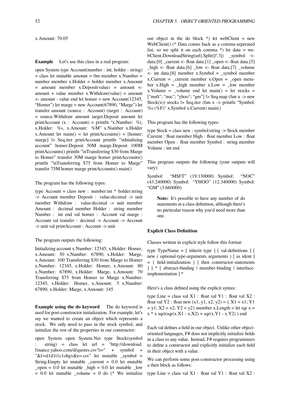#### x.Amount: 70.05

#### **Example** Let's use this class in a real program:

open System type Account(number : int, holder : string)  $=$  class let mutable amount  $= 0$ m member x.Number  $=$ number member x.Holder = holder member x.Amount  $=$  amount member x.Deposit(value)  $=$  amount  $\le$ amount + value member x.Withdraw(value) = amount  $\leq$  amount - value end let homer = new Account (12345, "Homer") let marge = new Account(67890, "Marge") let transfer amount (source : Account) (target : Account) = source.Withdraw amount target.Deposit amount let printAccount  $(x : Account) = printfn "x.Number: % i,$ x.Holder: %s, x.Amount: %M" x.Number x.Holder  $x$ .Amount let main() = let printAccounts() = [homer; marge] |> Seq.iter printAccount printfn "\nInializing account" homer.Deposit 50M marge.Deposit 100M printAccounts() printfn "\nTransferring \$30 from Marge to Homer" transfer 30M marge homer printAccounts() printfn "\nTransferring \$75 from Homer to Marge" transfer 75M homer marge printAccounts() main()

# The program has the following types:

type Account = class new : number:  $int * holder: string$ -> Account member Deposit : value:decimal -> unit member Withdraw : value:decimal -> unit member Amount : decimal member Holder : string member Number : int end val homer : Account val marge : Account val transfer : decimal -> Account -> Account -> unit val printAccount : Account -> unit

#### The program outputs the following:

Initializing account x.Number: 12345, x.Holder: Homer, x.Amount: 50 x.Number: 67890, x.Holder: Marge, x.Amount: 100 Transferring \$30 from Marge to Homer x.Number: 12345, x.Holder: Homer, x.Amount: 80 x.Number: 67890, x.Holder: Marge, x.Amount: 70 Transferring \$75 from Homer to Marge x.Number: 12345, x.Holder: Homer, x.Amount: 5 x.Number: 67890, x.Holder: Marge, x.Amount: 145

**Example using the do keyword** The do keyword is used for post-constructor initialization. For example, let's say we wanted to create an object which represents a stock. We only need to pass in the stock symbol, and initialize the rest of the properties in our constructor:

open System open System.Net type Stock(symbol string) = class let url = "http://download. finance.yahoo.com/d/quotes.csv?s=" + symbol "&f=sl1d1t1c1ohgv&e=.csv" let mutable \_symbol = String.Empty let mutable  $current = 0.0$  let mutable  $\_open = 0.0$  let mutable  $\_high = 0.0$  let mutable low  $= 0.0$  let mutable \_volume  $= 0$  do (\* We initialize our object in the do block  $*)$  let webClient = new WebClient() (\* Data comes back as a comma-seperated list, so we split it on each comma  $*)$  let data = webClient.DownloadString(url).Split([|','|]) \_symbol <data. $[0]$  \_current <- float data. $[1]$  \_open <- float data. $[5]$  $_\text{high}$  <- float data.[6]  $_\text{low}$  <- float data.[7]  $_\text{volume}$  $\le$ - int data.[8] member x.Symbol = \_symbol member  $x$ . Current = current member  $x$ . Open = open member x.High =  $_{high}$  member x.Low =  $_{low}$  member  $x.$ Volume = \_volume end let main() = let stocks =  ${\lceil}$ "msft"; "noc"; "yhoo"; "gm" ${\rceil}$   $\rceil$   $\leq$  Seq.map (fun x - $\gt$  new Stock(x)) stocks  $\triangleright$  Seq.iter (fun x -> printfn "Symbol: %s (%F)" x.Symbol x.Current) main()

This program has the following types:

type Stock = class new : symbol:string -> Stock member Current : float member High : float member Low : float member Open : float member Symbol : string member Volume : int end

This program outputs the following (your outputs will vary):

Symbol: "MSFT" (19.130000) Symbol: "NOC" (43.240000) Symbol: "YHOO" (12.340000) Symbol: "GM" (3.660000)

**Note:** It's possible to have any number of do statements in a class definition, although there's no particular reason why you'd need more than one.

#### **Explicit Class Definition**

Classes written in explicit style follow this format:

type TypeName = [ inherit type ] [ val-definitions ] [ new ( optional-type-arguments arguments ) [ as ident ] = { field-initialization } [ then constructor-statements ] ] \* [ abstract-binding | member-binding | interfaceimplementation ] \*

Here's a class defined using the explicit syntax:

type Line = class val  $X1$  : float val  $Y1$  : float val  $X2$  : float val Y2 : float new  $(x1, y1, x2, y2) = \{ X1 = x1; Y1$  $y = y1$ ;  $X2 = x2$ ;  $Y2 = y2$ } member x. Length = let sqr x =  $x * x$  sqrt(sqr(x.X1 - x.X2) + sqr(x.Y1 - x.Y2)) end

Each val defines a field in our object. Unlike other objectoriented languages, F# does not implicitly initialize fields in a class to any value. Instead, F# requires programmers to define a constructor and explicitly initialize each field in their object with a value.

We can perform some post-constructor processing using a then block as follows:

type Line = class val  $X1$  : float val  $Y1$  : float val  $X2$  :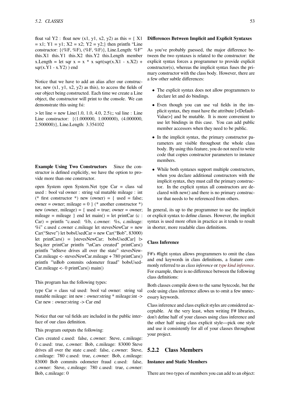float val Y2 : float new  $(x1, y1, x2, y2)$  as this  $= \{ X1$  $= x1$ ; Y1 = y1; X2 = x2; Y2 = y2;} then printfn "Line constructor:  $\{(\%F, \%F), (\%F, \%F)\}\$ , Line.Length:  $\%F$ " this.X1 this.Y1 this.X2 this.Y2 this.Length member  $x.Length = let$  sqr  $x = x * x$  sqrt(sqr(x.X1 - x.X2) +  $sqr(x.Y1 - x.Y2)$ ) end

Notice that we have to add an alias after our constructor, new  $(x1, y1, x2, y2)$  as this), to access the fields of our object being constructed. Each time we create a Line object, the constructor will print to the console. We can demonstrate this using fsi:

 $>$  let line = new Line(1.0, 1.0, 4.0, 2.5);; val line : Line Line constructor: {(1.000000, 1.000000), (4.000000, 2.500000)}, Line.Length: 3.354102

**Example Using Two Constructors** Since the constructor is defined explicitly, we have the option to provide more than one constructor.

open System open System.Net type Car = class val used : bool val owner : string val mutable mileage : int (\* first constructor \*) new (owner) = { used = false; owner = owner; mileage =  $0 \}$  (\* another constructor \*) new (owner, mileage) = { used = true; owner = owner; mileage = mileage } end let main() = let printCar (c :  $Car$ ) = printfn "c.used: %b, c.owner: %s, c.mileage:  $\%$ i" c.used c.owner c.mileage let stevesNewCar = new Car("Steve") let bobsUsedCar = new Car("Bob", 83000) let printCars() = [stevesNewCar; bobsUsedCar] |> Seq.iter printCar printfn "\nCars created" printCars() printfn "\nSteve drives all over the state" stevesNew-Car.mileage <- stevesNewCar.mileage + 780 printCars() printfn "\nBob commits odometer fraud" bobsUsed-Car.mileage <- 0 printCars() main()

This program has the following types:

type Car = class val used: bool val owner: string val mutable mileage: int new : owner:string \* mileage:int -> Car new : owner:string -> Car end

Notice that our val fields are included in the public interface of our class definition.

This program outputs the following:

Cars created c.used: false, c.owner: Steve, c.mileage: 0 c.used: true, c.owner: Bob, c.mileage: 83000 Steve drives all over the state c.used: false, c.owner: Steve, c.mileage: 780 c.used: true, c.owner: Bob, c.mileage: 83000 Bob commits odometer fraud c.used: false, c.owner: Steve, c.mileage: 780 c.used: true, c.owner: Bob, c.mileage: 0

#### **Differences Between Implicit and Explicit Syntaxes**

As you've probably guessed, the major difference between the two syntaxes is related to the constructor: the explicit syntax forces a programmer to provide explicit constructor(s), whereas the implicit syntax fuses the primary constructor with the class body. However, there are a few other subtle differences:

- *•* The explicit syntax does not allow programmers to declare let and do bindings.
- *•* Even though you can use val fields in the implicit syntax, they must have the attribute [<Default-Value>] and be mutable. It is more convenient to use let bindings in this case. You can add public member accessors when they need to be public.
- *•* In the implicit syntax, the primary constructor parameters are visible throughout the whole class body. By using this feature, you do not need to write code that copies constructor parameters to instance members.
- While both syntaxes support multiple constructors, when you declare additional constructors with the implicit syntax, they must call the primary constructor. In the explicit syntax all constructors are declared with new() and there is no primary constructor that needs to be referenced from others.

In general, its up to the programmer to use the implicit or explicit syntax to define classes. However, the implicit syntax is used more often in practice as it tends to result in shorter, more readable class definitions.

# **Class Inference**

F#'s #light syntax allows programmers to omit the class and end keywords in class definitions, a feature commonly referred to as *class inference* or *type kind inference*. For example, there is no difference between the following class definitions:

Both classes compile down to the same bytecode, but the code using class inference allows ust[o omit a few unnec](http://research.microsoft.com/en-us/um/cambridge/projects/fsharp/manual/spec2.aspx#_Toc207785727)essary keywords.

Class inference and class explicit styles are considered acceptable. At the very least, when writing F# libraries, don't define half of your classes using class inference and the other half using class explicit style—pick one style and use it consistently for all of your classes throughout your project.

# **5.2.2 Class Members**

## **Instance and Static Members**

There are two types of members you can add to an object: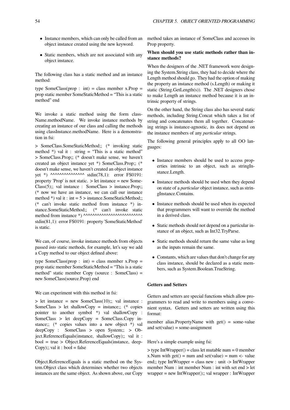- Instance members, which can only be called from an object instance created using the new keyword.
- *•* Static members, which are not associated with any object instance.

The following class has a static method and an instance method:

type SomeClass(prop : int) = class member x.Prop = prop static member SomeStaticMethod = "This is a static method" end

We invoke a static method using the form class-Name.methodName. We invoke instance methods by creating an instance of our class and calling the methods using classInstance.methodName. Here is a demonstration in fsi:

> SomeClass.SomeStaticMethod;; (\* invoking static method  $*$ ) val it : string = "This is a static method" > SomeClass.Prop;; (\* doesn't make sense, we haven't created an object instance yet \*) SomeClass.Prop;; (\* doesn't make sense, we haven't created an object instance yet \*)  $\Lambda$ <sup>^</sup>^^^^^^^^^^^^^^ stdin(78,1): error FS0191: property 'Prop' is not static. > let instance = new Some-Class(5);; val instance : SomeClass > instance.Prop;; (\* now we have an instance, we can call our instance method \*) val it : int  $= 5$  > instance.SomeStaticMethod;; (\* can't invoke static method from instance \*) instance.SomeStaticMethod;; (\* can't invoke static method from instance \*) ^^^^^^^^^^^^^^^^^^^^^^^^^^ stdin(81,1): error FS0191: property 'SomeStaticMethod' is static.

We can, of course, invoke instance methods from objects passed *into* static methods, for example, let's say we add a Copy method to our object defined above:

type SomeClass(prop : int) = class member  $x$ . Prop = prop static member SomeStaticMethod = "This is a static method" static member Copy (source : SomeClass) = new SomeClass(source.Prop) end

We can experiment with this method in fsi:

 $>$  let instance = new SomeClass(10);; val instance : SomeClass > let shallowCopy = instance;;  $(*$  copies pointer to another symbol \*) val shallowCopy : SomeClass > let deepCopy = SomeClass.Copy instance;; (\* copies values into a new object \*) val deepCopy : SomeClass > open System;; > Object.ReferenceEquals(instance, shallowCopy);; val it : bool = true > Object.ReferenceEquals(instance, deep-Copy);; val it : bool = false

Object.ReferenceEquals is a static method on the System.Object class which determines whether two objects instances are the same object. As shown above, our Copy method takes an instance of SomeClass and accesses its Prop property.

## **When should you use static methods rather than instance methods?**

When the designers of the .NET framework were designing the System.String class, they had to decide where the Length method should go. They had the option of making the property an instance method (s.Length) or making it static (String.GetLength(s)). The .NET designers chose to make Length an instance method because it is an intrinsic property of strings.

On the other hand, the String class also has several static methods, including String.Concat which takes a list of string and concatenates them all together. Concatenating strings is instance-agnostic, its does not depend on the instance members of any *particular* strings.

The following general principles apply to all OO languages:

- *•* Instance members should be used to access properties intrinsic to an object, such as stringInstance.Length.
- *•* Instance methods should be used when they depend on state of a *particular* object instance, such as stringInstance.Contains.
- Instance methods should be used when its expected that programmers will want to override the method in a derived class.
- *•* Static methods should not depend on a particular instance of an object, such as Int32.TryParse.
- Static methods should return the same value as long as the inputs remain the same.
- *•* Constants, which are values that don't change for any class instance, should be declared as a static members, such as System.Boolean.TrueString.

### **Getters and Setters**

Getters and setters are special functions which allow programmers to read and write to members using a convenient syntax. Getters and setters are written using this format:

member alias.PropertyName with  $get() = some-value$ and  $set(value) = some-assignment$ 

#### Here's a simple example using fsi:

 $>$  type IntWrapper() = class let mutable num = 0 member x. Num with  $get() = num$  and  $set(value) = num < - value$ end;; type IntWrapper = class new : unit -> IntWrapper member Num : int member Num : int with set end > let wrapper = new IntWrapper();; val wrapper : IntWrapper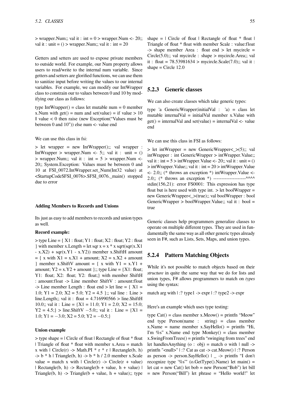$>$  wrapper.Num;; val it : int = 0  $>$  wrapper.Num <- 20;; val it : unit  $= ()$  > wrapper. Num;; val it : int  $= 20$ 

Getters and setters are used to expose private members to outside world. For example, our Num property allows users to read/write to the internal num variable. Since getters and setters are glorified functions, we can use them to sanitize input before writing the values to our internal variables. For example, we can modify our IntWrapper class to constrain our to values between 0 and 10 by modifying our class as follows:

type IntWrapper $()$  = class let mutable num = 0 member x.Num with get() = num and set(value) = if value > 10  $\parallel$  value  $\lt 0$  then raise (new Exception("Values must be between 0 and 10")) else num <- value end

We can use this class in fsi:

> let wrapper = new IntWrapper();; val wrapper : IntWrapper > wrapper.Num <- 5;; val it : unit =  $()$  $>$  wrapper.Num;; val it : int = 5  $>$  wrapper.Num <-20;; System.Exception: Values must be between 0 and 10 at FSI\_0072.IntWrapper.set\_Num(Int32 value) at <StartupCode\$FSI\_0076>.\$FSI\_0076.\_main() stopped due to error

#### **Adding Members to Records and Unions**

Its just as easy to add members to records and union types as well.

#### **Record example:**

 $>$  type Line = { $X1$  : float; Y1 : float; X2 : float; Y2 : float } with member x.Length = let sqr  $x = x * x$  sqrt(sqr(x.X1)  $- x.X2$ ) + sqr(x.Y1 - x.Y2)) member x.ShiftH amount  $= { x with X1 = x.X1 + amount; X2 = x.X2 + amount}$ } member x.ShiftV amount = { x with  $Y1 = x.Y1 +$ amount;  $Y2 = x.Y2 + amount$ ;; type Line = {X1: float; Y1: float; X2: float; Y2: float;} with member ShiftH : amount:float -> Line member ShiftV : amount:float  $\rightarrow$  Line member Length : float end  $>$  let line = { X1 = 1.0; Y1 = 2.0; X2 = 5.0; Y2 = 4.5 };; val line : Line > line.Length;; val it : float =  $4.716990566$  > line.ShiftH 10.0;; val it : Line =  ${X1 = 11.0; Y1 = 2.0; X2 = 15.0;$ Y2 = 4.5;} > line.ShiftV *−*5.0;; val it : Line = {X1 = 1.0; Y1 = *−*3.0; X2 = 5.0; Y2 = *−*0.5;}

#### **Union example**

> type shape = | Circle of float | Rectangle of float \* float | Triangle of float \* float with member x.Area = match x with  $\vert$  Circle(r) -> Math.PI \* r \* r  $\vert$  Rectangle(b, h)  $-$ > b  $*$  h | Triangle(b, h)  $-$ > b  $*$  h / 2.0 member x. Scale value = match x with  $\vert$  Circle(r) -> Circle(r + value) | Rectangle(b, h) -> Rectangle(b + value, h + value) | Triangle(b, h) -> Triangle(b + value, h + value);; type shape  $=$  | Circle of float | Rectangle of float  $*$  float | Triangle of float \* float with member Scale : value:float -> shape member Area : float end > let mycircle = Circle(5.0);; val mycircle : shape > mycircle.Area;; val it : float = 78.53981634 > mycircle.Scale(7.0);; val it : shape  $=$  Circle 12.0

# **5.2.3 Generic classes**

We can also create classes which take generic types:

type 'a GenericWrapper(initialVal : 'a) = class let mutable internalVal = initialVal member  $x$ . Value with  $get()$  = internalVal and set(value) = internalVal <- value end

We can use this class in FSI as follows:

 $>$  let intWrapper = new GenericWrapper $\lt$   $>$ (5);; val intWrapper : int GenericWrapper > intWrapper.Value;; val it : int =  $5 >$  intWrapper.Value <- 20;; val it : unit = () > intWrapper.Value;; val it : int = 20 > intWrapper.Value <- 2.0;; (\* throws an exception \*) intWrapper.Value <- 2.0;; (\* throws an exception \*) ---------------------^^^^ stdin(156,21): error FS0001: This expression has type float but is here used with type int.  $>$  let boolWrapper = new GenericWrapper<\_>(true);; val boolWrapper : bool GenericWrapper > boolWrapper.Value;; val it : bool = true

Generic classes help programmers generalize classes to operate on multiple different types. They are used in fundamentally the same way as all other generic types already seen in F#, such as Lists, Sets, Maps, and union types.

## **5.2.4 Pattern Matching Objects**

While it's not possible to match objects based on their *structure* in quite the same way that we do for lists and union types, F# allows programmers to match on *types* using the syntax:

match arg with  $|$  :? type1 -> expr  $|$  :? type2 -> expr

Here's an example which uses type testing:

type  $Cat() = class member x.Meow() = printfn "Meow"$ end type Person(name : string) = class member  $x.Name = name member x.SayHello() = printfn 'Hi,$ I'm %s" x.Name end type Monkey() = class member x.SwingFromTrees() = printfn "swinging from trees" end let handlesAnything  $(o : obj)$  = match o with | null -> printfn "<null>" | :? Cat as cat -> cat.Meow() | :? Person as person  $\rightarrow$  person.SayHello() | \_  $\rightarrow$  printfn "I don't recognize type '%s'" (o.GetType().Name) let main() = let cat = new Cat() let bob = new Person("Bob") let bill = new Person("Bill") let phrase = "Hello world!" let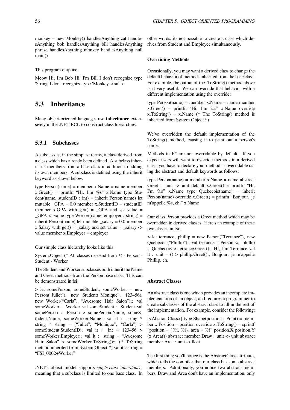monkey = new Monkey $()$  handlesAnything cat handlesAnything bob handlesAnything bill handlesAnything phrase handlesAnything monkey handlesAnything null main()

This program outputs:

Meow Hi, I'm Bob Hi, I'm Bill I don't recognize type 'String' I don't recognize type 'Monkey' <null>

# **5.3 Inheritance**

Many object-oriented languages use **inheritance** extensively in the .NET BCL to construct class hierarchies.

# **5.3.1 Subclasses**

A subclass is, in the simplest terms, a class derived from a class which has already been defined. A subclass inherits its members from a base class in addition to adding its own members. A subclass is defined using the inherit keyword as shown below:

type Person(name) = member x.Name = name member  $x.Greet()$  = printfn "Hi, I'm %s" x.Name type Stu $dent(name, studentID : int) = inherit Person(name) let$ mutable  $_GPA = 0.0$  member x.StudentID = studentID member x.GPA with get() =  $_GPA$  and set value = \_GPA <- value type Worker(name, employer : string) = inherit Person(name) let mutable  $\alpha$ salary = 0.0 member x.Salary with get() = \_salary and set value = \_salary  $\lt$ value member x.Employer = employer

Our simple class hierarchy looks like this:

System.Object (\* All classes descend from \*) - Person - Student - Worker

The Student and Worker subclasses both inherit the Name and Greet methods from the Person base class. This can be demonstrated in fsi:

> let somePerson, someStudent, someWorker = new Person("Juliet"), new Student("Monique", 123456), new Worker("Carla", "Awesome Hair Salon");; val someWorker : Worker val someStudent : Student val somePerson : Person > somePerson.Name, someStudent.Name, someWorker.Name;; val it : string \* string \* string = ("Juliet", "Monique", "Carla") > someStudent.StudentID;; val it : int = 123456 > someWorker.Employer;; val it : string = "Awesome Hair Salon" > someWorker.ToString();; (\* ToString method inherited from System.Object \*) val it : string = "FSI\_0002+Worker"

.NET's object model supports *single-class inheritance*, meaning that a subclass is limited to one base class. In other words, its not possible to create a class which derives from Student and Employee simultaneously.

#### **Overriding Methods**

Occasionally, you may want a derived class to change the default behavior of methods inherited from the base class. For example, the output of the .ToString() method above isn't very useful. We can override that behavior with a different implementation using the override:

type Person(name) = member x.Name = name member x.Greet() = printfn "Hi, I'm %s" x.Name override  $x.ToString() = x.Name (* The ToString() method is$ inherited from System.Object \*)

We've overridden the default implementation of the ToString() method, causing it to print out a person's name.

Methods in F# are not overridable by default. If you expect users will want to override methods in a derived class, you have to declare your method as overridable using the abstract and default keywords as follows:

type  $Person(name) = member x.Name = name abstract$ Greet : unit  $\rightarrow$  unit default x.Greet() = printfn "Hi, I'm %s" x.Name type Quebecois(name) = inherit Person(name) override x.Greet() = printfn "Bonjour, je m'appelle %s, eh." x.Name

Our class Person provides a Greet method which may be overridden in derived classes. Here's an example of these two classes in fsi:

> let terrance, phillip = new Person("Terrance"), new Quebecois("Phillip");; val terrance : Person val phillip : Quebecois > terrance.Greet();; Hi, I'm Terrance val it : unit =  $()$  > phillip. Greet $()$ ;; Bonjour, je m'appelle Phillip, eh.

#### **Abstract Classes**

An abstract class is one which provides an incomplete implementation of an object, and requires a programmer to create subclasses of the abstract class to fill in the rest of the implementation. For example, consider the following:

[<AbstractClass>] type Shape(position : Point) = member x.Position = position override x.ToString $()$  = sprintf "position =  $\{\%$ i, %i}, area = %f" position.X position.Y (x.Area()) abstract member Draw : unit -> unit abstract member Area : unit -> float

The first thing you'll notice is the AbstractClass attribute, which tells the compiler that our class has some abstract members. Additionally, you notice two abstract members, Draw and Area don't have an implementation, only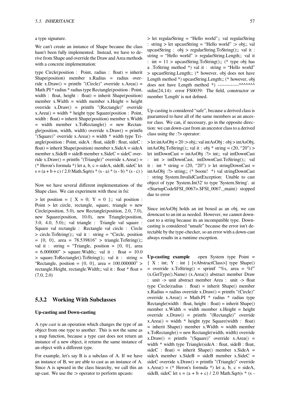#### a type signature.

We can't create an instance of Shape because the class hasn't been fully implemented. Instead, we have to derive from Shape and override the Draw and Area methods with a concrete implementation:

type Circle(position : Point, radius : float) = inherit  $Shape(position)$  member x.Radius = radius override x.Draw() = printfn "(Circle)" override x.Area() = Math.PI \* radius \* radius type Rectangle(position : Point, width : float, height : float) = inherit Shape(position) member x.Width = width member x.Height = height override x.Draw() = printfn "(Rectangle)" override  $x.Area() = width * height type Square(position : Point,$ width : float) = inherit Shape(position) member x.Width = width member x.ToRectangle() = new Rectangle(position, width, width) override  $x.Draw() = printfn$ "(Square)" override x.Area() = width  $*$  width type Triangle(position : Point, sideA : float, sideB : float, sideC :  $f$ loat) = inherit Shape(position) member x.SideA = sideA member x.SideB = sideB member x.SideC = sideC override x.Draw() = printfn "(Triangle)" override x.Area() = (\* Heron's formula \*) let a, b, c = sideA, sideB, sideC let  $s = (a + b + c) / 2.0$  Math.Sqrt(s \* (s - a) \* (s - b) \* (s - c))

Now we have several different implementations of the Shape class. We can experiment with these in fsi:

 $>$  let position = {  $X = 0$ ;  $Y = 0$  };; val position : Point  $>$  let circle, rectangle, square, triangle  $=$  new Circle(position, 5.0), new Rectangle(position, 2.0, 7.0), new Square(position, 10.0), new Triangle(position,  $3.0, 4.0, 5.0$ ; val triangle : Triangle val square : Square val rectangle : Rectangle val circle : Circle > circle.ToString();; val it : string = "Circle, position  $= \{0, 0\}$ , area = 78.539816" > triangle.ToString();; val it : string = "Triangle, position =  $\{0, 0\}$ , area  $= 6.000000$ " > square. Width;; val it : float  $= 10.0$ > square.ToRectangle().ToString();; val it : string = "Rectangle, position =  $\{0, 0\}$ , area =  $100.000000$ " > rectangle.Height, rectangle.Width;; val it : float  $*$  float = (7.0, 2.0)

## **5.3.2 Working With Subclasses**

#### **Up-casting and Down-casting**

A *type cast* is an operation which changes the type of an object from one type to another. This is not the same as a map function, because a type cast does not return an instance of a new object, it returns the same instance of an object with a different type.

For example, let's say B is a subclass of A. If we have an instance of B, we are able to cast as an instance of A. Since A is upward in the class hiearchy, we call this an up-cast. We use the  $\Rightarrow$  operator to perform upcasts:

> let regularString = "Hello world";; val regularString : string > let upcastString = "Hello world" :> obj;; val upcastString : obj > regularString.ToString();; val it : string = "Hello world" > regularString.Length;; val it : int =  $11$  > upcastString.ToString();; (\* type obj has a .ToString method \*) val it : string = "Hello world" > upcastString.Length;; (\* however, obj does not have Length method \*) upcastString.Length;; (\* however, obj does not have Length method \*) -------------^^^^^^^ stdin(24,14): error FS0039: The field, constructor or member 'Length' is not defined.

Up-casting is considered "safe", because a derived class is guaranteed to have all of the same members as an ancestor class. We can, if necessary, go in the opposite direction: we can down-cast from an ancestor class to a derived class using the :? > operator:

 $>$  let intAsObj = 20 : $>$  obj;; val intAsObj : obj  $>$  intAsObj, intAsObj.ToString();; val it : obj \* string =  $(20, "20")$  > let intDownCast = intAsObj :?> int;; val intDownCast : int > intDownCast, intDownCast.ToString();; val it : int \* string =  $(20, "20")$  > let stringDownCast = intAsObj :?> string;; (\* boom! \*) val stringDownCast : string System.InvalidCastException: Unable to cast object of type 'System.Int32' to type 'System.String'. at <StartupCode\$FSI\_0067>.\$FSI\_0067.\_main() stopped due to error

Since intAsObj holds an int boxed as an obj, we can downcast to an int as needed. However, we cannot downcast to a string because its an incompatible type. Downcasting is considered "unsafe" because the error isn't detectable by the type-checker, so an error with a down-cast always results in a runtime exception.

**Up-casting example** open System type Point = { X : int; Y : int } [<AbstractClass>] type Shape() = override x.ToString() = sprintf "%s, area = %f" (x.GetType().Name) (x.Area()) abstract member Draw : unit -> unit abstract member Area : unit -> float type Circle(radius : float) = inherit Shape() member  $x.Radius = radius override x.Draw() = printfn "(Circle)"$ override x.Area() = Math.PI  $*$  radius  $*$  radius type Rectangle(width : float, height : float) = inherit Shape() member x.Width = width member x.Height = height override x.Draw() = printfn "(Rectangle)" override  $x.Area() = width * height type Squarewidth : float)$  $=$  inherit Shape() member x. Width  $=$  width member x.ToRectangle() = new Rectangle(width, width) override  $x.Draw() = printfn$  "(Square)" override  $x.Area() =$ width \* width type Triangle(sideA : float, sideB : float,  $sideC : float) = inherit Shape() member x.SideA =$ sideA member  $x.SideB = sideB$  member  $x.SideC =$ sideC override x.Draw $()$  = printfn "(Triangle)" override  $xArea() = (* Heron's formula *) let a, b, c = sideA,$ sideB, sideC let  $s = (a + b + c) / 2.0$  Math.Sqrt(s  $*$  (s -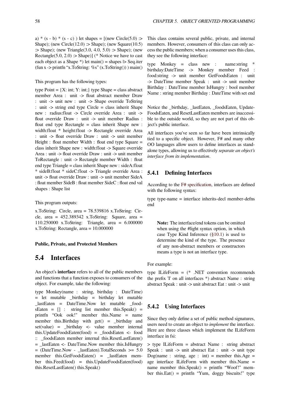a)  $*(s - b) * (s - c)$  ) let shapes =  $((new Circle(5.0) >$ Shape); (new Circle(12.0) :> Shape); (new Square(10.5) :  $\geq$  Shape); (new Triangle(3.0, 4.0, 5.0) :  $\geq$  Shape); (new Rectangle(5.0, 2.0) :> Shape)] (\* Notice we have to cast each object as a Shape  $*$ ) let main() = shapes  $\triangleright$  Seq.iter  $(fun x > printfn "x.ToString: %s" (x.ToString()) manin()$ 

This program has the following types:

type Point =  ${X: int; Y: int;}$  type Shape = class abstract member Area : unit -> float abstract member Draw : unit -> unit new : unit -> Shape override ToString : unit -> string end type Circle = class inherit Shape new : radius:float -> Circle override Area : unit -> float override Draw : unit -> unit member Radius : float end type Rectangle = class inherit Shape new : width:float \* height:float -> Rectangle override Area : unit -> float override Draw : unit -> unit member Height : float member Width : float end type Square = class inherit Shape new : width:float -> Square override Area : unit -> float override Draw : unit -> unit member ToRectangle : unit -> Rectangle member Width : float end type Triangle = class inherit Shape new : sideA:float \* sideB:float \* sideC:float -> Triangle override Area : unit -> float override Draw : unit -> unit member SideA : float member SideB : float member SideC : float end val shapes : Shape list

#### This program outputs:

x.ToString: Circle, area = 78.539816 x.ToString: Circle, area = 452.389342 x.ToString: Square, area = 110.250000 x.ToString: Triangle, area = 6.000000 x.ToString: Rectangle, area = 10.000000

#### **Public, Private, and Protected Members**

# **5.4 Interfaces**

An object's **interface** refers to all of the public members and functions that a function exposes to consumers of the object. For example, take the following:

type Monkey(name : string, birthday : DateTime) = let mutable \_birthday = birthday let mutable \_lastEaten = DateTime.Now let mutable \_food $sEaten = []$ : string list member this.Speak() = printfn "Ook ook!" member this.Name = name member this.Birthday with  $get() =$  \_birthday and  $set(value) = \text{birthday} < \text{value member internal}$ this.UpdateFoodsEaten(food) = \_foodsEaten <- food :: \_foodsEaten member internal this.ResetLastEaten() = \_lastEaten <- DateTime.Now member this.IsHungry = (DateTime.Now - \_lastEaten).TotalSeconds >= 5.0 member this.GetFoodsEaten() = lastEaten member this.Feed(food) = this.UpdateFoodsEaten(food) this.ResetLastEaten() this.Speak()

This class contains several public, private, and internal members. However, consumers of this class can only access the public members; when a consumer uses this class, they see the following interface:

type Monkey = class new : name:string \* birthday:DateTime -> Monkey member Feed : food:string -> unit member GetFoodsEaten : unit -> DateTime member Speak : unit -> unit member Birthday : DateTime member IsHungry : bool member Name : string member Birthday : DateTime with set end

Notice the \_birthday, \_lastEaten, \_foodsEaten, Update-FoodsEaten, and ResetLastEaten members are inaccessible to the outside world, so they are not part of this object's public interface.

All interfaces you've seen so far have been intrinsically tied to a specific object. However, F# and many other OO languages allow users to define interfaces as standalone types, allowing us to effectively *separate an object's interface from its implementation*.

# **5.4.1 Defining Interfaces**

According to the F# specification, interfaces are defined with the following syntax:

type type-name = interface inherits-decl member-defns end

**Note:** The interface/end tokens can be omitted when using the #light syntax option, in which case Type Kind Inference (§10.1) is used to determine the kind of the type. The presence of any non-abstract members or constructors means a type is not an interface type.

For example:

type ILifeForm = (\* .NET convention recommends the prefix 'I' on all interfaces \*) abstract Name : string abstract Speak : unit -> unit abstract Eat : unit -> unit

# **5.4.2 Using Interfaces**

Since they only define a set of public method signatures, users need to create an object to *implement* the interface. Here are three classes which implement the ILifeForm interface in fsi:

> type ILifeForm = abstract Name : string abstract Speak : unit -> unit abstract Eat : unit -> unit type Dog(name : string, age : int) = member this.Age = age interface ILifeForm with member this.Name = name member this.  $Speak() = printfn$  "Woof!" member this.Eat() = printfn "Yum, doggy biscuits!" type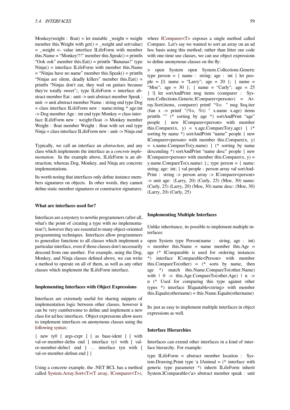Monkey(weight : float) = let mutable weight = weight member this. Weight with  $get() = \text{weight}$  and set(value) = \_weight <- value interface ILifeForm with member this.Name = "Monkey!!!" member this.Speak() = printfn "Ook ook" member this.Eat() = printfn "Bananas!" type Ninja() = interface ILifeForm with member this.Name  $=$  "Ninjas have no name" member this. Speak()  $=$  printfn "Ninjas are silent, deadly killers" member this.Eat() = printfn "Ninjas don't eat, they wail on guitars because they're totally sweet";; type ILifeForm = interface abstract member Eat : unit -> unit abstract member Speak : unit -> unit abstract member Name : string end type Dog = class interface ILifeForm new : name:string \* age:int -> Dog member Age : int end type Monkey = class interface ILifeForm new : weight:float -> Monkey member Weight : float member Weight : float with set end type Ninja = class interface ILifeForm new : unit -> Ninja end

Typically, we call an interface an *abstraction*, and any class which implements the interface as a *concrete implementation*. In the example above, ILifeForm is an abstraction, whereas Dog, Monkey, and Ninja are concrete implementations.

Its worth noting that interfaces only define instance members signatures on objects. In other words, they cannot define static member signatures or constructor signatures.

#### **What are interfaces used for?**

Interfaces are a mystery to newbie programmers (after all, what's the point of creating a type with no implementation?), however they are essential to many object-oriented programming techniques. Interfaces allow programmers to generalize functions to all classes which implement a particular interface, even if those classes don't necessarily descend from one another. For example, using the Dog, Monkey, and Ninja classes defined above, we can write a method to operate on all of them, as well as any other classes which implement the ILifeForm interface.

## **Implementing Interfaces with Object Expressions**

Interfaces are extremely useful for sharing snippets of implementation logic between other classes, however it can be very cumbersome to define and implement a new class for ad hoc interfaces. Object expressions allow users to implement interfaces on anonymous classes using the following syntax:

{ new ty0 [ args-expr ] [ as base-ident ] [ with val-or-member-defns end ] interface ty1 with [ valor-member-defns1 end ] … interface tyn with [ [val-or-member-d](http://research.microsoft.com/en-us/um/cambridge/projects/fsharp/manual/spec2.aspx#_Toc207785612)efnsn end ] }

Using a concrete example, the .NET BCL has a method called System.Array.Sort<T>(T array, IComparer<T>), where IComparer<T> exposes a single method called Compare. Let's say we wanted to sort an array on an ad hoc basis using this method; rather than litter our code with one-time use classes, we can use object expressions to defi[ne anonymous cl](http://msdn.microsoft.com/en-us/library/6zzyats9.aspx)asses on the fly:

> open System open System.Collections.Generic type person  $=$  { name : string; age : int } let people =  $[1]$  name = "Larry"; age = 20 }; { name = "Moe"; age =  $30$  }; { name = "Curly"; age =  $25$ } |] let sortAndPrint msg items (comparer : System.Collections.Generic.IComparer<person>) = Array.Sort(items, comparer) printf "%s: " msg Seq.iter (fun  $x \rightarrow$  printf "(%s, %i) " x.name x.age) items printfn "" (\* sorting by age \*) sortAndPrint "age" people { new IComparer<person> with member this.Compare(x, y) = x.age.CompareTo(y.age)  $\}$  (\* sorting by name \*) sortAndPrint "name" people { new IComparer<person> with member this.Compare $(x, y)$  $=$  x.name.CompareTo(y.name)  $\}$  (\* sorting by name descending \*) sortAndPrint "name desc" people { new IComparer<person> with member this.Compare $(x, y)$  = y.name.CompareTo(x.name) };; type person = { name: string; age: int; } val people : person array val sortAnd-Print : string -> person array -> IComparer<person>  $\rightarrow$  unit age: (Larry, 20) (Curly, 25) (Moe, 30) name: (Curly, 25) (Larry, 20) (Moe, 30) name desc: (Moe, 30) (Larry, 20) (Curly, 25)

#### **Implementing Multiple Interfaces**

Unlike inheritance, its possible to implement multiple interfaces:

open System type Person(name : string, age : int)  $=$  member this.Name  $=$  name member this.Age  $=$ age (\* IComparable is used for ordering instances \*) interface IComparable<Person> with member this.CompareTo(other) =  $(*$  sorts by name, then age \*) match this.Name.CompareTo(other.Name) with  $| 0 \rightarrow \text{this} \text{Age}.\text{CompareTo}(\text{other} \text{Age}) | n \rightarrow \text{%}$ n (\* Used for comparing this type against other types \*) interface IEquatable<string> with member this.Equals(othername) = this.Name.Equals(othername)

Its just as easy to implement multiple interfaces in object expressions as well.

#### **Interface Hierarchies**

Interfaces can extend other interfaces in a kind of interface hierarchy. For example:

type ILifeForm = abstract member location : System.Drawing.Point type 'a IAnimal  $=$  (\* interface with generic type parameter \*) inherit ILifeForm inherit System.IComparable<'a> abstract member speak : unit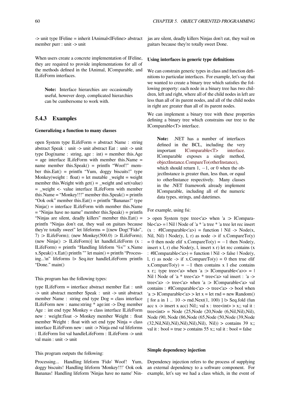-> unit type IFeline = inherit IAnimal<IFeline> abstract member purr : unit -> unit

When users create a concrete implementation of IFeline, they are required to provide implementations for all of the methods defined in the IAnimal, IComparable, and ILifeForm interfaces.

**Note:** Interface hierarchies are occasionally useful, however deep, complicated hierarchies can be cumbersome to work with.

## **5.4.3 Examples**

#### **Generalizing a function to many classes**

open System type ILifeForm = abstract Name : string abstract Speak : unit -> unit abstract Eat : unit -> unit type  $\text{Dog}(\text{name}: \text{string}, \text{age}: \text{int}) = \text{member this}.\text{Age}$ = age interface ILifeForm with member this.Name = name member this.Speak() = printfn "Woof!" member this.Eat() = printfn "Yum, doggy biscuits!" type Monkey(weight : float) = let mutable \_weight = weight member this. Weight with  $get() = \text{weight}$  and set(value) = \_weight <- value interface ILifeForm with member this.Name = "Monkey!!!" member this.Speak() = printfn "Ook ook" member this.Eat() = printfn "Bananas!" type Ninja() = interface ILifeForm with member this.Name  $=$  "Ninjas have no name" member this. Speak() = printfn "Ninjas are silent, deadly killers" member this.Eat() = printfn "Ninjas don't eat, they wail on guitars because they're totally sweet" let lifeforms = [(new Dog("Fido", 7) :> ILifeForm); (new Monkey(500.0) :> ILifeForm); (new Ninja $()$  :> ILifeForm)] let handleLifeForm  $(x :$ ILifeForm) = printfn "Handling lifeform '%s" x.Name x.Speak() x.Eat() printfn "" let main() = printfn "Processing...\n" lifeforms |> Seq.iter handleLifeForm printfn "Done." main()

This program has the following types:

type ILifeForm = interface abstract member Eat : unit -> unit abstract member Speak : unit -> unit abstract member Name : string end type Dog = class interface ILifeForm new : name:string \* age:int -> Dog member Age : int end type Monkey = class interface ILifeForm new : weight:float -> Monkey member Weight : float member Weight : float with set end type Ninja = class interface ILifeForm new : unit -> Ninja end val lifeforms : ILifeForm list val handleLifeForm : ILifeForm -> unit val main : unit -> unit

#### This program outputs the following:

Processing... Handling lifeform 'Fido' Woof! Yum, doggy biscuits! Handling lifeform 'Monkey!!!' Ook ook Bananas! Handling lifeform 'Ninjas have no name' Ninjas are silent, deadly killers Ninjas don't eat, they wail on guitars because they're totally sweet Done.

#### **Using interfaces in generic type definitions**

We can constrain generic types in class and function definitions to particular interfaces. For example, let's say that we wanted to create a binary tree which satisfies the following property: each node in a binary tree has two children, left and right, where all of the child nodes in left are less than all of its parent nodes, and all of the child nodes in right are greater than all of its parent nodes.

We can implement a binary tree with these properties defining a binary tree which constrains our tree to the IComparable<T> interface.

**Note:** .NET has a number of interfaces defined in the BCL, including the very important IComparable<T> interface. IComparable exposes a single method, objectInstance.CompareTo(otherInstance), which should return 1, *−*1, or 0 when the objectInstance is [greater than, less than, or equal](http://msdn.microsoft.com/en-us/library/4d7sx9hd.aspx) to otherInstance respectively. Many classes [in the .NET framework already implem](http://msdn.microsoft.com/en-us/library/43hc6wht.aspx)ent IComparable, including all of the numeric data types, strings, and datetimes.

For example, using fsi:

> open System type tree<'a> when 'a :> IComparable $\langle a \rangle = |$  Nil | Node of 'a \* 'a tree \* 'a tree let rec insert  $(x : #IComparable < a>) = function | Nil -> Node(x,$ Nil, Nil)  $\vert$  Node(y, l, r) as node -> if x. CompareTo(y) = 0 then node elif x.CompareTo(y) = *−*1 then Node(y, insert x l, r) else Node $(y, l)$ , insert x r) let rec contains  $(x, l)$ : #IComparable<'a>) = function | Nil -> false | Node(y, l, r) as node  $\rightarrow$  if x.CompareTo(y) = 0 then true elif x.CompareTo(y) =  $-1$  then contains x l else contains x r;; type tree<'a> when 'a :> IComparable<'a>> =  $\vert$ Nil | Node of 'a \* tree<'a> \* tree<'a> val insert : 'a -> tree<'a> -> tree<'a> when 'a :> IComparable<'a> val contains : #IComparable<'a> -> tree<'a> -> bool when  $a : IComparable < a>$  > let  $x = let$  rnd = new Random() [ for a in 1  $\ldots$  10 -> rnd. Next(1, 100) ]  $\triangleright$  Seq. fold (fun acc  $x \rightarrow$  insert x acc) Nil;; val  $x :$  tree $\lt int$  > x;; val it : tree $\langle$ int $\rangle$  = Node (25, Node (20, Node (6, Nil, Nil), Nil), Node (90, Node (86,Node (65,Node (50,Node (39,Node  $(32, Nil,Nil),Nil),Nil),Nil),Nil), Nil), Nil)$  > contains 39 x;; val it : bool = true > contains 55 x;; val it : bool = false

#### **Simple dependency injection**

Dependency injection refers to the process of supplying an external dependency to a software component. For example, let's say we had a class which, in the event of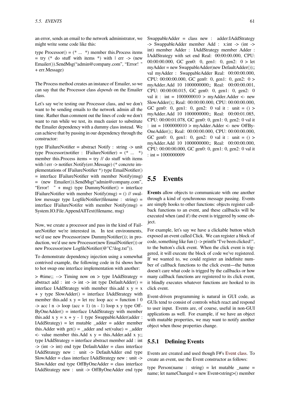an error, sends an email to the network administrator, we might write some code like this:

type Processor() =  $(* \dots * )$  member this. Process items  $=$  try (\* do stuff with items \*) with  $|$  err -> (new Emailer()).SendMsg("admin@company.com", "Error! " + err.Message)

The Process method creates an instance of Emailer, so we can say that the Processor class *depends* on the Emailer class.

Let's say we're testing our Processor class, and we don't want to be sending emails to the network admin all the time. Rather than comment out the lines of code we don't want to run while we test, its much easier to substitute the Emailer dependency with a dummy class instead. We can achieve that by passing in our dependency through the constructor:

type IFailureNotifier = abstract Notify : string -> unit type Processor(notifier : IFailureNotifier) = (\* ... \*) member this. Process items  $=$  try  $//$  do stuff with items with | err -> notifier.Notify(err.Message) (\* concrete implementations of IFailureNotifier \*) type EmailNotifier() = interface IFailureNotifier with member Notify(msg) = (new Emailer()).SendMsg("admin@company.com", "Error! " + msg) type DummyNotifier() = interface IFailureNotifier with member Notify(msg) =  $()$  // swallow message type LogfileNotifier(filename : string) = interface IFailureNotifer with member Notify $(msg)$  = System.IO.File.AppendAllText(filename, msg)

Now, we create a processor and pass in the kind of FailureNotifier we're interested in. In test environments, we'd use new Processor(new DummyNotifier()); in production, we'd use new Processor(new EmailNotifier()) or new Processor(new LogfileNotifier(@"C:\log.txt")).

To demonstrate dependency injection using a somewhat contrived example, the following code in fsi shows how to hot swap one interface implementation with another:

> #time;; --> Timing now on > type IAddStrategy = abstract add : int  $\rightarrow$  int  $\rightarrow$  int type DefaultAdder() = interface IAddStrategy with member this.add  $x y = x$ + y type SlowAdder() = interface IAddStrategy with member this.add  $x y = let rec loop acc = function 10$  $\Rightarrow$  acc | n  $\Rightarrow$  loop (acc + 1) (n - 1) loop x y type Off- $ByOneAdder()$  = interface IAddStrategy with member this.add  $x y = x + y - 1$  type SwappableAdder(adder: IAddStrategy) = let mutable \_adder = adder member this. Adder with  $get() =$  \_adder and  $set(value) =$  \_adder  $\le$  value member this. Add x y = this. Adder. add x y;; type IAddStrategy = interface abstract member add : int  $\Rightarrow$  (int  $\Rightarrow$  int) end type DefaultAdder = class interface IAddStrategy new : unit -> DefaultAdder end type SlowAdder = class interface IAddStrategy new : unit -> SlowAdder end type OffByOneAdder = class interface IAddStrategy new : unit -> OffByOneAdder end type SwappableAdder = class new : adder:IAddStrategy -> SwappableAdder member Add : x:int -> (int -> int) member Adder : IAddStrategy member Adder : IAddStrategy with set end Real: 00:00:00.000, CPU: 00:00:00.000, GC gen0: 0, gen1: 0, gen2: 0 > let myAdder = new SwappableAdder(new DefaultAdder());; val myAdder : SwappableAdder Real: 00:00:00.000, CPU: 00:00:00.000, GC gen0: 0, gen1: 0, gen2: 0 > myAdder.Add 10 1000000000;; Real: 00:00:00.001, CPU: 00:00:00.015, GC gen0: 0, gen1: 0, gen2: 0 val it : int =  $1000000010$  > myAdder.Adder <- new SlowAdder();; Real: 00:00:00.000, CPU: 00:00:00.000, GC gen0: 0, gen1: 0, gen2: 0 val it : unit =  $()$  > myAdder.Add 10 1000000000;; Real: 00:00:01.085, CPU: 00:00:01.078, GC gen0: 0, gen1: 0, gen2: 0 val it : int =  $1000000010$  > myAdder.Adder <- new OffBy-OneAdder();; Real: 00:00:00.000, CPU: 00:00:00.000, GC gen0: 0, gen1: 0, gen2: 0 val it : unit =  $()$  > myAdder.Add 10 1000000000;; Real: 00:00:00.000, CPU: 00:00:00.000, GC gen0: 0, gen1: 0, gen2: 0 val it  $:$  int = 1000000009

# **5.5 Events**

**Events** allow objects to communicate with one another through a kind of synchronous message passing. Events are simply hooks to other functions: objects register callback functions to an event, and these callbacks will be executed when (and if) the event is triggered by some object.

For example, let's say we have a clickable button which exposed an event called Click. We can register a block of code, something like fun () -> printfn "I've been clicked!", to the button's click event. When the click event is triggered, it will execute the block of code we've registered. If we wanted to, we could register an indefinite number of callback functions to the click event—the button doesn't care what code is trigged by the callbacks or how many callback functions are registered to its click event, it blindly executes whatever functions are hooked to its click event.

Event-driven programming is natural in GUI code, as GUIs tend to consist of controls which react and respond to user input. Events are, of course, useful in non-GUI applications as well. For example, if we have an object with mutable properties, we may want to notify another object when those properties change.

# **5.5.1 Defining Events**

Events are created and used though F#'s Event class. To create an event, use the Event constructor as follows:

type Person(name : string) = let mutable  $_name =$ name; let nameChanged = new Event<st[ring>\(\) mem](http://msdn.microsoft.com/en-us/library/ee370608(VS.100).aspx)ber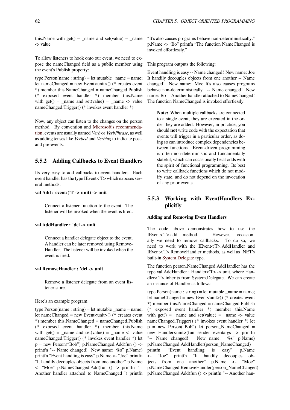this. Name with  $get() =$  name and  $set(value) =$  name <- value

To allow listeners to hook onto our event, we need to expose the nameChanged field as a public member using the event's Publish property:

type Person(name : string) = let mutable \_name = name; let nameChanged = new Event<unit>() (\* creates event \*) member this.NameChanged = nameChanged.Publish (\* exposed event handler \*) member this.Name with  $get() = \text{name} and set(value) = \text{name} < - value$ nameChanged.Trigger() (\* invokes event handler \*)

Now, any object can listen to the changes on the person method. By convention and Microsoft's recommendation, events are usually named *Verb* or *VerbPhrase*, as well as adding tenses like *Verbed* and *Verbing* to indicate postand pre-events.

# **[5.5.](http://msdn.microsoft.com/en-us/library/ms229012.aspx)2 Adding Callbacks to Event Handlers**

Its very easy to add callbacks to event handlers. Each event handler has the type IEvent<'T> which exposes several methods:

#### **val Add : event:('T -> unit) -> unit**

Connect a listener function to the event. The listener will be invoked when the event is fired.

#### **val AddHandler : 'del -> unit**

Connect a handler delegate object to the event. A handler can be later removed using Remove-Handler. The listener will be invoked when the event is fired.

# **val RemoveHandler : 'del -> unit**

Remove a listener delegate from an event listener store.

Here's an example program:

type  $Person(name : string) = let mutable_name = name;$ let nameChanged = new Event<unit>() (\* creates event \*) member this.NameChanged = nameChanged.Publish (\* exposed event handler \*) member this.Name with  $get() = \text{name} and set(value) = \text{name} < - value$ nameChanged.Trigger() (\* invokes event handler \*) let  $p = new Person("Bob") p.NameChangedAdd(fun() ->$ printfn "-- Name changed! New name: %s" p.Name) printfn "Event handling is easy" p.Name <- "Joe" printfn "It handily decouples objects from one another" p.Name <- "Moe" p.NameChanged.Add(fun () -> printfn "-- Another handler attached to NameChanged!") printfn "It's also causes programs behave non-deterministically." p.Name <- "Bo" printfn "The function NameChanged is invoked effortlessly."

This program outputs the following:

Event handling is easy -- Name changed! New name: Joe It handily decouples objects from one another -- Name changed! New name: Moe It's also causes programs behave non-deterministically. -- Name changed! New name: Bo -- Another handler attached to NameChanged! The function NameChanged is invoked effortlessly.

**Note:** When multiple callbacks are connected to a single event, they are executed in the order they are added. However, in practice, you should **not** write code with the expectation that events will trigger in a particular order, as doing so can introduce complex dependencies between functions. Event-driven programming is often non-deterministic and fundamentally stateful, which can occasionally be at odds with the spirit of functional programming. Its best to write callback functions which do not modify state, and do not depend on the invocation of any prior events.

# **5.5.3 Working with EventHandlers Explicitly**

## **Adding and Removing Event Handlers**

The code above demonstrates how to use the IEvent<'T>.add method. However, occasionally we need to remove callbacks. To do so, we need to work with the IEvent<'T>.AddHandler and IEvent<'T>.RemoveHandler methods, as well as .NET's built-in System.Delegate type.

The function person.NameChanged.AddHandler has the type val AddHandler : Handler<'T> -> unit, where Handler<'T> inherits from System.Delegate. We can create an insta[nce of Handler as](http://msdn.microsoft.com/en-us/library/system.delegate.aspx) follows:

type Person(name : string) = let mutable \_name = name; let nameChanged = new Event<unit>() (\* creates event \*) member this.NameChanged = nameChanged.Publish (\* exposed event handler \*) member this.Name with  $get() = \text{name} and set(value) = \text{name} < - value$ nameChanged.Trigger() (\* invokes event handler \*) let p = new Person("Bob") let person\_NameChanged = new Handler<unit>(fun sender eventargs -> printfn "-- Name changed! New name: %s" p.Name) p.NameChanged.AddHandler(person\_NameChanged) printfn "Event handling is easy" p.Name <- "Joe" printfn "It handily decouples objects from one another" p.Name <- "Moe" p.NameChanged.RemoveHandler(person\_NameChanged) p.NameChanged.Add(fun () -> printfn "-- Another han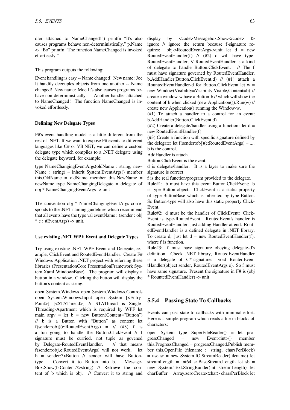dler attached to NameChanged!") printfn "It's also causes programs behave non-deterministically." p.Name <- "Bo" printfn "The function NameChanged is invoked effortlessly."

This program outputs the following:

Event handling is easy -- Name changed! New name: Joe It handily decouples objects from one another -- Name changed! New name: Moe It's also causes programs behave non-deterministically. -- Another handler attached to NameChanged! The function NameChanged is invoked effortlessly.

#### **Defining New Delegate Types**

F#'s event handling model is a little different from the rest of .NET. If we want to expose F# events to different languages like C# or VB.NET, we can define a custom delegate type which compiles to a .NET delegate using the delegate keyword, for example:

type NameChangingEventArgs(oldName : string, new-Name : string) = inherit System.EventArgs() member this.OldName = oldName member this.NewName = newName type NameChangingDelegate = delegate of obj \* NameChangingEventArgs -> unit

The convention obj \* NameChangingEventArgs corresponds to the .NET naming guidelines which recommend that all events have the type val eventName : (sender : obj  $*$  e : #EventArgs) -> unit.

#### **Use existing .NET WPF Event and Delegate Types**

Try using existing .NET WPF Event and Delegate, example, ClickEvent and RoutedEventHandler. Create F# Windows Application .NET project with referring these libraries (PresentationCore PresentationFramework System.Xaml WindowsBase). The program will display a button in a window. Clicking the button will display the button's content as string.

open System.Windows open System.Windows.Controls open System.Windows.Input open System [<Entry-Point>] [<STAThread>] // STAThread is Single-Threading-Apartment which is required by WPF let main argv = let  $b = new Button(Content="Button")$ // b is a Button with "Button" as content let f(sender:obj)(e:RoutedEventArgs) =  $\frac{1}{10}$  (#3) f is a fun going to handle the Button.ClickEvent // f signature must be curried, not tuple as govened by Delegate-RoutedEventHandler. // that means f(sender:obj,e:RoutedEventArgs) will not work. let b = sender:?>Button // sender will have Buttontype. Convert it to Button into b. Message-Box.Show(b.Content:?>string) // Retrieve the content of b which is obj. // Convert it to string and display by  $<$ code>Messagebox.Show</code>  $\vert$ > ignore // ignore the return because f-signature requires: obj->RoutedEventArgs->unit let d = new RoutedEventHandler(f) // (#2) d will have type-RoutedEventHandler, // RoutedEventHandler is a kind of delegate to handle Button.ClickEvent. // The f must have signature governed by RoutedEventHandler. b.AddHandler(Button.ClickEvent,d) // (#1) attach a RountedEventHandler-d for Button.ClickEvent let w = new Window(Visibility=Visibility.Visible,Content=b) // create a window-w have a Button-b // which will show the content of b when clicked (new Application()).Run(w) // create new Application() running the Window-w.

(#1) To attach a handler to a control for an event: b.AddHandler(Button.ClickEvent,d)

(#2) Create a delegate/handler using a function: let  $d =$ new RoutedEventHandler(f)

(#3) Create a function with specific signature defined by the delegate: let  $f(\text{sender:obj})(e:\text{RoutedEventArgs}) = ...$ b is the control.

AddHandler is attach.

Button.ClickEvent is the event.

d is delegate/handler. It is a layer to make sure the signature is correct

f is the real function/program provided to the delegate.

Rule#1: b must have this event Button.ClickEvent: b is type-Button-object. ClickEvent is a static property of type-ButtonBase which is inherited by type-Button. So Button-type will also have this static property Click-Event.

Rule#2: d must be the handler of ClickEvent: Click-Event is type-RoutedEvent. RoutedEvent's handler is RoutedEventHandler, just adding Handler at end. RoutedEventHandler is a defined delegate in .NET library. To create d, just let  $d = new RoutedEventHandler(f)$ , where f is function.

Rule#3: f must have signature obeying delegate-d's definition: Check .NET library, RoutedEventHandler is a delegate of C#-signature: void RoutedEventHandler(object sender, RoutedEventArgs e). So f must have same signature. Present the signature in F# is (obj \* RountedEventHandler) -> unit

## **5.5.4 Passing State To Callbacks**

Events can pass state to callbacks with minimal effort. Here is a simple program which reads a file in blocks of characters:

open System type SuperFileReader() = let pro $gressChanged = new Event $\langle$  member$ this.ProgressChanged = progressChanged.Publish member this.OpenFile (filename : string, charsPerBlock) = use sr = new System.IO.StreamReader(filename) let streamLength = int64 sr.BaseStream.Length let sb = new System.Text.StringBuilder(int streamLength) let charBuffer = Array.zeroCreate<char> charsPerBlock let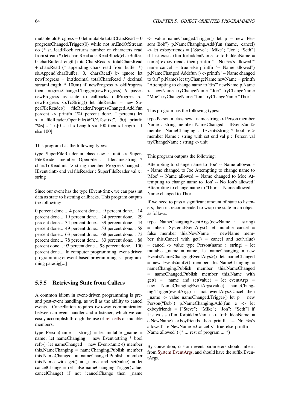mutable oldProgress =  $0$  let mutable totalCharsRead =  $0$ progressChanged.Trigger(0) while not sr.EndOfStream do (\* sr.ReadBlock returns number of characters read from stream \*) let charsRead = sr.ReadBlock(charBuffer, 0, charBuffer.Length) totalCharsRead <- totalCharsRead + charsRead (\* appending chars read from buffer \*) sb.Append(charBuffer, 0, charsRead)  $\vert$  ignore let newProgress = int(decimal totalCharsRead / decimal streamLength \* 100m) if newProgress > oldProgress then progressChanged.Trigger(newProgress) // passes newProgress as state to callbacks oldProgress < newProgress sb.ToString() let fileReader = new SuperFileReader() fileReader.ProgressChanged.Add(fun percent -> printfn "%i percent done..." percent) let  $x = \text{fileReader}$ . OpenFile(@"C:\Test.txt", 50) printfn "%s[...]" x.[0 .. if x.Length  $\leq$  100 then x.Length - 1 else 100]

This program has the following types:

type SuperFileReader = class new : unit -> Super-FileReader member OpenFile : filename:string \* charsToRead:int -> string member ProgressChanged : IEvent<int> end val fileReader : SuperFileReader val x : string

Since our event has the type IEvent<int>, we can pass int data as state to listening callbacks. This program outputs the following:

0 percent done... 4 percent done... 9 percent done... 14 percent done... 19 percent done... 24 percent done... 29 percent done... 34 percent done... 39 percent done... 44 percent done... 49 percent done... 53 percent done... 58 percent done... 63 percent done... 68 percent done... 73 percent done... 78 percent done... 83 percent done... 88 percent done... 93 percent done... 98 percent done... 100 percent done... In computer programming, event-driven programming or event-based programming is a programming paradig[...]

# **5.5.5 Retrieving State from Callers**

A common idiom in event-driven programming is preand post-event handling, as well as the ability to cancel events. Cancellation requires two-way communication between an event handler and a listener, which we can easily accomplish through the use of ref cells or mutable members:

type Person(name : string) = let mutable \_name = name; let nameChanging = new Event $\lt$ string  $*$  bool ref>() let nameChanged = new Eve[nt<unit>](https://en.wikibooks.org/wiki/F_Sharp_Programming/Mutable_Data#Ref_cells)() member this.NameChanging = nameChanging.Publish member this.NameChanged = nameChanged.Publish member this. Name with  $get() = \text{name}$  and  $set(value) = let$ cancelChange = ref false nameChanging.Trigger(value, cancelChange) if not !cancelChange then \_name  $\leq$  value nameChanged.Trigger() let  $p = new$  Person("Bob") p.NameChanging.Add(fun (name, cancel) -> let exboyfriends = ["Steve"; "Mike"; "Jon"; "Seth"] if List.exists (fun forbiddenName -> forbiddenName = name) exboyfriends then printfn "-- No %s's allowed!" name cancel := true else printfn "-- Name allowed") p.NameChanged.Add(fun () -> printfn "-- Name changed to %s" p.Name) let tryChangeName newName = printfn "Attempting to change name to '%s'" newName p.Name <- newName tryChangeName "Joe" tryChangeName "Moe" tryChangeName "Jon" tryChangeName "Thor"

This program has the following types:

type Person = class new : name:string -> Person member Name : string member NameChanged : IEvent<unit> member NameChanging : IEvent<string \* bool ref> member Name : string with set end val p : Person val tryChangeName : string -> unit

This program outputs the following:

Attempting to change name to 'Joe' -- Name allowed - - Name changed to Joe Attempting to change name to 'Moe' -- Name allowed -- Name changed to Moe Attempting to change name to 'Jon' -- No Jon's allowed! Attempting to change name to 'Thor' -- Name allowed -- Name changed to Thor

If we need to pass a significant amount of state to listeners, then its recommended to wrap the state in an object as follows:

type NameChangingEventArgs(newName : string) = inherit System.EventArgs() let mutable cancel = false member this.NewName = newName member this.Cancel with  $get() = cancel$  and  $set(value)$  $=$  cancel  $\le$  value type Person(name : string)  $=$  let mutable \_name = name; let nameChanging = new Event<NameChangingEventArgs>() let nameChanged = new Event<unit>() member this.NameChanging = nameChanging.Publish member this.NameChanged = nameChanged.Publish member this.Name with  $get()$  = name and set(value) = let eventArgs = new NameChangingEventArgs(value) nameChanging.Trigger(eventArgs) if not eventArgs.Cancel then  $\_name \leftarrow value$  nameChanged.Trigger() let  $p = new$ Person("Bob") p.NameChanging.Add(fun e -> let exboyfriends = ["Steve"; "Mike"; "Jon"; "Seth"] if List.exists (fun forbiddenName -> forbiddenName = e.NewName) exboyfriends then printfn "-- No %s's allowed!" e.NewName e.Cancel <- true else printfn "-- Name allowed") (\* ... rest of program ... \*)

By convention, custom event parameters should inherit from System.EventArgs, and should have the suffix EventArgs.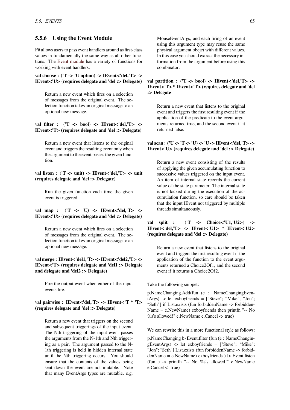# **5.5.6 Using the Event Module**

F# allows users to pass event handlers around as first-class values in fundamentally the same way as all other functions. The Event module has a variety of functions for working with event handlers:

**val choose : ('T -> 'U option) -> IEvent<'del,'T> -> IEvent<'U[> \(requires de](http://research.microsoft.com/en-us/um/cambridge/projects/fsharp/manual/FSharp.Core/Microsoft.FSharp.Control.Event.html)legate and 'del :> Delegate)**

Return a new event which fires on a selection of messages from the original event. The selection function takes an original message to an optional new message.

# **val filter : ('T -> bool) -> IEvent<'del,'T> -> IEvent<'T> (requires delegate and 'del :> Delegate)**

Return a new event that listens to the original event and triggers the resulting event only when the argument to the event passes the given function.

**val listen : ('T -> unit) -> IEvent<'del,'T> -> unit (requires delegate and 'del :> Delegate)**

Run the given function each time the given event is triggered.

# **val map : ('T -> 'U) -> IEvent<'del,'T> -> IEvent<'U> (requires delegate and 'del :> Delegate)**

Return a new event which fires on a selection of messages from the original event. The selection function takes an original message to an optional new message.

# **val merge : IEvent<'del1,'T> -> IEvent<'del2,'T> -> IEvent<'T> (requires delegate and 'del1 :> Delegate and delegate and 'del2 :> Delegate)**

Fire the output event when either of the input events fire.

# **val pairwise : IEvent<'del,'T> -> IEvent<'T \* 'T> (requires delegate and 'del :> Delegate)**

Return a new event that triggers on the second and subsequent triggerings of the input event. The Nth triggering of the input event passes the arguments from the N-1th and Nth triggering as a pair. The argument passed to the N-1th triggering is held in hidden internal state until the Nth triggering occurs. You should ensure that the contents of the values being sent down the event are not mutable. Note that many EventArgs types are mutable, e.g. MouseEventArgs, and each firing of an event using this argument type may reuse the same physical argument obejct with different values. In this case you should extract the necessary information from the argument before using this combinator.

# **val partition : ('T -> bool) -> IEvent<'del,'T> -> IEvent<'T> \* IEvent<'T> (requires delegate and 'del :> Delegate**

Return a new event that listens to the original event and triggers the first resulting event if the application of the predicate to the event arguments returned true, and the second event if it returned false.

# **val scan : ('U -> 'T -> 'U) -> 'U -> IEvent<'del,'T> -> IEvent<'U> (requires delegate and 'del :> Delegate)**

Return a new event consisting of the results of applying the given accumulating function to successive values triggered on the input event. An item of internal state records the current value of the state parameter. The internal state is not locked during the execution of the accumulation function, so care should be taken that the input IEvent not triggered by multiple threads simultaneously.

# **val split : ('T -> Choice<'U1,'U2>) -> IEvent<'del,'T> -> IEvent<'U1> \* IEvent<'U2> (requires delegate and 'del :> Delegate)**

Return a new event that listens to the original event and triggers the first resulting event if the application of the function to the event arguments returned a Choice2Of1, and the second event if it returns a Choice2Of2.

Take the following snippet:

p.NameChanging.Add(fun (e : NameChangingEventArgs) -> let exboyfriends = ["Steve"; "Mike"; "Jon"; "Seth"] if List.exists (fun forbiddenName -> forbidden-Name = e.NewName) exboyfriends then printfn "-- No %s's allowed!" e.NewName e.Cancel <- true)

We can rewrite this in a more functional style as follows:

p.NameChanging |> Event.filter (fun (e : NameChangingEventArgs) -> let exboyfriends = ["Steve"; "Mike"; "Jon"; "Seth"] List.exists (fun forbiddenName -> forbiddenName = e.NewName) exboyfriends ) |> Event.listen (fun e -> printfn "-- No %s's allowed!" e.NewName e.Cancel <- true)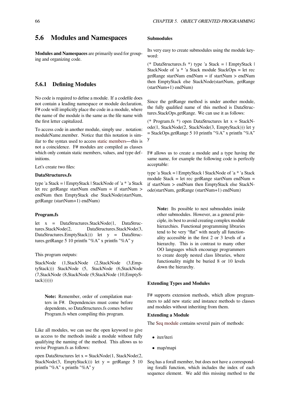# **5.6 Modules and Namespaces**

**Modules and Namespaces** are primarily used for grouping and organizing code.

# **5.6.1 Defining Modules**

No code is required to define a module. If a codefile does not contain a leading namespace or module declaration, F# code will implicitly place the code in a module, where the name of the module is the same as the file name with the first letter capitalized.

To access code in another module, simply use . notation: moduleName.member. Notice that this notation is similar to the syntax used to access static members—this is not a coincidence. F# modules are compiled as classes which only contain static members, values, and type definitions.

Let's create two files:

#### **DataStructures.fs**

type 'a Stack = | EmptyStack | StackNode of 'a \* 'a Stack let rec getRange startNum endNum = if startNum > endNum then EmptyStack else StackNode(startNum, getRange (startNum+1) endNum)

#### **Program.fs**

let x = DataStructures.StackNode(1, DataStructures.StackNode(2, DataStructures.StackNode(3, DataStructures.EmptyStack))) let y = DataStructures.getRange 5 10 printfn "%A" x printfn "%A" y

### This program outputs:

StackNode (1,StackNode (2,StackNode (3,EmptyStack))) StackNode (5, StackNode (6,StackNode (7,StackNode (8,StackNode (9,StackNode (10,EmptyS $tack)))))$ 

**Note:** Remember, order of compilation matters in F#. Dependencies must come before dependents, so DataStructures.fs comes before Program.fs when compiling this program.

Like all modules, we can use the open keyword to give us access to the methods inside a module without fully qualifying the naming of the method. This allows us to revise Program.fs as follows:

open DataStructures let x = StackNode(1, StackNode(2, StackNode(3, EmptyStack))) let  $y = getRange 5 10$ printfn "%A" x printfn "%A" y

#### **Submodules**

Its very easy to create submodules using the module keyword:

(\* DataStructures.fs \*) type 'a Stack = | EmptyStack | StackNode of 'a \* 'a Stack module StackOps = let rec getRange startNum endNum = if startNum > endNum then EmptyStack else StackNode(startNum, getRange (startNum+1) endNum)

Since the getRange method is under another module, the fully qualified name of this method is DataStructures.StackOps.getRange. We can use it as follows:

(\* Program.fs \*) open DataStructures let x = StackNode(1, StackNode(2, StackNode(3, EmptyStack))) let y  $=$  StackOps.getRange 5 10 printfn "%A" x printfn "%A" y

F# allows us to create a module and a type having the same name, for example the following code is perfectly acceptable:

type 'a Stack = | EmptyStack | StackNode of 'a \* 'a Stack module Stack = let rec getRange startNum endNum = if startNum > endNum then EmptyStack else StackNode(startNum, getRange (startNum+1) endNum)

**Note:** Its possible to nest submodules inside other submodules. However, as a general principle, its best to avoid creating complex module hierarchies. Functional programming libraries tend to be very "flat" with nearly all functionality accessible in the first 2 or 3 levels of a hierarchy. This is in contrast to many other OO languages which encourage programmers to create deeply nested class libraries, where functionality might be buried 8 or 10 levels down the hierarchy.

#### **Extending Types and Modules**

F# supports extension methods, which allow programmers to add new static and instance methods to classes and modules without inheriting from them.

#### **Extending a Module**

The Seq module contains several pairs of methods:

- *•* iter/iteri
- *•* [map/mapi](https://en.wikibooks.org/wiki/F_Sharp_Programming/Sequences#The_Seq_Module)

Seq has a forall member, but does not have a corresponding foralli function, which includes the index of each sequence element. We add this missing method to the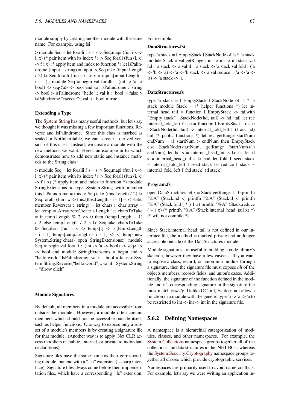module simply by creating another module with the same name. For example, using fsi:

 $>$  module Seq = let foralli f s = s  $>$  Seq.mapi (fun i x - $>$ ) i, x) (\* pair item with its index \*)  $\triangleright$  Seq.forall (fun (i, x)  $-$  f i x) (\* apply item and index to function \*) let is Palindrome (input : string) = input  $\triangleright$  Seq.take (input. Length  $/ 2$ )  $\triangleright$  Seq.foralli (fun i x  $\rightarrow$  x = input. [input. Length  $i - 1$ );; module Seq = begin val foralli : (int -> 'a -> bool) -> seq<'a> -> bool end val isPalindrome : string  $\rightarrow$  bool  $>$  isPalindrome "hello";; val it : bool = false  $>$ isPalindrome "racecar";; val it : bool = true

# **Extending a Type**

The System.String has many useful methods, but let's say we thought it was missing a few important functions, Reverse and IsPalindrome. Since this class is marked as sealed or NotInheritable, we can't create a derived version [of this class.](http://msdn.microsoft.com/en-us/library/system.string.aspx) Instead, we create a module with the new methods we want. Here's an example in fsi which demonstrates how to add new static and instance methods to the String class:

 $>$  module Seq = let foralli f s = s  $>$  Seq.mapi (fun i x - $>$ i, x) (\* pair item with its index \*)  $\triangleright$  Seq.forall (fun (i, x)  $\Rightarrow$  f i x) (\* apply item and index to function \*) module StringExtensions = type System.String with member this.IsPalindrome = this  $\triangleright$  Seq.take (this.Length / 2)  $\triangleright$ Seq.foralli (fun i x -> this.[this.Length - i - 1] = x) static member Reverse(s : string) = let chars : char array = let temp = Array.zeroCreate s.Length let charsToTake  $=$  if temp. Length % 2  $\lt\gt$  0 then (temp. Length + 1) / 2 else temp.Length / 2 s |> Seq.take charsToTake  $\triangleright$  Seq.iteri (fun i x -> temp.[i] <- s.[temp.Length  $- i - 1$ ] temp.[temp.Length  $- i - 1$ ] <- x) temp new System.String(chars) open StringExtensions;; module Seq = begin val foralli : (int  $\rightarrow$  'a  $\rightarrow$  bool)  $\rightarrow$  seq $\lt'$ a $\gt$ -> bool end module StringExtensions = begin end > "hello world".IsPalindrome;; val it : bool = false > System.String.Reverse("hello world");; val it : System.String = "dlrow olleh"

#### **Module Signatures**

By default, all members in a module are accessible from outside the module. However, a module often contain members which should not be accessible outside itself, such as helper functions. One way to expose only a subset of a module's members is by creating a signature file for that module. (Another way is to apply .Net CLR access modifiers of public, internal, or private to individual declarations).

Signature files have the same name as their corresponding module, but end with a ".fsi" extension (f-sharp interface). Signature files always come before their implementation files, which have a corresponding ".fs" extension. For example:

## **DataStructures.fsi**

type 'a stack = | EmptyStack | StackNode of 'a \* 'a stack module Stack = val getRange : int  $\rightarrow$  int  $\rightarrow$  int stack val hd : 'a stack -> 'a val tl : 'a stack -> 'a stack val fold : ('a -> 'b -> 'a) -> 'a -> 'b stack -> 'a val reduce : ('a -> 'a -> 'a) -> 'a stack -> 'a

#### **DataStructures.fs**

type 'a stack =  $\vert$  EmptyStack  $\vert$  StackNode of 'a \* 'a stack module Stack =  $(*$  helper functions  $*)$  let internal\_head\_tail = function | EmptyStack -> failwith "Empty stack" | StackNode(hd, tail) -> hd, tail let rec internal\_fold\_left f acc = function | EmptyStack -> acc | StackNode(hd, tail) -> internal\_fold\_left f (f acc hd) tail (\* public functions \*) let rec getRange startNum endNum = if startNum > endNum then EmptyStack else StackNode(startNum, getRange (startNum+1) endNum) let hd s = internal head tail s  $|$ > fst let tl  $s = internal\_head\_tail s$  |> snd let fold f seed stack  $=$  internal fold left f seed stack let reduce f stack  $=$ internal\_fold\_left f (hd stack) (tl stack)

# **Program.fs**

open DataStructures let x = Stack.getRange 1 10 printfn "%A" (Stack.hd x) printfn "%A" (Stack.tl x) printfn "%A" (Stack.fold ( \* ) 1 x) printfn "%A" (Stack.reduce  $(+)$  x) (\* printfn "%A" (Stack.internal head tail x) \*) (\* will not compile \*)

Since Stack.internal\_head\_tail is not defined in our interface file, the method is marked private and no longer accessible outside of the DataStructures module.

Module signatures are useful to building a code library's skeleton, however they have a few caveats. If you want to expose a class, record, or union in a module through a signature, then the signature file must expose *all* of the objects members, records fields, and union's cases. Additionally, the signature of the function defined in the module and it's corresponding signature in the signature file must match *exactly*. Unlike OCaml, F# does not allow a function in a module with the generic type 'a -> 'a -> 'a to be restricted to int  $\rightarrow$  int  $\rightarrow$  int in the signature file.

# **5.6.2 Defining Namespaces**

A namespace is a hierarchial catergorization of modules, classes, and other namespaces. For example, the System.Collections namespace groups together all of the collections and data structures in the .NET BCL, whereas the System.Security.Cryptography namespace groups together all classes which provide cryptographic services.

[Namespaces are pr](http://msdn.microsoft.com/en-us/library/system.collections.aspx)imarily used to avoid name conflicts. For [example, let's say we were wri](http://msdn.microsoft.com/en-us/library/system.security.cryptography.aspx)ting an application in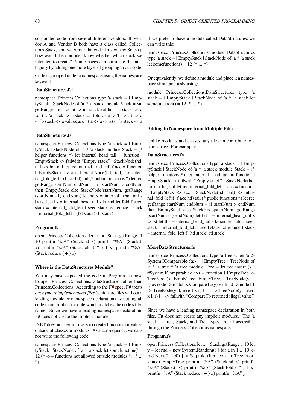corporated code from several different vendors. If Vendor A and Vendor B both have a class called Collections. Stack, and we wrote the code let  $s = new Stack()$ , how would the compiler know whether which stack we intended to create? Namespaces can eliminate this ambiguity by adding one more layer of grouping to our code.

Code is grouped under a namespace using the namespace keyword:

## **DataStructures.fsi**

namespace Princess. Collections type 'a stack  $=$  | EmptyStack | StackNode of 'a \* 'a stack module Stack = val getRange : int -> int -> int stack val hd : 'a stack -> 'a val tl : 'a stack -> 'a stack val fold : ('a -> 'b -> 'a) -> 'a -> 'b stack -> 'a val reduce : ('a -> 'a -> 'a) -> 'a stack -> 'a

#### **DataStructures.fs**

namespace Princess. Collections type 'a stack  $=$   $\vert$  EmptyStack | StackNode of 'a  $*$  'a stack module Stack =  $(*$ helper functions  $*)$  let internal\_head\_tail = function | EmptyStack -> failwith "Empty stack" | StackNode(hd, tail)  $\rightarrow$  hd, tail let rec internal fold left f acc = function | EmptyStack -> acc | StackNode(hd, tail) -> internal\_fold\_left f (f acc hd) tail (\* public functions \*) let rec getRange startNum endNum = if startNum > endNum then EmptyStack else StackNode(startNum, getRange  $(startNum+1)$  endNum) let hd s = internal\_head\_tail s |> fst let tl s = internal\_head\_tail s |> snd let fold f seed stack = internal\_fold\_left f seed stack let reduce f stack = internal\_fold\_left f (hd stack) (tl stack)

## **Program.fs**

open Princess.Collections let x = Stack.getRange 1 10 printfn "%A" (Stack.hd x) printfn "%A" (Stack.tl x) printfn "%A" (Stack.fold  $(* ) 1 x$ ) printfn "%A" (Stack.reduce  $( + ) x$ )

#### **Where is the DataStructures Module?**

You may have expected the code in Program.fs above to open Princess.Collections.DataStructures rather than Princess.Collections. According to the F# spec, F# treats *anonymous implementation files* (which are files without a leading module or namespace declaration) by putting all code in an implicit module which matches the code's filename. Since we have a leading name[space de](http://research.microsoft.com/en-us/um/cambridge/projects/fsharp/manual/spec2.aspx#_Toc207785747)claration, F# does not create the implicit module.

.NET does not permit users to create functions or values outside of classes or modules. As a consequence, we cannot write the following code:

namespace Princess. Collections type 'a stack  $=$  | EmptyStack | StackNode of 'a  $*$  'a stack let some function() = 12 ( $* \leftarrow$ --- functions not allowed outside modules  $*)$  ( $* \dots$ \*)

If we prefer to have a module called DataStructures, we can write this:

namespace Princess.Collections module DataStructures type 'a stack = | EmptyStack | StackNode of 'a \* 'a stack let some function() =  $12$  (\* ... \*)

Or equivalently, we define a module and place it a namespace simultaneously using:

module Princess.Collections.DataStructures type 'a stack =  $|$  EmptyStack  $|$  StackNode of 'a \* 'a stack let sometunction() =  $12$  (\* ... \*)

#### **Adding to Namespace from Multiple Files**

Unlike modules and classes, any file can contribute to a namespace. For example:

#### **DataStructures.fs**

namespace Princess. Collections type 'a stack  $=$  | EmptyStack | StackNode of 'a  $*$  'a stack module Stack =  $(*$ helper functions  $*$ ) let internal\_head\_tail = function | EmptyStack -> failwith "Empty stack" | StackNode(hd, tail) -> hd, tail let rec internal\_fold\_left f acc = function | EmptyStack -> acc | StackNode(hd, tail) -> internal\_fold\_left f (f acc hd) tail (\* public functions \*) let rec getRange startNum endNum = if startNum > endNum then EmptyStack else StackNode(startNum, getRange  $(startNum+1)$  endNum) let hd s = internal head tail s |> fst let tl s = internal\_head\_tail s |> snd let fold f seed stack = internal\_fold\_left f seed stack let reduce f stack = internal\_fold\_left f (hd stack) (tl stack)

#### **MoreDataStructures.fs**

namespace Princess.Collections type 'a tree when 'a :> System.IComparable<'a> = | EmptyTree | TreeNode of 'a \* 'a tree \* 'a tree module Tree = let rec insert  $(x :$ #System.IComparable<'a>) = function | EmptyTree -> TreeNode(x, EmptyTree, EmptyTree) | TreeNode(y, l, r) as node -> match x.CompareTo(y) with  $| 0 \rightarrow$  node  $| 1 \rangle$ -> TreeNode(y, l, insert x r) | *−*1 -> TreeNode(y, insert x l, r) | \_ -> failwith "CompareTo returned illegal value"

Since we have a leading namespace declaration in both files, F# does not create any implicit modules. The 'a stack, 'a tree, Stack, and Tree types are all accessible through the Princess.Collections namespace:

#### **Program.fs**

open Princess.Collections let x = Stack.getRange 1 10 let  $y = let$  rnd = new System.Random() [ for a in 1 .. 10 -> rnd.Next $(0, 100)$ ]  $\triangleright$  Seq.fold (fun acc x -> Tree.insert x acc) EmptyTree printfn "%A" (Stack.hd x) printfn "%A" (Stack.tl x) printfn "%A" (Stack.fold ( \* ) 1 x) printfn "%A" (Stack.reduce  $(+)$  x) printfn "%A" y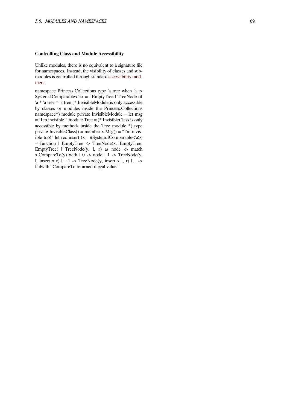## **Controlling Class and Module Accessibility**

Unlike modules, there is no equivalent to a signature file for namespaces. Instead, the visibility of classes and submodules is controlled through standard accessibility modifiers:

namespace Princess.Collections type 'a tree when 'a :> System.IComparable<'a> = | EmptyTree | TreeNode of 'a \* 'a tree \* 'a tree (\* InvisibleModul[e is only accessible](http://research.microsoft.com/en-us/um/cambridge/projects/fsharp/manual/spec2.aspx#_Toc207785709) [by cl](http://research.microsoft.com/en-us/um/cambridge/projects/fsharp/manual/spec2.aspx#_Toc207785709)asses or modules inside the Princess.Collections namespace\*) module private InvisibleModule = let msg = "I'm invisible!" module Tree = (\* InvisibleClass is only accessible by methods inside the Tree module \*) type private InvisibleClass() = member  $x.Msg()$  = "I'm invisible too!" let rec insert  $(x : #System.IComparebb < a$  $=$  function  $\vert$  EmptyTree  $\vert$  -> TreeNode(x, EmptyTree, EmptyTree)  $\vert$  TreeNode(y, 1, r) as node -> match x.CompareTo(y) with  $| 0 \rightarrow$  node  $| 1 \rightarrow$  TreeNode(y, l, insert x r) | *−*1 -> TreeNode(y, insert x l, r) | \_ -> failwith "CompareTo returned illegal value"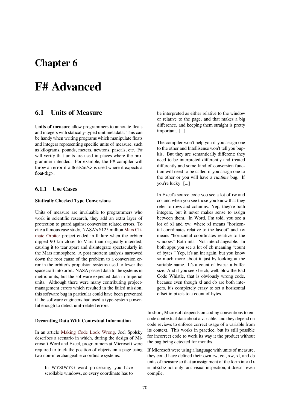# **Chapter 6**

# **F# Advanced**

# **6.1 Units of Measure**

**Units of measure** allow programmers to annotate floats and integers with statically-typed unit metadata. This can be handy when writing programs which manipulate floats and integers representing specific units of measure, such as kilograms, pounds, meters, newtons, pascals, etc. F# will verify that units are used in places where the programmer intended. For example, the F# compiler will throw an error if a float<m/>s> is used where it expects a float<kg>.

# **6.1.1 Use Cases**

# **Statically Checked Type Conversions**

Units of measure are invaluable to programmers who work in scientific research, they add an extra layer of protection to guard against conversion related errors. To cite a famous case study, NASA's \$125 million Mars Climate Orbiter project ended in failure when the orbiter dipped 90 km closer to Mars than originally intended, causing it to tear apart and disintegrate spectacularly in the Mars atmosphere. A post mortem analysis [narrowed](http://mars.jpl.nasa.gov/msp98/news/mco991110.html) [down the roo](http://mars.jpl.nasa.gov/msp98/news/mco991110.html)t cause of the problem to a conversion error in the orbiter's propulsion systems used to lower the spacecraft into orbit: NASA passed data to the systems in metric units, but the software expected data in Imperial units. Although there were many contributing projectmanagement errors which resulted in the failed mission, this software bug in particular could have been prevented if the software engineers had used a type-system powerful enough to detect unit-related errors.

### **Decorating Data With Contextual Information**

In an article Making Code Look Wrong, Joel Spolsky describes a scenario in which, during the design of Microsoft Word and Excel, programmers at Microsoft were required to track the position of objects on a page using two non-inter[changeable coordinate system](http://www.joelonsoftware.com/articles/Wrong.html)s:

In WYSIWYG word processing, you have scrollable windows, so every coordinate has to be interpreted as either relative to the window or relative to the page, and that makes a big difference, and keeping them straight is pretty important. [...]

The compiler won't help you if you assign one to the other and Intellisense won't tell you bupkis. But they are semantically different; they need to be interpreted differently and treated differently and some kind of conversion function will need to be called if you assign one to the other or you will have a *runtime* bug. If you're lucky. [...]

In Excel's source code you see a lot of rw and col and when you see those you know that they refer to rows and columns. Yep, they're both integers, but it never makes sense to assign between them. In Word, I'm told, you see a lot of xl and xw, where xl means "horizontal coordinates relative to the layout" and xw means "horizontal coordinates relative to the window." Both ints. Not interchangeable. In both apps you see a lot of cb meaning "count of bytes." Yep, it's an int again, but you know so much more about it just by looking at the variable name. It's a count of bytes: a buffer size. And if you see  $x = cb$ , well, blow the Bad Code Whistle, that is obviously wrong code, because even though xl and cb are both integers, it's completely crazy to set a horizontal offset in pixels to a count of bytes.

In short, Microsoft depends on coding conventions to encode contextual data about a variable, and they depend on code reviews to enforce correct usage of a variable from its context. This works in practice, but its still possible for incorrect code to work its way it the product without the bug being detected for months.

If Microsoft were using a language with units of measure, they could have defined their own rw, col, xw, xl, and cb units of measure so that an assignment of the form int<xl> = int<cb> not only fails visual inspection, it doesn't even compile.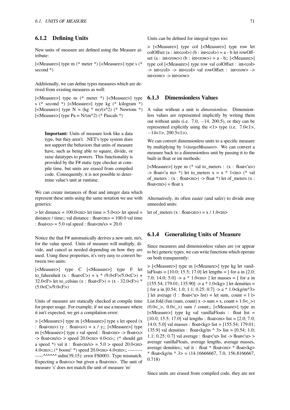New units of measure are defined using the Measure attribute:

[<Measure>] type m (\* meter \*) [<Measure>] type s (\* second \*)

Additionally, we can define types measures which are derived from existing measures as well:

[<Measure>] type m (\* meter \*) [<Measure>] type s (\* second \*) [<Measure>] type kg (\* kilogram \*) [<Measure>] type  $N = (kg * m)/(s^2)$  (\* Newtons \*) [<Measure>] type  $Pa = N/(m^2)$  (\* Pascals \*)

**Important:** Units of measure look like a data type, but they aren't. .NET's type system does not support the behaviors that units of measure have, such as being able to square, divide, or raise datatypes to powers. This functionality is provided by the F# static type checker at compile time, but units are erased from compiled code. Consequently, it is not possible to determine value's unit at runtime.

We can create instances of float and integer data which represent these units using the same notation we use with generics:

 $>$  let distance = 100.0  $<$ m $>$  let time = 5.0 $<$ s $>$  let speed = distance / time;; val distance : float  $\langle m \rangle = 100.0$  val time : float $\langle s \rangle$  = 5.0 val speed : float $\langle m/s \rangle$  = 20.0

Notice the that F# automatically derives a new unit, m/s, for the value speed. Units of measure will multiply, divide, and cancel as needed depending on how they are used. Using these properties, it's very easy to convert between two units:

[<Measure>] type C [<Measure>] type F let to fahrenheit (x : float  $(C) = x * (9.0 \le F > /5.0 \le C >) +$ 32.0<F> let to\_celsius  $(x : float < F>) = (x - 32.0 < F>)$  \*  $(5.0 < C > 9.0 < F >)$ 

Units of measure are statically checked at compile time for proper usage. For example, if we use a measure where it isn't expected, we get a compilation error:

> [<Measure>] type m [<Measure>] type s let speed (x : float  $\langle m \rangle$  (y : float  $\langle s \rangle$ ) = x / y;; [ $\langle Measure \rangle$ ] type m [<Measure>] type s val speed : float<m> -> float<s>  $\Rightarrow$  float  $\langle$ m/s $\rangle$   $>$  speed 20.0 $\langle$ m $\rangle$  4.0 $\langle$ s $\rangle$ ;; (\* should get a speed \*) val it : float  $\langle m/s \rangle = 5.0$  > speed 20.0  $\langle m \rangle$ 4.0<m>;; (\* boom! \*) speed 20.0<m> 4.0<m>;; --------- -----^^^^^^ stdin(39,15): error FS0001: Type mismatch. Expecting a float<s> but given a float<m>>>>>>. The unit of measure 's' does not match the unit of measure 'm'

Units can be defined for integral types too:

> [<Measure>] type col [<Measure>] type row let colOffset (a : int<col>) (b : int<col>) = a - b let rowOffset (a : int<row>) (b : int<row>) = a - b;; [<Measure>] type col [<Measure>] type row val colOffset : int<col> -> int<col> -> int<col> val rowOffset : int<row> -> int<row> -> int<row>

# **6.1.3 Dimensionless Values**

A value without a unit is *dimensionless*. Dimensionless values are represented implicitly by writing them out without units (i.e. 7.0, *−*14, 200.5), or they can be represented explicitly using the  $\langle 1 \rangle$  type (i.e. 7.0 $\langle 1 \rangle$ , *−*14<1>, 200.5<1>).

We can convert dimensionless units to a specific measure by multiplying by 1<*targetMeasure*>. We can convert a measure back to a dimensionless unit by passing it to the built-in float or int methods:

[<Measure>] type m (\* val to\_meters : (x : float<'u>) -> float<'u m> \*) let to\_meters  $x = x * 1$ <m> (\* val of meters :  $(x : float < m$  >  $)$  -> float \*) let of meters  $(x :$  $float<sub>m</sub>> = float x$ 

Alternatively, its often easier (and safer) to divide away unneeded units:

let of \_meters (x : float<m> $= x / 1.0$  <m>

# **6.1.4 Generalizing Units of Measure**

Since measures and dimensionless values are (or appear to be) generic types, we can write functions which operate on both transparently:

> [<Measure>] type m [<Measure>] type kg let vanillaFloats =  $[10.0; 15.5; 17.0]$  let lengths =  $[$  for a in  $[2.0;$ 7.0; 14.0; 5.0]  $\rightarrow$  a  $*$  1.0 < m> ] let masses = [ for a in [155.54; 179.01; 135.90]  $\rightarrow$  a \* 1.0 < kg> ] let densities = [ for a in [0.54; 1.0; 1.1; 0.25; 0.7]  $\rightarrow$  a \* 1.0 < kg/m^3 > ] let average (l : float  $\langle u \rangle$  list) = let sum, count = l  $\triangleright$ List.fold (fun (sum, count)  $x \rightarrow$  sum + x, count + 1.0<  $>$ )  $(0.0<\rangle, 0.0<\rangle)$  sum / count;; [<Measure>] type m  $[\langle$ Measure> $]$  type kg val vanillaFloats : float list = [10.0; 15.5; 17.0] val lengths : float <m> list = [2.0; 7.0; 14.0; 5.0] val masses : float<kg> list = [155.54; 179.01; 135.9] val densities : float<kg/m  $\land$  3> list = [0.54; 1.0; 1.1; 0.25; 0.7] val average : float<'u> list -> float<'u> > average vanillaFloats, average lengths, average masses, average densities;; val it : float \* float <m> \* float <kg>  $*$  float<kg/m  $\land$  3> = (14.16666667, 7.0, 156.8166667, 0.718)

Since units are erased from compiled code, they are not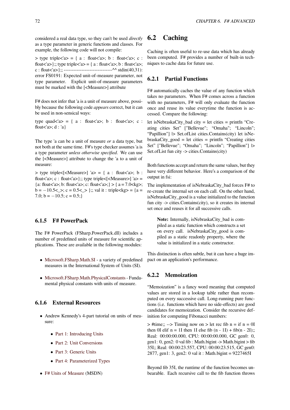considered a real data type, so they can't be used *directly* as a type parameter in generic functions and classes. For example, the following code will not compile:

 $>$  type triple $\langle a \rangle = \{ a : \text{float} \langle a \rangle : b : \text{float} \langle a \rangle : c : c \rangle \}$ float  $\langle a \rangle$ ;; type triple  $\langle a \rangle = \{ a : \text{float} \langle a \rangle : b : \text{float} \langle a \rangle \}$ ; c : float<'a>};; --------------------------------^^ stdin(40,31): error FS0191: Expected unit-of-measure parameter, not type parameter. Explicit unit-of-measure parameters must be marked with the [<Measure>] attribute

F# does not infer that 'a is a unit of measure above, possibly because the following code *appears* correct, but it can be used in non-sensical ways:

type quad $\langle a \rangle = \{ a : \text{float} \langle a \rangle : b : \text{float} \langle a \rangle : c :$ float $\langle a \rangle$ ; d : 'a}

The type 'a can be a unit of measure *or* a data type, but not both at the same time. F#'s type checker assumes 'a is a type parameter *unless otherwise specified*. We can use the [<Measure>] attribute to change the 'a to a unit of measure:

> type triple<[<Measure>] 'a> = { a : float<'a>; b : float<'a>; c : float<'a>};; type triple<[<Measure>] 'a> = {a: float<'a>; b: float<'a>; c: float<'a>;} > {  $a = 7.0$  < kg>; b = −10.5<\_>; c = 0.5<\_> };; val it : triple<kg> = {a = 7.0;  $b = -10.5$ ;  $c = 0.5$ ;}

# **6.1.5 F# PowerPack**

The F# PowerPack (FSharp.PowerPack.dll) includes a number of predefined units of measure for scientific applications. These are available in the following modules:

- *•* Microsoft.FSharp.Math.SI a variety of predefined measures in the International System of Units (SI).
- *•* Microsoft.FSharp.Math.PhysicalConstants- Funda[mental physical constants w](http://research.microsoft.com/en-us/um/cambridge/projects/fsharp/manual/fsharp.powerpack/Microsoft.FSharp.Math.SI.html)ith units of measure.

# **6.1.[6 External Resources](http://research.microsoft.com/en-us/um/cambridge/projects/fsharp/manual/fsharp.powerpack/Microsoft.FSharp.Math.PhysicalConstants.html)**

- *•* Andrew Kennedy's 4-part tutorial on units of measure:
	- Part 1: Introducing Units
	- *•* Part 2: Unit Conversions
	- *•* Part 3: Generic Units
	- *•* [Part 4: Parameterized Ty](http://blogs.msdn.com/andrewkennedy/archive/2008/08/29/units-of-measure-in-f-part-one-introducing-units.aspx)pes
- F# U[nits of Measure](http://blogs.msdn.com/andrewkennedy/archive/2008/09/04/units-of-measure-in-f-part-three-generic-units.aspx) (MSDN)

# **6.2 Caching**

Caching is often useful to re-use data which has already been computed. F# provides a number of built-in techniques to cache data for future use.

# **6.2.1 Partial Functions**

F# automatically caches the value of any function which takes no parameters. When F# comes across a function with no parameters, F# will only evaluate the function once and reuse its value everytime the function is accessed. Compare the following:

let isNebraskaCity\_bad city = let cities = printfn "Creating cities Set" ["Bellevue"; "Omaha"; "Lincoln"; "Papillion"] |> Set.ofList cities.Contains(city) let isNebraskaCity\_good = let cities = printfn "Creating cities Set" ["Bellevue"; "Omaha"; "Lincoln"; "Papillion"] |> Set.ofList fun city -> cities.Contains(city)

Both functions accept and return the same values, but they have very different behavior. Here's a comparison of the output in fsi:

The implementation of isNebraskaCity\_bad forces F# to re-create the internal set on each call. On the other hand, isNebraskaCity\_good is a value initialized to the function fun city -> cities.Contains(city), so it creates its internal set once and reuses it for all successive calls.

**Note:** Internally, isNebraskaCity\_bad is compiled as a static function which constructs a set on every call. isNebraskaCity\_good is compiled as a static readonly property, where the value is initialized in a static constructor.

This distinction is often subtle, but it can have a huge impact on an application's performance.

# **6.2.2 Memoization**

"Memoization" is a fancy word meaning that computed values are stored in a lookup table rather than recomputed on every successive call. Long-running pure functions (i.e. functions which have no side-effects) are good candidates for memoization. Consider the recursive definition for computing Fibonacci numbers:

 $\Rightarrow$  #time;; -- $\Rightarrow$  Timing now on  $\Rightarrow$  let rec fib n = if n = 0I then 0I elif  $n = 1$ I then 1I else fib  $(n - 1I) + fib(n - 2I)$ ;; Real: 00:00:00.000, CPU: 00:00:00.000, GC gen0: 0, gen1: 0, gen2: 0 val fib : Math.bigint -> Math.bigint > fib 35I;; Real: 00:00:23.557, CPU: 00:00:23.515, GC gen0: 2877, gen1: 3, gen2: 0 val it : Math.bigint = 9227465I

Beyond fib 35I, the runtime of the function becomes unbearable. Each recursive call to the fib function throws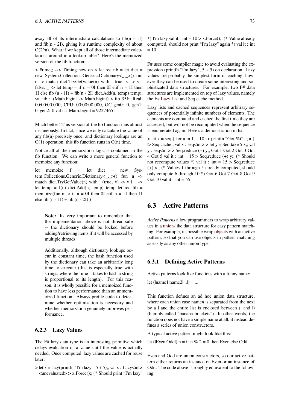away all of its intermediate calculations to fib $(n - 1)$ and fib $(n - 2I)$ , giving it a runtime complexity of about  $O(2<sup>2</sup>n)$ . What if we kept all of those intermediate calculations around in a lookup table? Here's the memoized version of the fib function:

 $>$ #time;; -- $>$  Timing now on  $>$  let rec fib = let dict = new System.Collections.Generic.Dictionary<,  $>()$  fun n -> match dict.TryGetValue(n) with  $\vert$  true,  $v \rightarrow v \vert$ false,  $\angle$  -> let temp = if n = 0I then 0I elif n = 1I then 1I else fib  $(n - 1I) + fib(n - 2I)$  dict.Add $(n, temp)$  temp;; val fib : (Math.bigint -> Math.bigint) > fib 35I;; Real: 00:00:00.000, CPU: 00:00:00.000, GC gen0: 0, gen1: 0, gen2: 0 val it : Math.bigint =  $9227465I$ 

Much better! This version of the fib function runs almost instaneously. In fact, since we only calculate the value of any fib(n) precisely once, and dictionary lookups are an  $O(1)$  operation, this fib function runs in  $O(n)$  time.

Notice all of the memoization logic is contained in the fib function. We can write a more general function to memoize any function:

let memoize f = let dict = new System.Collections.Generic.Dictionary<\_,\_>() fun n -> match dict.TryGetValue(n) with  $\vert$  (true, v) -> v  $\vert$  -> let temp =  $f(n)$  dict.Add(n, temp) temp let rec fib = memoize(fun  $n \rightarrow$  if  $n = 0$ I then 0I elif  $n = 1$ I then 1I else fib  $(n - 1I) + fib (n - 2I)$ 

**Note:** Its very important to remember that the implementation above is not thread-safe -- the dictionary should be locked before adding/retrieving items if it will be accessed by multiple threads.

Additionally, although dictionary lookups occur in constant time, the hash function used by the dictionary can take an arbitrarily long time to execute (this is especially true with strings, where the time it takes to hash a string is proportional to its length). For this reason, it is wholly possible for a memoized function to have less performance than an unmemoized function. Always profile code to determine whether optimization is necessary and whether memoization genuinely improves performance.

# **6.2.3 Lazy Values**

The F# lazy data type is an interesting primitive which delays evaluation of a value until the value is actually needed. Once computed, lazy values are cached for reuse later:

 $>$  let x = lazy(printfn "I'm lazy"; 5 + 5);; val x : Lazy<int $>$  $=$  <unevaluated> > x. Force $($ );; (\* Should print "I'm lazy"

\*) I'm lazy val it : int =  $10 > x$ . Force();; (\* Value already computed, should not print "I'm lazy" again \*) val it : int  $= 10$ 

F# uses some compiler magic to avoid evaluating the expression (printfn "I'm lazy";  $5 + 5$ ) on declaration. Lazy values are probably the simplest form of caching, however they can be used to create some interesting and sophisticated data structures. For example, two F# data structures are implemented on top of lazy values, namely the F# Lazy List and Seq.cache method.

Lazy lists and cached sequences represent arbitrary sequences of potentially infinite numbers of elements. The elements are computed and cached the first time they are access[ed, but wil](http://research.microsoft.com/en-us/um/cambridge/projects/fsharp/manual/fsharp.powerpack/microsoft.fsharp.collections.lazylist.html)l not be recomputed when the sequence is enumerated again. Here's a demonstration in fsi:

 $>$  let x = seq { for a in 1 .. 10 -> printfn "Got %i" a; a }  $\triangleright$  Seq.cache;; val x : seq<int> > let y = Seq.take 5 x;; val  $y : seq<sub>sup</sub> > Seq. reduce (+) y; Got 1 Got 2 Got 3 Got$ 4 Got 5 val it : int =  $15 >$  Seq.reduce (+) y;; (\* Should not recompute values \*) val it : int =  $15 >$  Seq.reduce (+) x;; (\* Values 1 through 5 already computed, should only compute 6 through 10 \*) Got 6 Got 7 Got 8 Got 9 Got 10 val it : int =  $55$ 

# **6.3 Active Patterns**

*Active Patterns* allow programmers to wrap arbitrary values in a union-like data structure for easy pattern matching. For example, its possible wrap objects with an active pattern, so that you can use objects in pattern matching as easily as any other union type.

# **6.3.1 Defining Active Patterns**

Active patterns look like functions with a funny name: let  $(lname1|name2...l) = ...$ 

This function defines an ad hoc union data structure, where each union case name*n* is separated from the next by a  $\vert$  and the entire list is enclosed between  $(\vert$  and  $\vert)$ (humbly called "banana brackets"). In other words, the function does not have a simple name at all, it instead defines a series of union constructors.

A typical active pattern might look like this:

let (|Even|Odd|) n = if n % 2 = 0 then Even else Odd

Even and Odd are union constructors, so our active pattern either returns an instance of Even or an instance of Odd. The code above is roughly equivalent to the following: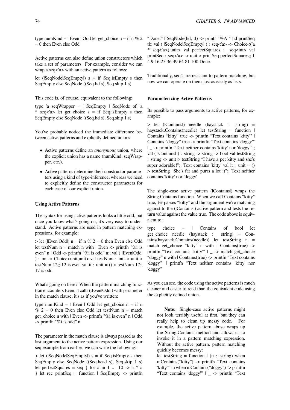type numKind = | Even | Odd let get choice n = if n % 2  $= 0$  then Even else Odd

Active patterns can also define union constructors which take a set of parameters. For example, consider we can wrap a seq<'a> with an active pattern as follows:

let ( $|SeqNode|SeqEmpty|$ ) s = if Seq.is Empty s then SeqEmpty else SeqNode ((Seq.hd s), Seq.skip 1 s)

This code is, of course, equivalent to the following:

type 'a seqWrapper  $=$  | SeqEmpty | SeqNode of 'a \* seq<'a> let get choice s = if Seq.isEmpty s then SeqEmpty else SeqNode ((Seq.hd s), Seq.skip 1 s)

You've probably noticed the immediate difference between active patterns and explicitly defined unions:

- *•* Active patterns define an *anonymous* union, where the explicit union has a name (numKind, seqWrapper, etc.).
- *•* Active patterns determine their constructor parameters using a kind of type-inference, whereas we need to explicitly define the constructor parameters for each case of our explicit union.

# **Using Active Patterns**

The syntax for using active patterns looks a little odd, but once you know what's going on, it's very easy to understand. Active patterns are used in pattern matching expressions, for example:

 $>$  let (|Even|Odd|) n = if n % 2 = 0 then Even else Odd let testNum  $n =$  match n with  $\vert$  Even  $\vert$  printfn "%i is even" n | Odd -> printfn "%i is odd" n;; val ( |Even|Odd| ) : int -> Choice<unit,unit> val testNum : int -> unit > testNum 12;; 12 is even val it : unit =  $()$  > testNum 17;; 17 is odd

What's going on here? When the pattern matching function encounters Even, it calls (|Even|Odd|) with parameter in the match clause, it's as if you've written:

type numKind =  $|$  Even  $|$  Odd let get choice n = if n  $% 2 = 0$  then Even else Odd let testNum n = match get\_choice n with | Even -> printfn "%i is even" n | Odd -> printfn "%i is odd" n

The parameter in the match clause is always passed as the last argument to the active pattern expression. Using our seq example from earlier, we can write the following:

 $>$  let ( $|SeqNode|SeqEmpty|$ ) s = if Seq.is Empty s then SeqEmpty else SeqNode ((Seq.head s), Seq.skip 1 s) let perfectSquares = seq { for a in 1  $\ldots$  10 -> a  $*$  a } let rec printSeq = function | SeqEmpty -> printfn "Done." | SeqNode(hd, tl) -> printf "%A " hd printSeq tl;; val ( |SeqNode|SeqEmpty| ) : seq<'a> -> Choice<('a \* seq<'a>),unit> val perfectSquares : seq<int> val printSeq : seq<'a> -> unit > printSeq perfectSquares;; 1 4 9 16 25 36 49 64 81 100 Done.

Traditionally, seq's are resistant to pattern matching, but now we can operate on them just as easily as lists.

# **Parameterizing Active Patterns**

Its possible to pass arguments to active patterns, for example:

> let (|Contains|) needle (haystack : string) = haystack.Contains(needle) let testString = function | Contains "kitty" true -> printfn "Text contains 'kitty'" | Contains "doggy" true -> printfn "Text contains 'doggy'" | \_ -> printfn "Text neither contains 'kitty' nor 'doggy'";; val ( |Contains| ) : string -> string -> bool val testString : string -> unit > testString "I have a pet kitty and she's super adorable!";; Text contains 'kitty' val it : unit  $= ()$ > testString "She's fat and purrs a lot :)";; Text neither contains 'kitty' nor 'doggy'

The single-case active pattern (|Contains|) wraps the String.Contains function. When we call Contains "kitty" true, F# passes "kitty" and the argument we're matching against to the (|Contains|) active pattern and tests the return value against the value true. The code above is equivalent to:

type choice = | Contains of bool let get\_choice needle (haystack : string) = Contains(haystack.Contains(needle)) let testString n = match get\_choice "kitty" n with | Contains(true) -> printfn "Text contains 'kitty'" | \_ -> match get\_choice "doggy" n with | Contains(true) -> printfn "Text contains 'doggy'" | printfn "Text neither contains 'kitty' nor 'doggy'"

As you can see, the code using the active patterns is much cleaner and easier to read than the equivalent code using the explicitly defined union.

**Note:** Single-case active patterns might not look terribly useful at first, but they can really help to clean up messy code. For example, the active pattern above wraps up the String.Contains method and allows us to invoke it in a pattern matching expression. Without the active pattern, pattern matching quickly becomes messy:

let testString = function  $|$  (n : string) when n.Contains("kitty") -> printfn "Text contains 'kitty'" | n when n.Contains("doggy") -> printfn "Text contains 'doggy'" | \_ -> printfn "Text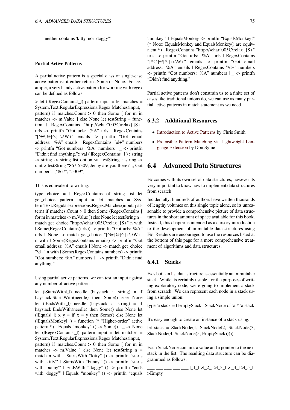## **Partial Active Patterns**

A partial active pattern is a special class of single-case active patterns: it either returns Some or None. For example, a very handy active pattern for working with regex can be defined as follows:

> let (|RegexContains|\_|) pattern input = let matches = System.Text.RegularExpressions.Regex.Matches(input, pattern) if matches.Count  $> 0$  then Some  $\lceil$  for m in matches -> m.Value ] else None let testString = function | RegexContains "http://\char"005C\relax{}S+" urls -> printfn "Got urls: %A" urls | RegexContains  $"[^{\wedge}@]@[^{\wedge}].]+\\ \vee\\ W+"$  emails -> printfn "Got email" address: %A" emails | RegexContains "\d+" numbers -> printfn "Got numbers: %A" numbers | \_ -> printfn "Didn't find anything.";; val ( |RegexContains|\_| ) : string -> string -> string list option val testString : string -> unit > testString "867-5309, Jenny are you there?";; Got numbers: ["867"; "5309"]

#### This is equivalent to writing:

type choice  $=$  | RegexContains of string list let get\_choice pattern input = let matches = System.Text.RegularExpressions.Regex.Matches(input, pattern) if matches.Count > 0 then Some (RegexContains [ for m in matches  $\rightarrow$  m. Value ]) else None let testString n = match get\_choice "http://\char"005C\relax{}S+" n with | Some(RegexContains(urls)) -> printfn "Got urls: %A" urls | None -> match get choice " $[^{\wedge} \mathcal{Q}]\mathcal{Q}[\wedge] + \lambda \W +$ " n with | Some(RegexContains emails) -> printfn "Got email address: %A" emails | None -> match get choice "\d+" n with | Some(RegexContains numbers) -> printfn "Got numbers: %A" numbers | \_ -> printfn "Didn't find anything."

Using partial active patterns, we can test an input against any number of active patterns:

let (|StartsWith|\_|) needle (haystack : string) = if haystack.StartsWith(needle) then Some() else None let (|EndsWith|\_|) needle (haystack : string) = if haystack.EndsWith(needle) then Some() else None let ( $|Equals|_$ ) x y = if x = y then Some() else None let  $($ [EqualsMonkey $|$ ]) = function (\* "Higher-order" active pattern \*) | Equals "monkey" () -> Some() | \_ -> None let (|RegexContains|\_|) pattern input = let matches = System.Text.RegularExpressions.Regex.Matches(input, pattern) if matches. Count  $> 0$  then Some  $\lceil$  for m in matches -> m.Value ] else None let testString n = match n with | StartsWith "kitty" () -> printfn "starts with 'kitty'" | StartsWith "bunny" () -> printfn "starts with 'bunny'" | EndsWith "doggy" () -> printfn "ends with 'doggy'" | Equals "monkey" () -> printfn "equals

'monkey'" | EqualsMonkey -> printfn "EqualsMonkey!" (\* Note: EqualsMonkey and EqualsMonkey() are equivalent \*) | RegexContains "http://\char"005C\relax{}S+" urls -> printfn "Got urls: %A" urls | RegexContains "[^@]@[^.]+\.\W+" emails -> printfn "Got email address: %A" emails | RegexContains "\d+" numbers  $\Rightarrow$  printfn "Got numbers: %A" numbers |  $\Rightarrow$  printfn "Didn't find anything."

Partial active patterns don't constrain us to a finite set of cases like traditional unions do, we can use as many partial active patterns in match statement as we need.

# **6.3.2 Additional Resources**

- Introduction to Active Patterns by Chris Smith
- *•* Extensible Pattern Matching via Lightweight Language Extension by Don Syme

# **6.4 [Advanced Data Structures](http://research.microsoft.com/pubs/79947/p29-syme.pdf)**

F# comes with its own set of data structures, however its very important to know how to implement data structures from scratch.

Incidentally, hundreds of authors have written thousands of lengthy volumes on this single topic alone, so its unreasonable to provide a comprehensive picture of data structures in the short amount of space available for this book. Instead, this chapter is intended as a cursory introduction to the development of immutable data structures using F#. Readers are encouraged to use the resources listed at the bottom of this page for a more comprehensive treatment of algorithms and data structures.

# **6.4.1 Stacks**

F#'s built-in list data structure is essentially an immutable stack. While its certainly usable, for the purposes of writing exploratory code, we're going to implement a stack from scratch. We can represent each node in a stack using a simple [uni](https://en.wikibooks.org/wiki/F_Sharp_Programming/Lists)on:

type 'a stack = | EmptyStack | StackNode of 'a \* 'a stack

It's easy enough to create an instance of a stack using:

let stack = StackNode(1, StackNode(2, StackNode(3, StackNode(4, StackNode(5, EmptyStack)))))

Each StackNode contains a value and a pointer to the next stack in the list. The resulting data structure can be diagrammed as follows:

\_\_\_ \_\_\_ \_\_\_ \_\_\_ \_\_\_ |\_1\_|->|\_2\_|->|\_3\_|->|\_4\_|->|\_5\_|-

>Empty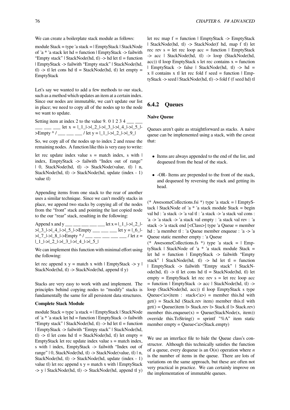We can create a boilerplate stack module as follows:

module Stack = type 'a stack = | EmptyStack | StackNode of 'a \* 'a stack let hd = function | EmptyStack -> failwith "Empty stack" | StackNode(hd, tl) -> hd let tl = function | EmptyStack -> failwith "Empty stack" | StackNode(hd, tl)  $\rightarrow$  tl let cons hd tl = StackNode(hd, tl) let empty = EmptyStack

Let's say we wanted to add a few methods to our stack, such as a method which updates an item at a certain index. Since our nodes are immutable, we can't update our list in place; we need to copy all of the nodes up to the node we want to update.

Setting item at index 2 to the value 9. 0 1 2 3 4  $\_$ \_\_\_ \_\_\_ \_\_\_ let x = |\_1\_|->|\_2\_|->|\_3\_|->|\_4\_|->|\_5\_|-  $\geq$ Empty ^ / \_\_\_ \_\_\_ \_\_\_ / let y =  $\lfloor 1 \rfloor$ - $\geq \lfloor 2 \rfloor$ - $\geq \lfloor 9 \rfloor$ 

So, we copy all of the nodes up to index 2 and reuse the remaining nodes. A function like this is very easy to write:

let rec update index value  $s =$  match index, s with  $\vert$ index, EmptyStack -> failwith "Index out of range" | 0, StackNode(hd, tl) -> StackNode(value, tl) | n, StackNode(hd, tl) -> StackNode(hd, update (index - 1) value tl)

Appending items from one stack to the rear of another uses a similar technique. Since we can't modify stacks in place, we append two stacks by copying all of the nodes from the "front" stack and pointing the last copied node to the our "rear" stack, resulting in the following:

Append x and y \_\_\_ \_\_ \_\_ \_\_ \_\_ let x = | 1 |->| 2 |->|\_3\_|->|\_4\_|->|\_5\_|->Empty \_\_\_ \_\_\_ \_\_\_ let y = |\_6\_|-  $>1$  -7 -  $>1$  - $8$  -  $>$  Empty ^ / \_\_\_ \_\_\_ \_\_\_ \_\_\_ \_\_\_ / let z = |\_1\_|->|\_2\_|->|\_3\_|->|\_4\_|->|\_5\_|

We can implement this function with minimal effort using the following:

let rec append x  $y =$  match x with  $\vert$  EmptyStack  $\vert$  > y  $\vert$ StackNode(hd, tl) -> StackNode(hd, append tl y)

Stacks are very easy to work with and implement. The principles behind copying nodes to "modify" stacks is fundamentally the same for all persistent data structures.

## **Complete Stack Module**

module Stack = type 'a stack = | EmptyStack | StackNode of 'a  $*$  'a stack let hd = function | EmptyStack -> failwith "Empty stack" | StackNode(hd, tl) -> hd let tl = function | EmptyStack -> failwith "Emtpy stack" | StackNode(hd, tl)  $\rightarrow$  tl let cons hd tl = StackNode(hd, tl) let empty = EmptyStack let rec update index value  $s =$  match index, s with | index, EmptyStack -> failwith "Index out of range" | 0, StackNode(hd, tl) -> StackNode(value, tl) | n, StackNode(hd, tl) -> StackNode(hd, update (index - 1) value tl) let rec append  $x y =$  match  $x$  with  $\vert$  EmptyStack  $\rightarrow$  y | StackNode(hd, tl)  $\rightarrow$  StackNode(hd, append tl y)

let rec map f = function | EmptyStack -> EmptyStack | StackNode(hd, tl) -> StackNode(f hd, map f tl) let rec rev  $s = let$  rec loop  $acc = function \mid EmptyStack$ -> acc | StackNode(hd, tl) -> loop (StackNode(hd, acc)) tl loop EmptyStack s let rec contains  $x =$  function | EmptyStack -> false | StackNode(hd, tl) -> hd =  $x \parallel$  contains x tl let rec fold f seed = function  $\parallel$  EmptyStack -> seed | StackNode(hd, tl) -> fold f (f seed hd) tl

# **6.4.2 Queues**

#### **Naive Queue**

Queues aren't quite as straightforward as stacks. A naive queue can be implemented using a stack, with the caveat that:

- *•* Items are always appended to the end of the list, and dequeued from the head of the stack.
- *•* -OR- Items are prepended to the front of the stack, and dequeued by reversing the stack and getting its head.

(\* AwesomeCollections.fsi \*) type 'a stack  $=$  | EmptyStack | StackNode of 'a  $*$  'a stack module Stack = begin val hd : 'a stack -> 'a val tl : 'a stack -> 'a stack val cons : 'a -> 'a stack -> 'a stack val empty : 'a stack val rev : 'a stack -> 'a stack end [<Class>] type 'a Queue = member hd : 'a member tl : 'a Queue member enqueue : 'a -> 'a Queue static member empty : 'a Queue

(\* AwesomeCollections.fs \*) type 'a stack  $=$  | EmptyStack | StackNode of 'a \* 'a stack module Stack = let hd = function | EmptyStack -> failwith "Empty stack" | StackNode(hd, tl) -> hd let tl = function | EmptyStack -> failwith "Emtpy stack" | StackNode(hd, tl) -> tl let cons hd tl = StackNode(hd, tl) let  $empty = EmptyStack$  let rec rev  $s = let$  rec loop acc  $=$  function  $\vert$  EmptyStack -> acc  $\vert$  StackNode(hd, tl) -> loop (StackNode(hd, acc)) tl loop EmptyStack s type Queue $\langle a \rangle$ (item : stack $\langle a \rangle$ ) = member this.hd with get() = Stack.hd (Stack.rev item) member this.tl with get() = Queue(item |> Stack.rev |> Stack.tl |> Stack.rev) member this.enqueue $(x) =$ Oueue(StackNode $(x,$  item)) override this.ToString() = sprintf "%A" item static member empty = Queue<'a>(Stack.empty)

We use an interface file to hide the Queue class's constructor. Although this technically satisfies the function of a queue, every dequeue is an O(*n*) operation where *n* is the number of items in the queue. There are lots of variations on the same approach, but these are often not very practical in practice. We can certainly improve on the implementation of immutable queues.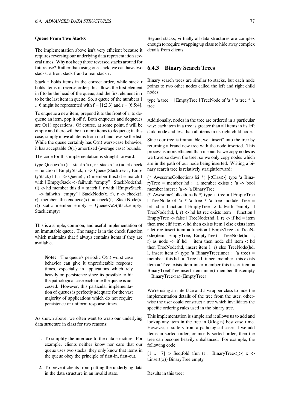#### **Queue From Two Stacks**

The implementation above isn't very efficient because it requires reversing our underlying data representation several times. Why not keep those reversed stacks around for future use? Rather than using one stack, we can have two stacks: a front stack f and a rear stack r.

Stack f holds items in the correct order, while stack r holds items in reverse order; this allows the first element in f to be the head of the queue, and the first element in r to be the last item in queue. So, a queue of the numbers 1 .. 6 might be represented with  $f = [1;2;3]$  and  $r = [6;5;4]$ .

To enqueue a new item, prepend it to the front of r; to dequeue an item, pop it off f. Both enqueues and dequeues are  $O(1)$  operations. Of course, at some point, f will be empty and there will be no more items to dequeue; in this case, simply move all items from r to f and reverse the list. While the queue certainly has  $O(n)$  worst-case behavior, it has acceptable O(1) amortized (average case) bounds.

The code for this implementation is straight forward:

type Queue<'a>(f : stack<'a>, r : stack<'a>) = let check = function | EmptyStack, r -> Queue(Stack.rev r, EmptyStack)  $| f, r \rangle$  Queue $(f, r)$  member this.hd = match f with | EmptyStack -> failwith "empty" | StackNode(hd, tl) -> hd member this.tl = match f, r with  $\vert$  EmptyStack,  $-$  -> failwith "empty" | StackNode(x, f), r -> check(f, r) member this.enqueue $(x)$  = check $(f, StackNode(x,$ r)) static member empty = Queue<'a>(Stack.empty, Stack.empty)

This is a simple, common, and useful implementation of an immutable queue. The magic is in the check function which maintains that f always contains items if they are available.

Note: The queue's periodic O(n) worst case behavior can give it unpredictable response times, especially in applications which rely heavily on persistence since its possible to hit the pathological case each time the queue is accessed. However, this particular implementation of queues is perfectly adequate for the vast majority of applications which do not require persistence or uniform response times.

As shown above, we often want to wrap our underlying data structure in class for two reasons:

- 1. To simplify the interface to the data structure. For example, clients neither know nor care that our queue uses two stacks; they only know that items in the queue obey the principle of first-in, first-out.
- 2. To prevent clients from putting the underlying data in the data structure in an invalid state.

Beyond stacks, virtually all data structures are complex enough to require wrapping up class to hide away complex details from clients.

# **6.4.3 Binary Search Trees**

Binary search trees are similar to stacks, but each node points to two other nodes called the left and right child nodes:

type 'a tree = | EmptyTree | TreeNode of 'a \* 'a tree \* 'a tree

Additionally, nodes in the tree are ordered in a particular way: each item in a tree is greater than all items in its left child node and less than all items in its right child node.

Since our tree is immutable, we "insert" into the tree by returning a brand new tree with the node inserted. This process is more efficient than it sounds: we copy nodes as we traverse down the tree, so we only copy nodes which are in the path of our node being inserted. Writing a binary search tree is relatively straightforward:

(\* AwesomeCollections.fsi \*) [<Class>] type 'a BinaryTree = member hd : 'a member exists : 'a -> bool member insert : 'a -> 'a BinaryTree

(\* AwesomeCollections.fs \*) type 'a tree  $=$  | EmptyTree | TreeNode of 'a \* 'a tree \* 'a tree module Tree = let hd = function | EmptyTree -> failwith "empty" | TreeNode(hd, 1, r) -> hd let rec exists item = function  $\vert$ EmptyTree -> false | TreeNode(hd,  $l, r$ ) -> if hd = item then true elif item < hd then exists item l else exists item r let rec insert item = function | EmptyTree -> TreeNode(item, EmptyTree, EmptyTree) | TreeNode(hd, l, r) as node  $\rightarrow$  if hd = item then node elif item  $\lt$  hd then TreeNode(hd, insert item l, r) else TreeNode(hd, l, insert item r) type 'a BinaryTree(inner : 'a tree) = member this.hd = Tree.hd inner member this.exists item  $=$  Tree.exists item inner member this insert item  $=$ BinaryTree(Tree.insert item inner) member this.empty = BinaryTree<'a>(EmptyTree)

We're using an interface and a wrapper class to hide the implementation details of the tree from the user, otherwise the user could construct a tree which invalidates the specific ordering rules used in the binary tree.

This implementation is simple and it allows us to add and lookup any item in the tree in O(log n) best case time. However, it suffers from a pathological case: if we add items in sorted order, or mostly sorted order, then the tree can become heavily unbalanced. For example, the following code:

 $[1 \dots 7]$   $\triangleright$  Seq.fold (fun (t : BinaryTree  $\preceq$ ) x ->  $t.insert(x)) BinaryTree. empty$ 

Results in this tree: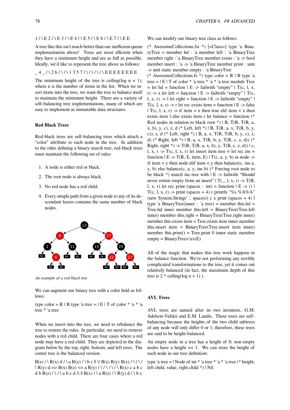#### $1 / \ E 2 / \ E 3 / \ E 4 / \ E 5 / \ E 6 / \ E 7 / \ E E$

A tree like this isn't much better than our inefficient queue implementation above! Trees are most efficient when they have a minimum height and are as full as possible. Ideally, we'd like to represent the tree above as follows:

## $4$  /  $26$ /  $\frac{1}{357}$ /  $\frac{1}{\sqrt{5}}$  E E E E E E E E E

The minimum height of the tree is ceiling(log  $n + 1$ ), where n is the number of items in the list. When we insert items into the tree, we want the tree to balance itself to maintain the minimum height. There are a variety of self-balancing tree implementations, many of which are easy to implement as immutable data structures.

# **Red Black Trees**

Red-black trees are self-balancing trees which attach a "color" attribute to each node in the tree. In addition to the rules defining a binary search tree, red-black trees must maintain the following set of rules:

- 1. A node is either red or black.
- 2. The root node is always black.
- 3. No red node has a red child.
- 4. Every simple path from a given node to any of its descendant leaves contains the same number of black nodes.



*An example of a red-black tree*

We can augment our binary tree with a color field as follows:

type color = R | B type 'a tree =  $E$  | T of color  $*$  'a  $*$  'a tree \* 'a tree

When we insert into the tree, we need to rebalance the tree to restore the rules. In particular, we need to remove nodes with a red child. There are four cases where a red node may have a red child. They are depicted in the diagram below by the top, right, bottom, and left trees. The center tree is the balanced version.

 $B(z) / \langle R(x) d / \langle a R(y) / \langle b c \rangle | \vee B(z) R(y) B(x) / \langle / \langle b \rangle |$  $\langle R(y) d \Rightarrow B(x) B(z) \le a R(y) / \langle 1 / \langle 1 / \langle 2 | \rangle \rangle$  c a b c d b R(z) / \ / \ a b c d  $\wedge$  || B(x) / \ a R(z) / \ R(y) d / \ b c

We can modify our binary tree class as follows:

(\* AwesomeCollections.fsi \*) [<Class>] type 'a BinaryTree = member hd : 'a member left : 'a BinaryTree member right : 'a BinaryTree member exists : 'a -> bool member insert : 'a -> 'a BinaryTree member print : unit -> unit static member empty : 'a BinaryTree

(\* AwesomeCollections.fs \*) type color =  $R$  | B type 'a tree = | E | T of color \* 'a tree \* 'a \* 'a tree module Tree  $=$  let hd  $=$  function  $\vert$  E -> failwith "empty"  $\vert$  T(c, 1, x, r) -> x let left = function  $|E -$ > failwith "empty"  $|T(c,$ l, x, r) -> l let right = function  $|E -$  failwith "empty"  $|E - E|$ T(c, l, x, r) -> r let rec exists item = function  $E -$  false | T(c, l, x, r) -> if item = x then true elif item  $\lt x$  then exists item l else exists item r let balance = function (\* Red nodes in relation to black root  $*$ ) | B, T(R, T(R, a, x, b), y, c), z, d (\* Left, left \*) | B, T(R, a, x, T(R, b, y, c)), z, d (\* Left, right \*) | B, a, x, T(R, T(R, b, y, c), z, d) (\* Right, left \*) | B, a, x, T(R, b, y, T(R, c, z, d)) (\* Right, right \*) -> T(R, T(B, a, x, b), y, T(B, c, z, d))  $\mid$  c, l, x,  $r \rightarrow T(c, l, x, r)$  let insert item tree = let rec ins = function  $| E - \rangle T(R, E, item, E) | T(c, a, y, b)$  as node -> if item  $=$  y then node elif item  $\lt$  y then balance(c, ins a, y, b) else balance(c, a, y, ins b) (\* Forcing root node to be black  $*$ ) match ins tree with  $\vert$  E -> failwith "Should" never return empty from an insert"  $\Gamma(\_1, \mathbf{I}, \mathbf{x}, \mathbf{r})$  ->  $\Gamma(\mathbf{B}, \mathbf{I})$ l, x, r) let rec print (spaces : int) = function  $|E \rightarrow ()|$ T(c, l, x, r) -> print (spaces + 4) r printfn "%s %A%A" (new System.String(' ', spaces)) c x print (spaces  $+4$ ) l type 'a BinaryTree(inner : 'a tree) = member this.hd = Tree.hd inner member this.left = BinaryTree(Tree.left inner) member this.right = BinaryTree(Tree.right inner) member this.exists item = Tree.exists item inner member this.insert item = BinaryTree(Tree.insert item inner) member this.print $()$  = Tree.print 0 inner static member  $empty = BinaryTree < a>(E)$ 

All of the magic that makes this tree work happens in the balance function. We're not performing any terribly complicated transformations to the tree, yet it comes out relatively balanced (in fact, the maximum depth of this tree is  $2 *$  ceiling(log  $n + 1$ ).

#### **AVL Trees**

AVL trees are named after its two inventors, G.M. Adelson-Velskii and E.M. Landis. These trees are selfbalancing because the heights of the two child subtrees of any node will only differ 0 or 1; therefore, these trees are said to be height-balanced.

An empty node in a tree has a height of 0; non-empty nodes have a height  $>= 1$ . We can store the height of each node in our tree definition:

type 'a tree =  $\vert$  Node of int \* 'a tree \* 'a \* 'a tree (\* height, left child, value, right child \*) | Nil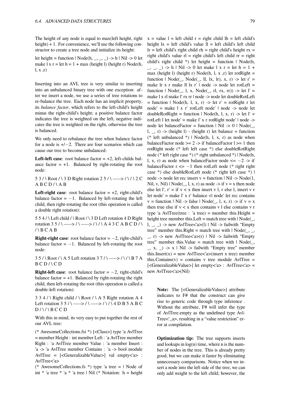The height of any node is equal to max(left height, right height) + 1. For convenience, we'll use the following constructor to create a tree node and initialize its height:

let height = function | Node(h, \_, \_, \_) -> h | Nil -> 0 let make  $1 x r = let h = 1 + max (height 1) (height r) Node(h,$  $l, x, r)$ 

Inserting into an AVL tree is very similar to inserting into an unbalanced binary tree with one exception: after we insert a node, we use a series of tree rotations to re-balance the tree. Each node has an implicit property, its *balance factor*, which refers to the left-child's height minus the right-child's height; a positive balance factor indicates the tree is weighted on the left, negative indicates the tree is weighted on the right, otherwise the tree is balanced.

We only need to rebalance the tree when balance factor for a node is +/*−*2. There are four scenarios which can cause our tree to become unbalanced:

**Left-left case:** root balance factor  $= +2$ , left-childs balance factor  $= +1$ . Balanced by right-rotating the root node:

5 3 / \ Root / \ 3 D Right rotation 2 5 / \ -----> / \ / \ 2 C  $ABCD/\A B$ 

**Left-right case:** root balance factor  $= +2$ , right-child's balance factor =  $-1$ . Balanced by left-rotating the left child, then right-rotating the root (this operation is called a double right rotation):

5 5 4 / \ Left child / \ Root / \ 3 D Left rotation 4 D Right rotation 3 5 / \ -----> / \ -----> / \ / \ A 4 3 C A B C D / \  $/ \setminus$  B C A B

**Right-right case**: root balance factor = *−*2, right-child's balance factor  $= -1$ . Balanced by left-rotating the root node:

3 5 / \ Root / \ A 5 Left rotation 3 7 / \ -----> / \ / \ B 7 A  $BCD/$  \ C D

**Right-left case**: root balance factor = *−*2, right-child's balance factor  $= +1$ . Balanced by right-rotating the right child, then left-rotating the root (this operation is called a double-left rotation):

 $3$  3 4 / \ Right child / \ Root / \ A 5 Right rotation A 4 Left rotation 3 5 / \ -----> / \ -----> / \ / \ 4 D B 5 A B C  $D / \backslash / \backslash B$  C C D

With this in mind, its very easy to put together the rest of our AVL tree:

(\* AwesomeCollections.fsi \*) [<Class>] type 'a AvlTree = member Height : int member Left : 'a AvlTree member Right : 'a AvlTree member Value : 'a member Insert : 'a -> 'a AvlTree member Contains : 'a -> bool module AvlTree = [<GeneralizableValue>] val empty<'a> : AvlTree<'a>

(\* AwesomeCollections.fs \*) type 'a tree  $=$  | Node of int  $*$  'a tree  $*$  'a  $*$  'a tree | Nil ( $*$  Notation: h = height  $x = value 1 = left child r = right child lh = left child's$ height  $lx = left child's value  $ll = left child's left child$$  $\text{lr} = \text{left child's right child rh} = \text{right child's height rx} =$ right child's value  $r =$  right child's left child  $rr =$  right child's right child \*) let height = function  $\vert$  Node(h,  $\lambda$ ,  $\lambda$   $\rightarrow$   $\lambda$   $\rightarrow$  h | Nil  $\rightarrow$  0 let make 1 x r = let h = 1 + max (height l) (height r) Node(h, l, x, r) let rotRight = function  $\vert$  Node( $\vert$ , Node( $\vert$ , ll, lx, lr), x, r) -> let r' = make lr x r make ll lx r' | node -> node let rotLeft = function  $\vert$  Node(, 1, x, Node(, rl, rx, rr)) -> let  $\vert$ ' = make l x rl make l' rx rr | node -> node let doubleRotLeft  $=$  function | Node(h, l, x, r) -> let r' = rotRight r let node' = make l x r' rotLeft node' | node -> node let doubleRotRight = function | Node(h, l, x, r) -> let  $l'$  = rotLeft l let node' = make l' x r rotRight node' | node -> node let balanceFactor = function  $\vert$  Nil -> 0  $\vert$  Node( $\vert$ , l,  $\Box$ , r) -> (height l) - (height r) let balance = function (\* left unbalanced \*) | Node(h, l, x, r) as node when balanceFactor node  $>= 2$  -> if balanceFactor  $l \ge 1$  then rotRight node (\* left left case \*) else doubleRotRight node (\* left right case \*) (\* right unbalanced \*) | Node(h, l, x, r) as node when balanceFactor node <= *−*2 -> if balanceFactor r <= *−*1 then rotLeft node (\* right right case \*) else doubleRotLeft node (\* right left case \*) | node  $\rightarrow$  node let rec insert  $v =$  function  $|$  Nil  $\rightarrow$  Node(1, Nil, v, Nil)  $|Node(_, l, x, r)$  as node -> if v = x then node else let l',  $r' = if v < x$  then insert v l, r else l, insert v r let node' = make l' x r' balance  $\leq$ l node' let rec contains  $v =$  function | Nil -> false | Node(, 1, x, r) -> if  $v = x$ then true else if  $v < x$  then contains v l else contains v r type 'a AvlTree(tree : 'a tree) = member this. Height = height tree member this. Left = match tree with  $|Node|$ , l,  $\Box$ ,  $\Box$ ) -> new AvlTree<'a>(l) | Nil -> failwith "Empty tree" member this.Right = match tree with  $\Delta$  Node( $\Delta$ ,  $\Delta$ ,  $\Rightarrow$  r) -> new AvlTree<'a>(r) | Nil -> failwith "Empty tree" member this.Value = match tree with  $\mid$  Node(\_,  $\langle x, x \rangle$   $\Rightarrow$  x | Nil  $\Rightarrow$  failwith "Empty tree" member this.Insert(x) = new AvlTree $\langle x \rangle$  as a tree) member this.Contains(y) = contains y tree module  $AvITEe$  = [<GeneralizableValue>] let empty<'a> : AvlTree<'a> = new AvlTree<'a>(Nil)

Note: The [<GeneralizableValue>] attribute indicates to F# that the construct can give rise to generic code through type inference . Without the attribute, F# will infer the type of AvlTree.empty as the undefined type Avl-Tree<' a>, resulting in a "value restriction" error at compilation.

**Optimization tip:** The tree supports inserts and lookups in  $log(n)$  time, where n is the number of nodes in the tree. This is already pretty good, but we can make it faster by eliminating unnecessary comparisons. Notice when we insert a node into the left side of the tree, we can only add weight to the left child; however, the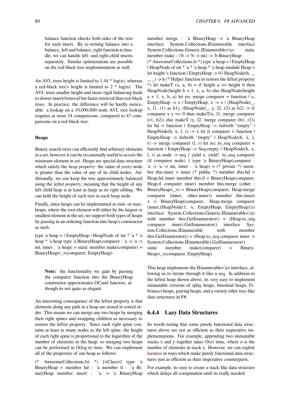balance function checks both sides of the tree for each insert. By re-writing balance into a balance\_left and balance\_right function to handle, we can handle left- and right-child inserts separately. Similar optimizations are possible on the red-black tree implementation as well.

An AVL trees height is limited to  $1.44 * log(n)$ , whereas a red-black tree's height is limited to  $2 * log(n)$ . The AVL trees smaller height and more rigid balancing leads to slower insert/removal but faster retrieval than red-black trees. In practice, the difference will be hardly noticeable: a lookup on a 10,000,000 node AVL tree lookup requires at most 34 comparisons, compared to 47 comparisons on a red-black tree.

### **Heaps**

Binary search trees can efficiently find arbitrary elements in a set, however it can be occasionally useful to access the *minimum* element in set. Heaps are special data structure which satisfy the *heap property*: the value of every node is greater than the value of any of its child nodes. Additionally, we can keep the tree approximately balanced using the *leftist property*, meaning that the height of any left child heap is at least as large as its right sibling. We can hold the height of each tree in each heap node.

Finally, since heaps can be implemented as min- or maxheaps, where the root element will either be the largest or smallest element in the set, we support both types of heaps by passing in an ordering function into heap's constructor as such:

type 'a heap = | EmptyHeap | HeapNode of int \* 'a \* 'a heap \* 'a heap type 'a BinaryHeap(comparer : 'a -> 'a -> int, inner : 'a heap) = static member make(comparer) = BinaryHeap<\_>(comparer, EmptyHeap)

**Note:** the functionality we gain by passing the comparer function into the BinaryHeap constructor approximates OCaml functors, although its not quite as elegant.

An interesting consequence of the leftist property is that elements along any path in a heap are stored in sorted order. This means we can merge any two heaps by merging their right spines and swapping children as necessary to restore the leftist property. Since each right spine contains at least as many nodes as the left spine, the height of each right spine is proportional to the logarithm of the number of elements in the heap, so merging two heaps can be performed in O(log n) time. We can implement all of the properties of our heap as follows:

(\* AwesomeCollections.fsi \*) [<Class>] type 'a BinaryHeap = member hd : 'a member tl : 'a BinaryHeap member insert : 'a -> 'a BinaryHeap member merge : 'a BinaryHeap -> 'a BinaryHeap interface System.Collections.IEnumerable interface System.Collections.Generic.IEnumerable<'a> static member make : ('b -> 'b -> int) -> 'b BinaryHeap

(\* AwesomeCollections.fs \*) type 'a heap = | EmptyHeap | HeapNode of int  $* 'a * 'a$  heap  $* 'a$  heap module Heap = let height = function | EmptyHeap -> 0 | HeapNode(h, \_,

\_, \_) -> h (\* Helper function to restore the leftist property \*) let makeT  $(x, a, b) =$  if height a  $\ge$ = height b then HeapNode(height  $b + 1$ , x, a, b) else HeapNode(height  $a + 1$ , x, b, a) let rec merge comparer = function | x, EmptyHeap  $\rightarrow$  x | EmptyHeap, x  $\rightarrow$  x | (HeapNode( x, 11, r1) as h1), (HeapNode(, y, 12, r2) as h2)  $\rightarrow$  if comparer x  $y \le 0$  then makeT(x, 11, merge comparer  $(r1, h2)$ ) else makeT (y, 12, merge comparer  $(h1, r2)$ ) let  $hd = function \perp Empt$  => failwith "empty"  $\perp$ HeapNode(h, x, l, r)  $\rightarrow$  x let tl comparer = function | EmptyHeap -> failwith "empty" | HeapNode(h, x, l, r) -> merge comparer  $(l, r)$  let rec to\_seq comparer = function | EmptyHeap -> Seq.empty | HeapNode(h, x, l, r) as node -> seq { yield x; yield! to\_seq comparer (tl comparer node) } type 'a BinaryHeap(comparer : 'a  $\rightarrow$  'a  $\rightarrow$  int, inner : 'a heap) = (\* private \*) member this.inner = inner (\* public \*) member this.hd = Heap.hd inner member this.tl = BinaryHeap(comparer, Heap.tl comparer inner) member this.merge (other : BinaryHeap<\_>) = BinaryHeap(comparer, Heap.merge comparer (inner, other.inner)) member this.insert x = BinaryHeap(comparer, Heap.merge comparer (inner,(HeapNode(1, x, EmptyHeap, EmptyHeap)))) interface System.Collections.Generic.IEnumerable<'a> with member this.GetEnumerator() = (Heap.to\_seq comparer inner).GetEnumerator() interface System.Collections.IEnumerable with member this.GetEnumerator() = (Heap.to\_seq comparer inner :> System.Collections.IEnumerable).GetEnumerator() static member make(comparer) = Binary-Heap<\_>(comparer, EmptyHeap)

This heap implements the IEnumerable<'a> interface, allowing us to iterate through it like a seq. In addition to the leftist heap shown above, its very easy to implement immutable versions of splay heaps, binomial heaps, Fibonacci heaps, pairing heaps, and a variety other tree-like data structures in F#.

# **6.4.4 Lazy Data Structures**

Its worth noting that some purely functional data structures above are not as efficient as their imperative implementations. For example, appending two immutable stacks x and y together takes  $O(n)$  time, where *n* is the number of elements in stack x. However, we can exploit laziness in ways which make purely functional data structures just as efficient as their imperative counterparts.

For example, its easy to create a stack-like data structure [which d](https://en.wikibooks.org/wiki/F_Sharp_Programming/Caching#Lazy_Values)elays all computation until its really needed: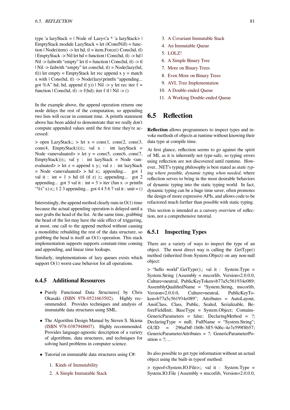type 'a lazyStack =  $\vert$  Node of Lazy $\vert$ 'a \* 'a lazyStack >  $\vert$  $EmptyStack$  module  $LazyStack = let (|Cons[Nill]) = func$ tion | Node(item) -> let hd, tl = item.Force()  $Cons(hd, tl)$  $|$  EmptyStack -> Nil let hd = function  $|$  Cons(hd, tl) -> hd  $|$ Nil -> failwith "empty" let tl = function | Cons(hd, tl) -> tl | Nil -> failwith "empty" let cons(hd, tl) = Node(lazy(hd, tl)) let empty = EmptyStack let rec append  $x y =$  match  $x$  with  $|$  Cons(hd, tl)  $\rightarrow$  Node(lazy(printfn "appending... got %A" hd; hd, append tl y)) | Nil -> y let rec iter f = function  $|\text{Cons}(\text{hd}, \text{tl}) \rightarrow f(\text{hd})$ ; iter f tl  $|\text{Nil} \rightarrow ()$ 

In the example above, the append operation returns one node delays the rest of the computation, so appending two lists will occur in constant time. A printfn statement above has been added to demonstrate that we really don't compute appended values until the first time they're accessed:

 $>$  open LazyStack;;  $>$  let  $x = \text{cons}(1, \text{cons}(2, \text{cons}(3,$  $cons(4, Emptystack)))$ ;; val x : int lazyStack = Node  $\langle$ unevaluated $\rangle$  > let y = cons(5, cons(6, cons(7, EmptyStack)));; val  $y$  : int lazyStack = Node <unevaluated> > let  $z =$  append x y;; val  $z :$  int lazyStack = Node <unevaluated> > hd z;; appending... got 1 val it : int =  $1 >$  hd (tl (tl z)); appending... got 2 appending... got 3 val it : int =  $3 >$  iter (fun x -> printfn "%i" x) z;; 1 2 3 appending... got 4 4 5 6 7 val it : unit =  $()$ 

Interestingly, the append method clearly runs in  $O(1)$  time because the actual appending operation is delayed until a user grabs the head of the list. At the same time, grabbing the head of the list may have the side effect of triggering, at most, one call to the append method without causing a monolithic rebuilding the rest of the data structure, so grabbing the head is itself an  $O(1)$  operation. This stack implementation supports supports constant-time consing and appending, and linear time lookups.

Similarly, implementations of lazy queues exists which support  $O(1)$  worst-case behavior for all operations.

# **6.4.5 Additional Resources**

- Purely Functional Data Structures by Chris Okasaki (ISBN 978-0521663502). Highly recommended. Provides techniques and analysis of immutable data structures using SML.
- *•* The Algor[ithm Design Manual by S](https://en.wikibooks.org/wiki/Special:BookSources/9780521663502)teven S. Skiena (ISBN 978-0387948607). Highly recommended. Provides language-agnostic description of a variety of algorithms, data structures, and techniques for solving hard problems in computer science.
- *•* [Tutorial on immutable da](https://en.wikibooks.org/wiki/Special:BookSources/9780387948607)ta structures using C#:
	- 1. Kinds of Immutability
	- 2. A Simple Immutable Stack
- 3. A Covariant Immutable Stack
- 4. An Immutable Queue
- 5. LOLZ!
- 6. [A Simple Binary Tree](http://blogs.msdn.com/ericlippert/archive/2007/12/06/immutability-in-c-part-three-a-covariant-immutable-stack.aspx)
- 7. [More on Binary Trees](http://blogs.msdn.com/ericlippert/archive/2007/12/10/immutability-in-c-part-four-an-immutable-queue.aspx)
- 8. [Even M](http://blogs.msdn.com/ericlippert/archive/2007/12/13/immutability-in-c-part-five-lolz.aspx)ore on Binary Trees
- 9. [AVL Tree Implementa](http://blogs.msdn.com/ericlippert/archive/2007/12/18/immutability-in-c-part-six-a-simple-binary-tree.aspx)tion
- 10. [A Double-ended Queu](http://blogs.msdn.com/ericlippert/archive/2007/12/19/immutability-in-c-part-seven-more-on-binary-trees.aspx)e
- 11. [A Working Double-ended Q](http://blogs.msdn.com/ericlippert/archive/2008/01/18/immutability-in-c-part-eight-even-more-on-binary-trees.aspx)ueue

# **6.5 [Reflection](http://blogs.msdn.com/ericlippert/archive/2008/01/22/immutability-in-c-part-10-a-double-ended-queue.aspx)**

**Reflection** allows programmers to inspect types and invoke methods of objects at runtime without knowing their data type at compile time.

At first glance, reflection seems to go against the spirit of ML as it is inherently not type-safe, so typing errors using reflection are not discovered until runtime. However, .NET's typing philosophy is best stated as *static typing where possible, dynamic typing when needed*, where reflection serves to bring in the most desirable behaviors of dynamic typing into the static typing world. In fact, dynamic typing can be a huge time saver, often promotes the design of more expressive APIs, and allows code to be refactored much further than possible with static typing.

This section is intended as a cursory overview of reflection, not a comprehensive tutorial.

# **6.5.1 Inspecting Types**

There are a variety of ways to inspect the type of an object. The most direct way is calling the .GetType() method (inherited from System.Object) on any non-null object:

> "hello world".GetType();; val it : System.Type = System.String {Assembly = mscorlib, Version=2.0.0.0, Culture=neutral, PublicKeyToken=b77a5c561934e089; AssemblyQualifiedName = "System.String, mscorlib, Version=2.0.0.0, Culture=neutral, PublicKeyToken=b77a5c561934e089"; Attributes = AutoLayout, AnsiClass, Class, Public, Sealed, Serializable, BeforeFieldInit; BaseType = System.Object; Contains-GenericParameters = false; DeclaringMethod = ?; DeclaringType = null; FullName = "System.String"; GUID = 296afbff-1b0b-3ff5-9d6c-4e7e599f8b57; GenericParameterAttributes = ?; GenericParameterPosition  $= ?; ...$ 

Its also possible to get type information without an actual object using the built-in typeof method:

> typeof<System.IO.File>;; val it : System.Type = System.IO.File {Assembly = mscorlib, Version=2.0.0.0,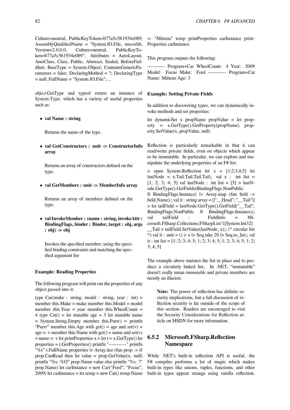Culture=neutral, PublicKeyToken=b77a5c561934e089; AssemblyQualifiedName = "System.IO.File, mscorlib, Version=2.0.0.0, Culture=neutral, PublicKeyToken=b77a5c561934e089"; Attributes = AutoLayout, AnsiClass, Class, Public, Abstract, Sealed, BeforeFieldInit; BaseType = System.Object; ContainsGenericParameters = false; DeclaringMethod =  $\text{?}$ ; DeclaringType  $=$  null; FullName  $=$  "System. IO. File"; ...

*object*.GetType and typeof return an instance of System.Type, which has a variety of useful properties such as:

*•* **[val Nam](http://msdn.microsoft.com/en-us/library/system.type_members.aspx)e : string**

Returns the name of the type.

*•* **val GetConstructors : unit -> ConstructorInfo array**

Returns an array of constructors defined on the type.

*•* **val GetMembers : unit -> MemberInfo array**

Returns an array of members defined on the type.

*•* **val InvokeMember : (name : string, invokeAttr : BindingFlags, binder : Binder, target : obj, args : obj) -> obj**

Invokes the specified member, using the specified binding constraints and matching the specified argument list

#### **Example: Reading Properties**

The following program will print out the properties of any object passed into it:

type  $Car(make : string, model : string, year : int) =$ member this.Make = make member this.Model = model member this. Year = year member this. WheelCount = 4 type  $Cat() = let$  mutable age = 3 let mutable name = System.String.Empty member this.Purr() = printfn "Purrr" member this.Age with get() = age and set(v) = age  $\lt$ - v member this. Name with get() = name and set(v)  $=$  name  $\lt$ - v let printProperties  $x =$  let  $t = x.GetType()$  let properties = t.GetProperties() printfn "-----------" printfn "%s" t.FullName properties |> Array.iter (fun prop -> if prop.CanRead then let value =  $prop.GetValue(x, null)$ printfn "%s: %O" prop.Name value else printfn "%s: ?" prop.Name) let carInstance = new Car("Ford", "Focus",  $2009$ ) let catInstance = let temp = new Cat() temp. Name <- "Mittens" temp printProperties carInstance print-Properties catInstance

This program outputs the following:

----------- Program+Car WheelCount: 4 Year: 2009 Model: Focus Make: Ford ----------- Program+Cat Name: Mittens Age: 3

# **Example: Setting Private Fields**

In addition to discovering types, we can dynamically invoke methods and set properties:

let dynamicSet x propName propValue = let property = x.GetType().GetProperty(propName) property.SetValue(x, propValue, null)

Reflection is particularly remarkable in that it can read/write private fields, even on objects which appear to be immutable. In particular, we can explore and manipulate the underlying properties of an F# list:

 $>$  open System.Reflection let  $x = [1;2;3;4;5]$  let lastNode = x.Tail.Tail.Tail.Tail;; val  $x :$  int list = [1; 2; 3; 4; 5] val lastNode : int list =  $[5] >$  lastNode.GetType().GetFields(BindingFlags.NonPublic ||| BindingFlags.Instance) |> Array.map (fun field -> field.Name);; val it : string  $array = [1"$  Head"; "\_Tail"|] > let tailField = lastNode.GetType().GetField("\_\_Tail", BindingFlags.NonPublic  $|||$  BindingFlags.Instance);; val tailField : FieldInfo = Microsoft.FSharp.Collections.FSharpList`1[System.Int32] \_\_Tail > tailField.SetValue(lastNode, x);; (\* circular list \*) val it : unit = () > x  $\triangleright$  Seq.take 20  $\triangleright$  Seq.to list;; val it : int list =  $[1; 2; 3; 4; 5; 1; 2; 3; 4; 5; 1; 2; 3; 4; 5; 1; 2;$  $3; 4; 5]$ 

The example above mutates the list in place and to produce a circularly linked list. In .NET, "immutable" doesn't really mean *immutable* and private members are mostly an illusion.

**Note:** The power of reflection has definite security implications, but a full discussion of reflection security is far outside of the scope of this section. Readers are encouraged to visit the Security Considerations for Reflection article on MSDN for more information.

# **6.5.2 [Microsoft.FSharp.Reflection](http://msdn.microsoft.com/en-us/library/stfy7tfc(VS.100).aspx) Namespace**

While .NET's built-in reflection API is useful, the F# compiler performs a lot of magic which makes built-in types like unions, tuples, functions, and other built-in types appear strange using vanilla reflection.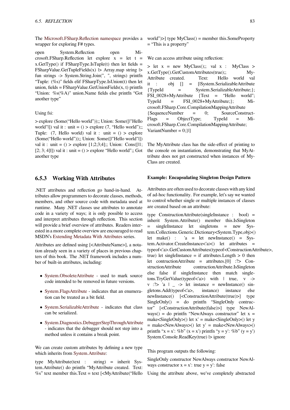The Microsoft.FSharp.Reflection namespace provides a wrapper for exploring F# types.

open System.Reflection open Microsoft.FSharp.Reflection let explore  $x = let t =$  $x.GetType()$  if  $FSharpType.IsTuple(t)$  then let fields = FSharpValue.GetTupleFields(x)  $\triangleright$  Array.map string  $\triangleright$ fun strings -> System.String.Join(", ", strings) printfn "Tuple:  $(\%s)$ " fields elif FSharpType.IsUnion(t) then let union, fields =  $FSharpValue.GetUnionFields(x, t) printfn$ "Union: %s(%A)" union.Name fields else printfn "Got another type"

#### Using fsi:

> explore (Some("Hello world"));; Union: Some([|"Hello world"|]) val it : unit =  $()$  > explore  $(7, "Hello world");$ ; Tuple:  $(7,$  Hello world) val it : unit =  $()$  > explore (Some("Hello world"));; Union: Some([|"Hello world"|]) val it : unit =  $()$  > explore  $[1;2;3;4]$ ;; Union: Cons $[1]$ ;  $[2; 3; 4]$ ]) val it : unit = () > explore "Hello world";; Got another type

# **6.5.3 Working With Attributes**

.NET attributes and reflection go hand-in-hand. Attributes allow programmers to decorate classes, methods, members, and other source code with metadata used at runtime. Many .NET classes use attributes to annotate code in a variety of ways; it is only possible to access and interpret attributes through reflection. This section will provide a brief overview of attributes. Readers interested in a more complete overview are encouraged to read MSDN's Extending Metadata With Attributes series.

Attributes are defined using [<AttributeName>], a notation already seen in a variety of places in previous chapters of this book. The .NET framework includes a number of bu[ilt-in attributes, including:](http://msdn.microsoft.com/en-us/library/5x6cd29c(VS.100).aspx)

- *•* System.ObsoleteAttribute used to mark source code intended to be removed in future versions.
- *•* System.FlagsAttribute indicates that an enumera[tion can be treated as a bit](http://msdn.microsoft.com/en-us/library/system.obsoleteattribute.aspx) field.
- System.SerializableAttribute indicates that class [can be serialized.](http://msdn.microsoft.com/en-us/library/system.flagsattribute.aspx)
- *•* System.Diagnostics.DebuggerStepThroughAttribute [- indicates that the debugger](http://msdn.microsoft.com/en-us/library/system.serializableattribute.aspx) should not step into a method unless it contains a break point.

We [can create custom attributes by defining a new type](http://msdn.microsoft.com/en-us/library/system.diagnostics.debuggerstepthroughattribute.aspx) which inherits from System.Attribute:

type MyAttribute(text : string) = inherit System.Attribute() do printfn "MyAttribute created. Text:  $\%$ s" text member t[his.Text = text \[<M](http://msdn.microsoft.com/en-us/library/system.attribute.aspx)yAttribute("Hello

world" $>$  type MyClass() = member this. Some Property = "This is a property"

We can access attribute using reflection:

 $>$  let  $x = new MyClass();$ ; val  $x : MyClass >$ x.GetType().GetCustomAttributes(true);; My-Attribute created. Text: Hello world val it : obj [] = [|System.SerializableAttribute {TypeId = System.SerializableAttribute;}; FSI\_0028+MyAttribute {Text = "Hello world"; TypeId = FSI\_0028+MyAttribute;}; Microsoft.FSharp.Core.CompilationMappingAttribute {SequenceNumber = 0; SourceConstruct-Flags = ObjectType; TypeId = Microsoft.FSharp.Core.CompilationMappingAttribute; VariantNumber = 0;}|]

The MyAttribute class has the side-effect of printing to the console on instantiation, demonstrating that MyAttribute does not get constructed when instances of My-Class are created.

#### **Example: Encapsulating Singleton Design Pattern**

Attributes are often used to decorate classes with any kind of ad-hoc functionality. For example, let's say we wanted to control whether single or multiple instances of classes are created based on an attribute:

type ConstructionAttribute(singleInstance : bool) = inherit System.Attribute() member this.IsSingleton = singleInstance let singletons = new System.Collections.Generic.Dictionary<System.Type,obj>() let make() : 'a = let newInstance() = System.Activator.CreateInstance<'a>() let attributes = typeof<'a>.GetCustomAttributes(typeof<ConstructionAttribute>, true) let singleInstance = if attributes.Length  $> 0$  then let contructionAttribute = attributes.[0] :?> ConstructionAttribute contructionAttribute.IsSingleton else false if singleInstance then match singletons.TryGetValue(typeof<'a>) with | true, v -> v :? >  $a \mid -$  > let instance = newInstance() singletons.Add(typeof<'a>, instance) instance else newInstance() [<ConstructionAttribute(true)>] type SingleOnly() = do printfn "SingleOnly contructor" [<ConstructionAttribute(false)>] type NewAlways() = do printfn "NewAlways constructor" let  $x =$ make<SingleOnly>() let  $x' =$  make<SingleOnly>() let y  $=$  make<NewAlways>() let y' = make<NewAlways>() printfn "x = x': %b" (x = x') printfn "y = y': %b" (y = y') System.Console.ReadKey(true) |> ignore

This program outputs the following:

SingleOnly constructor NewAlways constructor NewAlways constructor  $x = x'$ : true  $y = y'$ : false

Using the attribute above, we've completely abstracted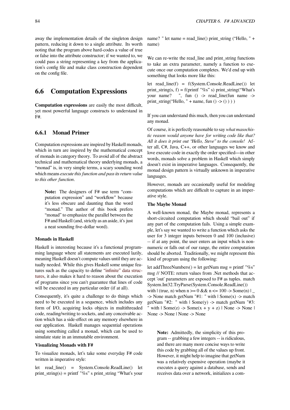away the implementation details of the singleton design pattern, reducing it down to a single attribute. Its worth noting that the program above hard-codes a value of true or false into the attribute constructor; if we wanted to, we could pass a string representing a key from the application's config file and make class construction dependent on the config file.

# **6.6 Computation Expressions**

**Computation expressions** are easily the most difficult, yet most powerful language constructs to understand in F#.

# **6.6.1 Monad Primer**

Computation expressions are inspired by Haskell monads, which in turn are inspired by the mathematical concept of monads in category theory. To avoid all of the abstract technical and mathematical theory underlying monads, a "monad" is, in very simple terms, a scary sounding word which means *execute this function and pass its return value to this other function*.

**Note:** The designers of F# use term "computation expression" and "workflow" because it's less obscure and daunting than the word "monad." The author of this book prefers "monad" to emphasize the parallel between the F# and Haskell (and, strictly as an aside, it's just a neat sounding five-dollar word).

#### **Monads in Haskell**

Haskell is interesting because it's a functional programming language where all statements are executed lazily, meaning Haskell doesn't compute values until they are actually needed. While this gives Haskell some unique features such as the capacity to define "infinite" data structures, it also makes it hard to reason about the execution of programs since you can't guarantee that lines of code will be executed in any particular order (if at all).

Consequently, it's quite a challeng[e to do things which](http://www.haskell.org/tutorial/functions.html#tut-infinite) [need](http://www.haskell.org/tutorial/functions.html#tut-infinite) to be executed in a sequence, which includes any form of I/O, acquiring locks objects in multithreaded code, reading/writing to sockets, and any conceivable action which has a side-effect on any memory elsewhere in our application. Haskell manages sequential operations using something called a monad, which can be used to simulate state in an immutable environment.

### **Visualizing Monads with F#**

To visualize monads, let's take some everyday F# code written in imperative style:

let read\_line() = System.Console.ReadLine() let print\_string(s) = printf "%s" s print\_string "What's your

name? " let name = read  $line()$  print string ("Hello, " + name)

We can re-write the read\_line and print\_string functions to take an extra parameter, namely a function to execute once our computation completes. We'd end up with something that looks more like this:

let read\_line(f) = f(System.Console.ReadLine()) let print\_string(s, f) = f(printf "%s" s) print\_string("What's your name? ", fun () -> read\_line(fun name -> print\_string("Hello, " + name, fun  $()$  ->  $()$ ))

If you can understand this much, then you can understand any monad.

Of course, it is perfectly reasonable to say *what masochistic reason would anyone have for writing code like that? All it does it print out "Hello, Steve" to the console!* After all, C#, Java, C++, or other languages we know and love execute code in exactly the order specified—in other words, monads solve a problem in Haskell which simply doesn't exist in imperative languages. Consequently, the monad design pattern is virtually unknown in imperative languages.

However, monads are occasionally useful for modeling computations which are difficult to capture in an imperative style.

## **The Maybe Monad**

A well-known monad, the Maybe monad, represents a short-circuited computation which should "bail out" if any part of the computation fails. Using a simple example, let's say we wanted to write a function which asks the user for 3 integer inputs between 0 and 100 (inclusive) -- if at any point, the user enters an input which is nonnumeric or falls out of our range, the entire computation should be aborted. Traditionally, we might represent this kind of program using the following:

let addThreeNumbers() = let getNum msg = printf "%s" msg // NOTE: return values from .Net methods that accept 'out' parameters are exposed to F# as tuples. match System.Int32.TryParse(System.Console.ReadLine()) with  $|\text{ (true, n)} \text{ when } n \geq 0 \&\& n \leq 100 \> \text{Some}(n) \mid$ -> None match getNum "#1: " with  $|$  Some $(x)$  -> match getNum "#2: " with  $|$  Some(y) -> match getNum "#3: with  $|$  Some $(z)$  -> Some $(x + y + z)$  | None -> None | None -> None | None -> None

**Note:** Admittedly, the simplicity of this program -- grabbing a few integers -- is ridiculous, and there are many more concise ways to write this code by grabbing all of the values up front. However, it might help to imagine that getNum was a relatively expensive operation (maybe it executes a query against a database, sends and receives data over a network, initializes a com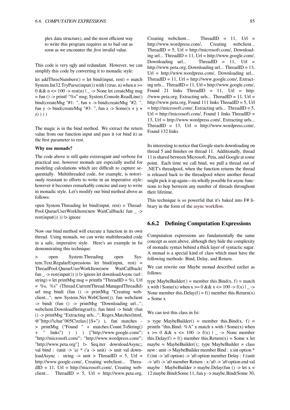plex data structure), and the most efficient way to write this program requires us to bail out as soon as we encounter the *first* invalid value.

This code is very ugly and redundant. However, we can simplify this code by converting it to monadic style:

let addThreeNumbers $()$  = let bind(input, rest) = match System.Int32.TryParse(input()) with  $|$  (true, n) when  $n \ge$  $0 < x \leq 100 \Rightarrow \text{rest}(n)$  |  $\Rightarrow$  None let createMsg msg = fun () -> printf "%s" msg; System.Console.ReadLine() bind(createMsg "#1: ", fun x -> bind(createMsg "#2: ", fun y -> bind(createMsg "#3: ", fun z -> Some(x + y + z) ) ) )

The magic is in the bind method. We extract the return value from our function input and pass it (or bind it) as the first parameter to rest.

#### **Why use monads?**

The code above is still quite extravagant and verbose for practical use, however monads are especially useful for modeling calculations which are difficult to capture sequentially. Multithreaded code, for example, is notoriously resistant to efforts to write in an imperative style; however it becomes remarkably concise and easy to write in monadic style. Let's modify our bind method above as follows:

open System.Threading let bind(input, rest) = Thread-Pool.QueueUserWorkItem(new WaitCallback( fun \_ ->  $rest(input())$ )  $\ge$  ignore

Now our bind method will execute a function in its own thread. Using monads, we can write multithreaded code in a safe, imperative style. Here's an example in fsi demonstrating this technique:

> open System.Threading open System.Text.RegularExpressions let bind(input, rest) = ThreadPool.QueueUserWorkItem(new WaitCallback( fun  $\rightarrow$  rest(input()))  $\rightarrow$  ignore let downloadAsync (url : string) = let printMsg msg = printfn "ThreadID = %i, Url = %s, %s" (Thread.CurrentThread.ManagedThreadId) url msg bind( (fun () -> printMsg "Creating webclient..."; new System.Net.WebClient()), fun webclient -> bind( (fun () -> printMsg "Downloading url..."; webclient.DownloadString(url)), fun html -> bind( (fun () -> printMsg "Extracting urls..."; Regex.Matches(html, @"http://\char"005C\relax{}S+") ), fun matches - > printMsg ("Found " + matches.Count.ToString() + " links") ) ) ) ["http://www.google.com/"; "http://microsoft.com/"; "http://www.wordpress.com/"; "http://www.peta.org"] |> Seq.iter downloadAsync;; val bind : (unit  $\rightarrow$  'a) \* ('a  $\rightarrow$  unit)  $\rightarrow$  unit val downloadAsync : string  $\rightarrow$  unit  $>$  ThreadID = 5, Url = http://www.google.com/, Creating webclient... Threa $dID = 11$ , Url = http://microsoft.com/, Creating webclient... ThreadID = 5, Url = http://www.peta.org,

Creating webclient... ThreadID = 11, Url = http://www.wordpress.com/, Creating webclient...  $ThreadID = 5$ ,  $Url = http://microsoft.com/, Download$ ing url... ThreadID =  $11$ , Url = http://www.google.com/, Downloading url... ThreadID =  $11$ , Url = http://www.peta.org, Downloading url... ThreadID = 13, Url = http://www.wordpress.com/, Downloading url...  $ThreadID = 11$ ,  $Ur = \frac{http://www.google.com/}{\text{Extract}}$ ing urls... ThreadID = 11, Url = http://www.google.com/, Found 21 links ThreadID =  $11$ , Url = http: //www.peta.org, Extracting urls... ThreadID =  $11$ , Url = http://www.peta.org, Found 111 links ThreadID = 5, Url = http://microsoft.com/, Extracting urls... ThreadID = 5,  $Ur = \frac{http://microsoft.com/}{$ , Found 1 links ThreadID =13, Url = http://www.wordpress.com/, Extracting urls...  $ThreadID = 13$ ,  $Url = http://www.wordpress.com/$ , Found 132 links

Its interesting to notice that Google starts downloading on thread 5 and finishes on thread 11. Additionally, thread 11 is shared between Microsoft, Peta, and Google at some point. Each time we call bind, we pull a thread out of .NET's threadpool, when the function returns the thread is released back to the threadpool where another thread might pick it up again—its wholly possible for async functions to hop between any number of threads throughout their lifetime.

This technique is so powerful that it's baked into F# library in the form of the async workflow.

# **6.6.2 Defining Computation Expressions**

Computation expressions are fundamentally the same concept as seen above, although they hide the complexity of monadic syntax behind a thick layer of syntactic sugar. A monad is a special kind of class which must have the following methods: Bind, Delay, and Return.

We can rewrite our Maybe monad described earlier as follows:

type MaybeBuilder() = member this.Bind(x, f) = match x with  $|\text{Some}(x)$  when  $x \ge 0$  & &  $x \le 100 \Rightarrow f(x) \ge 0$ None member this.Delay(f) = f() member this.Return(x)  $=$  Some  $x$ 

We can test this class in fsi:

 $>$  type MaybeBuilder() = member this.Bind(x, f) = printfn "this.Bind: %A" x match x with  $|$  Some(x) when  $x \ge 0$  &  $x \le 100 \Rightarrow f(x) \ge -5$  None member this.Delay(f) = f() member this.Return(x) = Some x let maybe = MaybeBuilder();; type MaybeBuilder = class new : unit -> MaybeBuilder member Bind : x:int option \* f:(int -> 'a0 option) -> 'a0 option member Delay : f:(unit -> 'a0) -> 'a0 member Return : x:'a0 -> 'a0 option end val maybe : MaybeBuilder > maybe.Delay(fun () -> let  $x =$ 12 maybe.Bind(Some 11, fun y -> maybe.Bind(Some 30,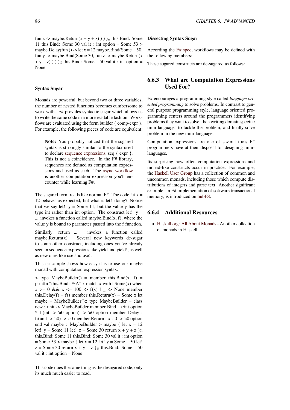fun z -> maybe.Return(x + y + z) ) ) );; this.Bind: Some 11 this.Bind: Some 30 val it : int option = Some  $53 >$ maybe.Delay(fun () -> let x = 12 maybe.Bind(Some *−*50, fun y -> maybe.Bind(Some 30, fun z -> maybe.Return(x + y + z) ) ) );; this.Bind: Some *−*50 val it : int option = None

## **Syntax Sugar**

Monads are powerful, but beyond two or three variables, the number of nested functions becomes cumbersome to work with. F# provides syntactic sugar which allows us to write the same code in a more readable fashion. Workflows are evaluated using the form builder { comp-expr }. For example, the following pieces of code are equivalent:

**Note:** You probably noticed that the sugared syntax is strikingly similar to the syntax used to declare sequence expressions, seq { expr }. This is not a coincidence. In the F# library, sequences are defined as computation expressions and used as such. The async workflow is another [computation express](https://en.wikibooks.org/wiki/F_Sharp_Programming/Sequences)ion you'll encounter while learning F#.

The sugared form reads like normal  $F#$ . The code let  $x =$ 12 behaves as expected, but what is let! doing? Notice that we say let!  $y = Some 11$ , but the value y has the type int rather than int option. The construct let!  $y =$ *...* invokes a function called maybe.Bind(x, f), where the value y is bound to parameter passed into the f function.

Similarly, return **...** invokes a function called maybe.Return $(x)$ . Several new keywords de-sugar to some other construct, including ones you've already seen in sequence expressions like yield and yield!, as well as new ones like use and use!.

This fsi sample shows how easy it is to use our maybe monad with computation expression syntax:

 $>$  type MaybeBuilder() = member this.Bind(x, f) = printfn "this.Bind: %A" x match x with  $\vert$  Some(x) when  $x > = 0$  & &  $x \le 100 \Rightarrow f(x) \mid - \Rightarrow$  None member this.Delay(f) = f() member this.Return(x) = Some x let  $maybe = MaybeBuilder();; type MaybeBuilder = class$ new : unit -> MaybeBuilder member Bind : x:int option \* f:(int -> 'a0 option) -> 'a0 option member Delay : f:(unit  $\ge$  'a0)  $\ge$  'a0 member Return : x:'a0  $\ge$  'a0 option end val maybe : MaybeBuilder > maybe { let  $x = 12$ let!  $y = Some 11$  let!  $z = Some 30$  return  $x + y + z$  };; this.Bind: Some 11 this.Bind: Some 30 val it : int option = Some 53 > maybe { let x = 12 let! y = Some *−*50 let! z = Some 30 return x + y + z };; this.Bind: Some *−*50 val it : int option = None

This code does the same thing as the desugared code, only its much much easier to read.

#### **Dissecting Syntax Sugar**

According the F# spec, workflows may be defined with the following members:

These sugared constructs are de-sugared as follows:

# **6.6.3 What are Computation Expressions Used For?**

F# encourages a programming style called *language oriented programming* to solve problems. In contrast to general purpose programming style, language oriented programming centers around the programmers identifying problems they want to solve, then writing domain specific mini-languages to tackle the problem, and finally solve problem in the new mini-language.

Computation expressions are one of several tools F# programmers have at their disposal for designing minilanguages.

Its surprising how often computation expressions and monad-like constructs occur in practice. For example, the Haskell User Group has a collection of common and uncommon monads, including those which compute distributions of integers and parse text. Another significant example, an F# implementation of software transactional me[mory, is introduced o](http://spbhug.folding-maps.org/wiki/MonadsEn)n hubFS.

# **6.6.4 Additional Resources**

*•* Haskell.org: All Abo[ut Mon](http://hubfs.fpish.net/topic/None/57220)ads - Another collection of monads in Haskell.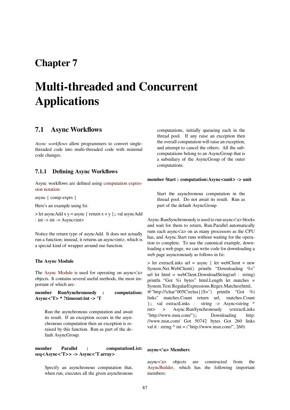# **Chapter 7**

# **Multi-threaded and Concurrent Applications**

# **7.1 Async Workflows**

*Async workflows* allow programmers to convert singlethreaded code into multi-threaded code with minimal code changes.

# **7.1.1 Defining Async Workflows**

Async workflows are defined using computation expression notation:

async { comp-exprs }

Here's an example using fsi:

 $>$  let asyncAdd x y = async { return x + y };; val asyncAdd : int -> int -> Async $\lt$ int>

Notice the return type of asyncAdd. It does not actually run a function; instead, it returns an async<int>, which is a special kind of wrapper around our function.

### **The Async Module**

The Async Module is used for operating on async<'a> objects. It contains several useful methods, the most important of which are:

**member RunSynchronously : computation: Asy[nc<'T> \\* ?tim](http://msdn.microsoft.com/en-us/library/ee370232.aspx)eout:int -> 'T**

Run the asynchronous computation and await its result. If an exception occurs in the asynchronous computation then an exception is reraised by this function. Run as part of the default AsyncGroup.

# **member Parallel : computationList: seq<Async<'T>> -> Async<'T array>**

Specify an asynchronous computation that, when run, executes all the given asynchronous computations, initially queueing each in the thread pool. If any raise an exception then the overall computation will raise an exception, and attempt to cancel the others. All the subcomputations belong to an AsyncGroup that is a subsidiary of the AsyncGroup of the outer computations.

#### **member Start : computation:Async<unit> -> unit**

Start the asynchronous computation in the thread pool. Do not await its result. Run as part of the default AsyncGroup

Async.RunSynchronously is used to run async<'a> blocks and wait for them to return, Run.Parallel automatically runs each async<'a> on as many processors as the CPU has, and Async.Start runs without waiting for the operation to complete. To use the canonical example, downloading a web page, we can write code for downloading a web page asyncronously as follows in fsi:

> let extractLinks url = async { let webClient = new System.Net.WebClient() printfn "Downloading %s" url let html = webClient.DownloadString(url : string) printfn "Got %i bytes" html.Length let matches = System.Text.RegularExpressions.Regex.Matches(html, @"http://\char"005C\relax{}S+") printfn "Got %i links" matches.Count return url, matches.Count };; val extractLinks : string -> Async<string \* int> > Async.RunSynchronously (extractLinks "http://www.msn.com/");; Downloading http: //www.msn.com/ Got 50742 bytes Got 260 links val it : string  $*$  int = ("http://www.msn.com/", 260)

## **async<'a> Members**

async<'a> objects are constructed from the AsyncBuilder, which has the following important members: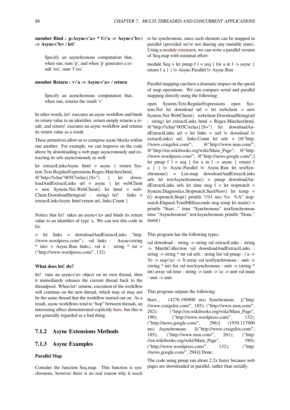**member Bind : p:Async<'a> \* f:('a -> Async<'b>) -> Async<'b>** / **let!**

Specify an asynchronous computation that, when run, runs 'p', and when 'p' generates a result 'res', runs 'f res'.

## **member Return : v:'a -> Async<'a>** / **return**

Specify an asynchronous computation that, when run, returns the result 'v'

In other words, let! executes an async workflow and binds its return value to an identifier, return simply returns a result, and return! executes an async workflow and returns its return value as a result.

These primitives allow us to compose async blocks within one another. For example, we can improve on the code above by downloading a web page asyncronously and extracting its urls asyncronously as well:

let extractLinksAsync html = async { return System.Text.RegularExpressions.Regex.Matches(html, @"http://\char"005C\relax{}S+") } let downloadAndExtractLinks url = async { let webClient = new System.Net.WebClient() let html = web-Client.DownloadString(url : string) let! links = extractLinksAsync html return url, links.Count }

Notice that let! takes an async<'a> and binds its return value to an identifier of type 'a. We can test this code in fsi:

> let links = downloadAndExtractLinks "http: //www.wordpress.com/";; val links : Async<string \* int> > Async.Run links;; val it : string \* int = ("http://www.wordpress.com/", 132)

### **What does let! do?**

let! runs an async<'a> object on its own thread, then it immediately releases the current thread back to the threadpool. When let! returns, execution of the workflow will continue on the new thread, which may or may not be the same thread that the workflow started out on. As a result, async workflows tend to "hop" between threads, an interesting effect demonstrated explicitly here, but this is not generally regarded as a bad thing.

# **7.1.2 Async Extensions Metho[ds](https://en.wikibooks.org/wiki/F_Sharp_Programming/Computation_Expressions#Monad_Primer)**

## **7.1.3 Async Examples**

### **Parallel Map**

Consider the function Seq.map. This function is synchronous, however there is no real reason why it *needs*

to be synchronous, since each element can be mapped in parallel (provided we're not sharing any mutable state). Using a module extension, we can write a parallel version of Seq.map with minimal effort:

module Seq = let pmap  $f = \text{seq} \{$  for a in  $l \rightarrow \text{async} \}$ returnf [a } } |> Async.Pa](https://en.wikibooks.org/wiki/F_Sharp_Programming/Modules_and_Namespaces#Extending_Types_and_Modules)rallel |> Async.Run

Parallel mapping can have a dramatic impact on the speed of map operations. We can compare serial and parallel mapping directly using the following:

open System.Text.RegularExpressions open System.Net let download url = let webclient = new System.Net.WebClient() webclient.DownloadString(url : string) let extractLinks html = Regex.Matches(html, @"http://\char"005C\relax{}S+") let downloadAn $dExtractLinks$  url = let links = (url  $\triangleright$  download  $\triangleright$ extractLinks) url, links.Count let urls =  $[@"http:$ //www.craigslist.com/"; @"http://www.msn.com/"; @"http://en.wikibooks.org/wiki/Main\_Page"; @"http: //www.wordpress.com/"; @"http://news.google.com/";] let pmap  $f \mid l = \text{seq} \{$  for a in  $l \rightarrow \text{async} \{$  return f a } } |> Async.Parallel |> Async.Run let testSynchronous() = List.map downloadAndExtractLinks urls let testAsynchronous() = pmap downloadAndExtractLinks urls let time msg  $f = let$  stopwatch = System.Diagnostics.Stopwatch.StartNew() let temp = f() stopwatch.Stop() printfn "(%f ms) %s: %A" stopwatch.Elapsed.TotalMilliseconds msg temp let main()  $=$ printfn "Start..." time "Synchronous" testSynchronous time "Asynchronous" testAsynchronous printfn "Done." main()

This program has the following types:

val download : string -> string val extractLinks : string -> MatchCollection val downloadAndExtractLinks : string  $\rightarrow$  string  $*$  int val urls : string list val pmap : ('a  $\rightarrow$ 'b) -> seq<'a> -> 'b array val testSynchronous : unit -> (string \* int) list val testAsynchronous : unit -> (string \* int) array val time : string  $\rightarrow$  (unit  $\rightarrow$  'a)  $\rightarrow$  unit val main : unit -> unit

This program outputs the following:

Start... (4276.190900 ms) Synchronous: [("http: //www.craigslist.com/", 185); ("http://www.msn.com/", 262); ("http://en.wikibooks.org/wiki/Main\_Page", 190); ("http://www.wordpress.com/", 132); ("http://news.google.com/", 296)] (1939.117900 ms) Asynchronous:  $[|$ ("http://www.craigslist.com/", 185); ("http://www.msn.com/", 261); ("http: //en.wikibooks.org/wiki/Main\_Page", 190); ("http://www.wordpress.com/", 132); ("http: //news.google.com/", 294)|] Done.

The code using pmap ran about 2.2x faster because web pages are downloaded in parallel, rather than serially.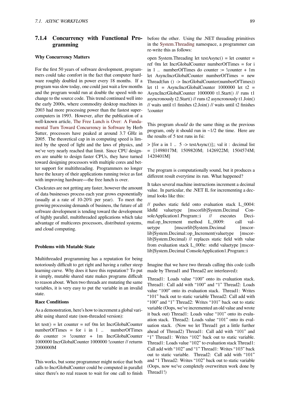# **7.1.4 Concurrency with Functional Pro-**before the other. Using the .NET threading primitives **gramming**

# **Why Concurrency Matters**

For the first 50 years of software development, programmers could take comfort in the fact that computer hardware roughly doubled in power every 18 months. If a program was slow today, one could just wait a few months and the program would run at double the speed with no change to the source code. This trend continued well into the early 2000s, where commodity desktop machines in 2003 had more processing power than the fastest supercomputers in 1993. However, after the publication of a well-known article, The Free Lunch is Over: A Fundamental Turn Toward Concurrency in Software by Herb Sutter, processors have peaked at around 3.7 GHz in 2005. The theoretical cap in in computing speed is limited by the speed o[f light and the laws of physics, and](http://www.gotw.ca/publications/concurrency-ddj.htm) [we've very nearly reached that limit. Since CPU](http://www.gotw.ca/publications/concurrency-ddj.htm) designers are unable to design faster CPUs, they have turned toward designing processors with multiple cores and better support for multithreading. Programmers no longer have the luxury of their applications running twice as fast with improving hardware—the free lunch is over.

Clockrates are not getting any faster, however the amount of data businesses process each year grows exponentially (usually at a rate of 10-20% per year). To meet the growing processing demands of business, the future of all software development is tending toward the development of highly parallel, multithreaded applications which take advantage of multicores processors, distributed systems, and cloud computing.

# **Problems with Mutable State**

Multithreaded programming has a reputation for being notoriously difficult to get right and having a rather steep learning curve. Why does it have this reputation? To put it simply, mutable shared state makes programs difficult to reason about. When two threads are mutating the same variables, it is very easy to put the variable in an invalid state.

#### **Race Conditions**

As a demonstration, here's how to increment a global variable using shared state (non-threaded version):

let test() = let counter = ref 0m let IncrGlobalCounter numberOfTimes = for i in 1 ... numberOfTimes do counter := !counter + 1m IncrGlobalCounter 1000000 IncrGlobalCounter 1000000 !counter // returns 2000000M

This works, but some programmer might notice that both calls to IncrGlobalCounter could be computed in parallel since there's no real reason to wait for one call to finish in the System.Threading namespace, a programmer can re-write this as follows:

open System.Threading let testAsync() = let counter = ref 0m let IncrGlobalCounter numberOfTimes = for i in 1.[. numberOfTimes](http://msdn.microsoft.com/en-us/library/system.threading.aspx) do counter := !counter + 1m let AsyncIncrGlobalCounter numberOfTimes = new Thread(fun () -> IncrGlobalCounter(numberOfTimes)) let t1 = AsyncIncrGlobalCounter  $1000000$  let t2 = AsyncIncrGlobalCounter 1000000 t1.Start() // runs t1 asyncronously t2.Start() // runs t2 asyncronously t1.Join() // waits until t1 finishes t2.Join() // waits until t2 finishes !counter

This program *should* do the same thing as the previous program, only it should run in ~1/2 the time. Here are the results of 5 test runs in fsi:

 $>$  [for a in 1 .. 5 - $>$  testAsync()];; val it : decimal list = [1498017M; 1509820M; 1426922M; 1504574M; 1420401M]

The program is computationally sound, but it produces a different result everytime its run. What happened?

It takes several machine instructions increment a decimal value. In particular, the .NET IL for incrementing a decimal looks like this:

// pushes static field onto evaluation stack L\_0004: ldsfld valuetype [mscorlib]System.Decimal ConsoleApplication1.Program::i // executes Decimal.op Increment method L 0009: call valuetype [mscorlib]System.Decimal [mscorlib]System.Decimal::op\_Increment(valuetype [mscorlib]System.Decimal) // replaces static field with value from evaluation stack L\_000e: stsfld valuetype [mscorlib]System.Decimal ConsoleApplication1.Program::i

Imagine that we have two threads calling this code (calls made by Thread1 and Thread2 are interleaved):

Thread1: Loads value "100" onto its evaluation stack. Thread1: Call add with "100" and "1" Thread2: Loads value "100" onto its evaluation stack. Thread1: Writes "101" back out to static variable Thread2: Call add with "100" and "1" Thread2: Writes "101" back out to static variable (Oops, we've incremented an old value and wrote it back out) Thread1: Loads value "101" onto its evaluation stack. Thread2: Loads value "101" onto its evaluation stack. (Now we let Thread1 get a little further ahead of Thread2) Thread1: Call add with "101" and "1" Thread1: Writes "102" back out to static variable. Thread1: Loads value "102" to evaluation stack Thread1: Call add with "102" and "1" Thread1: Writes "103" back out to static variable. Thread2: Call add with "101" and "1 Thread2: Writes "102" back out to static variable (Oops, now we've completely overwritten work done by Thread1!)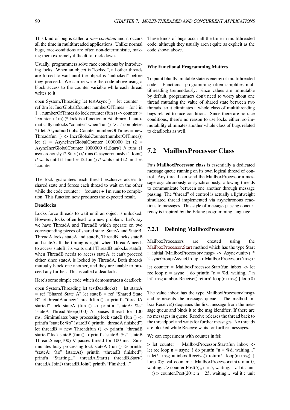This kind of bug is called a *race condition* and it occurs all the time in multithreaded applications. Unlike normal bugs, race-conditions are often non-deterministic, making them extremely difficult to track down.

Usually, programmers solve race conditions by introducing locks. When an object is "locked", all other threads are forced to wait until the object is "unlocked" before they proceed. We can re-write the code above using a block access to the counter variable while each thread writes to it:

open System.Threading let testAsync() = let counter = ref 0m let IncrGlobalCounter numberOfTimes = for i in 1 .. numberOfTimes do lock counter (fun () -> counter := ! counter  $+ 1m$ ) (\* lock is a function in  $F#$  library. It automatically unlocks "counter" when 'fun () -> ...' completes \*) let AsyncIncrGlobalCounter numberOfTimes = new Thread(fun () -> IncrGlobalCounter(numberOfTimes)) let t1 = AsyncIncrGlobalCounter 1000000 let t2 = AsyncIncrGlobalCounter 1000000 t1.Start() // runs t1 asyncronously t2.Start() // runs t2 asyncronously t1.Join() // waits until t1 finishes t2.Join() // waits until t2 finishes !counter

The lock guarantees each thread exclusive access to shared state and forces each thread to wait on the other while the code counter  $:=$  !counter  $+ 1m$  runs to completion. This function now produces the expected result.

#### **Deadlocks**

Locks force threads to wait until an object is unlocked. However, locks often lead to a new problem: Let's say we have ThreadA and ThreadB which operate on two corresponding pieces of shared state, StateA and StateB. ThreadA locks stateA and stateB, ThreadB locks stateB and stateA. If the timing is right, when ThreadA needs to access stateB, its waits until ThreadB unlocks stateB; when ThreadB needs to access stateA, it can't proceed either since stateA is locked by ThreadA. Both threads mutually block one another, and they are unable to proceed any further. This is called a deadlock.

Here's some simple code which demonstrates a deadlock:

open System.Threading let testDeadlock() = let stateA  $=$  ref "Shared State A" let stateB  $=$  ref "Shared State B" let thread $A = new Thread(fun() \rightarrow printfn "threadA$ started" lock stateA (fun () -> printfn "stateA: %s" !stateA Thread.Sleep(100) // pauses thread for 100 ms. Simimulates busy processing lock stateB (fun () -> printfn "stateB: %s" !stateB)) printfn "threadA finished") let thread $B$  = new Thread(fun () -> printfn "thread $B$ started" lock stateB (fun () -> printfn "stateB: %s" !stateB Thread.Sleep(100) // pauses thread for 100 ms. Simimulates busy processing lock stateA (fun () -> printfn "stateA: %s" !stateA)) printfn "threadB finished") printfn "Starting..." threadA.Start() threadB.Start() threadA.Join() threadB.Join() printfn "Finished..."

These kinds of bugs occur all the time in multithreaded code, although they usually aren't quite as explicit as the code shown above.

#### **Why Functional Programming Matters**

To put it bluntly, mutable state is enemy of multithreaded code. Functional programming often simplifies multithreading tremendously: since values are immutable by default, programmers don't need to worry about one thread mutating the value of shared state between two threads, so it eliminates a whole class of multithreading bugs related to race conditions. Since there are no race conditions, there's no reason to use locks either, so immutability eliminates another whole class of bugs related to deadlocks as well.

# **7.2 MailboxProcessor Class**

F#'s **MailboxProcessor class** is essentially a dedicated message queue running on its own logical thread of control. Any thread can send the MailboxProcessor a message asynchronously or synchronously, allowing threads to communicate between one another through message passing. The "thread" of control is actually a lightweight simulated thread implemented via asynchronous reactions to messages. This style of message-passing concurrency is inspired by the Erlang programming language.

# **7.2.1 Defining MailboxProcessors**

MailboxProcessors are created using the MailboxProcessor.Start method which has the type Start : initial:(MailboxProcessor<'msg> -> Async<unit>) \* ?asyncGroup:AsyncGroup -> MailboxProcessor<'msg>:

let counter = MailboxProcessor.Start(fun inbox -> let rec loop  $n =$  async { do printfn " $n = \%$ d, waiting..." n let! msg = inbox.Receive() return! loop(n+msg) } loop 0)

The value inbox has the type MailboxProcessor<'msg> and represents the message queue. The method inbox.Receive() dequeues the first message from the message queue and binds it to the msg identifier. If there are no messages in queue, Receive releases the thread back to the threadpool and waits for further messages. No threads are blocked while Receive waits for further messages.

We can experiment with counter in fsi:

> let counter = MailboxProcessor.Start(fun inbox -> let rec loop  $n =$  async { do printfn " $n = \%d$ , waiting..." n let!  $msg = inbox.Receive() return! loop(n+msg)$ loop 0);; val counter : MailboxProcessor<int>  $n = 0$ , waiting... > counter. Post(5);;  $n = 5$ , waiting... val it : unit  $=$  () > counter. Post(20);; n = 25, waiting... val it : unit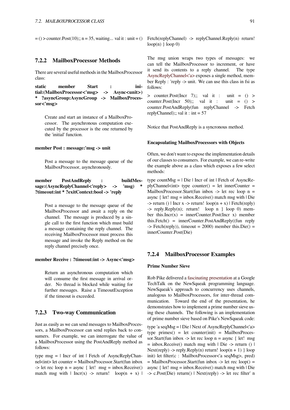$=$  () > counter. Post(10);; n = 35, waiting... val it : unit = ()

# **7.2.2 MailboxProcessor Methods**

There are several useful methods in the MailboxProcessor class:

**static member Start : initial:(MailboxProcessor<'msg> -> Async<unit>) \* ?asyncGroup:AsyncGroup -> MailboxProcessor<'msg>**

Create and start an instance of a MailboxProcessor. The asynchronous computation executed by the processor is the one returned by the 'initial' function.

#### **member Post : message:'msg -> unit**

Post a message to the message queue of the MailboxProcessor, asynchronously.

```
member PostAndReply : buildMes-
sage:(AsyncReplyChannel<'reply> -> 'msg) *
?timeout:int * ?exitContext:bool -> 'reply
```
Post a message to the message queue of the MailboxProcessor and await a reply on the channel. The message is produced by a single call to the first function which must build a message containing the reply channel. The receiving MailboxProcessor must process this message and invoke the Reply method on the reply channel precisely once.

#### **member Receive : ?timeout:int -> Async<'msg>**

Return an asynchronous computation which will consume the first message in arrival order. No thread is blocked while waiting for further messages. Raise a TimeoutException if the timeout is exceeded.

# **7.2.3 Two-way Communication**

Just as easily as we can send messages to MailboxProcessors, a MailboxProcessor can send replies back to consumers. For example, we can interrogate the value of a MailboxProcessor using the PostAndReply method as follows:

type  $msg = \text{l}$  Incr of int  $\text{l}$  Fetch of AsyncReplyChannel<int> let counter = MailboxProcessor.Start(fun inbox  $\Rightarrow$  let rec loop n = async { let! msg = inbox.Receive() match msg with  $|$  Incr(x) -> return! loop(n + x) | Fetch(replyChannel) -> replyChannel.Reply(n) return!  $loop(n)$  }  $loop(0)$ 

The msg union wraps two types of messages: we can tell the MailboxProcessor to increment, or have it send its contents to a reply channel. The type AsyncReplyChannel<'a> exposes a single method, member Reply : 'reply -> unit. We can use this class in fsi as follows:

 $>$  counter. Post(Incr 7);; val it : unit = () > [counter.Post\(Incr 50\);;](http://research.microsoft.com/en-us/um/cambridge/projects/fsharp/manual/FSharp.Core/Microsoft.FSharp.Control.type_AsyncReplyChannel-1.html) val it : unit =  $()$  > counter.PostAndReply(fun replyChannel -> Fetch replyChannel);; val it : int =  $57$ 

Notice that PostAndReply is a syncronous method.

## **Encapsulating MailboxProcessors with Objects**

Often, we don't want to expose the implementation details of our classes to consumers. For example, we can re-write the example above as a class which exposes a few select methods:

type countMsg  $=$  | Die | Incr of int | Fetch of AsyncRe $p$ lyChannel $\langle int \rangle$  type counter() = let innerCounter = MailboxProcessor.Start(fun inbox  $\rightarrow$  let rec loop n = async { let! msg = inbox.Receive() match msg with | Die  $\rightarrow$  return () | Incr x  $\rightarrow$  return! loop(n + x) | Fetch(reply)  $\Rightarrow$  reply. Reply(n); return! loop n } loop 0) member this.Incr(x) = innerCounter.Post(Incr x) member this.Fetch() = innerCounter.PostAndReply((fun reply  $\rightarrow$  Fetch(reply)), timeout = 2000) member this. Die() = innerCounter.Post(Die)

# **7.2.4 MailboxProcessor Examples**

# **Prime Number Sieve**

Rob Pike delivered a fascinating presentation at a Google TechTalk on the NewSqueak programming language. NewSqueak's approach to concurrency uses channels, analogous to MailboxProcessors, for inter-thread communication. Towar[d the end of the prese](https://www.youtube.com/watch?v=hB05UFqOtFA)ntation, he demonstrates how to implement a prime number sieve using these channels. The following is an implementation of prime number sieve based on Pike's NewSqueak code:

type 'a seqMsg = | Die | Next of AsyncReplyChannel<'a> type primes() = let counter(init) = MailboxProcessor.Start(fun inbox -> let rec loop  $n =$  async { let! msg  $=$  inbox.Receive() match msg with  $\vert$  Die -> return ()  $\vert$ Next(reply) -> reply.Reply(n) return!  $loop(n + 1)$  } loop init) let filter(c : MailboxProcessor<'a seqMsg>, pred)  $=$  MailboxProcessor.Start(fun inbox -> let rec loop() = async { let! msg = inbox.Receive() match msg with | Die -> c.Post(Die) return() | Next(reply) -> let rec filter' n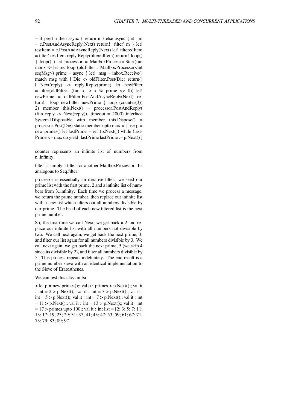$=$  if pred n then async { return n } else async {let! m = c.PostAndAsyncReply(Next) return! filter' m } let! testItem = c.PostAndAsyncReply(Next) let! filteredItem = filter' testItem reply.Reply(filteredItem) return! loop() } loop() ) let processor = MailboxProcessor.Start(fun inbox -> let rec loop (oldFilter : MailboxProcessor<int seqMsg>) prime = async { let! msg = inbox.Receive() match msg with | Die -> oldFilter.Post(Die) return() | Next(reply) -> reply.Reply(prime) let newFilter  $=$  filter(oldFilter, (fun x -> x % prime <> 0)) let! newPrime = oldFilter.PostAndAsyncReply(Next) return! loop newFilter newPrime } loop (counter(3)) 2) member this.Next() = processor.PostAndReply( (fun reply  $\rightarrow$  Next(reply)), timeout = 2000) interface System.IDisposable with member this.Dispose() = processor.Post(Die) static member upto max  $=$  [ use  $p =$ new primes() let lastPrime = ref  $(p.Next()$ ) while !last-Prime <= max do yield !lastPrime lastPrime := p.Next() ]

counter represents an infinite list of numbers from n..infinity.

filter is simply a filter for another MailboxProcessor. Its analogous to Seq.filter.

processor is essentially an iterative filter: we seed our prime list with the first prime, 2 and a infinite list of numbers from 3..infinity. Each time we process a message, we return the prime number, then replace our infinite list with a new list which filters out all numbers divisible by our prime. The head of each new filtered list is the next prime number.

So, the first time we call Next, we get back a 2 and replace our infinite list with all numbers not divisible by two. We call next again, we get back the next prime, 3, and filter our list again for all numbers divisible by 3. We call next again, we get back the next prime, 5 (we skip 4 since its divisible by 2), and filter all numbers divisible by 5. This process repeats indefinitely. The end result is a prime number sieve with an identical implementation to the Sieve of Eratosthenes.

We can test this class in fsi:

 $>$  let p = new primes();; val p : primes  $>$  p.Next();; val it : int =  $2 > p$ . Next();; val it : int =  $3 > p$ . Next();; val it : int =  $5 > p$ . Next();; val it : int =  $7 > p$ . Next();; val it : int  $= 11$  > p.Next();; val it : int = 13 > p.Next();; val it : int  $= 17$  > primes.upto 100;; val it : int list  $= [2; 3; 5; 7; 11;$ 13; 17; 19; 23; 29; 31; 37; 41; 43; 47; 53; 59; 61; 67; 71; 73; 79; 83; 89; 97]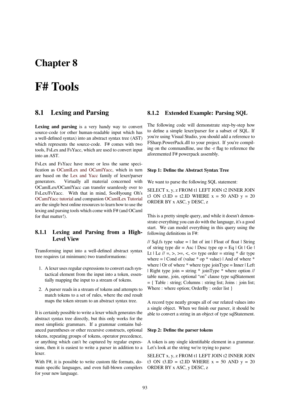# **Chapter 8**

# **F# Tools**

# **8.1 Lexing and Parsing**

**Lexing and parsing** is a very handy way to convert source-code (or other human-readable input which has a well-defined syntax) into an abstract syntax tree (AST) which represents the source-code. F# comes with two tools, FsLex and FsYacc, which are used to convert input into an AST.

FsLex and FsYacc have more or less the same specification as OCamlLex and OCamlYacc, which in turn are based on the Lex and Yacc family of lexer/parser generators. Virtually all material concerned with OCamlLex/OCamlYacc can transfer seamlessly over to FsLex/FsY[acc. With that in mind, So](http://caml.inria.fr/pub/docs/manual-ocaml/manual026.html)oHyoung Oh's OCamlYacc tutorial [and compani](http://dinosaur.compilertools.net/)on OCamlLex Tutorial are the single best online resources to learn how to use the lexing and parsing tools which come with F# (and OCaml for that matter!).

# **8.1.1 Lexing and Parsing from a High-Level View**

Transforming input into a well-defined abstract syntax tree requires (at minimum) two transformations:

- 1. A lexer uses regular expressions to convert each syntactical element from the input into a token, essentially mapping the input to a stream of tokens.
- 2. A parser reads in a stream of tokens and attempts to match tokens to a set of rules, where the end result maps the token stream to an abstract syntax tree.

It is certainly possible to write a lexer which generates the abstract syntax tree directly, but this only works for the most simplistic grammars. If a grammar contains balanced parentheses or other recursive constructs, optional tokens, repeating groups of tokens, operator precedence, or anything which can't be captured by regular expressions, then it is easiest to write a parser in addition to a lexer.

With F#, it is possible to write custom file formats, domain specific languages, and even full-blown compilers for your new language.

# **8.1.2 Extended Example: Parsing SQL**

The following code will demonstrate step-by-step how to define a simple lexer/parser for a subset of SQL. If you're using Visual Studio, you should add a reference to FSharp.PowerPack.dll to your project. If you're compiling on the commandline, use the -r flag to reference the aforemented F# powerpack assembly.

### **Step 1: Define the Abstract Syntax Tree**

We want to parse the following SQL statement:

SELECT x, y, z FROM t1 LEFT JOIN t2 INNER JOIN t3 ON t3.ID = t2.ID WHERE  $x = 50$  AND  $y = 20$ ORDER BY x ASC, y DESC, z

This is a pretty simple query, and while it doesn't demonstrate everything you can do with the language, it's a good start. We can model everything in this query using the following definitions in F#:

// Sql.fs type value  $=$  | Int of int | Float of float | String of string type dir = Asc  $\vert$  Desc type op = Eq  $\vert$  Gt  $\vert$  Ge  $\vert$ Lt | Le  $\ell$  =, >, >=, <, <= type order = string  $*$  dir type where  $=$  | Cond of (value  $*$  op  $*$  value) | And of where  $*$ where  $\vert$  Or of where  $*$  where type joinType = Inner  $\vert$  Left | Right type join = string  $*$  joinType  $*$  where option // table name, join, optional "on" clause type sqlStatement = { Table : string; Columns : string list; Joins : join list; Where : where option; OrderBy : order list }

A record type neatly groups all of our related values into a single object. When we finish our parser, it should be able to convert a string in an object of type sqlStatement.

#### **Step 2: Define the parser tokens**

A token is any single identifiable element in a grammar. Let's look at the string we're trying to parse:

SELECT x, y, z FROM t1 LEFT JOIN t2 INNER JOIN t3 ON t3.ID = t2.ID WHERE  $x = 50$  AND  $y = 20$ ORDER BY x ASC, y DESC, z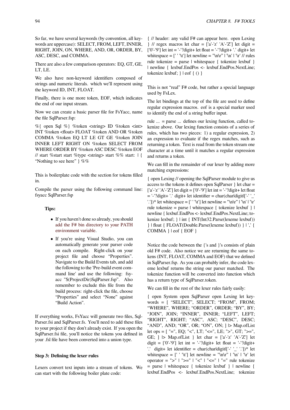So far, we have several keywords (by convention, all keywords are uppercase): SELECT, FROM, LEFT, INNER, RIGHT, JOIN, ON, WHERE, AND, OR, ORDER, BY, ASC, DESC, and COMMA.

There are also a few comparison operators: EQ, GT, GE, LT, LE.

We also have non-keyword identifiers composed of strings and numeric literals. which we'll represent using the keyword ID, INT, FLOAT.

Finally, there is one more token, EOF, which indicates the end of our input stream.

Now we can create a basic parser file for FsYacc, name the file SqlParser.fsp:

%{ open Sql %} %token <string> ID %token <int> INT %token <float> FLOAT %token AND OR %token COMMA %token EQ LT LE GT GE %token JOIN INNER LEFT RIGHT ON %token SELECT FROM WHERE ORDER BY %token ASC DESC %token EOF // start %start start %type <string> start %% start: | { "Nothing to see here" } %%

This is boilerplate code with the section for tokens filled in.

Compile the parser using the following command line: fsyacc SqlParser.fsp

## **Tips:**

- *•* If you haven't done so already, you should add the F# bin directory to your PATH environment variable.
- *•* If you're using Visual Studio, you can automatically generate your parser code [on each compile. Right-click on your](https://en.wikibooks.org/wiki/F_Sharp_Programming/Getting_Set_Up#Adding_to_the_PATH_Environment_Variable) [project file and ch](https://en.wikibooks.org/wiki/F_Sharp_Programming/Getting_Set_Up#Adding_to_the_PATH_Environment_Variable)oose "Properties". Navigate to the Build Events tab, and add the following to the 'Pre-build event command line' and use the following: fsyacc "\$(ProjectDir)SqlParser.fsp". Also remember to exclude this file from the build process: right-click the file, choose "Properties" and select "None" against "Build Action".

If everything works, FsYacc will generate two files, Sql-Parser.fsi and SqlParser.fs. You'll need to add these files to your project if they don't already exist. If you open the SqlParser.fsi file, you'll notice the tokens you defined in your .fsl file have been converted into a union type.

### **Step 3: Defining the lexer rules**

Lexers convert text inputs into a stream of tokens. We can start with the following boiler plate code:

{ // header: any valid F# can appear here. open Lexing  $\}$  // regex macros let char = ['a'-'z' 'A'-'Z'] let digit = ['0'-'9'] let int = '-'?digit+ let float = '-'?digit+ '.' digit+ let whitespace = [' ' '\t'] let newline = "\n\r" | '\n' | '\r' // rules rule tokenize = parse | whitespace  $\{$  tokenize lexbuf  $\}$ | newline { lexbuf.EndPos <- lexbuf.EndPos.NextLine; tokenize lexbuf; } | eof { () }

This is not "real" F# code, but rather a special language used by FsLex.

The let bindings at the top of the file are used to define regular expression macros. eof is a special marker used to identify the end of a string buffer input.

rule ... = parse ... defines our lexing function, called tokenize above. Our lexing function consists of a series of rules, which has two pieces: 1) a regular expression, 2) an expression to evaluate if the regex matches, such as returning a token. Text is read from the token stream one character at a time until it matches a regular expression and returns a token.

We can fill in the remainder of our lexer by adding more matching expressions:

{ open Lexing // opening the SqlParser module to give us access to the tokens it defines open SqlParser } let char = ['a'-'z' 'A'-'Z'] let digit = ['0'-'9'] let int = '-'?digit+ let float  $=$  '-'?digit+ '.' digit+ let identifier  $=$  char(charldigit|['-' '\_' '.'])\* let whitespace = ['' '\t'] let newline = "\n\r" | '\n' | '\r' rule tokenize = parse | whitespace { tokenize lexbuf } | newline { lexbuf.EndPos <- lexbuf.EndPos.NextLine; tokenize lexbuf; } | int { INT(Int32.Parse(lexeme lexbuf)) } | float { FLOAT(Double.Parse(lexeme lexbuf)) } | ',' { COMMA } | eof { EOF }

Notice the code between the {'s and }'s consists of plain old F# code. Also notice we are returning the same tokens (INT, FLOAT, COMMA and EOF) that we defined in SqlParser.fsp. As you can probably infer, the code lexeme lexbuf returns the string our parser matched. The tokenize function will be converted into function which has a return type of SqlParser.token.

We can fill in the rest of the lexer rules fairly easily:

{ open System open SqlParser open Lexing let keywords = [ "SELECT", SELECT; "FROM", FROM; "WHERE", WHERE; "ORDER", ORDER; "BY", BY; "JOIN", JOIN; "INNER", INNER; "LEFT", LEFT; "RIGHT", RIGHT; "ASC", ASC; "DESC", DESC; "AND", AND; "OR", OR; "ON", ON; ] |> Map.ofList let ops =  $[$  "=", EQ; "<", LT; "<=", LE; ">", GT; ">=", GE;  $]$   $\triangleright$  Map.ofList  $]$  let char =  $['a'-z' 'A'-Z']$  let digit =  $[0'-9']$  let int = '-'?digit+ let float = '-'?digit+ '.' digit+ let identifier = char(charldigit $[[ - ' ' '']']^*$  let whitespace = [' ' '\t'] let newline = "\n\r" | '\n' | '\r' let operator = ">" | ">=" | "<" | "<=" | "=" rule tokenize = parse | whitespace { tokenize lexbuf } | newline { lexbuf.EndPos <- lexbuf.EndPos.NextLine; tokenize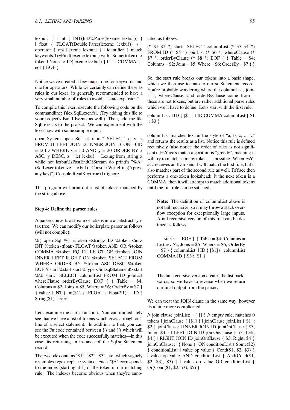lexbuf; } | int { INT(Int32.Parse(lexeme lexbuf)) } | float { FLOAT(Double.Parse(lexeme lexbuf)) } | operator { ops.[lexeme lexbuf] } | identifier { match keywords.TryFind(lexeme lexbuf) with | Some(token) -> token | None -> ID(lexeme lexbuf) } | ',' { COMMA } | eof { EOF }

Notice we've created a few maps, one for keywords and one for operators. While we certainly can define these as rules in our lexer, its generally recommended to have a very small number of rules to avoid a "state explosion".

To compile this lexer, exec[ute the](https://en.wikibooks.org/wiki/F_Sharp_Programming/Sets_and_Maps#Maps) following code on the commandline: fslex SqlLexer.fsl. (Try adding this file to your project's Build Events as well.) Then, add the file SqlLexer.fs to the project. We can experiment with the lexer now with some sample input:

open System open Sql let x = " SELECT x, y, z FROM t1 LEFT JOIN t2 INNER JOIN t3 ON t3.ID  $=$  t2.ID WHERE  $x = 50$  AND  $y = 20$  ORDER BY  $x$ ASC, y DESC, z " let lexbuf  $=$  Lexing.from\_string x while not lexbuf.IsPastEndOfStream do printfn "%A" (SqlLexer.tokenize lexbuf) Console.WriteLine("(press any key)") Console.ReadKey(true) |> ignore

This program will print out a list of tokens matched by the string above.

### **Step 4: Define the parser rules**

A parser converts a stream of tokens into an abstract syntax tree. We can modify our boilerplate parser as follows (will not compile):

%{ open Sql %} %token <string> ID %token <int> INT %token <float> FLOAT %token AND OR %token COMMA %token EQ LT LE GT GE %token JOIN INNER LEFT RIGHT ON %token SELECT FROM WHERE ORDER BY %token ASC DESC %token EOF // start %start start %type <Sql.sqlStatement> start %% start: SELECT columnList FROM ID joinList whereClause orderByClause EOF { { Table = \$4; Columns =  $$2$ ; Joins =  $$5$ ; Where =  $$6$ ; OrderBy =  $$7$ } } value: | INT { Int(\$1) } | FLOAT { Float(\$1) } | ID { String(\$1) }  $%$ %

Let's examine the start: function. You can immediately see that we have a list of tokens which gives a rough outline of a select statement. In addition to that, you can see the F# code contained between {'s and }'s which will be executed when the code successfully matches—in this case, its returning an instance of the Sql.sqlStatement record.

The F# code contains "\$1", "\$2", :\$3", etc. which vaguely resembles regex replace syntax. Each "\$*#*" corresponds to the index (starting at 1) of the token in our matching rule. The indexes become obvious when they're annotated as follows:

(\* \$1 \$2 \*) start: SELECT columnList (\* \$3 \$4 \*) FROM ID (\* \$5 \*) joinList (\* \$6 \*) whereClause (\* \$7  $*$ ) orderByClause (\* \$8  $*$ ) EOF { { Table = \$4; Columns =  $$2$ ; Joins =  $$5$ ; Where =  $$6$ ; OrderBy =  $$7$  } }

So, the start rule breaks our tokens into a basic shape, which we then use to map to our sqlStatement record. You're probably wondering where the columnList, join-List, whereClause, and orderByClause come from these are not tokens, but are rather additional parse rules which we'll have to define. Let's start with the first rule:

columnList: | ID { [\$1]} | ID COMMA columnList { \$1 :: \$3 }

columnList matches text in the style of "a, b, c, ... z" and returns the results as a list. Notice this rule is defined recursively (also notice the order of rules is not significant). FsYacc's match algorithm is "greedy", meaning it will try to match as many tokens as possible. When FsYacc receives an ID token, it will match the first rule, but it also matches part of the second rule as well. FsYacc then performs a one-token lookahead: it the next token is a COMMA, then it will attempt to match additional tokens until the full rule can be satisfied.

**Note:** The definition of columnList above is not tail recursive, so it may throw a stack overflow exception for exceptionally large inputs. A tail recursive version of this rule can be defined as follows:

start: ... EOF  $\{ \}$  Table = \$4; Columns = List.rev  $$2$ ; Joins =  $$5$ ; Where =  $$6$ ; OrderBy = \$7 } } columnList: | ID { [\$1]} | columnList COMMA ID { \$3 :: \$1 }

The tail-recursive version creates the list backwards, so we have to reverse when we return our final output from the parser.

We can treat the JOIN clause in the same way, however its a little more complicated:

// join clause joinList: | { [] } // empty rule, matches 0 tokens | joinClause { [\$1] } | joinClause joinList { \$1 :: \$2 } joinClause: | INNER JOIN ID joinOnClause { \$3, Inner, \$4 } | LEFT JOIN ID joinOnClause { \$3, Left, \$4 } | RIGHT JOIN ID joinOnClause { \$3, Right, \$4 } joinOnClause: | { None } | ON conditionList { Some(\$2) } conditionList: | value op value { Cond(\$1, \$2, \$3) } | value op value AND conditionList { And(Cond(\$1, \$2, \$3), \$5) } | value op value OR conditionList { Or(Cond(\$1, \$2, \$3), \$5) }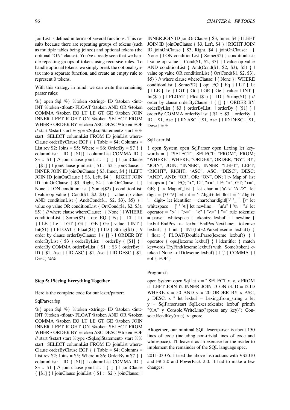joinList is defined in terms of several functions. This results because there are repeating groups of tokens (such as multiple tables being joined) and optional tokens (the optional "ON" clause). You've already seen that we handle repeating groups of tokens using recursive rules. To handle optional tokens, we simply break the optional syntax into a separate function, and create an empty rule to represent 0 tokens.

With this strategy in mind, we can write the remaining parser rules:

%{ open Sql %} %token <string> ID %token <int> INT %token <float> FLOAT %token AND OR %token COMMA %token EQ LT LE GT GE %token JOIN INNER LEFT RIGHT ON %token SELECT FROM WHERE ORDER BY %token ASC DESC %token EOF // start %start start %type <Sql.sqlStatement> start %% start: SELECT columnList FROM ID joinList where-Clause orderByClause EOF { { Table = \$4; Columns = List.rev \$2; Joins = \$5; Where = \$6; OrderBy = \$7 } } columnList: | ID { [\$1]} | columnList COMMA ID {  $$3::$1$  } // join clause joinList:  $\vert \{ \vert \} \vert$  }  $\vert$  joinClause { [\$1] } | joinClause joinList { \$1 :: \$2 } joinClause: | INNER JOIN ID joinOnClause { \$3, Inner, \$4 } | LEFT JOIN ID joinOnClause { \$3, Left, \$4 } | RIGHT JOIN ID joinOnClause { \$3, Right, \$4 } joinOnClause: | { None } | ON conditionList { Some(\$2) } conditionList: | value op value { Cond(\$1, \$2, \$3) } | value op value AND conditionList  $\{ And(Cond(\$1, \$2, \$3), \$5) \}$ value op value OR conditionList { Or(Cond(\$1, \$2, \$3), \$5) } // where clause whereClause: | { None } | WHERE conditionList { Some(\$2) } op: EQ { Eq } | LT { Lt } | LE { Le } | GT { Gt } | GE { Ge } value: | INT { Int(\$1) } | FLOAT { Float(\$1) } | ID { String(\$1) } // order by clause orderByClause: | { [] } | ORDER BY orderByList { \$3 } orderByList: | orderBy { [\$1] } | orderBy COMMA orderByList { \$1 :: \$3 } orderBy: | ID { \$1, Asc } | ID ASC { \$1, Asc } | ID DESC { \$1, Desc} %%

#### **Step 5: Piecing Everything Together**

Here is the complete code for our lexer/parser:

# SqlParser.fsp

%{ open Sql %} %token <string> ID %token <int> INT %token <float> FLOAT %token AND OR %token COMMA %token EQ LT LE GT GE %token JOIN INNER LEFT RIGHT ON %token SELECT FROM WHERE ORDER BY %token ASC DESC %token EOF // start %start start %type <Sql.sqlStatement> start %% start: SELECT columnList FROM ID joinList where-Clause orderByClause EOF  $\{ \}$  Table = \$4; Columns = List.rev \$2; Joins = \$5; Where = \$6; OrderBy = \$7 } } columnList: | ID { [\$1]} | columnList COMMA ID { \$3 :: \$1 } // join clause joinList:  $\vert \{ \vert \} \vert$  }  $\vert$  joinClause { [\$1] } | joinClause joinList { \$1 :: \$2 } joinClause: |

INNER JOIN ID joinOnClause { \$3, Inner, \$4 } | LEFT JOIN ID joinOnClause { \$3, Left, \$4 } | RIGHT JOIN ID joinOnClause { \$3, Right, \$4 } joinOnClause: | { None } | ON conditionList { Some(\$2) } conditionList: | value op value { Cond(\$1, \$2, \$3) } | value op value AND conditionList  $\{And(Cond(\$1, \$2, \$3), \$5)\}\$ value op value OR conditionList { Or(Cond(\$1, \$2, \$3), \$5) } // where clause whereClause: | { None } | WHERE conditionList  $\{$  Some $(\$2)$   $\}$  op: EQ  $\{$  Eq  $\}$  | LT  $\{$  Lt } | LE { Le } | GT { Gt } | GE { Ge } value: | INT {  $Int(\$1)$  } | FLOAT { Float(\$1) } | ID { String(\$1) } // order by clause orderByClause: | { [] } | ORDER BY orderByList { \$3 } orderByList: | orderBy { [\$1] } | orderBy COMMA orderByList { \$1 :: \$3 } orderBy: | ID { \$1, Asc } | ID ASC { \$1, Asc } | ID DESC { \$1, Desc} %%

### SqlLexer.fsl

{ open System open SqlParser open Lexing let keywords = [ "SELECT", SELECT; "FROM", FROM; "WHERE", WHERE; "ORDER", ORDER; "BY", BY; "JOIN", JOIN; "INNER", INNER; "LEFT", LEFT; "RIGHT", RIGHT; "ASC", ASC; "DESC", DESC; "AND", AND; "OR", OR; "ON", ON;  $]$  > Map.of\_list let ops =  $[$  "=", EQ; "<", LT; "<=", LE; ">", GT; ">=", GE;  $]$   $\triangleright$  Map.of\_list  $]$  let char =  $['a'-'z' 'A'-'z']$  let digit =  $[0'-9']$  let int = '-'?digit+ let float = '-'?digit+ '.' digit+ let identifier = char(charldigit| $[ ' ' ' '']$ )\* let whitespace =  $[' ' \t't']$  let newline = "\n\r" | '\n' | '\r' let operator = ">" | ">=" | "<" | "<=" | "=" rule tokenize = parse | whitespace { tokenize lexbuf } | newline { lexbuf.EndPos <- lexbuf.EndPos.NextLine; tokenize lexbuf; } | int { INT(Int32.Parse(lexeme lexbuf)) } | float { FLOAT(Double.Parse(lexeme lexbuf)) } | operator { ops.[lexeme lexbuf] } | identifier { match keywords.TryFind(lexeme lexbuf) with | Some(token) -> token | None -> ID(lexeme lexbuf) } | ',' { COMMA } | eof { EOF }

#### Program.fs

open System open Sql let x = " SELECT x, y, z FROM t1 LEFT JOIN t2 INNER JOIN t3 ON t3.ID = t2.ID WHERE  $x = 50$  AND  $y = 20$  ORDER BY  $x$  ASC, y DESC,  $z$  " let lexbuf = Lexing.from\_string  $x$  let y = SqlParser.start SqlLexer.tokenize lexbuf printfn "%A" y Console.WriteLine("(press any key)") Con $sole. ReadKey(true)$   $\triangleright$  ignore

Altogether, our minimal SQL lexer/parser is about 150 lines of code (including non-trivial lines of code and whitespace). I'll leave it as an exercise for the reader to implement the remainder of the SQL language spec.

2011-03-06: I tried the above instructions with VS2010 and F# 2.0 and PowerPack 2.0. I had to make a few changes: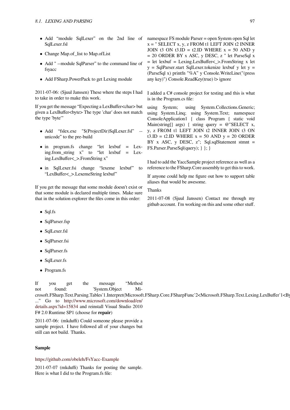- Add "module SqlLexer" on the 2nd line of SqlLexer.fsl
- *•* Change Map.of\_list to Map.ofList
- *•* Add " --module SqlParser" to the command line of fsyacc
- Add FSharp.PowerPack to get Lexing module

2011-07-06: (Sjuul Janssen) These where the steps I had to take in order to make this work.

If you get the message "Expecting a LexBuffer<char> but given a LexBuffer<byte> The type 'char' does not match the type 'byte'"

- *•* Add "fslex.exe "\$(ProjectDir)SqlLexer.fsl" unicode" to the pre-build
- in program.fs change "let lexbuf = Lex-<br>ing.from\_string x" to "let lexbuf = Lexing.from\_string  $x^*$  to ing.LexBuffer<\_>.FromString x"
- *•* in SqlLexer.fsi change "lexeme lexbuf" to "LexBuffer<\_>.LexemeString lexbuf"

If you get the message that some module doesn't exist or that some module is declared multiple times. Make sure that in the solution explorer the files come in this order:

- *•* Sql.fs
- *•* SqlParser.fsp
- *•* SqlLexer.fsl
- *•* SqlParser.fsi
- *•* SqlParser.fs
- *•* SqlLexer.fs
- *•* Program.fs

If you get the message "Method not found: 'System.Object Microsoft.FSharp.Text.Parsing.Tables`1.Interpret(Microsoft.FSharp.Core.FSharpFunc`2<Microsoft.FSharp.Text.Lexing.LexBuffer`1<Byte>, ..." Go to http://www.microsoft.com/download/en/ details.aspx?id=15834 and reinstall Visual Studio 2010 F# 2.0 Runtime SP1 (choose for **repair**)

2011-07-06: (mkduffi) Could someone please provide a sample project[. I have followed all of your changes but](http://www.microsoft.com/download/en/details.aspx?id=15834) [still can not build. Tha](http://www.microsoft.com/download/en/details.aspx?id=15834)nks.

# **Sample**

https://github.com/obeleh/FsYacc-Example

2011-07-07 (mkduffi) Thanks for posting the sample. Here is what I did to the Program.fs file:

namespace FS module Parser = open System open Sql let  $x = "SELECT x, y, z FROM t1 LEFT JOIN t2 INNER$ JOIN t3 ON t3.ID = t2.ID WHERE  $x = 50$  AND y = 20 ORDER BY x ASC, y DESC, z " let ParseSql x = let lexbuf = Lexing.LexBuffer<\_>.FromString x let  $y =$  SqlParser.start SqlLexer.tokenize lexbuf y let  $y =$ (ParseSql x) printfn "%A" y Console.WriteLine("(press any key)") Console.ReadKey(true) |> ignore

I added a C# console project for testing and this is what is in the Program.cs file:

using System; using System.Collections.Generic; using System.Linq; using System.Text; namespace ConsoleApplication1 { class Program { static void Main(string[] args) { string query = @"SELECT x, y, z FROM t1 LEFT JOIN t2 INNER JOIN t3 ON t3.ID = t2.ID WHERE  $x = 50$  AND  $y = 20$  ORDER BY x ASC, y DESC, z"; Sql.sqlStatement stmnt = FS.Parser.ParseSql(query); } }; }

I had to add the YaccSample project reference as well as a reference to the FSharp.Core assembly to get this to work.

If anyone could help me figure out how to support table aliases that would be awesome.

Thanks

2011-07-08 (Sjuul Janssen) Contact me through my github account. I'm working on this and some other stuff.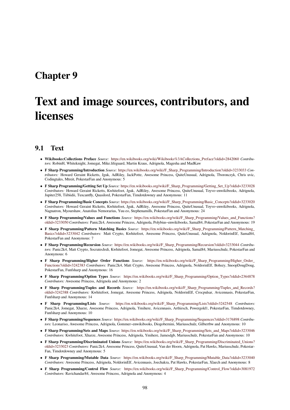# **Chapter 9**

# **Text and image sources, contributors, and licenses**

# **9.1 Text**

- *•* **Wikibooks:Collections Preface** *Source:* https://en.wikibooks.org/wiki/Wikibooks%3ACollections\_Preface?oldid=2842060 *Contributors:* RobinH, Whiteknight, Jomegat, Mike.lifeguard, Martin Kraus, Adrignola, Magesha and MadKaw
- *•* **F Sharp Programming/Introduction** *Source:* https://en.wikibooks.org/wiki/F\_Sharp\_Programming/Introduction?oldid=3233033 *Contributors:* Howard Geraint Ricketts, Jguk, AdRiley, JackPotte, Awesome Princess, QuiteUnusual, Adrignola, Tboronczyk, Chris uvic, Codingtales, Mtreit, PokestarFan and Anonymous: 5
- *•* **F Sharp Programming/Getting Set Up** *Source:* [https://en.wikibooks.org/wiki/F\\_Sharp\\_Programming/Getting\\_Set\\_Up?oldid=](https://en.wikibooks.org/wiki/Wikibooks%253ACollections_Preface?oldid=2842060)3233028 *Contributors:* Howard Geraint Ricketts, Kwhitefoot, Jguk, AdRiley, Awesome Princess, QuiteUnusual, Toyvo~enwikibooks, Adrignola, Jupiter258, Tiibiidii, Tuxcantfly, Quasilord, Pok[estarFan, Timdotdowney and Anonymous: 11](https://en.wikibooks.org/wiki/F_Sharp_Programming/Introduction?oldid=3233033)
- *•* **F Sharp Programming/Basic Concepts** *Source:* https://en.wikibooks.org/wiki/F\_Sharp\_Programming/Basic\_Concepts?oldid=3233020 *Contributors:* Howard Geraint Ricketts, Kwhitefoot, Jguk, AdRiley, Awesome Princess, QuiteUnusual, Toyvo~enwikibooks, Adrignola, Nagnatron, Myourshaw, Anatolius Nemorarius, Y[uu eo, Stephenamills, PokestarFan and Anonymous: 24](https://en.wikibooks.org/wiki/F_Sharp_Programming/Getting_Set_Up?oldid=3233028)
- *•* **F Sharp Programming/Values and Functions** *Source:* https://en.wikibooks.org/wiki/F\_Sharp\_Programming/Values\_and\_Functions? oldid=3233050 *Contributors:* Panic2k4, Awesome Princess, Adrignola, Polybius~enwikibooks, Samal84, PokestarFan and Anonymous: 19
- *•* **F Sharp Programming/Pattern Matching Basics** *Source:* [https://en.wikibooks.org/wiki/F\\_Sharp\\_Programming/Pattern\\_Matching\\_](https://en.wikibooks.org/wiki/F_Sharp_Programming/Basic_Concepts?oldid=3233020) Basics?oldid=3233042 *Contributors:* Matt Crypto, Kwhitefoot, Awesome Princess, QuiteUnusual, Adrignola, NoldorinElf, Samal84, PokestarFan and Anonymous: 7
- *•* **[F Sharp Progr](https://en.wikibooks.org/wiki/F_Sharp_Programming/Values_and_Functions?oldid=3233050)amming/Recursion** *Source:* https://en.wi[kibooks.org/wiki/F\\_Sharp\\_Programming/Recursion?oldid=3233044](https://en.wikibooks.org/wiki/F_Sharp_Programming/Values_and_Functions?oldid=3233050) *Contributors:* Panic2k4, Matt Crypto, SocratesJedi, Kwhitefoot, Jomeg[at, Awesome Princess, Adrignola, Samal84, Mariusschulz, PokestarFan and](https://en.wikibooks.org/wiki/F_Sharp_Programming/Pattern_Matching_Basics?oldid=3233042) Anonymous: 6
- *•* **[F Sharp Programm](https://en.wikibooks.org/wiki/F_Sharp_Programming/Pattern_Matching_Basics?oldid=3233042)ing/Higher Order Functions** *Source:* https://en.wikibooks.org/wiki/F\_Sharp\_Programming/Higher\_Order\_ Functions?oldid=3242383 Contributors: Pani[c2k4, Matt Crypto, Awesome Princess, Adrignola, NoldorinElf, Bohszy, SnoopD](https://en.wikibooks.org/wiki/F_Sharp_Programming/Recursion?oldid=3233044)ougDoug, PokestarFan, Funfsharp and Anonymous: 16
- *•* **F Sharp Programming/Option Types** *Source:* https://en.wikibooks.org/wiki/F\_Sharp\_Programming/Option\_Types?oldid=2364878 *Contributors:* Awesome Princess, Adrignola and Anonymous: 2
- *•* **[F Sharp Programming/](https://en.wikibooks.org/wiki/F_Sharp_Programming/Higher_Order_Functions?oldid=3242383)Tuples and Records** *Source:* https:/[/en.wikibooks.org/wiki/F\\_Sharp\\_Programming/Tuples\\_and\\_Records?](https://en.wikibooks.org/wiki/F_Sharp_Programming/Higher_Order_Functions?oldid=3242383) oldid=3242388 *Contributors:* Kwhitefoot, Jomegat, Awesome Princess, Adrignola, NoldorinElf, Crocpulsar, Avicennasis, PokestarFan, Funfsharp and Anonymous: 14
- *•* **F Sharp Programming/Lists** *Source:* https[://en.wikibooks.org/wiki/F\\_Sharp\\_Programming/Lists?oldid=3242548](https://en.wikibooks.org/wiki/F_Sharp_Programming/Option_Types?oldid=2364878) *Contributors:* Panic2k4, Jomegat, Xharze, Awesome Princess, Adrignola, [Ymihere, Avicennasis, Arthirsch, Powergold1, PokestarFan, Timdotdowney,](https://en.wikibooks.org/wiki/F_Sharp_Programming/Tuples_and_Records?oldid=3242388) Funfsharp and Anonymous: 10
- *•* **[F Sharp Progr](https://en.wikibooks.org/wiki/F_Sharp_Programming/Tuples_and_Records?oldid=3242388)amming/Sequences** *Source:* https://en.wikibooks.org/wiki/F\_Sharp\_Programming/Sequences?oldid=3176898 *Contributors:* Leonariso, Awesome Princess, Adrignola, Gommer~enwikibooks, Diogobernini, Mariusschulz, Gilbertbw and Anonymous: 10
- **F Sharp Programming/Sets and Maps** *Source:* [https://en.wikibooks.org/wiki/F\\_Sharp\\_Programming/Sets\\_and\\_Maps?o](https://en.wikibooks.org/wiki/F_Sharp_Programming/Lists?oldid=3242548)ldid=3233046 *Contributors:* Kwhitefoot, Xharze, Awesome Princess, Adrignola, Ymihere, Jamesdgb, Mariusschulz, PokestarFan and Anonymous: 10
- *•* **F Sharp Programming/Discriminated Unions** *Source:* [https://en.wikibooks.org/wiki/F\\_Sharp\\_Programming/Discriminated](https://en.wikibooks.org/wiki/F_Sharp_Programming/Sequences?oldid=3176898)\_Unions? oldid=3233023 *Contributors:* Panic2k4, Awesome Princess, QuiteUnusual, Van der Hoorn, Adrignola, Pat Hawks, Mariusschulz, Pokestar-Fan, Timdotdowney and Anonymous: 5
- *•* **F Sharp Programming/Mutable Data** *Source:* [https://en.wikibooks.org/wiki/F\\_Sharp\\_Programming/Mutable\\_Data?oldid=3233040](https://en.wikibooks.org/wiki/F_Sharp_Programming/Sets_and_Maps?oldid=3233046) *Contributors:* Awesome Princess, Adrignola, NoldorinElf, Avicennasis, Joechakra, Pat Hawks, PokestarFan, Xlaech and Anonymous: 8
- *•* **[F Sharp Prog](https://en.wikibooks.org/wiki/F_Sharp_Programming/Discriminated_Unions?oldid=3233023)ramming/Control Flow** *Source:* https:/[/en.wikibooks.org/wiki/F\\_Sharp\\_Programming/Control\\_Flow?oldid=3081972](https://en.wikibooks.org/wiki/F_Sharp_Programming/Discriminated_Unions?oldid=3233023) *Contributors:* Ravichandar84, Awesome Princess, Adrignola and Anonymous: 4